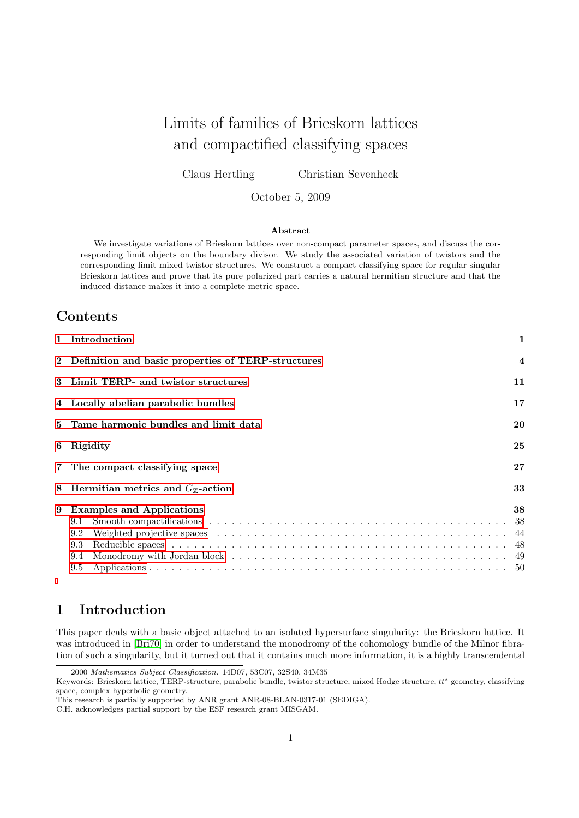# Limits of families of Brieskorn lattices and compactified classifying spaces

Claus Hertling Christian Sevenheck

October 5, 2009

#### Abstract

We investigate variations of Brieskorn lattices over non-compact parameter spaces, and discuss the corresponding limit objects on the boundary divisor. We study the associated variation of twistors and the corresponding limit mixed twistor structures. We construct a compact classifying space for regular singular Brieskorn lattices and prove that its pure polarized part carries a natural hermitian structure and that the induced distance makes it into a complete metric space.

# **Contents**

| $\mathbf{1}$ | Introduction                                                                                                                                                                                 | 1              |
|--------------|----------------------------------------------------------------------------------------------------------------------------------------------------------------------------------------------|----------------|
| $\mathbf{2}$ | Definition and basic properties of TERP-structures                                                                                                                                           | $\overline{4}$ |
| 3            | Limit TERP- and twistor structures                                                                                                                                                           | 11             |
|              | 4 Locally abelian parabolic bundles                                                                                                                                                          | 17             |
| 5            | Tame harmonic bundles and limit data                                                                                                                                                         | 20             |
| 6            | Rigidity                                                                                                                                                                                     | 25             |
| $7\degree$   | The compact classifying space                                                                                                                                                                | 27             |
| 8            | Hermitian metrics and $G_{\mathbb{Z}}$ -action                                                                                                                                               | 33             |
| 9            | <b>Examples and Applications</b><br>Smooth compactifications $\ldots \ldots \ldots \ldots \ldots \ldots \ldots \ldots \ldots \ldots \ldots \ldots \ldots$<br>9.1<br>9.2<br>9.3<br>9.4<br>9.5 | 38             |
|              |                                                                                                                                                                                              |                |

# <span id="page-0-0"></span>1 Introduction

This paper deals with a basic object attached to an isolated hypersurface singularity: the Brieskorn lattice. It was introduced in [\[Bri70\]](#page-52-0) in order to understand the monodromy of the cohomology bundle of the Milnor fibration of such a singularity, but it turned out that it contains much more information, it is a highly transcendental

<sup>2000</sup> Mathematics Subject Classification. 14D07, 53C07, 32S40, 34M35

Keywords: Brieskorn lattice, TERP-structure, parabolic bundle, twistor structure, mixed Hodge structure, tt<sup>∗</sup> geometry, classifying space, complex hyperbolic geometry.

This research is partially supported by ANR grant ANR-08-BLAN-0317-01 (SEDIGA).

C.H. acknowledges partial support by the ESF research grant MISGAM.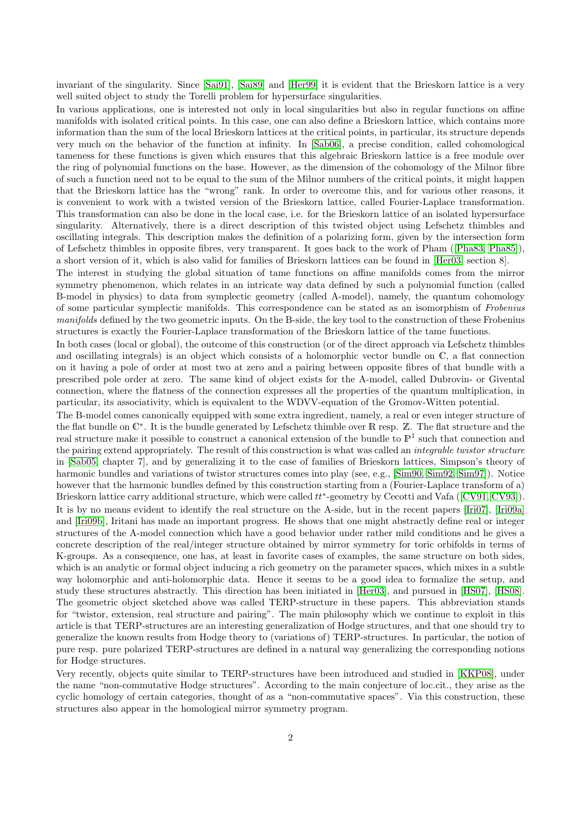invariant of the singularity. Since [\[Sai91\]](#page-53-0), [\[Sai89\]](#page-53-1) and [\[Her99\]](#page-52-1) it is evident that the Brieskorn lattice is a very well suited object to study the Torelli problem for hypersurface singularities.

In various applications, one is interested not only in local singularities but also in regular functions on affine manifolds with isolated critical points. In this case, one can also define a Brieskorn lattice, which contains more information than the sum of the local Brieskorn lattices at the critical points, in particular, its structure depends very much on the behavior of the function at infinity. In [\[Sab06\]](#page-53-2), a precise condition, called cohomological tameness for these functions is given which ensures that this algebraic Brieskorn lattice is a free module over the ring of polynomial functions on the base. However, as the dimension of the cohomology of the Milnor fibre of such a function need not to be equal to the sum of the Milnor numbers of the critical points, it might happen that the Brieskorn lattice has the "wrong" rank. In order to overcome this, and for various other reasons, it is convenient to work with a twisted version of the Brieskorn lattice, called Fourier-Laplace transformation. This transformation can also be done in the local case, i.e. for the Brieskorn lattice of an isolated hypersurface singularity. Alternatively, there is a direct description of this twisted object using Lefschetz thimbles and oscillating integrals. This description makes the definition of a polarizing form, given by the intersection form of Lefschetz thimbles in opposite fibres, very transparent. It goes back to the work of Pham([\[Pha83,](#page-53-3) [Pha85\]](#page-53-4)), a short version of it, which is also valid for families of Brieskorn lattices can be found in [\[Her03,](#page-52-2) section 8].

The interest in studying the global situation of tame functions on affine manifolds comes from the mirror symmetry phenomenon, which relates in an intricate way data defined by such a polynomial function (called B-model in physics) to data from symplectic geometry (called A-model), namely, the quantum cohomology of some particular symplectic manifolds. This correspondence can be stated as an isomorphism of Frobenius manifolds defined by the two geometric inputs. On the B-side, the key tool to the construction of these Frobenius structures is exactly the Fourier-Laplace transformation of the Brieskorn lattice of the tame functions.

In both cases (local or global), the outcome of this construction (or of the direct approach via Lefschetz thimbles and oscillating integrals) is an object which consists of a holomorphic vector bundle on  $\mathbb{C}$ , a flat connection on it having a pole of order at most two at zero and a pairing between opposite fibres of that bundle with a prescribed pole order at zero. The same kind of object exists for the A-model, called Dubrovin- or Givental connection, where the flatness of the connection expresses all the properties of the quantum multiplication, in particular, its associativity, which is equivalent to the WDVV-equation of the Gromov-Witten potential.

The B-model comes canonically equipped with some extra ingredient, namely, a real or even integer structure of the flat bundle on C ∗ . It is the bundle generated by Lefschetz thimble over R resp. Z. The flat structure and the real structure make it possible to construct a canonical extension of the bundle to  $\mathbb{P}^1$  such that connection and the pairing extend appropriately. The result of this construction is what was called an *integrable twistor structure* in [\[Sab05,](#page-53-5) chapter 7], and by generalizing it to the case of families of Brieskorn lattices, Simpson's theory of harmonic bundles and variations of twistor structures comes into play (see, e.g., [\[Sim90,](#page-53-6) [Sim92,](#page-53-7) [Sim97\]](#page-53-8)). Notice however that the harmonic bundles defined by this construction starting from a (Fourier-Laplace transform of a) Brieskornlattice carry additional structure, which were called  $tt^*$ -geometry by Cecotti and Vafa ( $[CV91, CV93]$  $[CV91, CV93]$ ). It is by no means evident to identify the real structure on the A-side, but in the recent papers [\[Iri07\]](#page-52-5), [\[Iri09a\]](#page-52-6) and [\[Iri09b\]](#page-52-7), Iritani has made an important progress. He shows that one might abstractly define real or integer structures of the A-model connection which have a good behavior under rather mild conditions and he gives a concrete description of the real/integer structure obtained by mirror symmetry for toric orbifolds in terms of K-groups. As a consequence, one has, at least in favorite cases of examples, the same structure on both sides, which is an analytic or formal object inducing a rich geometry on the parameter spaces, which mixes in a subtle way holomorphic and anti-holomorphic data. Hence it seems to be a good idea to formalize the setup, and study these structures abstractly. This direction has been initiated in [\[Her03\]](#page-52-2), and pursued in [\[HS07\]](#page-52-8), [\[HS08\]](#page-52-9). The geometric object sketched above was called TERP-structure in these papers. This abbreviation stands for "twistor, extension, real structure and pairing". The main philosophy which we continue to exploit in this article is that TERP-structures are an interesting generalization of Hodge structures, and that one should try to generalize the known results from Hodge theory to (variations of) TERP-structures. In particular, the notion of pure resp. pure polarized TERP-structures are defined in a natural way generalizing the corresponding notions for Hodge structures.

Very recently, objects quite similar to TERP-structures have been introduced and studied in [\[KKP08\]](#page-53-9), under the name "non-commutative Hodge structures". According to the main conjecture of loc.cit., they arise as the cyclic homology of certain categories, thought of as a "non-commutative spaces". Via this construction, these structures also appear in the homological mirror symmetry program.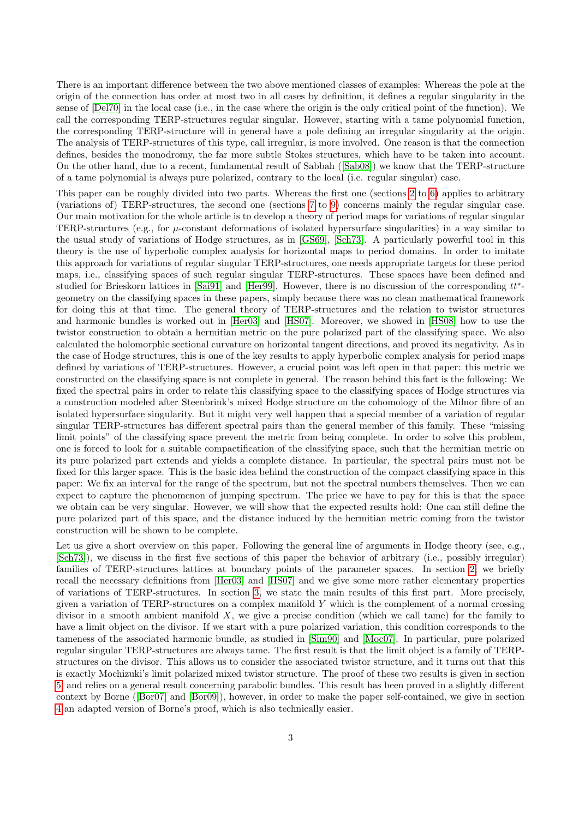There is an important difference between the two above mentioned classes of examples: Whereas the pole at the origin of the connection has order at most two in all cases by definition, it defines a regular singularity in the sense of [\[Del70\]](#page-52-10) in the local case (i.e., in the case where the origin is the only critical point of the function). We call the corresponding TERP-structures regular singular. However, starting with a tame polynomial function, the corresponding TERP-structure will in general have a pole defining an irregular singularity at the origin. The analysis of TERP-structures of this type, call irregular, is more involved. One reason is that the connection defines, besides the monodromy, the far more subtle Stokes structures, which have to be taken into account. On the other hand, due to a recent, fundamental result of Sabbah([\[Sab08\]](#page-53-10)) we know that the TERP-structure of a tame polynomial is always pure polarized, contrary to the local (i.e. regular singular) case.

This paper can be roughly divided into two parts. Whereas the first one (sections [2](#page-3-0) to [6\)](#page-24-0) applies to arbitrary (variations of) TERP-structures, the second one (sections [7](#page-26-0) to [9\)](#page-37-0) concerns mainly the regular singular case. Our main motivation for the whole article is to develop a theory of period maps for variations of regular singular TERP-structures (e.g., for  $\mu$ -constant deformations of isolated hypersurface singularities) in a way similar to the usual study of variations of Hodge structures, as in [\[GS69\]](#page-52-11), [\[Sch73\]](#page-53-11). A particularly powerful tool in this theory is the use of hyperbolic complex analysis for horizontal maps to period domains. In order to imitate this approach for variations of regular singular TERP-structures, one needs appropriate targets for these period maps, i.e., classifying spaces of such regular singular TERP-structures. These spaces have been defined and studied for Brieskorn lattices in [\[Sai91\]](#page-53-0) and [\[Her99\]](#page-52-1). However, there is no discussion of the corresponding  $tt^*$ geometry on the classifying spaces in these papers, simply because there was no clean mathematical framework for doing this at that time. The general theory of TERP-structures and the relation to twistor structures and harmonic bundles is worked out in [\[Her03\]](#page-52-2) and [\[HS07\]](#page-52-8). Moreover, we showed in [\[HS08\]](#page-52-9) how to use the twistor construction to obtain a hermitian metric on the pure polarized part of the classifying space. We also calculated the holomorphic sectional curvature on horizontal tangent directions, and proved its negativity. As in the case of Hodge structures, this is one of the key results to apply hyperbolic complex analysis for period maps defined by variations of TERP-structures. However, a crucial point was left open in that paper: this metric we constructed on the classifying space is not complete in general. The reason behind this fact is the following: We fixed the spectral pairs in order to relate this classifying space to the classifying spaces of Hodge structures via a construction modeled after Steenbrink's mixed Hodge structure on the cohomology of the Milnor fibre of an isolated hypersurface singularity. But it might very well happen that a special member of a variation of regular singular TERP-structures has different spectral pairs than the general member of this family. These "missing limit points" of the classifying space prevent the metric from being complete. In order to solve this problem, one is forced to look for a suitable compactification of the classifying space, such that the hermitian metric on its pure polarized part extends and yields a complete distance. In particular, the spectral pairs must not be fixed for this larger space. This is the basic idea behind the construction of the compact classifying space in this paper: We fix an interval for the range of the spectrum, but not the spectral numbers themselves. Then we can expect to capture the phenomenon of jumping spectrum. The price we have to pay for this is that the space we obtain can be very singular. However, we will show that the expected results hold: One can still define the pure polarized part of this space, and the distance induced by the hermitian metric coming from the twistor construction will be shown to be complete.

Let us give a short overview on this paper. Following the general line of arguments in Hodge theory (see, e.g., [\[Sch73\]](#page-53-11)), we discuss in the first five sections of this paper the behavior of arbitrary (i.e., possibly irregular) families of TERP-structures lattices at boundary points of the parameter spaces. In section [2,](#page-3-0) we briefly recall the necessary definitions from [\[Her03\]](#page-52-2) and [\[HS07\]](#page-52-8) and we give some more rather elementary properties of variations of TERP-structures. In section [3,](#page-10-0) we state the main results of this first part. More precisely, given a variation of TERP-structures on a complex manifold  $Y$  which is the complement of a normal crossing divisor in a smooth ambient manifold  $X$ , we give a precise condition (which we call tame) for the family to have a limit object on the divisor. If we start with a pure polarized variation, this condition corresponds to the tameness of the associated harmonic bundle, as studied in [\[Sim90\]](#page-53-6) and [\[Moc07\]](#page-53-12). In particular, pure polarized regular singular TERP-structures are always tame. The first result is that the limit object is a family of TERPstructures on the divisor. This allows us to consider the associated twistor structure, and it turns out that this is exactly Mochizuki's limit polarized mixed twistor structure. The proof of these two results is given in section [5,](#page-19-0) and relies on a general result concerning parabolic bundles. This result has been proved in a slightly different context by Borne([\[Bor07\]](#page-52-12) and [\[Bor09\]](#page-52-13)), however, in order to make the paper self-contained, we give in section [4](#page-16-0) an adapted version of Borne's proof, which is also technically easier.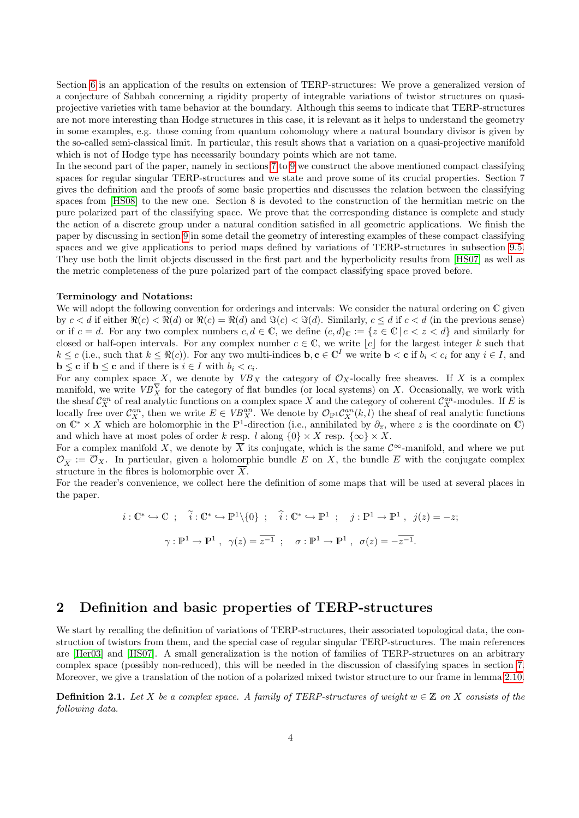Section [6](#page-24-0) is an application of the results on extension of TERP-structures: We prove a generalized version of a conjecture of Sabbah concerning a rigidity property of integrable variations of twistor structures on quasiprojective varieties with tame behavior at the boundary. Although this seems to indicate that TERP-structures are not more interesting than Hodge structures in this case, it is relevant as it helps to understand the geometry in some examples, e.g. those coming from quantum cohomology where a natural boundary divisor is given by the so-called semi-classical limit. In particular, this result shows that a variation on a quasi-projective manifold which is not of Hodge type has necessarily boundary points which are not tame.

In the second part of the paper, namely in sections [7](#page-26-0) to [9](#page-37-0) we construct the above mentioned compact classifying spaces for regular singular TERP-structures and we state and prove some of its crucial properties. Section 7 gives the definition and the proofs of some basic properties and discusses the relation between the classifying spaces from [\[HS08\]](#page-52-9) to the new one. Section 8 is devoted to the construction of the hermitian metric on the pure polarized part of the classifying space. We prove that the corresponding distance is complete and study the action of a discrete group under a natural condition satisfied in all geometric applications. We finish the paper by discussing in section [9](#page-37-0) in some detail the geometry of interesting examples of these compact classifying spaces and we give applications to period maps defined by variations of TERP-structures in subsection [9.5.](#page-49-0) They use both the limit objects discussed in the first part and the hyperbolicity results from [\[HS07\]](#page-52-8) as well as the metric completeness of the pure polarized part of the compact classifying space proved before.

### Terminology and Notations:

We will adopt the following convention for orderings and intervals: We consider the natural ordering on  $\mathbb C$  given by  $c < d$  if either  $\Re(c) < \Re(d)$  or  $\Re(c) = \Re(d)$  and  $\Im(c) < \Im(d)$ . Similarly,  $c \le d$  if  $c < d$  (in the previous sense) or if  $c = d$ . For any two complex numbers  $c, d \in \mathbb{C}$ , we define  $(c, d)_\mathbb{C} := \{z \in \mathbb{C} \mid c < z < d\}$  and similarly for closed or half-open intervals. For any complex number  $c \in \mathbb{C}$ , we write |c| for the largest integer k such that  $k \leq c$  (i.e., such that  $k \leq \Re(c)$ ). For any two multi-indices  $\mathbf{b}, \mathbf{c} \in \mathbb{C}^I$  we write  $\mathbf{b} < \mathbf{c}$  if  $b_i < c_i$  for any  $i \in I$ , and  $\mathbf{b} \leq \mathbf{c}$  if  $\mathbf{b} \leq \mathbf{c}$  and if there is  $i \in I$  with  $b_i < c_i$ .

For any complex space X, we denote by  $VB_X$  the category of  $\mathcal{O}_X$ -locally free sheaves. If X is a complex manifold, we write  $VB_X^{\nabla}$  for the category of flat bundles (or local systems) on X. Occasionally, we work with the sheaf  $\mathcal{C}_X^{an}$  of real analytic functions on a complex space X and the category of coherent  $\mathcal{C}_X^{an}$ -modules. If E is locally free over  $\mathcal{C}_X^{an}$ , then we write  $E \in VB_X^{an}$ . We denote by  $\mathcal{O}_{\mathbb{P}^1}\mathcal{C}_X^{an}(k,l)$  the sheaf of real analytic functions on  $\mathbb{C}^* \times X$  which are holomorphic in the  $\mathbb{P}^1$ -direction (i.e., annihilated by  $\partial_{\overline{z}}$ , where z is the coordinate on  $\mathbb{C}$ ) and which have at most poles of order k resp. l along  $\{0\} \times X$  resp.  $\{\infty\} \times X$ .

For a complex manifold X, we denote by  $\overline{X}$  its conjugate, which is the same  $\mathcal{C}^{\infty}$ -manifold, and where we put  $\mathcal{O}_{\overline{X}} := \overline{\mathcal{O}}_X$ . In particular, given a holomorphic bundle E on X, the bundle  $\overline{E}$  with the conjugate complex structure in the fibres is holomorphic over  $\overline{X}$ .

For the reader's convenience, we collect here the definition of some maps that will be used at several places in the paper.

$$
i: \mathbb{C}^* \hookrightarrow \mathbb{C} \ ; \quad \widetilde{i}: \mathbb{C}^* \hookrightarrow \mathbb{P}^1 \setminus \{0\} \ ; \quad \widehat{i}: \mathbb{C}^* \hookrightarrow \mathbb{P}^1 \ ; \quad j: \mathbb{P}^1 \to \mathbb{P}^1 \ , \ j(z) = -z;
$$

$$
\gamma: \mathbb{P}^1 \to \mathbb{P}^1 \ , \ \gamma(z) = \overline{z^{-1}} \ ; \quad \sigma: \mathbb{P}^1 \to \mathbb{P}^1 \ , \ \sigma(z) = -\overline{z^{-1}}.
$$

### <span id="page-3-0"></span>2 Definition and basic properties of TERP-structures

We start by recalling the definition of variations of TERP-structures, their associated topological data, the construction of twistors from them, and the special case of regular singular TERP-structures. The main references are [\[Her03\]](#page-52-2) and [\[HS07\]](#page-52-8). A small generalization is the notion of families of TERP-structures on an arbitrary complex space (possibly non-reduced), this will be needed in the discussion of classifying spaces in section [7.](#page-26-0) Moreover, we give a translation of the notion of a polarized mixed twistor structure to our frame in lemma [2.10.](#page-8-0)

<span id="page-3-1"></span>**Definition 2.1.** Let X be a complex space. A family of TERP-structures of weight  $w \in \mathbb{Z}$  on X consists of the following data.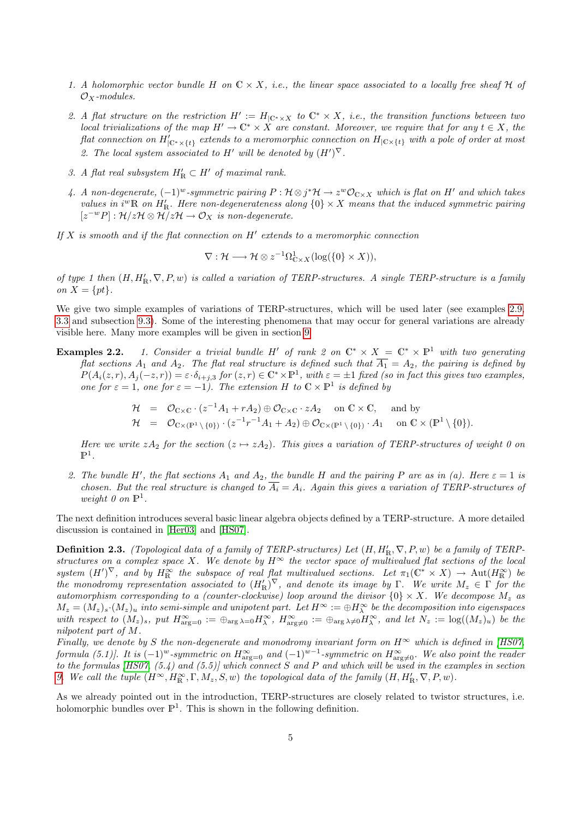- 1. A holomorphic vector bundle H on  $\mathbb{C} \times X$ , i.e., the linear space associated to a locally free sheaf H of  $\mathcal{O}_X$ -modules.
- 2. A flat structure on the restriction  $H' := H_{\vert \mathbb{C}^* \times X}$  to  $\mathbb{C}^* \times X$ , i.e., the transition functions between two local trivializations of the map  $H' \to \mathbb{C}^* \times \overline{X}$  are constant. Moreover, we require that for any  $t \in X$ , the  $f$ lat connection on  $H'_{|{\mathbb C}^*\times\{t\}}$  extends to a meromorphic connection on  $H_{|{\mathbb C}\times\{t\}}$  with a pole of order at most 2. The local system associated to H' will be denoted by  $(H')^{\nabla}$ .
- 3. A flat real subsystem  $H'_{\mathbb{R}} \subset H'$  of maximal rank.
- 4. A non-degenerate,  $(-1)^w$ -symmetric pairing  $P: \mathcal{H} \otimes j^* \mathcal{H} \to z^w \mathcal{O}_{\mathbb{C} \times X}$  which is flat on H' and which takes values in  $i^w \mathbb{R}$  on  $H'_{\mathbb{R}}$ . Here non-degenerateness along  $\{0\} \times X$  means that the induced symmetric pairing  $[z^{-w}P]: \mathcal{H}/z\mathcal{H} \otimes \mathcal{H}/z\mathcal{H} \to \mathcal{O}_X$  is non-degenerate.

If X is smooth and if the flat connection on  $H'$  extends to a meromorphic connection

$$
\nabla : \mathcal{H} \longrightarrow \mathcal{H} \otimes z^{-1} \Omega^1_{\mathbb{C} \times X} (\log(\{0\} \times X)),
$$

of type 1 then  $(H, H'_{\mathbb{R}}, \nabla, P, w)$  is called a variation of TERP-structures. A single TERP-structure is a family on  $X = \{pt\}.$ 

We give two simple examples of variations of TERP-structures, which will be used later (see examples [2.9,](#page-8-1) [3.3](#page-13-0) and subsection [9.3\)](#page-47-0). Some of the interesting phenomena that may occur for general variations are already visible here. Many more examples will be given in section [9.](#page-37-0)

<span id="page-4-1"></span>**Examples 2.2.** 1. Consider a trivial bundle H' of rank 2 on  $\mathbb{C}^* \times X = \mathbb{C}^* \times \mathbb{P}^1$  with two generating flat sections  $A_1$  and  $A_2$ . The flat real structure is defined such that  $\overline{A_1} = A_2$ , the pairing is defined by  $P(A_i(z,r), A_j(-z,r)) = \varepsilon \cdot \delta_{i+j,3}$  for  $(z,r) \in \mathbb{C}^* \times \mathbb{P}^1$ , with  $\varepsilon = \pm 1$  fixed (so in fact this gives two examples, one for  $\varepsilon = 1$ , one for  $\varepsilon = -1$ ). The extension H to  $\mathbb{C} \times \mathbb{P}^1$  is defined by

$$
\mathcal{H} = \mathcal{O}_{\mathbb{C}\times\mathbb{C}} \cdot (z^{-1}A_1 + rA_2) \oplus \mathcal{O}_{\mathbb{C}\times\mathbb{C}} \cdot zA_2 \quad \text{on } \mathbb{C} \times \mathbb{C}, \quad \text{and by} \n\mathcal{H} = \mathcal{O}_{\mathbb{C}\times(\mathbb{P}^1 \setminus \{0\})} \cdot (z^{-1}r^{-1}A_1 + A_2) \oplus \mathcal{O}_{\mathbb{C}\times(\mathbb{P}^1 \setminus \{0\})} \cdot A_1 \quad \text{on } \mathbb{C} \times (\mathbb{P}^1 \setminus \{0\}).
$$

Here we write  $zA_2$  for the section  $(z \mapsto zA_2)$ . This gives a variation of TERP-structures of weight 0 on  $\mathbb{P}^1$ .

2. The bundle H', the flat sections  $A_1$  and  $A_2$ , the bundle H and the pairing P are as in (a). Here  $\varepsilon = 1$  is chosen. But the real structure is changed to  $\overline{A_i} = A_i$ . Again this gives a variation of TERP-structures of weight  $0$  on  $\mathbb{P}^1$ .

The next definition introduces several basic linear algebra objects defined by a TERP-structure. A more detailed discussion is contained in [\[Her03\]](#page-52-2) and [\[HS07\]](#page-52-8).

<span id="page-4-0"></span>**Definition 2.3.** (Topological data of a family of TERP-structures) Let  $(H, H'_{R}, \nabla, P, w)$  be a family of TERPstructures on a complex space X. We denote by  $H^{\infty}$  the vector space of multivalued flat sections of the local system  $(H')^{\nabla}$ , and by  $H^{\infty}_{\mathbb{R}}$  the subspace of real flat multivalued sections. Let  $\pi_1(\mathbb{C}^* \times X) \to \text{Aut}(H^{\infty}_{\mathbb{R}})$  be the monodromy representation associated to  $(H'_{\mathbb{R}})^{\nabla}$ , and denote its image by  $\Gamma$ . We write  $M_z \in \Gamma$  for the automorphism corresponding to a (counter-clockwise) loop around the divisor  ${0} \times X$ . We decompose  $M_z$  as  $M_z=(M_z)_s\cdot(M_z)_u$  into semi-simple and unipotent part. Let  $H^\infty:=\oplus H^\infty_\lambda$  be the decomposition into eigenspaces with respect to  $(M_z)_s$ , put  $H_{\arg=0}^{\infty} := \bigoplus_{\arg \lambda=0} H_{\lambda}^{\infty}$ ,  $H_{\arg\neq 0}^{\infty} := \bigoplus_{\arg \lambda \neq 0} H_{\lambda}^{\infty}$ , and let  $N_z := \log((M_z)_u)$  be the nilpotent part of M.

Finally, we denote by S the non-degenerate and monodromy invariant form on  $H^{\infty}$  which is defined in [\[HS07,](#page-52-8)  $formula (5.1)].$  It is  $(-1)^w$ -symmetric on  $H_{\text{arg}=0}^{\infty}$  and  $(-1)^{w-1}$ -symmetric on  $H_{\text{arg}\neq0}^{\infty}$ . We also point the reader to the formulas  $[HS07, (5.4)$  $[HS07, (5.4)$  and  $(5.5)]$  which connect S and P and which will be used in the examples in section [9.](#page-37-0) We call the tuple  $(H^{\infty}, H^{\infty}_{\mathbb{R}}, \Gamma, M_z, S, w)$  the topological data of the family  $(H, H'_{\mathbb{R}}, \nabla, P, w)$ .

<span id="page-4-2"></span>As we already pointed out in the introduction, TERP-structures are closely related to twistor structures, i.e. holomorphic bundles over  $\mathbb{P}^1$ . This is shown in the following definition.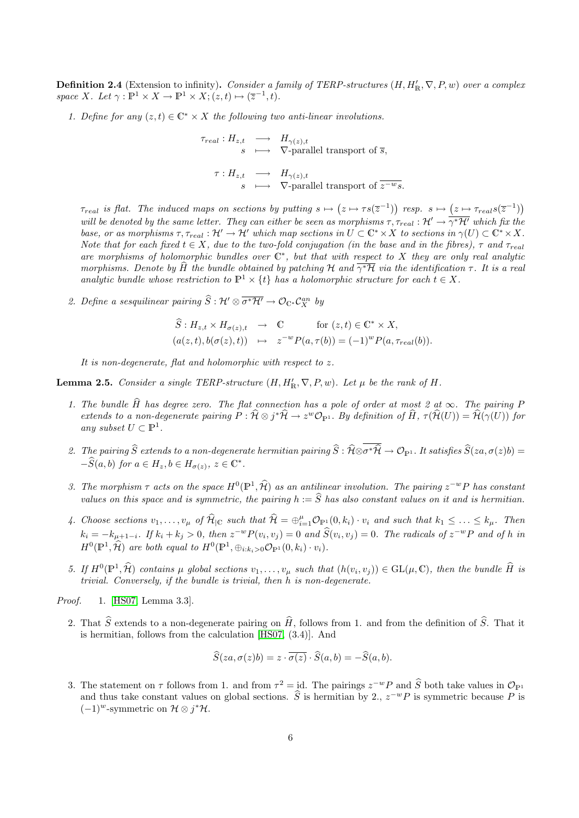**Definition 2.4** (Extension to infinity). Consider a family of TERP-structures  $(H, H'_{\mathbb{R}}, \nabla, P, w)$  over a complex space X. Let  $\gamma : \mathbb{P}^1 \times X \to \mathbb{P}^1 \times X$ ;  $(z, t) \mapsto (\overline{z}^{-1}, t)$ .

1. Define for any  $(z,t) \in \mathbb{C}^* \times X$  the following two anti-linear involutions.

$$
\tau_{real}: H_{z,t} \longrightarrow H_{\gamma(z),t}
$$
\n
$$
s \longmapsto \nabla\text{-parallel transport of } \overline{s},
$$
\n
$$
\tau: H_{z,t} \longrightarrow H_{\gamma(z),t}
$$
\n
$$
s \longmapsto \nabla\text{-parallel transport of } \overline{z^{-w}s}.
$$

 $\tau_{real}$  is flat. The induced maps on sections by putting  $s \mapsto (z \mapsto \tau s(\overline{z}^{-1}))$  resp.  $s \mapsto (z \mapsto \tau_{real} s(\overline{z}^{-1}))$ will be denoted by the same letter. They can either be seen as morphisms  $\tau, \tau_{real} : \mathcal{H}' \to \overline{\gamma^* \mathcal{H}'}$  which fix the base, or as morphisms  $\tau, \tau_{real} : \mathcal{H}' \to \mathcal{H}'$  which map sections in  $U \subset \mathbb{C}^* \times X$  to sections in  $\gamma(U) \subset \mathbb{C}^* \times X$ . Note that for each fixed  $t \in X$ , due to the two-fold conjugation (in the base and in the fibres),  $\tau$  and  $\tau_{real}$ are morphisms of holomorphic bundles over  $\mathbb{C}^*$ , but that with respect to X they are only real analytic morphisms. Denote by H the bundle obtained by patching  $\mathcal H$  and  $\overline{\gamma^*\mathcal H}$  via the identification  $\tau$ . It is a real analytic bundle whose restriction to  $\mathbb{P}^1 \times \{t\}$  has a holomorphic structure for each  $t \in X$ .

2. Define a sesquilinear pairing  $\widehat{S}: \mathcal{H}' \otimes \overline{\sigma^* \mathcal{H}'} \to \mathcal{O}_{\mathbb{C}^*} \mathcal{C}_X^{an}$  by

$$
\widehat{S}: H_{z,t} \times H_{\sigma(z),t} \longrightarrow \mathbb{C} \quad \text{for } (z,t) \in \mathbb{C}^* \times X,
$$
  
\n
$$
(a(z,t), b(\sigma(z),t)) \mapsto z^{-w} P(a, \tau(b)) = (-1)^w P(a, \tau_{real}(b)).
$$

It is non-degenerate, flat and holomorphic with respect to  $z$ .

<span id="page-5-0"></span>**Lemma 2.5.** Consider a single TERP-structure  $(H, H'_{\mathbb{R}}, \nabla, P, w)$ . Let  $\mu$  be the rank of H.

- 1. The bundle  $\widehat{H}$  has degree zero. The flat connection has a pole of order at most 2 at  $\infty$ . The pairing P extends to a non-degenerate pairing  $P: \widehat{H} \otimes j^* \widehat{H} \to z^w \mathcal{O}_{\mathbb{P}^1}$ . By definition of  $\widehat{H}$ ,  $\tau(\widehat{\mathcal{H}}(U)) = \widehat{\mathcal{H}}(\gamma(U))$  for any subset  $U \subset \mathbb{P}^1$ .
- 2. The pairing  $\tilde{S}$  extends to a non-degenerate hermitian pairing  $\tilde{S}$  :  $\tilde{\mathcal{H}} \otimes \sigma^* \tilde{\mathcal{H}} \to \mathcal{O}_{\mathbb{P}^1}$ . It satisfies  $\tilde{S}(za, \sigma(z)b) = \tilde{S}(za, \tilde{S}(za, \sigma(z)b))$  $-\widehat{S}(a, b)$  for  $a \in H_z, b \in H_{\sigma(z)}, z \in \mathbb{C}^*$ .
- 3. The morphism  $\tau$  acts on the space  $H^0(\mathbb{P}^1, \hat{\mathcal{H}})$  as an antilinear involution. The pairing  $z^{-w}P$  has constant values on this space and is symmetric, the pairing  $h := \widehat{S}$  has also constant values on it and is hermitian.
- 4. Choose sections  $v_1, \ldots, v_{\mu}$  of  $\widehat{\mathcal{H}}_{|\mathbb{C}}$  such that  $\widehat{\mathcal{H}} = \bigoplus_{i=1}^{\mu} \mathcal{O}_{\mathbb{P}^1}(0, k_i) \cdot v_i$  and such that  $k_1 \leq \ldots \leq k_{\mu}$ . Then  $k_i = -k_{\mu+1-i}$ . If  $k_i + k_j > 0$ , then  $z^{-w}P(v_i, v_j) = 0$  and  $\widehat{S}(v_i, v_j) = 0$ . The radicals of  $z^{-w}P$  and of h in  $H^0(\mathbb{P}^1, \widehat{\mathcal{H}})$  are both equal to  $H^0(\mathbb{P}^1, \oplus_{i:k_i>0} \mathcal{O}_{\mathbb{P}^1}(0,k_i) \cdot v_i)$ .
- 5. If  $H^0(\mathbb{P}^1, \hat{\mathcal{H}})$  contains  $\mu$  global sections  $v_1, \ldots, v_{\mu}$  such that  $(h(v_i, v_j)) \in GL(\mu, \mathbb{C})$ , then the bundle  $\hat{H}$  is trivial. Conversely, if the bundle is trivial, then h is non-degenerate.

Proof. 1. [\[HS07,](#page-52-8) Lemma 3.3].

2. That  $\hat{S}$  extends to a non-degenerate pairing on  $\hat{H}$ , follows from 1. and from the definition of  $\hat{S}$ . That it is hermitian, follows from the calculation [\[HS07,](#page-52-8) (3.4)]. And

$$
\widehat{S}(za, \sigma(z)b) = z \cdot \overline{\sigma(z)} \cdot \widehat{S}(a, b) = -\widehat{S}(a, b).
$$

3. The statement on  $\tau$  follows from 1. and from  $\tau^2 = id$ . The pairings  $z^{-w}P$  and  $\widehat{S}$  both take values in  $\mathcal{O}_{\mathbb{P}^1}$ and thus take constant values on global sections.  $\widehat{S}$  is hermitian by 2.,  $z^{-w}P$  is symmetric because P is  $(-1)^w$ -symmetric on  $\mathcal{H} \otimes j^* \mathcal{H}$ .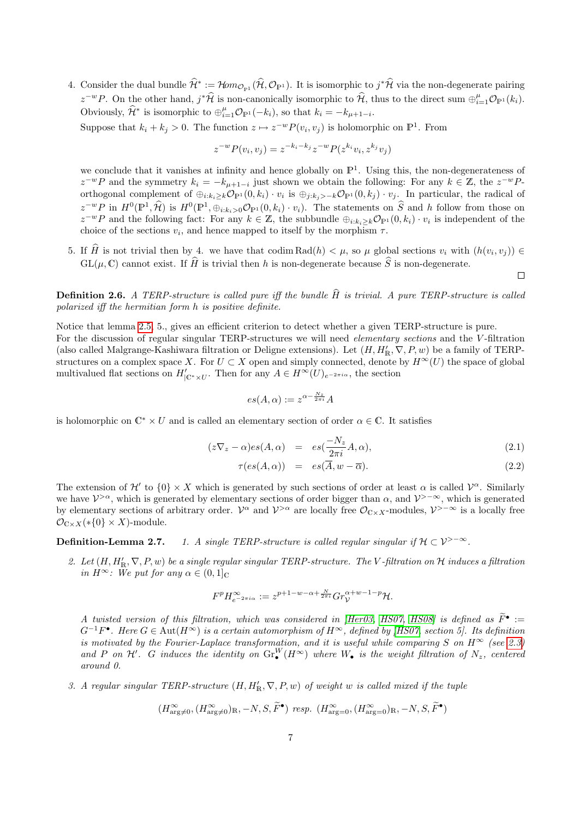4. Consider the dual bundle  $\hat{\mathcal{H}}^* := \mathcal{H}om_{\mathcal{O}_{\mathbb{P}^1}}(\hat{\mathcal{H}}, \mathcal{O}_{\mathbb{P}^1})$ . It is isomorphic to  $j^*\hat{\mathcal{H}}$  via the non-degenerate pairing  $z^{-w}P$ . On the other hand,  $j^*\hat{\mathcal{H}}$  is non-canonically isomorphic to  $\hat{\mathcal{H}}$ , thus to the direct sum  $\bigoplus_{i=1}^{\mu} \mathcal{O}_{\mathbb{P}^1}(k_i)$ . Obviously,  $\hat{\mathcal{H}}^*$  is isomorphic to  $\bigoplus_{i=1}^{\mu} \mathcal{O}_{\mathbb{P}^1}(-k_i)$ , so that  $k_i = -k_{\mu+1-i}$ .

Suppose that  $k_i + k_j > 0$ . The function  $z \mapsto z^{-w} P(v_i, v_j)$  is holomorphic on  $\mathbb{P}^1$ . From

$$
z^{-w}P(v_i, v_j) = z^{-k_i - k_j} z^{-w} P(z^{k_i} v_i, z^{k_j} v_j)
$$

we conclude that it vanishes at infinity and hence globally on  $\mathbb{P}^1$ . Using this, the non-degenerateness of  $z^{-w}P$  and the symmetry  $k_i = -k_{\mu+1-i}$  just shown we obtain the following: For any  $k \in \mathbb{Z}$ , the  $z^{-w}P$ orthogonal complement of  $\oplus_{i:k_i\geq k} \mathcal{O}_{\mathbb{P}^1}(0,k_i) \cdot v_i$  is  $\oplus_{j:k_j&gt-k} \mathcal{O}_{\mathbb{P}^1}(0,k_j) \cdot v_j$ . In particular, the radical of  $z^{-w}P$  in  $H^0(\mathbb{P}^1, \hat{\mathcal{H}})$  is  $H^0(\mathbb{P}^1, \oplus_{i:k_i>0}\mathcal{O}_{\mathbb{P}^1}(0,k_i)\cdot v_i)$ . The statements on  $\widehat{S}$  and h follow from those on  $z^{-w}P$  and the following fact: For any  $k \in \mathbb{Z}$ , the subbundle  $\bigoplus_{i:k_i\geq k} \mathcal{O}_{\mathbb{P}^1}(0,k_i)\cdot v_i$  is independent of the choice of the sections  $v_i$ , and hence mapped to itself by the morphism  $\tau$ .

5. If H is not trivial then by 4. we have that codim  $\text{Rad}(h) < \mu$ , so  $\mu$  global sections  $v_i$  with  $(h(v_i, v_j)) \in$  $GL(\mu, \mathbb{C})$  cannot exist. If  $\hat{H}$  is trivial then h is non-degenerate because  $\hat{S}$  is non-degenerate.

**Definition 2.6.** A TERP-structure is called pure iff the bundle  $\hat{H}$  is trivial. A pure TERP-structure is called polarized iff the hermitian form h is positive definite.

Notice that lemma [2.5,](#page-5-0) 5., gives an efficient criterion to detect whether a given TERP-structure is pure. For the discussion of regular singular TERP-structures we will need *elementary sections* and the V-filtration (also called Malgrange-Kashiwara filtration or Deligne extensions). Let  $(H, H'_{\mathbb{R}}, \nabla, P, w)$  be a family of TERPstructures on a complex space X. For  $U \subset X$  open and simply connected, denote by  $H^{\infty}(U)$  the space of global multivalued flat sections on  $H'_{|\mathbb{C}^*\times U}$ . Then for any  $A\in H^{\infty}(U)_{e^{-2\pi i\alpha}}$ , the section

$$
es(A, \alpha) := z^{\alpha - \frac{N_z}{2\pi i}} A
$$

is holomorphic on  $\mathbb{C}^* \times U$  and is called an elementary section of order  $\alpha \in \mathbb{C}$ . It satisfies

<span id="page-6-0"></span>
$$
(z\nabla_z - \alpha)es(A, \alpha) = es(\frac{-N_z}{2\pi i}A, \alpha), \qquad (2.1)
$$

$$
\tau(es(A,\alpha)) = es(\overline{A}, w - \overline{\alpha}). \tag{2.2}
$$

 $\Box$ 

The extension of H' to  $\{0\} \times X$  which is generated by such sections of order at least  $\alpha$  is called  $\mathcal{V}^{\alpha}$ . Similarly we have  $\mathcal{V}^{\geq \alpha}$ , which is generated by elementary sections of order bigger than  $\alpha$ , and  $\mathcal{V}^{>-\infty}$ , which is generated by elementary sections of arbitrary order.  $\mathcal{V}^{\alpha}$  and  $\mathcal{V}^{>\alpha}$  are locally free  $\mathcal{O}_{C\times X}$ -modules,  $\mathcal{V}^{>-\infty}$  is a locally free  $\mathcal{O}_{\mathbb{C}\times X}(*\{0\}\times X)$ -module.

<span id="page-6-1"></span>**Definition-Lemma 2.7.** 1. A single TERP-structure is called regular singular if  $H \subset V^{>-\infty}$ .

2. Let  $(H, H'_{\mathbb{R}}, \nabla, P, w)$  be a single regular singular TERP-structure. The V-filtration on H induces a filtration in  $H^{\infty}$ : We put for any  $\alpha \in (0,1]_{\mathbb{C}}$ 

$$
F^p H_{e^{-2\pi i\alpha}}^{\infty} := z^{p+1-w-\alpha+\frac{N}{2\pi i}} Gr_{\mathcal{V}}^{\alpha+w-1-p} \mathcal{H}.
$$

A twisted version of this filtration, which was considered in [\[Her03,](#page-52-2) [HS07,](#page-52-8) [HS08\]](#page-52-9) is defined as  $\tilde{F}^{\bullet} :=$ <br> $G^{-1}F^{\bullet}$ .  $G^{-1}F^{\bullet}$ . Here  $G \in \text{Aut}(H^{\infty})$  is a certain automorphism of  $H^{\infty}$ , defined by [\[HS07,](#page-52-8) section 5]. Its definition is motivated by the Fourier-Laplace transformation, and it is useful while comparing S on  $H^{\infty}$  (see [2.3\)](#page-4-0) and P on H'. G induces the identity on  $\text{Gr}_{\bullet}^W(H^{\infty})$  where  $W_{\bullet}$  is the weight filtration of  $N_z$ , centered around 0.

3. A regular singular TERP-structure  $(H, H'_{R}, \nabla, P, w)$  of weight w is called mixed if the tuple

$$
(H_{\text{arg}\neq 0}^{\infty}, (H_{\text{arg}\neq 0}^{\infty})_{\mathbb{R}}, -N, S, \widetilde{F}^{\bullet}) \text{ resp. } (H_{\text{arg}=0}^{\infty}, (H_{\text{arg}=0}^{\infty})_{\mathbb{R}}, -N, S, \widetilde{F}^{\bullet})
$$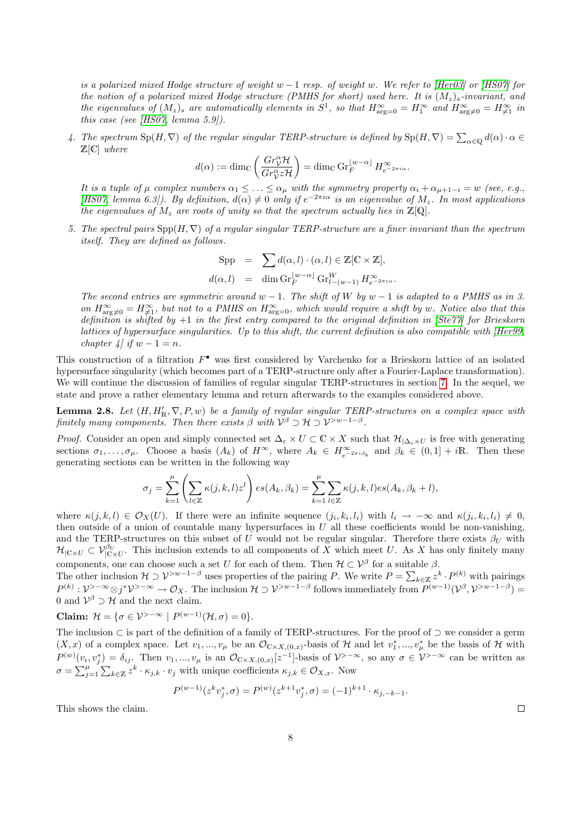is a polarized mixed Hodge structure of weight w − 1 resp. of weight w. We refer to [\[Her03\]](#page-52-2) or [\[HS07\]](#page-52-8) for the notion of a polarized mixed Hodge structure (PMHS for short) used here. It is  $(M_z)_s$ -invariant, and the eigenvalues of  $(M_z)$ , are automatically elements in  $S^1$ , so that  $H_{\text{arg}=0}^{\infty} = H_1^{\infty}$  and  $H_{\text{arg}\neq 0}^{\infty} = H_{\neq 1}^{\infty}$  in this case (see [\[HS07,](#page-52-8) lemma 5.9]).

4. The spectrum  $Sp(H, \nabla)$  of the regular singular TERP-structure is defined by  $Sp(H, \nabla) = \sum_{\alpha \in \mathbb{Q}} d(\alpha) \cdot \alpha \in$  $\mathbb{Z}[\mathbb{C}]$  where

$$
d(\alpha) := \dim_{\mathbb{C}} \left( \frac{Gr_{\mathcal{V}}^{\alpha} \mathcal{H}}{Gr_{\mathcal{V}}^{\alpha} z \mathcal{H}} \right) = \dim_{\mathbb{C}} \operatorname{Gr}_{F}^{\lfloor w - \alpha \rfloor} H_{e^{-2\pi i \alpha}}^{\infty}.
$$

It is a tuple of  $\mu$  complex numbers  $\alpha_1 \leq \ldots \leq \alpha_{\mu}$  with the symmetry property  $\alpha_i + \alpha_{\mu+1-i} = w$  (see, e.g., [\[HS07,](#page-52-8) lemma 6.3]). By definition,  $d(\alpha) \neq 0$  only if  $e^{-2\pi i \alpha}$  is an eigenvalue of  $M_z$ . In most applications the eigenvalues of  $M_z$  are roots of unity so that the spectrum actually lies in  $\mathbb{Z}[Q]$ .

5. The spectral pairs  $\text{Sp}(H,\nabla)$  of a regular singular TERP-structure are a finer invariant than the spectrum itself. They are defined as follows.

$$
\begin{array}{rcl} \mathrm{Spp} & = & \displaystyle \sum d(\alpha,l)\cdot (\alpha,l) \in \mathbb{Z}[\mathbb{C}\times \mathbb{Z}],\\[2mm] d(\alpha,l) & = & \dim \mathrm{Gr}_F^{\lfloor w-\alpha \rfloor}\, \mathrm{Gr}_{l-(w-1)}^W\, H_{e^{-2\pi i\alpha}}^{\infty}. \end{array}
$$

The second entries are symmetric around  $w - 1$ . The shift of W by  $w - 1$  is adapted to a PMHS as in 3. on  $H^{\infty}_{\arg\neq 0}=H^{\infty}_{\neq 1}$ , but not to a PMHS on  $H^{\infty}_{\arg=0}$ , which would require a shift by w. Notice also that this definition is shifted by  $+1$  in the first entry compared to the original definition in [\[Ste77\]](#page-54-0) for Brieskorn lattices of hypersurface singularities. Up to this shift, the current definition is also compatible with [\[Her99,](#page-52-1) chapter  $4/$  if  $w - 1 = n$ .

This construction of a filtration  $F^{\bullet}$  was first considered by Varchenko for a Brieskorn lattice of an isolated hypersurface singularity (which becomes part of a TERP-structure only after a Fourier-Laplace transformation). We will continue the discussion of families of regular singular TERP-structures in section [7.](#page-26-0) In the sequel, we state and prove a rather elementary lemma and return afterwards to the examples considered above.

<span id="page-7-0"></span>**Lemma 2.8.** Let  $(H, H'_{R}, \nabla, P, w)$  be a family of regular singular TERP-structures on a complex space with finitely many components. Then there exists  $\beta$  with  $\mathcal{V}^{\beta} \supset \mathcal{H} \supset \mathcal{V}^{>w-1-\beta}$ .

*Proof.* Consider an open and simply connected set  $\Delta_{\varepsilon} \times U \subset \mathbb{C} \times X$  such that  $\mathcal{H}_{|\Delta_{\varepsilon} \times U}$  is free with generating sections  $\sigma_1, \ldots, \sigma_\mu$ . Choose a basis  $(A_k)$  of  $H^{\infty}$ , where  $A_k \in H^{\infty}_{e^{-2\pi i\beta_k}}$  and  $\beta_k \in (0,1] + i\mathbb{R}$ . Then these generating sections can be written in the following way

$$
\sigma_j = \sum_{k=1}^{\mu} \left( \sum_{l \in \mathbb{Z}} \kappa(j,k,l) z^l \right) e s(A_k, \beta_k) = \sum_{k=1}^{\mu} \sum_{l \in \mathbb{Z}} \kappa(j,k,l) e s(A_k, \beta_k + l),
$$

where  $\kappa(j,k,l) \in \mathcal{O}_X(U)$ . If there were an infinite sequence  $(j_i,k_i,l_i)$  with  $l_i \to -\infty$  and  $\kappa(j_i,k_i,l_i) \neq 0$ , then outside of a union of countable many hypersurfaces in  $U$  all these coefficients would be non-vanishing, and the TERP-structures on this subset of U would not be regular singular. Therefore there exists  $\beta_U$  with  $\mathcal{H}_{\vert\mathbb{C}\times U}\subset \mathcal{V}_{\vert\mathbb{C}\times U}^{\beta_U}$ . This inclusion extends to all components of X which meet U. As X has only finitely many components, one can choose such a set U for each of them. Then  $\mathcal{H} \subset \mathcal{V}^{\beta}$  for a suitable  $\beta$ .

The other inclusion  $\mathcal{H} \supset \mathcal{V}^{>w-1-\beta}$  uses properties of the pairing P. We write  $P = \sum_{k \in \mathbb{Z}} z^k \cdot P^{(k)}$  with pairings  $P^{(k)}: \mathcal{V}^{\geq -\infty} \otimes j^* \mathcal{V}^{\geq -\infty} \to \mathcal{O}_X$ . The inclusion  $\mathcal{H} \supset \mathcal{V}^{\geq w-1-\beta}$  follows immediately from  $P^{(w-1)}(\mathcal{V}^{\beta}, \mathcal{V}^{\geq w-1-\beta}) =$ 0 and  $\mathcal{V}^{\beta} \supset \mathcal{H}$  and the next claim.

**Claim:** 
$$
\mathcal{H} = \{ \sigma \in \mathcal{V}^{>-\infty} \mid P^{(w-1)}(\mathcal{H}, \sigma) = 0 \}.
$$

The inclusion ⊂ is part of the definition of a family of TERP-structures. For the proof of ⊃ we consider a germ  $(X, x)$  of a complex space. Let  $v_1, ..., v_\mu$  be an  $\mathcal{O}_{\mathbb{C}\times X,(0,x)}$ -basis of H and let  $v_1^*, ..., v_\mu^*$  be the basis of H with  $P^{(w)}(v_i, v_j^*) = \delta_{ij}$ . Then  $v_1, ..., v_\mu$  is an  $\mathcal{O}_{\mathbb{C}\times X, (0,x)}[z^{-1}]$ -basis of  $\mathcal{V}^{>-\infty}$ , so any  $\sigma \in \mathcal{V}^{>-\infty}$  can be written as  $\sigma = \sum_{j=1}^{\mu} \sum_{k \in \mathbb{Z}} z^k \cdot \kappa_{j,k} \cdot v_j$  with unique coefficients  $\kappa_{j,k} \in \mathcal{O}_{X,x}$ . Now

$$
P^{(w-1)}(z^k v_j^*, \sigma) = P^{(w)}(z^{k+1} v_j^*, \sigma) = (-1)^{k+1} \cdot \kappa_{j, -k-1}.
$$

This shows the claim.

 $\Box$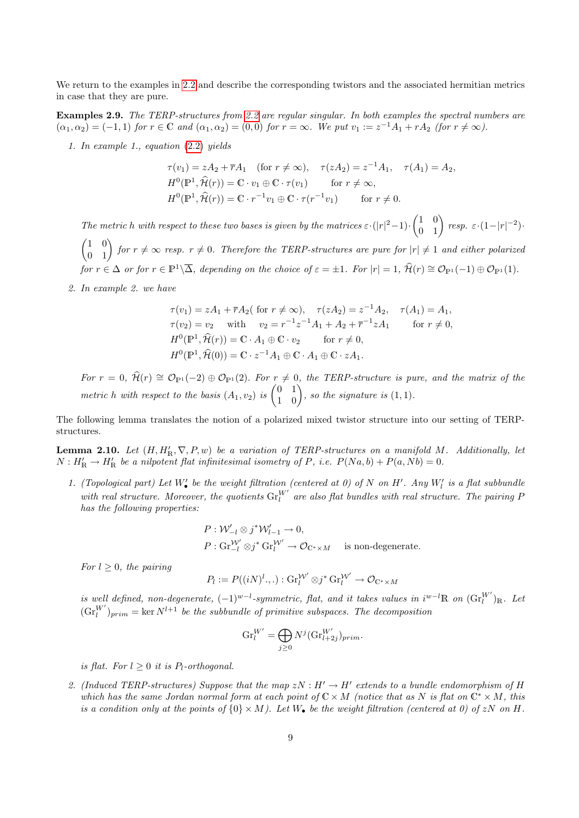We return to the examples in [2.2](#page-4-1) and describe the corresponding twistors and the associated hermitian metrics in case that they are pure.

<span id="page-8-1"></span>Examples 2.9. The TERP-structures from [2.2](#page-4-1) are regular singular. In both examples the spectral numbers are  $(\alpha_1, \alpha_2) = (-1, 1)$  for  $r \in \mathbb{C}$  and  $(\alpha_1, \alpha_2) = (0, 0)$  for  $r = \infty$ . We put  $v_1 := z^{-1}A_1 + rA_2$  (for  $r \neq \infty$ ).

1. In example 1., equation [\(2.2\)](#page-6-0) yields

$$
\tau(v_1) = zA_2 + \overline{r}A_1 \quad \text{(for } r \neq \infty\text{)}, \quad \tau(zA_2) = z^{-1}A_1, \quad \tau(A_1) = A_2,
$$
\n
$$
H^0(\mathbb{P}^1, \widehat{\mathcal{H}}(r)) = \mathbb{C} \cdot v_1 \oplus \mathbb{C} \cdot \tau(v_1) \quad \text{for } r \neq \infty,
$$
\n
$$
H^0(\mathbb{P}^1, \widehat{\mathcal{H}}(r)) = \mathbb{C} \cdot r^{-1}v_1 \oplus \mathbb{C} \cdot \tau(r^{-1}v_1) \quad \text{for } r \neq 0.
$$

The metric h with respect to these two bases is given by the matrices  $\varepsilon \cdot (|r|^2 - 1) \cdot \begin{pmatrix} 1 & 0 \\ 0 & 1 \end{pmatrix}$  resp.  $\varepsilon \cdot (1 - |r|^{-2}) \cdot$ 

 $\begin{pmatrix} 1 & 0 \\ 0 & 1 \end{pmatrix}$  for  $r \neq \infty$  resp.  $r \neq 0$ . Therefore the TERP-structures are pure for  $|r| \neq 1$  and either polarized for  $r \in \Delta$  or for  $r \in \mathbb{P}^1 \backslash \overline{\Delta}$ , depending on the choice of  $\varepsilon = \pm 1$ . For  $|r| = 1$ ,  $\widehat{\mathcal{H}}(r) \cong \mathcal{O}_{\mathbb{P}^1}(-1) \oplus \mathcal{O}_{\mathbb{P}^1}(1)$ .

2. In example 2. we have

$$
\tau(v_1) = zA_1 + \bar{r}A_2(\text{ for } r \neq \infty), \quad \tau(zA_2) = z^{-1}A_2, \quad \tau(A_1) = A_1,
$$
  
\n
$$
\tau(v_2) = v_2 \quad \text{with} \quad v_2 = r^{-1}z^{-1}A_1 + A_2 + \bar{r}^{-1}zA_1 \qquad \text{for } r \neq 0,
$$
  
\n
$$
H^0(\mathbb{P}^1, \hat{\mathcal{H}}(r)) = \mathbb{C} \cdot A_1 \oplus \mathbb{C} \cdot v_2 \qquad \text{for } r \neq 0,
$$
  
\n
$$
H^0(\mathbb{P}^1, \hat{\mathcal{H}}(0)) = \mathbb{C} \cdot z^{-1}A_1 \oplus \mathbb{C} \cdot A_1 \oplus \mathbb{C} \cdot zA_1.
$$

For  $r = 0$ ,  $\widehat{\mathcal{H}}(r) \cong \mathcal{O}_{\mathbb{P}^1}(-2) \oplus \mathcal{O}_{\mathbb{P}^1}(2)$ . For  $r \neq 0$ , the TERP-structure is pure, and the matrix of the metric h with respect to the basis  $(A_1, v_2)$  is  $\begin{pmatrix} 0 & 1 \\ 1 & 0 \end{pmatrix}$ , so the signature is  $(1, 1)$ .

The following lemma translates the notion of a polarized mixed twistor structure into our setting of TERPstructures.

<span id="page-8-0"></span>**Lemma 2.10.** Let  $(H, H'_{\mathbb{R}}, \nabla, P, w)$  be a variation of TERP-structures on a manifold M. Additionally, let  $N: H'_{\mathbb{R}} \to H'_{\mathbb{R}}$  be a nilpotent flat infinitesimal isometry of P, i.e.  $P(Na, b) + P(a, Nb) = 0$ .

1. (Topological part) Let  $W'_{\bullet}$  be the weight filtration (centered at 0) of N on H'. Any  $W'_{l}$  is a flat subbundle with real structure. Moreover, the quotients  $\text{Gr}_{l}^{W'}$  are also flat bundles with real structure. The pairing F has the following properties:

$$
\begin{split} &P: \mathcal{W}_{-l}'\otimes j^*\mathcal{W}_{l-1}'\to 0,\\ &P: \text{Gr}_{-l}^{\mathcal{W}'}\otimes j^*\, \text{Gr}_{l}^{\mathcal{W}'}\to \mathcal{O}_{\mathbb{C}^*\times M}\quad \text{ is non-degenerate.} \end{split}
$$

For  $l \geq 0$ , the pairing

$$
P_l := P((iN)^l, .) : \text{Gr}_l^{\mathcal{W}'} \otimes j^* \text{Gr}_l^{\mathcal{W}'} \to \mathcal{O}_{\mathbb{C}^* \times M}
$$

is well defined, non-degenerate,  $(-1)^{w-l}$ -symmetric, flat, and it takes values in i<sup>w-l</sup>R on  $(\mathrm{Gr}_{l}^{W'})_R$ . Let  $(\mathrm{Gr}_{l}^{W'})_{prim} = \ker N^{l+1}$  be the subbundle of primitive subspaces. The decomposition

$$
\mathrm{Gr}_l^{W'} = \bigoplus_{j \geq 0} N^j (\mathrm{Gr}_{l+2j}^{W'})_{prim}.
$$

is flat. For  $l > 0$  it is  $P_l$ -orthogonal.

2. (Induced TERP-structures) Suppose that the map  $zN : H' \to H'$  extends to a bundle endomorphism of H which has the same Jordan normal form at each point of  $\mathbb{C}\times M$  (notice that as N is flat on  $\mathbb{C}^*\times M$ , this is a condition only at the points of  $\{0\}\times M$ ). Let  $W_{\bullet}$  be the weight filtration (centered at 0) of zN on H.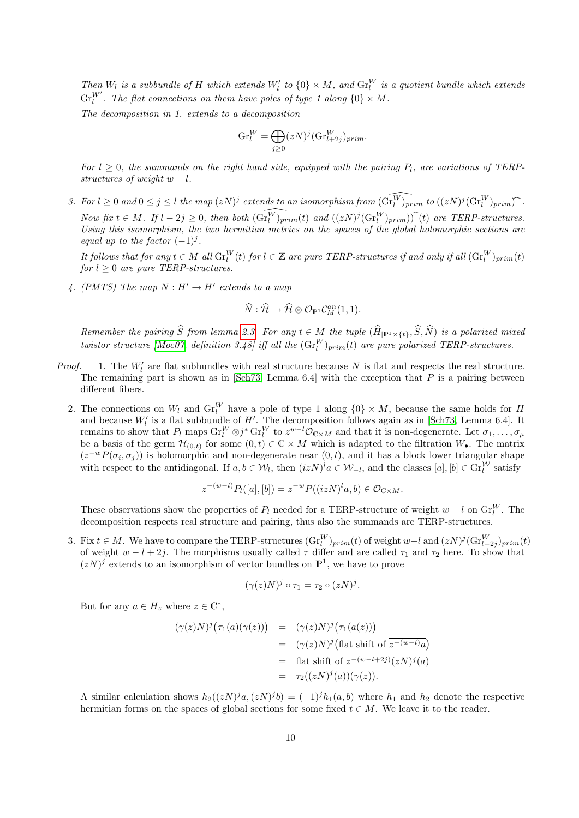Then  $W_l$  is a subbundle of H which extends  $W'_l$  to  $\{0\} \times M$ , and  $\text{Gr}_l^W$  is a quotient bundle which extends  $\text{Gr}_{l}^{W'}$ . The flat connections on them have poles of type 1 along  $\{0\} \times M$ .

The decomposition in 1. extends to a decomposition

$$
\mathrm{Gr}^W_l = \bigoplus_{j \geq 0} (zM)^j (\mathrm{Gr}^W_{l+2j})_{prim}.
$$

For  $l \geq 0$ , the summands on the right hand side, equipped with the pairing  $P_l$ , are variations of TERPstructures of weight  $w - l$ .

3. For  $l \geq 0$  and  $0 \leq j \leq l$  the map  $(zN)^j$  extends to an isomorphism from  $(\widehat{\mathrm{Gr}_{l}^{W}})_{prim}$  to  $((zN)^j(\mathrm{Gr}_{l}^{W})_{prim})^{\frown}$ . Now fix  $t \in M$ . If  $l - 2j \geq 0$ , then both  $(\widehat{Gr_{l}^{W}})_{prim}(t)$  and  $((zN)^{j}(Gr_{l}^{W})_{prim})^{j}(t)$  are TERP-structures. Using this isomorphism, the two hermitian metrics on the spaces of the global holomorphic sections are equal up to the factor  $(-1)^j$ .

It follows that for any  $t \in M$  all  $\text{Gr}_l^W(t)$  for  $l \in \mathbb{Z}$  are pure TERP-structures if and only if all  $(\text{Gr}_l^W)_{prim}(t)$ for  $l \geq 0$  are pure TERP-structures.

4. (PMTS) The map  $N: H' \to H'$  extends to a map

$$
\widehat{N}:\widehat{\mathcal{H}}\to\widehat{\mathcal{H}}\otimes\mathcal{O}_{\mathbb{P}^1}\mathcal{C}_M^{an}(1,1).
$$

Remember the pairing S from lemma [2.3.](#page-4-0) For any  $t \in M$  the tuple  $(H_{|{\mathbb{P}}^1 \times \{t\}}, S, N)$  is a polarized mixed twistor structure [\[Moc07,](#page-53-12) definition 3.48] iff all the  $(\text{Gr}_{l}^{W})_{prim}(t)$  are pure polarized TERP-structures.

- *Proof.* 1. The  $W'_l$  are flat subbundles with real structure because N is flat and respects the real structure. The remaining part is shown as in [\[Sch73,](#page-53-11) Lemma 6.4] with the exception that  $P$  is a pairing between different fibers.
	- 2. The connections on  $W_l$  and  $\text{Gr}_l^W$  have a pole of type 1 along  $\{0\} \times M$ , because the same holds for H and because  $W'_l$  is a flat subbundle of H'. The decomposition follows again as in [\[Sch73,](#page-53-11) Lemma 6.4]. It remains to show that  $P_l$  maps  $\text{Gr}_l^W \otimes j^* \text{Gr}_l^W$  to  $z^{w-l} \mathcal{O}_{\mathbb{C} \times M}$  and that it is non-degenerate. Let  $\sigma_1, \ldots, \sigma_\mu$ be a basis of the germ  $\mathcal{H}_{(0,t)}$  for some  $(0,t) \in \mathbb{C} \times M$  which is adapted to the filtration  $W_{\bullet}$ . The matrix  $(z^{-w}P(\sigma_i,\sigma_j))$  is holomorphic and non-degenerate near  $(0,t)$ , and it has a block lower triangular shape with respect to the antidiagonal. If  $a, b \in \mathcal{W}_l$ , then  $(izN)^l a \in \mathcal{W}_{-l}$ , and the classes  $[a], [b] \in \text{Gr}_l^{\mathcal{W}}$  satisfy

$$
z^{-(w-l)}P_l([a],[b]) = z^{-w}P((izN)^{l}a,b) \in \mathcal{O}_{\mathbb{C}\times M}.
$$

These observations show the properties of  $P_l$  needed for a TERP-structure of weight  $w - l$  on  $\text{Gr}_{l}^{W}$ . The decomposition respects real structure and pairing, thus also the summands are TERP-structures.

3. Fix  $t \in M$ . We have to compare the TERP-structures  $(\text{Gr}_{l}^{W})_{prim}(t)$  of weight  $w-l$  and  $(zN)^{j}(\text{Gr}_{l-2j}^{W})_{prim}(t)$ of weight  $w - l + 2j$ . The morphisms usually called  $\tau$  differ and are called  $\tau_1$  and  $\tau_2$  here. To show that  $(zN)^j$  extends to an isomorphism of vector bundles on  $\mathbb{P}^1$ , we have to prove

$$
(\gamma(z)N)^j \circ \tau_1 = \tau_2 \circ (zN)^j.
$$

But for any  $a \in H_z$  where  $z \in \mathbb{C}^*$ ,

$$
(\gamma(z)N)^j \big(\tau_1(a)(\gamma(z))\big) = (\gamma(z)N)^j \big(\tau_1(a(z))\big)
$$
  
\n
$$
= (\gamma(z)N)^j \big(\text{flat shift of } z^{-(w-l)}a\big)
$$
  
\n
$$
= \text{flat shift of } z^{-(w-l+2j)} (zN)^j (a)
$$
  
\n
$$
= \tau_2((zN)^j(a))(\gamma(z)).
$$

A similar calculation shows  $h_2((zN)^j a, (zN)^j b) = (-1)^j h_1(a, b)$  where  $h_1$  and  $h_2$  denote the respective hermitian forms on the spaces of global sections for some fixed  $t \in M$ . We leave it to the reader.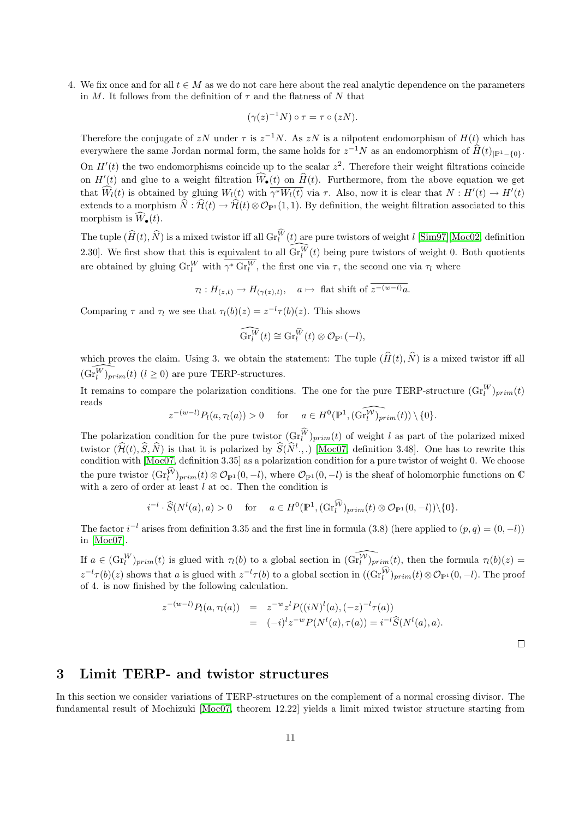4. We fix once and for all  $t \in M$  as we do not care here about the real analytic dependence on the parameters in M. It follows from the definition of  $\tau$  and the flatness of N that

$$
(\gamma(z)^{-1}N) \circ \tau = \tau \circ (zN).
$$

Therefore the conjugate of zN under  $\tau$  is  $z^{-1}N$ . As zN is a nilpotent endomorphism of  $H(t)$  which has everywhere the same Jordan normal form, the same holds for  $z^{-1}N$  as an endomorphism of  $\widehat{H}(t)_{|\mathbb{P}^1-\{0\}}$ . On  $H'(t)$  the two endomorphisms coincide up to the scalar  $z^2$ . Therefore their weight filtrations coincide on  $H'(t)$  and glue to a weight filtration  $\widehat{W}_{\bullet}(t)$  on  $\widehat{H}(t)$ . Furthermore, from the above equation we get that  $\widehat{W}_l(t)$  is obtained by gluing  $W_l(t)$  with  $\overline{\gamma^*W_l(t)}$  via  $\tau$ . Also, now it is clear that  $N: H'(t) \to H'(t)$ extends to a morphism  $\hat{N}$  :  $\hat{\mathcal{H}}(t) \to \hat{\mathcal{H}}(t) \otimes \mathcal{O}_{\mathbb{P}^1}(1, 1)$ . By definition, the weight filtration associated to this morphism is  $\widehat{W}_{\bullet}(t)$ .

The tuple  $(\widehat{H}(t), \widehat{N})$  is a mixed twistor iff all  $\mathrm{Gr}_{l}^{W}(t)$  are pure twistors of weight  $l$  [\[Sim97\]](#page-53-8)[\[Moc02,](#page-53-13) definition 2.30]. We first show that this is equivalent to all  $\widehat{\mathrm{Gr}_{l}^W}(t)$  being pure twistors of weight 0. Both quotients are obtained by gluing  $\text{Gr}_{l}^{W}$  with  $\gamma^* \text{Gr}_{l}^{W}$ , the first one via  $\tau$ , the second one via  $\tau_l$  where

$$
\tau_l: H_{(z,t)} \to H_{(\gamma(z),t)}, \quad a \mapsto \text{ flat shift of } z^{-(w-l)}a.
$$

Comparing  $\tau$  and  $\tau_l$  we see that  $\tau_l(b)(z) = z^{-l}\tau(b)(z)$ . This shows

$$
\widehat{\mathrm{Gr}^W_l}(t) \cong \mathrm{Gr}_l^{\widehat{W}}(t) \otimes \mathcal{O}_{\mathbb{P}^1}(-l),
$$

which proves the claim. Using 3. we obtain the statement: The tuple  $(\widehat{H}(t), \widehat{N})$  is a mixed twistor iff all  $\widehat{(\mathrm{Gr}_{l}^{W})_{prim}}(t)$   $(l \geq 0)$  are pure TERP-structures.

It remains to compare the polarization conditions. The one for the pure TERP-structure  $(\text{Gr}_{l}^{W})_{prim}(t)$ reads

$$
z^{-(w-l)}P_l(a,\tau_l(a))>0 \quad \text{ for }\quad a\in H^0(\mathbb{P}^1,(\widehat{\mathrm{Gr}_l^{\mathcal{W}}})_{prim}(t))\setminus\{0\}.
$$

The polarization condition for the pure twistor  $(\text{Gr}_{l}^{W})_{prim}(t)$  of weight l as part of the polarized mixed twistor  $(\hat{\mathcal{H}}(t), \hat{S}, \hat{N})$  is that it is polarized by  $\hat{S}(\hat{N}^l,.)$  [\[Moc07,](#page-53-12) definition 3.48]. One has to rewrite this condition with [\[Moc07,](#page-53-12) definition 3.35] as a polarization condition for a pure twistor of weight 0. We choose the pure twistor  $(\text{Gr}_l^{\mathcal{W}})_{prim}(t) \otimes \mathcal{O}_{\mathbb{P}^1}(0,-l)$ , where  $\mathcal{O}_{\mathbb{P}^1}(0,-l)$  is the sheaf of holomorphic functions on C with a zero of order at least l at  $\infty$ . Then the condition is

$$
i^{-l} \cdot \widehat{S}(N^l(a),a) > 0
$$
 for  $a \in H^0(\mathbb{P}^1, (\mathrm{Gr}_l^{\mathcal{W}})_{prim}(t) \otimes \mathcal{O}_{\mathbb{P}^1}(0,-l)) \setminus \{0\}.$ 

The factor  $i^{-l}$  arises from definition 3.35 and the first line in formula (3.8) (here applied to  $(p, q) = (0, -l)$ ) in [\[Moc07\]](#page-53-12).

If  $a \in (\mathrm{Gr}_{l}^{W})_{prim}(t)$  is glued with  $\tau_{l}(b)$  to a global section in  $(\widehat{\mathrm{Gr}_{l}^{W})_{prim}}(t)$ , then the formula  $\tau_{l}(b)(z)$  $z^{-l}\tau(b)(z)$  shows that a is glued with  $z^{-l}\tau(b)$  to a global section in  $((\text{Gr}_{l}^{\mathcal{W}})_{prim}(t) \otimes \mathcal{O}_{\mathbb{P}^{1}}(0,-l)$ . The proof of 4. is now finished by the following calculation.

$$
z^{-(w-l)}P_l(a,\tau_l(a)) = z^{-w}z^l P((iN)^l(a), (-z)^{-l}\tau(a))
$$
  
= 
$$
(-i)^l z^{-w} P(N^l(a),\tau(a)) = i^{-l}\widehat{S}(N^l(a),a).
$$

 $\Box$ 

### <span id="page-10-0"></span>3 Limit TERP- and twistor structures

In this section we consider variations of TERP-structures on the complement of a normal crossing divisor. The fundamental result of Mochizuki [\[Moc07,](#page-53-12) theorem 12.22] yields a limit mixed twistor structure starting from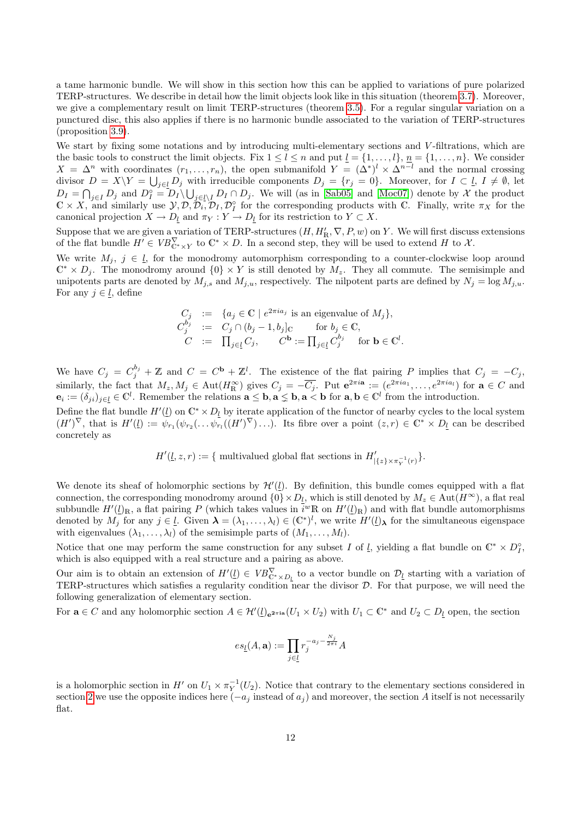a tame harmonic bundle. We will show in this section how this can be applied to variations of pure polarized TERP-structures. We describe in detail how the limit objects look like in this situation (theorem [3.7\)](#page-14-0). Moreover, we give a complementary result on limit TERP-structures (theorem [3.5\)](#page-13-1). For a regular singular variation on a punctured disc, this also applies if there is no harmonic bundle associated to the variation of TERP-structures (proposition [3.9\)](#page-15-0).

We start by fixing some notations and by introducing multi-elementary sections and V-filtrations, which are the basic tools to construct the limit objects. Fix  $1 \leq l \leq n$  and put  $\underline{l} = \{1, \ldots, l\}$ ,  $\underline{n} = \{1, \ldots, n\}$ . We consider  $X = \Delta^n$  with coordinates  $(r_1, \ldots, r_n)$ , the open submanifold  $Y = (\Delta^*)^l \times \Delta^{n-l}$  and the normal crossing divisor  $D = X \backslash Y = \bigcup_{j \in \underline{l}} D_j$  with irreducible components  $D_j = \{r_j = 0\}$ . Moreover, for  $I \subset \underline{l}, I \neq \emptyset$ , let  $D_I = \bigcap_{j \in I} D_j$  and  $D_I^{\circ} = D_I \setminus \bigcup_{j \in I \setminus I} D_I \cap D_j$ . We will (as in [\[Sab05\]](#page-53-5) and [\[Moc07\]](#page-53-12)) denote by X the product  $\mathbb{C} \times X$ , and similarly use  $\mathcal{Y}, \mathcal{D}, \mathcal{D}_i, \mathcal{D}_I, \mathcal{D}_I^{\circ}$  for the corresponding products with  $\mathbb{C}$ . Finally, write  $\pi_X$  for the canonical projection  $X \to D_l$  and  $\pi_Y : Y \to D_l$  for its restriction to  $Y \subset X$ .

Suppose that we are given a variation of TERP-structures  $(H, H'_{\mathbb{R}}, \nabla, P, w)$  on Y. We will first discuss extensions of the flat bundle  $H' \in VB^{\nabla}_{\mathbb{C}^*\times Y}$  to  $\mathbb{C}^*\times D$ . In a second step, they will be used to extend H to X.

We write  $M_j$ ,  $j \in \underline{l}$ , for the monodromy automorphism corresponding to a counter-clockwise loop around  $\mathbb{C}^* \times D_j$ . The monodromy around  $\{0\} \times Y$  is still denoted by  $M_z$ . They all commute. The semisimple and unipotents parts are denoted by  $M_{j,s}$  and  $M_{j,u}$ , respectively. The nilpotent parts are defined by  $N_j = \log M_{j,u}$ . For any  $j \in \underline{l}$ , define

$$
C_j := \{a_j \in \mathbb{C} \mid e^{2\pi i a_j} \text{ is an eigenvalue of } M_j\},
$$
  
\n
$$
C_j^{b_j} := C_j \cap (b_j - 1, b_j]_{\mathbb{C}} \quad \text{for } b_j \in \mathbb{C},
$$
  
\n
$$
C := \prod_{j \in \mathbb{I}} C_j, \quad C^{\mathbf{b}} := \prod_{j \in \mathbb{L}} C_j^{b_j} \quad \text{for } \mathbf{b} \in \mathbb{C}^{\mathbf{l}}.
$$

We have  $C_j = C_j^{b_j} + \mathbb{Z}$  and  $C = C^{\mathbf{b}} + \mathbb{Z}^l$ . The existence of the flat pairing P implies that  $C_j = -C_j$ , similarly, the fact that  $M_z, M_j \in \text{Aut}(H_{\mathbb{R}}^{\infty})$  gives  $C_j = -\overline{C_j}$ . Put  $e^{2\pi i a_1} := (e^{2\pi i a_1}, \ldots, e^{2\pi i a_l})$  for  $\mathbf{a} \in C$  and  $\mathbf{e}_i := (\delta_{ji})_{j \in \mathcal{I}} \in \mathbb{C}^l$ . Remember the relations  $\mathbf{a} \leq \mathbf{b}, \mathbf{a} \leq \mathbf{b}, \mathbf{a} \leq \mathbf{b}$  for  $\mathbf{a}, \mathbf{b} \in \mathbb{C}^l$  from the introduction.

Define the flat bundle  $H'(\underline{l})$  on  $\mathbb{C}^* \times D_{\underline{l}}$  by iterate application of the functor of nearby cycles to the local system  $(H')^{\nabla}$ , that is  $H'(l) := \psi_{r_1}(\psi_{r_2}(\ldots \psi_{r_l}((H')^{\nabla})\ldots)$ . Its fibre over a point  $(z, r) \in \mathbb{C}^* \times D_l$  can be described concretely as

$$
H'(\underline{l}, z, r) := \{ \text{ multivalued global flat sections in } H'_{|\{z\} \times \pi_Y^{-1}(r)} \}.
$$

We denote its sheaf of holomorphic sections by  $\mathcal{H}'(l)$ . By definition, this bundle comes equipped with a flat connection, the corresponding monodromy around  $\{0\} \times D_l$ , which is still denoted by  $M_z \in \text{Aut}(H^{\infty})$ , a flat real subbundle  $H'(\underline{l})_R$ , a flat pairing P (which takes values in  $\bar{i}^w \mathbb{R}$  on  $H'(\underline{l})_R$ ) and with flat bundle automorphisms denoted by  $M_j$  for any  $j \in \underline{l}$ . Given  $\lambda = (\lambda_1, \ldots, \lambda_l) \in (\mathbb{C}^*)^l$ , we write  $H'(\underline{l})_{\lambda}$  for the simultaneous eigenspace with eigenvalues  $(\lambda_1, \ldots, \lambda_l)$  of the semisimple parts of  $(M_1, \ldots, M_l)$ .

Notice that one may perform the same construction for any subset I of  $\underline{l}$ , yielding a flat bundle on  $\mathbb{C}^* \times D_I^{\circ}$ , which is also equipped with a real structure and a pairing as above.

Our aim is to obtain an extension of  $H'(l) \in VB^{\nabla}_{\mathbb{C}^*\times D_l}$  to a vector bundle on  $\mathcal{D}_l$  starting with a variation of TERP-structures which satisfies a regularity condition near the divisor D. For that purpose, we will need the following generalization of elementary section.

For  $\mathbf{a} \in C$  and any holomorphic section  $A \in \mathcal{H}'(\underline{l})_{\mathbf{e}^{2\pi i \mathbf{a}}}(U_1 \times U_2)$  with  $U_1 \subset \mathbb{C}^*$  and  $U_2 \subset D_{\underline{l}}$  open, the section

$$
es_{\underline{l}}(A,\mathbf{a}):=\prod_{j\in\underline{l}}r_j^{-a_j-\frac{N_j}{2\pi i}}A
$$

is a holomorphic section in  $H'$  on  $U_1 \times \pi_Y^{-1}(U_2)$ . Notice that contrary to the elementary sections considered in section [2](#page-3-0) we use the opposite indices here  $(-a_j$  instead of  $a_j$ ) and moreover, the section A itself is not necessarily flat.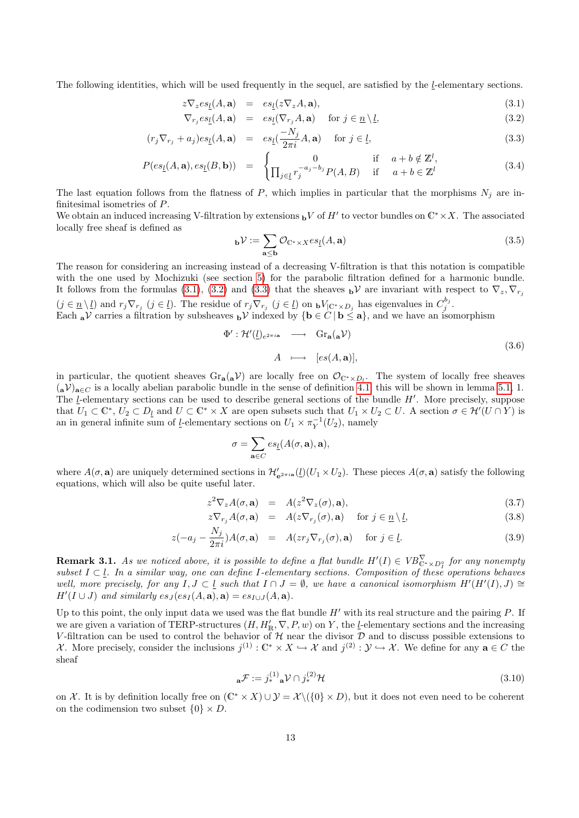The following identities, which will be used frequently in the sequel, are satisfied by the l-elementary sections.

$$
z\nabla_z es_{\underline{l}}(A,\mathbf{a}) = es_{\underline{l}}(z\nabla_z A,\mathbf{a}), \qquad (3.1)
$$

<span id="page-12-0"></span>
$$
\nabla_{r_j} es_{\underline{l}}(A, \mathbf{a}) = es_{\underline{l}}(\nabla_{r_j} A, \mathbf{a}) \quad \text{for } j \in \underline{n} \setminus \underline{l}, \tag{3.2}
$$

$$
(r_j \nabla_{r_j} + a_j) es_{\underline{l}}(A, \mathbf{a}) = es_{\underline{l}}(\frac{-N_j}{2\pi i} A, \mathbf{a}) \quad \text{for } j \in \underline{l}, \tag{3.3}
$$

$$
P(es_{\underline{l}}(A,\mathbf{a}), es_{\underline{l}}(B,\mathbf{b})) = \begin{cases} 0 & \text{if } a+b \notin \mathbb{Z}^l, \\ \prod_{j\in \underline{l}} r_j^{-a_j-b_j} P(A,B) & \text{if } a+b \in \mathbb{Z}^l \end{cases}
$$
(3.4)

The last equation follows from the flatness of P, which implies in particular that the morphisms  $N_i$  are infinitesimal isometries of P.

We obtain an induced increasing V-filtration by extensions  ${}_{b}V$  of  $H'$  to vector bundles on  $\mathbb{C}^{*} \times X$ . The associated locally free sheaf is defined as

<span id="page-12-5"></span>
$$
\mathbf{b} \mathcal{V} := \sum_{\mathbf{a} \le \mathbf{b}} \mathcal{O}_{\mathbb{C}^* \times X} e s_{\underline{l}}(A, \mathbf{a}) \tag{3.5}
$$

The reason for considering an increasing instead of a decreasing V-filtration is that this notation is compatible with the one used by Mochizuki (see section [5\)](#page-19-0) for the parabolic filtration defined for a harmonic bundle. It follows from the formulas [\(3.1\)](#page-12-0), [\(3.2\)](#page-12-0) and [\(3.3\)](#page-12-0) that the sheaves  $\mathbf{b}V$  are invariant with respect to  $\nabla_z, \nabla_r$  $(j \in \underline{n} \setminus \underline{l})$  and  $r_j \nabla_{r_j}$   $(j \in \underline{l})$ . The residue of  $r_j \nabla_{r_j}$   $(j \in \underline{l})$  on  $\mathbf{b}V_{|\mathbb{C}^*\times D_j}$  has eigenvalues in  $C_j^{b_j}$ .

Each  $_{\mathbf{a}}\mathcal{V}$  carries a filtration by subsheaves  $_{\mathbf{b}}\mathcal{V}$  indexed by  ${\mathbf \{b \in C \mid \mathbf{b} \leq \mathbf{a}\}}$ , and we have an isomorphism

<span id="page-12-1"></span>Φ

$$
f' : \mathcal{H}'(\underline{l})_{e^{2\pi i \mathbf{a}}} \longrightarrow \text{Gr}_{\mathbf{a}}(\mathbf{a}\mathcal{V})
$$
  

$$
A \longmapsto [es(A, \mathbf{a})],
$$
 (3.6)

in particular, the quotient sheaves  $\text{Gr}_{\mathbf{a}}(\mathbf{a}\mathcal{V})$  are locally free on  $\mathcal{O}_{\mathbb{C}^*\times D_1}$ . The system of locally free sheaves  $(aV)_{a\in C}$  is a locally abelian parabolic bundle in the sense of definition [4.1,](#page-16-1) this will be shown in lemma [5.1,](#page-19-1) 1. The  $l$ -elementary sections can be used to describe general sections of the bundle  $H'$ . More precisely, suppose that  $U_1 \subset \mathbb{C}^*, U_2 \subset D_l$  and  $U \subset \mathbb{C}^* \times X$  are open subsets such that  $U_1 \times U_2 \subset U$ . A section  $\sigma \in \mathcal{H}'(U \cap Y)$  is an in general infinite sum of *l*-elementary sections on  $U_1 \times \pi_Y^{-1}(U_2)$ , namely

$$
\sigma = \sum_{\mathbf{a} \in C} es_{\underline{l}}(A(\sigma, \mathbf{a}), \mathbf{a}),
$$

where  $A(\sigma, \mathbf{a})$  are uniquely determined sections in  $\mathcal{H}'_{\mathbf{e}^{2\pi i\mathbf{a}}}(l)(U_1 \times U_2)$ . These pieces  $A(\sigma, \mathbf{a})$  satisfy the following equations, which will also be quite useful later.

<span id="page-12-2"></span>
$$
z^2 \nabla_z A(\sigma, \mathbf{a}) = A(z^2 \nabla_z(\sigma), \mathbf{a}), \qquad (3.7)
$$

$$
z\nabla_{r_j}A(\sigma, \mathbf{a}) = A(z\nabla_{r_j}(\sigma), \mathbf{a}) \quad \text{for } j \in \underline{n} \setminus \underline{l}, \tag{3.8}
$$

$$
z(-a_j - \frac{N_j}{2\pi i})A(\sigma, \mathbf{a}) = A(zr_j \nabla_{r_j}(\sigma), \mathbf{a}) \quad \text{for } j \in \underline{l}.
$$
 (3.9)

<span id="page-12-6"></span>**Remark 3.1.** As we noticed above, it is possible to define a flat bundle  $H'(I) \in VB^{\nabla}_{\mathbb{C}^*\times D^{\circ}_I}$  for any nonempty subset  $I \subset \underline{l}$ . In a similar way, one can define I-elementary sections. Composition of these operations behaves well, more precisely, for any  $I, J \subset \underline{l}$  such that  $I \cap J = \emptyset$ , we have a canonical isomorphism  $H'(H'(I), J) \cong$  $H'(I \cup J)$  and similarly  $es_J(es_I(A, \mathbf{a}), \mathbf{a}) = es_{I \cup J}(A, \mathbf{a}).$ 

Up to this point, the only input data we used was the flat bundle  $H'$  with its real structure and the pairing  $P$ . If we are given a variation of TERP-structures  $(H, H'_{\mathbb{R}}, \nabla, P, w)$  on Y, the *l*-elementary sections and the increasing V-filtration can be used to control the behavior of  $H$  near the divisor  $\overline{\mathcal{D}}$  and to discuss possible extensions to X. More precisely, consider the inclusions  $j^{(1)}: \mathbb{C}^* \times X \hookrightarrow \mathcal{X}$  and  $j^{(2)}: \mathcal{Y} \hookrightarrow \mathcal{X}$ . We define for any  $\mathbf{a} \in C$  the sheaf

<span id="page-12-4"></span>
$$
\mathbf{a}^{\mathcal{F}} := j_*^{(1)} \mathbf{a}^{\mathcal{V}} \cap j_*^{(2)} \mathcal{H}
$$
\n(3.10)

<span id="page-12-3"></span>on X. It is by definition locally free on  $(\mathbb{C}^* \times X) \cup \mathcal{Y} = \mathcal{X} \setminus (\{0\} \times D)$ , but it does not even need to be coherent on the codimension two subset  $\{0\} \times D$ .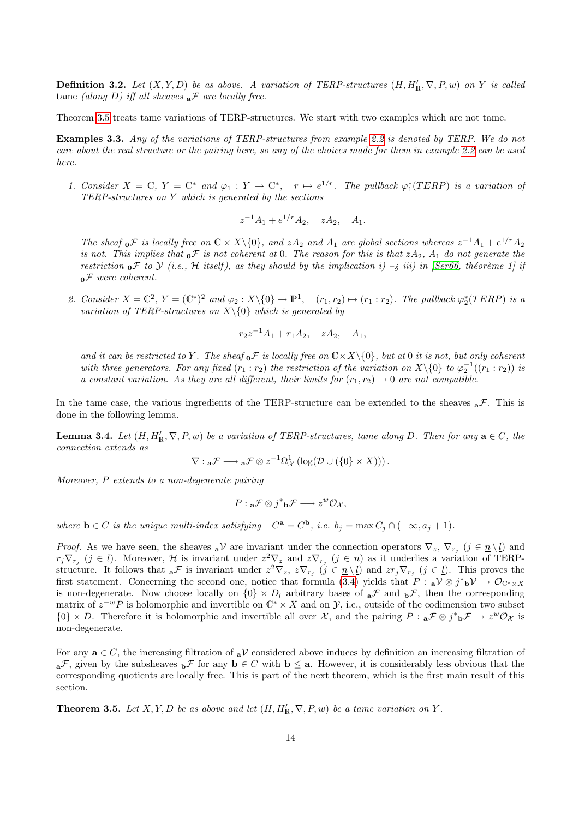**Definition 3.2.** Let  $(X, Y, D)$  be as above. A variation of TERP-structures  $(H, H'_{R}, \nabla, P, w)$  on Y is called tame (along D) iff all sheaves  $_{a}$ F are locally free.

<span id="page-13-0"></span>Theorem [3.5](#page-13-1) treats tame variations of TERP-structures. We start with two examples which are not tame.

Examples 3.3. Any of the variations of TERP-structures from example [2.2](#page-4-1) is denoted by TERP. We do not care about the real structure or the pairing here, so any of the choices made for them in example [2.2](#page-4-1) can be used here.

1. Consider  $X = \mathbb{C}$ ,  $Y = \mathbb{C}^*$  and  $\varphi_1 : Y \to \mathbb{C}^*$ ,  $r \mapsto e^{1/r}$ . The pullback  $\varphi_1^*(TERP)$  is a variation of TERP-structures on Y which is generated by the sections

$$
z^{-1}A_1 + e^{1/r}A_2
$$
,  $zA_2$ ,  $A_1$ .

The sheaf  $_0\mathcal{F}$  is locally free on  $\mathbb{C} \times X \setminus \{0\}$ , and  $zA_2$  and  $A_1$  are global sections whereas  $z^{-1}A_1 + e^{1/r}A_2$ is not. This implies that  ${}_0\mathcal{F}$  is not coherent at 0. The reason for this is that  $zA_2$ ,  $A_1$  do not generate the restriction  ${}_0\mathcal{F}$  to  $\mathcal{Y}$  (i.e.,  $\mathcal{H}$  itself), as they should by the implication i)  $-$ <sub>i</sub> iii) in [\[Ser66,](#page-53-14) théorème 1] if  $_0$ F were coherent.

2. Consider  $X = \mathbb{C}^2$ ,  $Y = (\mathbb{C}^*)^2$  and  $\varphi_2 : X \setminus \{0\} \to \mathbb{P}^1$ ,  $(r_1, r_2) \mapsto (r_1 : r_2)$ . The pullback  $\varphi_2^*(TERP)$  is a variation of TERP-structures on  $X\setminus\{0\}$  which is generated by

$$
r_2 z^{-1} A_1 + r_1 A_2, \quad z A_2, \quad A_1,
$$

and it can be restricted to Y. The sheaf  ${}_0\mathcal{F}$  is locally free on  $\mathbb{C}\times X\setminus\{0\}$ , but at 0 it is not, but only coherent with three generators. For any fixed  $(r_1 : r_2)$  the restriction of the variation on  $X \setminus \{0\}$  to  $\varphi_2^{-1}((r_1 : r_2))$  is a constant variation. As they are all different, their limits for  $(r_1, r_2) \rightarrow 0$  are not compatible.

In the tame case, the various ingredients of the TERP-structure can be extended to the sheaves  $\mathbf{a}$ F. This is done in the following lemma.

<span id="page-13-2"></span>**Lemma 3.4.** Let  $(H, H'_{\mathbb{R}}, \nabla, P, w)$  be a variation of TERP-structures, tame along D. Then for any  $\mathbf{a} \in C$ , the connection extends as

$$
\nabla: \mathbf{a} \mathcal{F} \longrightarrow \mathbf{a} \mathcal{F} \otimes z^{-1} \Omega^1_{\mathcal{X}} \left( \log(\mathcal{D} \cup (\{0\} \times X)) \right).
$$

Moreover, P extends to a non-degenerate pairing

$$
P: {}_{\bf a}\mathcal{F}\otimes j^*{}_{\bf b}\mathcal{F}\longrightarrow z^w\mathcal{O}_\mathcal{X},
$$

where  $\mathbf{b} \in C$  is the unique multi-index satisfying  $-C^{\mathbf{a}} = C^{\mathbf{b}}$ , i.e.  $b_j = \max C_j \cap (-\infty, a_j + 1)$ .

*Proof.* As we have seen, the sheaves  $\mathbf{a}^{\mathcal{V}}$  are invariant under the connection operators  $\nabla_z$ ,  $\nabla_{r_j}$   $(j \in \underline{n} \setminus \underline{l})$  and  $r_j \nabla_{r_j}$   $(j \in \underline{l})$ . Moreover, H is invariant under  $z^2 \nabla_z$  and  $z \nabla_{r_j}$   $(j \in \underline{n})$  as it underlies a variation of TERPstructure. It follows that  ${}_{\mathbf{a}}\mathcal{F}$  is invariant under  $z^2\nabla_z$ ,  $z\nabla_{r_j}$   $(j \in \underline{n} \setminus \underline{l})$  and  $zr_j\nabla_{r_j}$   $(j \in \underline{l})$ . This proves the first statement. Concerning the second one, notice that formula [\(3.4\)](#page-12-0) yields that  $P: {}_{a}V \otimes j^{*}{}_{b}V \to \mathcal{O}_{\mathbb{C}^{*} \times X}$ is non-degenerate. Now choose locally on  $\{0\} \times D_l$  arbitrary bases of  $_{\mathbf{a}}\mathcal{F}$  and  $_{\mathbf{b}}\mathcal{F}$ , then the corresponding matrix of  $z^{-w}P$  is holomorphic and invertible on  $\mathbb{C}^* \times X$  and on  $\mathcal{Y}$ , i.e., outside of the codimension two subset  ${0} \times D$ . Therefore it is holomorphic and invertible all over X, and the pairing  $P : {}_{a} \mathcal{F} \otimes j^* {}_{b} \mathcal{F} \to z^w \mathcal{O}_{\mathcal{X}}$  is  $\Box$ non-degenerate.

For any  $a \in C$ , the increasing filtration of  $aV$  considered above induces by definition an increasing filtration of  $_{\mathbf{a}}\mathcal{F}$ , given by the subsheaves  $_{\mathbf{b}}\mathcal{F}$  for any  $\mathbf{b} \in C$  with  $\mathbf{b} \leq \mathbf{a}$ . However, it is considerably less obvious that the corresponding quotients are locally free. This is part of the next theorem, which is the first main result of this section.

<span id="page-13-1"></span>**Theorem 3.5.** Let X, Y, D be as above and let  $(H, H'_{\mathbb{R}}, \nabla, P, w)$  be a tame variation on Y.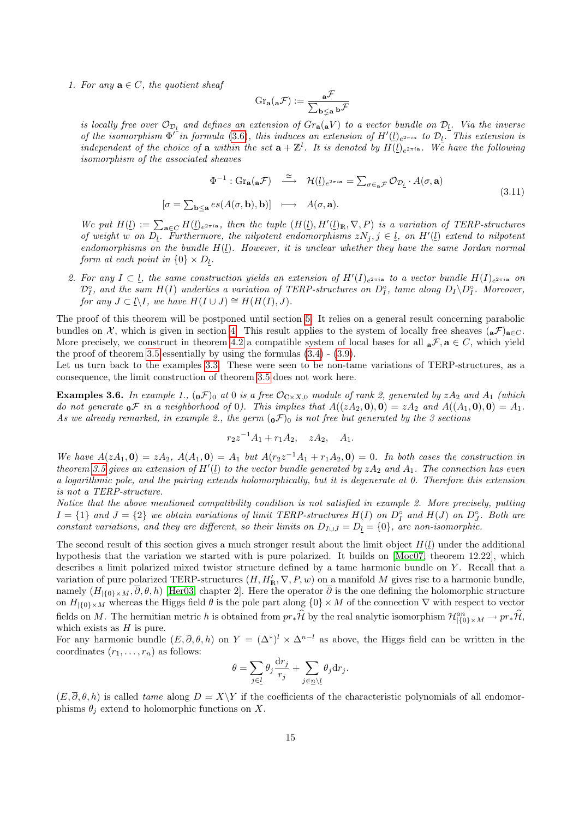1. For any  $\mathbf{a} \in C$ , the quotient sheaf

$$
\mathrm{Gr}_\mathbf{a}({_\mathbf{a}\mathcal{F}}) := \frac{_{\mathbf{a}\mathcal{F}}}{\sum_{\mathbf{b}\lneq \mathbf{a}}{_{\mathbf{b}\mathcal{F}}}}
$$

is locally free over  $\mathcal{O}_{\mathcal{D}_l}$  and defines an extension of  $Gr_{\mathbf{a}}(\mathbf{a}V)$  to a vector bundle on  $\mathcal{D}_l$ . Via the inverse of the isomorphism  $\Phi'$  in formula [\(3.6\)](#page-12-1), this induces an extension of  $H'(l)_{e^{2\pi i a}}$  to  $\mathcal{D}_l$ . This extension is independent of the choice of a within the set  $a + \mathbb{Z}^l$ . It is denoted by  $H(l)_{e^{2\pi i a}}$ . We have the following isomorphism of the associated sheaves

<span id="page-14-1"></span>
$$
\Phi^{-1}: \text{Gr}_{\mathbf{a}}(\mathbf{a} \mathcal{F}) \xrightarrow{\cong} \mathcal{H}(\underline{l})_{e^{2\pi i \mathbf{a}}} = \sum_{\sigma \in \mathbf{a} \mathcal{F}} \mathcal{O}_{\mathcal{D}_{\underline{l}}} \cdot A(\sigma, \mathbf{a})
$$
\n
$$
[\sigma = \sum_{\mathbf{b} \le \mathbf{a}} \operatorname{es}(A(\sigma, \mathbf{b}), \mathbf{b})] \longmapsto A(\sigma, \mathbf{a}). \tag{3.11}
$$

We put  $H(l) := \sum_{\mathbf{a} \in C} H(l)_{e^{2\pi i \mathbf{a}}}$ , then the tuple  $(H(l), H'(l)_{\mathbb{R}}, \nabla, P)$  is a variation of TERP-structures of weight w on  $D_l$ . Furthermore, the nilpotent endomorphisms  $zN_j$ ,  $j \in l$ , on  $H'(l)$  extend to nilpotent endomorphisms on the bundle  $H(l)$ . However, it is unclear whether they have the same Jordan normal form at each point in  $\{0\} \times D_l$ .

2. For any  $I \subset \underline{l}$ , the same construction yields an extension of  $H'(I)_{e^{2\pi i}a}$  to a vector bundle  $H(I)_{e^{2\pi i}a}$  on  $\mathcal{D}_I^{\circ}$ , and the sum  $H(I)$  underlies a variation of TERP-structures on  $D_I^{\circ}$ , tame along  $D_I \backslash D_I^{\circ}$ . Moreover, for any  $J \subset \underline{l} \backslash I$ , we have  $H(I \cup J) \cong H(H(I), J)$ .

The proof of this theorem will be postponed until section [5.](#page-19-0) It relies on a general result concerning parabolic bundles on X, which is given in section [4.](#page-16-0) This result applies to the system of locally free sheaves  $({}_{a}F)_{a\in C}$ . More precisely, we construct in theorem [4.2](#page-16-2) a compatible system of local bases for all  $_{a}F, a \in C$ , which yield the proof of theorem [3.5](#page-13-1) essentially by using the formulas  $(3.4)$  -  $(3.9)$ .

Let us turn back to the examples [3.3.](#page-13-0) These were seen to be non-tame variations of TERP-structures, as a consequence, the limit construction of theorem [3.5](#page-13-1) does not work here.

**Examples 3.6.** In example 1.,  $(\mathbf{0}F)_{0}$  at 0 is a free  $\mathcal{O}_{C\times X,0}$  module of rank 2, generated by  $zA_2$  and  $A_1$  (which do not generate  ${}_0\mathcal{F}$  in a neighborhood of 0). This implies that  $A((zA_2, 0), 0) = zA_2$  and  $A((A_1, 0), 0) = A_1$ . As we already remarked, in example 2., the germ  $(\rho \mathcal{F})_0$  is not free but generated by the 3 sections

$$
r_2 z^{-1} A_1 + r_1 A_2, \quad z A_2, \quad A_1.
$$

We have  $A(zA_1, 0) = zA_2$ ,  $A(A_1, 0) = A_1$  but  $A(r_2z^{-1}A_1 + r_1A_2, 0) = 0$ . In both cases the construction in theorem [3.5](#page-13-1) gives an extension of  $H'(\underline{l})$  to the vector bundle generated by  $zA_2$  and  $A_1$ . The connection has even a logarithmic pole, and the pairing extends holomorphically, but it is degenerate at 0. Therefore this extension is not a TERP-structure.

Notice that the above mentioned compatibility condition is not satisfied in example 2. More precisely, putting  $I = \{1\}$  and  $J = \{2\}$  we obtain variations of limit TERP-structures  $H(I)$  on  $D_I^{\circ}$  and  $H(J)$  on  $D_J^{\circ}$ . Both are constant variations, and they are different, so their limits on  $D_{I\cup J} = D_l = \{0\}$ , are non-isomorphic.

The second result of this section gives a much stronger result about the limit object  $H(l)$  under the additional hypothesis that the variation we started with is pure polarized. It builds on [\[Moc07,](#page-53-12) theorem 12.22], which describes a limit polarized mixed twistor structure defined by a tame harmonic bundle on Y. Recall that a variation of pure polarized TERP-structures  $(H, H'_{\mathbb{R}}, \nabla, P, w)$  on a manifold M gives rise to a harmonic bundle, namely  $(H_{|\{0\}\times M}, \overline{\partial}, \theta, h)$  [\[Her03,](#page-52-2) chapter 2]. Here the operator  $\overline{\partial}$  is the one defining the holomorphic structure on  $H_{\vert\{0\}\times M}$  whereas the Higgs field  $\theta$  is the pole part along  $\{0\}\times M$  of the connection  $\nabla$  with respect to vector fields on M. The hermitian metric h is obtained from  $pr_*\hat{\mathcal{H}}$  by the real analytic isomorphism  $\mathcal{H}_{|\{0\}\times M}^{an} \to pr_*\hat{\mathcal{H}},$ which exists as  $H$  is pure.

For any harmonic bundle  $(E,\overline{\partial},\theta,h)$  on  $Y=(\Delta^*)^l\times \Delta^{n-l}$  as above, the Higgs field can be written in the coordinates  $(r_1, \ldots, r_n)$  as follows:

$$
\theta = \sum_{j \in \underline{l}} \theta_j \frac{\mathrm{d} r_j}{r_j} + \sum_{j \in \underline{n} \backslash \underline{l}} \theta_j \mathrm{d} r_j.
$$

<span id="page-14-0"></span> $(E, \overline{\partial}, \theta, h)$  is called tame along  $D = X\Y$  if the coefficients of the characteristic polynomials of all endomorphisms  $\theta_i$  extend to holomorphic functions on X.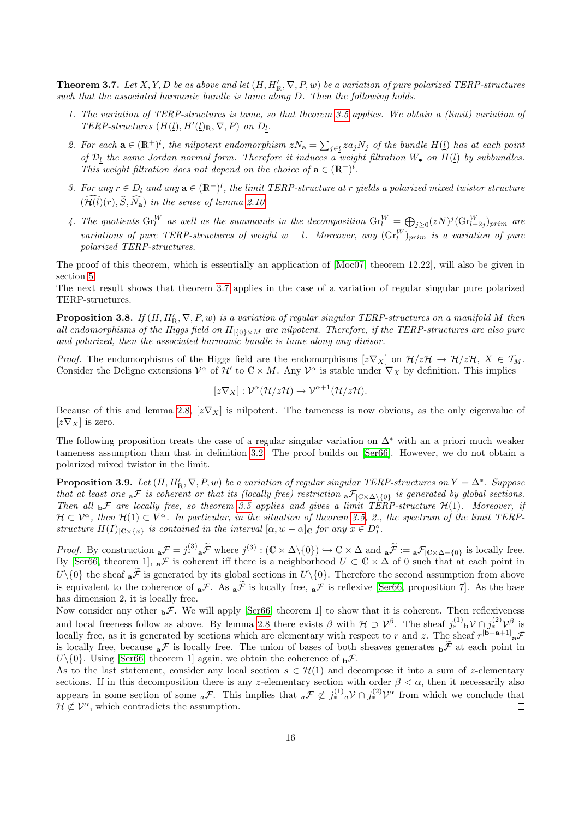**Theorem 3.7.** Let X, Y, D be as above and let  $(H, H'_{\mathbb{R}}, \nabla, P, w)$  be a variation of pure polarized TERP-structures such that the associated harmonic bundle is tame along D. Then the following holds.

- 1. The variation of TERP-structures is tame, so that theorem [3.5](#page-13-1) applies. We obtain a (limit) variation of TERP-structures  $(H(\underline{l}), H'(\underline{l})_{\mathbb{R}}, \nabla, P)$  on  $D_{\underline{l}}$ .
- 2. For each  $\mathbf{a} \in (\mathbb{R}^+)^l$ , the nilpotent endomorphism  $zN_{\mathbf{a}} = \sum_{j \in l} z a_j N_j$  of the bundle  $H(l)$  has at each point of  $\mathcal{D}_l$  the same Jordan normal form. Therefore it induces a weight filtration  $W_{\bullet}$  on  $H(l)$  by subbundles. This weight filtration does not depend on the choice of  $\mathbf{a} \in (\mathbb{R}^+)^l$ .
- 3. For any  $r \in D_l$  and any  $\mathbf{a} \in (\mathbb{R}^+)^l$ , the limit TERP-structure at r yields a polarized mixed twistor structure  $(\widehat{\mathcal{H}(\underline{l})}(r), \widehat{S}, \widehat{N}_{\mathbf{a}})$  in the sense of lemma [2.10.](#page-8-0)
- 4. The quotients  $\text{Gr}_l^W$  as well as the summands in the decomposition  $\text{Gr}_l^W = \bigoplus_{j \geq 0} (zN)^j (\text{Gr}_{l+2j}^W)_{prim}$  are variations of pure TERP-structures of weight  $w-l$ . Moreover, any  $(\mathrm{Gr}_{l}^{W})_{prim}$  is a variation of pure polarized TERP-structures.

The proof of this theorem, which is essentially an application of [\[Moc07,](#page-53-12) theorem 12.22], will also be given in section [5.](#page-19-0)

The next result shows that theorem [3.7](#page-14-0) applies in the case of a variation of regular singular pure polarized TERP-structures.

<span id="page-15-1"></span>**Proposition 3.8.** If  $(H, H'_{\mathbb{R}}, \nabla, P, w)$  is a variation of regular singular TERP-structures on a manifold M then all endomorphisms of the Higgs field on  $H_{|\{0\}\times M}$  are nilpotent. Therefore, if the TERP-structures are also pure and polarized, then the associated harmonic bundle is tame along any divisor.

*Proof.* The endomorphisms of the Higgs field are the endomorphisms  $[z\nabla_X]$  on  $\mathcal{H}/z\mathcal{H} \to \mathcal{H}/z\mathcal{H}$ ,  $X \in \mathcal{T}_M$ . Consider the Deligne extensions  $\mathcal{V}^{\alpha}$  of  $\mathcal{H}'$  to  $\mathbb{C}\times M$ . Any  $\mathcal{V}^{\alpha}$  is stable under  $\nabla_{X}$  by definition. This implies

$$
[z\nabla_X]:\mathcal{V}^{\alpha}(\mathcal{H}/z\mathcal{H})\to\mathcal{V}^{\alpha+1}(\mathcal{H}/z\mathcal{H}).
$$

Because of this and lemma [2.8,](#page-7-0)  $[z\nabla_X]$  is nilpotent. The tameness is now obvious, as the only eigenvalue of  $[z\nabla_X]$  is zero.  $\Box$ 

The following proposition treats the case of a regular singular variation on  $\Delta^*$  with an a priori much weaker tameness assumption than that in definition [3.2.](#page-12-3) The proof builds on [\[Ser66\]](#page-53-14). However, we do not obtain a polarized mixed twistor in the limit.

<span id="page-15-0"></span>**Proposition 3.9.** Let  $(H, H'_{\mathbb{R}}, \nabla, P, w)$  be a variation of regular singular TERP-structures on  $Y = \Delta^*$ . Suppose that at least one  ${}_{a}$ F is coherent or that its (locally free) restriction  ${}_{a}$ F<sub>IC×△</sub>\{0} is generated by global sections. Then all  $_{\mathbf{b}}\mathcal{F}$  are locally free, so theorem [3.5](#page-13-1) applies and gives a limit TERP-structure  $\mathcal{H}(\underline{1})$ . Moreover, if  $H \subset V^{\alpha}$ , then  $H(1) \subset V^{\alpha}$ . In particular, in the situation of theorem [3.5,](#page-13-1) 2., the spectrum of the limit TERPstructure  $H(I)_{|\mathbb{C}\times\{x\}}$  is contained in the interval  $[\alpha, w - \alpha]_{\mathbb{C}}$  for any  $x \in D_I^{\circ}$ .

*Proof.* By construction  ${}_{\mathbf{a}}\mathcal{F} = j^{(3)}_{*}{}_{\mathbf{a}}\widetilde{\mathcal{F}}$  where  $j^{(3)} : (\mathbb{C} \times \Delta \setminus \{0\}) \hookrightarrow \mathbb{C} \times \Delta$  and  ${}_{\mathbf{a}}\widetilde{\mathcal{F}} := {}_{\mathbf{a}}\mathcal{F}_{[\mathbb{C} \times \Delta - \{0\}]}$  is locally free. By [\[Ser66,](#page-53-14) theorem 1],  $_{\mathbf{a}}\mathcal{F}$  is coherent iff there is a neighborhood  $U \subset \mathbb{C} \times \Delta$  of 0 such that at each point in  $U\setminus\{0\}$  the sheaf  $\mathbf{a}\widetilde{\mathcal{F}}$  is generated by its global sections in  $U\setminus\{0\}$ . Therefore the second assumption from above is equivalent to the coherence of  ${}_{a}\mathcal{F}$ . As  ${}_{a}\tilde{\mathcal{F}}$  is locally free,  ${}_{a}\mathcal{F}$  is reflexive [\[Ser66,](#page-53-14) proposition 7]. As the base has dimension 2, it is locally free.

Now consider any other  $\mathbf{b}^{\mathcal{F}}$ . We will apply [\[Ser66,](#page-53-14) theorem 1] to show that it is coherent. Then reflexiveness and local freeness follow as above. By lemma [2.8](#page-7-0) there exists  $\beta$  with  $\mathcal{H} \supset \mathcal{V}^{\beta}$ . The sheaf  $j_*^{(1)}$ <sub>b</sub> $\mathcal{V} \cap j_*^{(2)} \mathcal{V}^{\beta}$  is locally free, as it is generated by sections which are elementary with respect to r and z. The sheaf  $r^{[b-a+1]}$ <sub>a</sub> $\mathcal{F}$ is locally free, because  ${}_{a}\mathcal{F}$  is locally free. The union of bases of both sheaves generates  ${}_{b}\mathcal{F}$  at each point in  $U\setminus\{0\}$ . Using [\[Ser66,](#page-53-14) theorem 1] again, we obtain the coherence of  $\mathbf{b} \mathcal{F}$ .

As to the last statement, consider any local section  $s \in H(1)$  and decompose it into a sum of z-elementary sections. If in this decomposition there is any z-elementary section with order  $\beta < \alpha$ , then it necessarily also appears in some section of some  ${}_{a}\mathcal{F}$ . This implies that  ${}_{a}\mathcal{F} \not\subset j_{*}^{(1)}{}_{a}\mathcal{V} \cap j_{*}^{(2)}\mathcal{V}^{\alpha}$  from which we conclude that  $\mathcal{H} \not\subset \mathcal{V}^{\alpha}$ , which contradicts the assumption.  $\Box$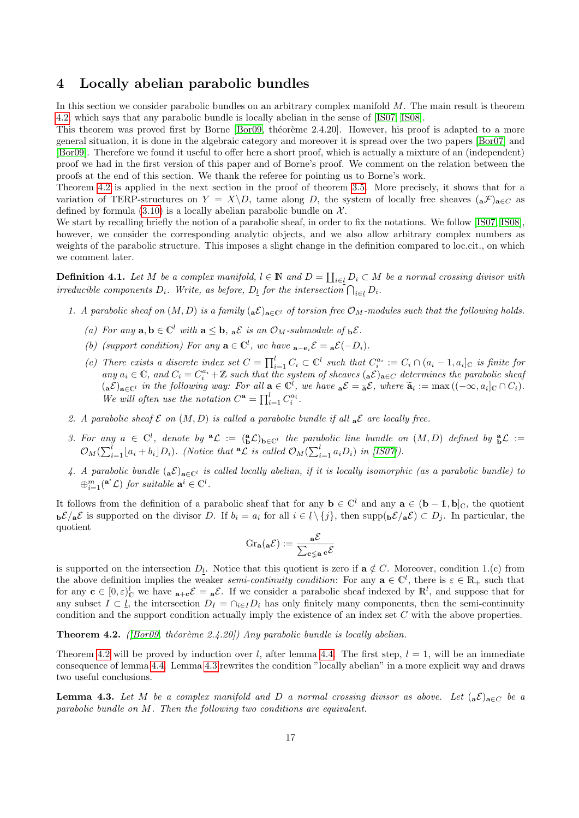# <span id="page-16-0"></span>4 Locally abelian parabolic bundles

In this section we consider parabolic bundles on an arbitrary complex manifold  $M$ . The main result is theorem [4.2,](#page-16-2) which says that any parabolic bundle is locally abelian in the sense of [\[IS07,](#page-53-15) [IS08\]](#page-53-16).

This theorem was proved first by Borne [\[Bor09,](#page-52-13) théorème 2.4.20]. However, his proof is adapted to a more general situation, it is done in the algebraic category and moreover it is spread over the two papers [\[Bor07\]](#page-52-12) and [\[Bor09\]](#page-52-13). Therefore we found it useful to offer here a short proof, which is actually a mixture of an (independent) proof we had in the first version of this paper and of Borne's proof. We comment on the relation between the proofs at the end of this section. We thank the referee for pointing us to Borne's work.

Theorem [4.2](#page-16-2) is applied in the next section in the proof of theorem [3.5.](#page-13-1) More precisely, it shows that for a variation of TERP-structures on  $Y = X\backslash D$ , tame along D, the system of locally free sheaves  $({}_a\mathcal{F})_{a\in C}$  as defined by formula [\(3.10\)](#page-12-4) is a locally abelian parabolic bundle on  $\mathcal{X}$ .

We start by recalling briefly the notion of a parabolic sheaf, in order to fix the notations. We follow [\[IS07,](#page-53-15) [IS08\]](#page-53-16), however, we consider the corresponding analytic objects, and we also allow arbitrary complex numbers as weights of the parabolic structure. This imposes a slight change in the definition compared to loc.cit., on which we comment later.

<span id="page-16-1"></span>**Definition 4.1.** Let M be a complex manifold,  $l \in \mathbb{N}$  and  $D = \coprod_{i \in \underline{l}} D_i \subset M$  be a normal crossing divisor with irreducible components  $D_i$ . Write, as before,  $D_{\underline{l}}$  for the intersection  $\bigcap_{i\in \underline{l}} D_i$ .

- 1. A parabolic sheaf on  $(M, D)$  is a family  $(a \mathcal{E})_{a \in \mathbb{C}^l}$  of torsion free  $\mathcal{O}_M$ -modules such that the following holds.
	- (a) For any  $\mathbf{a}, \mathbf{b} \in \mathbb{C}^l$  with  $\mathbf{a} \leq \mathbf{b}, \mathbf{a} \mathcal{E}$  is an  $\mathcal{O}_M$ -submodule of  $\mathbf{b} \mathcal{E}$ .
	- (b) (support condition) For any  $\mathbf{a} \in \mathbb{C}^l$ , we have  $_{\mathbf{a}-\mathbf{e}_i} \mathcal{E} = _{\mathbf{a}} \mathcal{E}(-D_i)$ .
	- (c) There exists a discrete index set  $C = \prod_{i=1}^{l} C_i \subset \mathbb{C}^l$  such that  $C_i^{a_i} := C_i \cap (a_i 1, a_i]_{\mathbb{C}}$  is finite for any  $a_i \in \mathbb{C}$ , and  $C_i = C_i^{a_i} + \mathbb{Z}$  such that the system of sheaves  $(a \mathcal{E})_{a \in C}$  determines the parabolic sheaf  $(a\mathcal{E})_{\mathbf{a}\in\mathbb{C}^l}$  in the following way: For all  $\mathbf{a}\in\mathbb{C}^l$ , we have  ${}_{\mathbf{a}}\mathcal{E}=\tilde{ }_{\mathbf{a}}\mathcal{E}$ , where  $\tilde{a}_i := \max ((-\infty, a_i]_{\mathbb{C}} \cap C_i)$ . We will often use the notation  $C^{\mathbf{a}} = \prod_{i=1}^{l} C_i^{a_i}$ .
- 2. A parabolic sheaf  $\mathcal E$  on  $(M, D)$  is called a parabolic bundle if all  ${}_{\mathbf a} \mathcal E$  are locally free.
- 3. For any  $a \in \mathbb{C}^l$ , denote by  ${}^{\bf a} \mathcal{L} := ({}^{\bf a}_{\bf b} \mathcal{L})_{{\bf b} \in \mathbb{C}^l}$  the parabolic line bundle on  $(M, D)$  defined by  ${}^{\bf a}_{\bf b} \mathcal{L} :=$  $\mathcal{O}_M(\sum_{i=1}^l [a_i + b_i]D_i)$ . (Notice that  ${}^{\mathbf{a}}\mathcal{L}$  is called  $\mathcal{O}_M(\sum_{i=1}^l a_i D_i)$  in [ISO7]).
- 4. A parabolic bundle  $(aE)_{a\in\mathbb{C}^l}$  is called locally abelian, if it is locally isomorphic (as a parabolic bundle) to  $\bigoplus_{i=1}^m (\mathbf{a}^i \mathcal{L})$  for suitable  $\mathbf{a}^i \in \mathbb{C}^l$ .

It follows from the definition of a parabolic sheaf that for any  $\mathbf{b} \in \mathbb{C}^l$  and any  $\mathbf{a} \in (\mathbf{b} - \mathbb{1}, \mathbf{b}]_C$ , the quotient  $_{\mathbf{b}}\mathcal{E}/_{\mathbf{a}}\mathcal{E}$  is supported on the divisor D. If  $b_i = a_i$  for all  $i \in \underline{l} \setminus \{j\}$ , then  $\text{supp}({_{\mathbf{b}}\mathcal{E}}/{_{\mathbf{a}}\mathcal{E}}) \subset D_i$ . In particular, the quotient

$$
\mathrm{Gr}_\mathbf{a}({}_\mathbf{a}\mathcal{E}):=\frac{_\mathbf{a}\mathcal{E}}{\sum_{\mathbf{c}\lneq \mathbf{a}}{_\mathbf{c}\mathcal{E}}}
$$

is supported on the intersection  $D_l$ . Notice that this quotient is zero if  $\mathbf{a} \notin C$ . Moreover, condition 1.(c) from the above definition implies the weaker semi-continuity condition: For any  $\mathbf{a} \in \mathbb{C}^l$ , there is  $\varepsilon \in \mathbb{R}_+$  such that for any  $\mathbf{c} \in [0,\varepsilon]_C^l$  we have  $\mathbf{a}+\mathbf{c}\mathcal{E} = \mathbf{a}\mathcal{E}$ . If we consider a parabolic sheaf indexed by  $\mathbb{R}^l$ , and suppose that for any subset  $I \subset \underline{l}$ , the intersection  $D_I = \bigcap_{i \in I} D_i$  has only finitely many components, then the semi-continuity condition and the support condition actually imply the existence of an index set C with the above properties.

<span id="page-16-2"></span>**Theorem 4.2.** ([\[Bor09,](#page-52-13) théorème 2.4.20]) Any parabolic bundle is locally abelian.

Theorem [4.2](#page-16-2) will be proved by induction over l, after lemma [4.4.](#page-17-0) The first step,  $l = 1$ , will be an immediate consequence of lemma [4.4.](#page-17-0) Lemma [4.3](#page-16-3) rewrites the condition "locally abelian" in a more explicit way and draws two useful conclusions.

<span id="page-16-3"></span>**Lemma 4.3.** Let M be a complex manifold and D a normal crossing divisor as above. Let  $(a\mathcal{E})_{a\in C}$  be a parabolic bundle on M. Then the following two conditions are equivalent.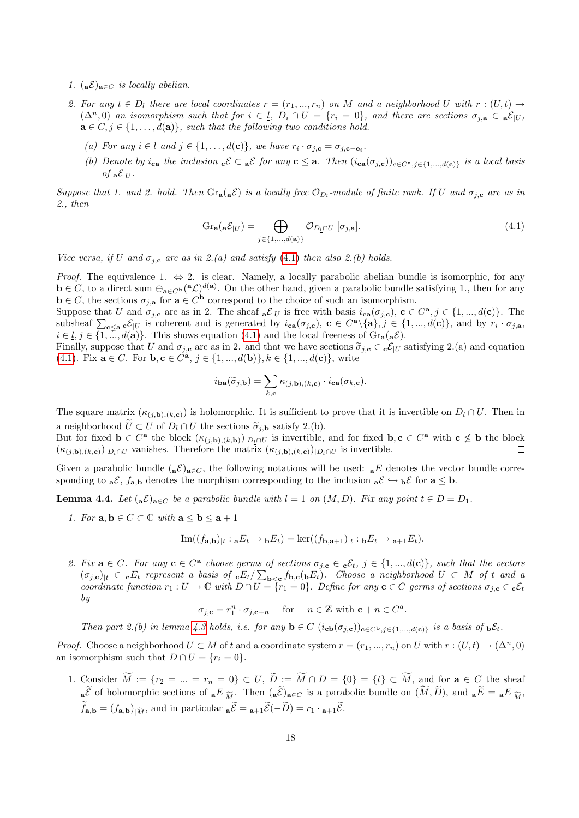- 1.  $(a\mathcal{E})_{\mathbf{a}\in C}$  is locally abelian.
- 2. For any  $t \in D_l$  there are local coordinates  $r = (r_1, ..., r_n)$  on M and a neighborhood U with  $r : (U, t) \rightarrow$  $(\Delta^n, 0)$  an isomorphism such that for  $i \in \underline{l}$ ,  $D_i \cap U = \{r_i = 0\}$ , and there are sections  $\sigma_{i, \mathbf{a}} \in {\mathcal{A}}_{U}$ ,  $\mathbf{a} \in C, j \in \{1, \ldots, d(\mathbf{a})\},$  such that the following two conditions hold.
	- (a) For any  $i \in \underline{l}$  and  $j \in \{1, ..., d(c)\}\$ , we have  $r_i \cdot \sigma_{j,c} = \sigma_{j,c-e_i}$ .
	- (b) Denote by i<sub>ca</sub> the inclusion  ${}_{\mathbf{c}}\mathcal{E} \subset {}_{\mathbf{a}}\mathcal{E}$  for any  $\mathbf{c} \leq \mathbf{a}$ . Then  $(i_{\mathbf{ca}}(\sigma_{j,\mathbf{c}}))_{c \in C^{\mathbf{a}}, j \in \{1, \ldots, d(\mathbf{c})\}}$  is a local basis of  ${}_{\mathbf{a}}\mathcal{E}_{|U}$ .

Suppose that 1. and 2. hold. Then  $\text{Gr}_{a}(a\mathcal{E})$  is a locally free  $\mathcal{O}_{D_1}$ -module of finite rank. If U and  $\sigma_{j,c}$  are as in 2., then

<span id="page-17-1"></span>
$$
\operatorname{Gr}_{\mathbf{a}}(\mathbf{a}\mathcal{E}_{|U}) = \bigoplus_{j \in \{1, \dots, d(\mathbf{a})\}} \mathcal{O}_{D_{\underline{L}} \cap U} [\sigma_{j, \mathbf{a}}]. \tag{4.1}
$$

Vice versa, if U and  $\sigma_{j,c}$  are as in 2.(a) and satisfy [\(4.1\)](#page-17-1) then also 2.(b) holds.

*Proof.* The equivalence 1.  $\Leftrightarrow$  2. is clear. Namely, a locally parabolic abelian bundle is isomorphic, for any  $\mathbf{b} \in C$ , to a direct sum  $\bigoplus_{\mathbf{a} \in C^{\mathbf{b}}} (\mathbf{a} \mathcal{L})^{d(\mathbf{a})}$ . On the other hand, given a parabolic bundle satisfying 1., then for any  $\mathbf{b} \in C$ , the sections  $\sigma_{j,\mathbf{a}}$  for  $\mathbf{a} \in C^{\mathbf{b}}$  correspond to the choice of such an isomorphism.

Suppose that U and  $\sigma_{j,c}$  are as in 2. The sheaf  ${}_{\mathbf{a}}\mathcal{E}_{|U}$  is free with basis  $i_{\mathbf{ca}}(\sigma_{j,c}), \mathbf{c} \in C^{\mathbf{a}}, j \in \{1, ..., d(\mathbf{c})\}$ . The subsheaf  $\sum_{\mathbf{c}\leq \mathbf{a}} \mathbf{c} \mathcal{E}_{|U}$  is coherent and is generated by  $i_{\mathbf{ca}}(\sigma_{j,\mathbf{c}}), \mathbf{c} \in C^{\mathbf{a}} \setminus \{\mathbf{a}\}, j \in \{1, ..., d(\mathbf{c})\}$ , and by  $r_i \cdot \sigma_{j,\mathbf{a}}$ ,  $i \in \underline{l}, j \in \{1, ..., d(a)\}.$  This shows equation [\(4.1\)](#page-17-1) and the local freeness of  $\text{Gr}_{a}(a \mathcal{E}).$ 

Finally, suppose that U and  $\sigma_{j,c}$  are as in 2. and that we have sections  $\tilde{\sigma}_{j,c} \in c\mathcal{E}_{|U}$  satisfying 2.(a) and equation [\(4.1\)](#page-17-1). Fix  $\mathbf{a} \in C$ . For  $\mathbf{b}, \mathbf{c} \in C^{\mathbf{a}}, j \in \{1, ..., d(\mathbf{b})\}, k \in \{1, ..., d(\mathbf{c})\}$ , write

$$
i_{\mathbf{ba}}(\widetilde{\sigma}_{j,\mathbf{b}}) = \sum_{k,\mathbf{c}} \kappa_{(j,\mathbf{b}),(k,\mathbf{c})} \cdot i_{\mathbf{ca}}(\sigma_{k,\mathbf{c}}).
$$

The square matrix  $(\kappa_{(j,\mathbf{b}),(k,c)})$  is holomorphic. It is sufficient to prove that it is invertible on  $D_l \cap U$ . Then in a neighborhood  $\widetilde{U} \subset U$  of  $D_l \cap U$  the sections  $\widetilde{\sigma}_{j,\mathbf{b}}$  satisfy 2.(b).

But for fixed  $\mathbf{b} \in C^{\mathbf{a}}$  the block  $(\kappa_{(j,\mathbf{b}), (k,\mathbf{b})})_{|D_l \cap U}$  is invertible, and for fixed  $\mathbf{b}, \mathbf{c} \in C^{\mathbf{a}}$  with  $\mathbf{c} \not\leq \mathbf{b}$  the block  $(\kappa_{(j,\mathbf{b}),(k,\mathbf{c})})_{|D_l \cap U}$  vanishes. Therefore the matrix  $(\kappa_{(j,\mathbf{b}),(k,\mathbf{c})})_{|D_l \cap U}$  is invertible. П

Given a parabolic bundle  $({}_{a}E)_{a\in C}$ , the following notations will be used:  $_{a}E$  denotes the vector bundle corresponding to  ${}_{a}\mathcal{E}, f_{a,b}$  denotes the morphism corresponding to the inclusion  ${}_{a}\mathcal{E} \hookrightarrow {}_{b}\mathcal{E}$  for  $a \leq b$ .

<span id="page-17-0"></span>**Lemma 4.4.** Let  $(a \mathcal{E})_{a \in C}$  be a parabolic bundle with  $l = 1$  on  $(M, D)$ . Fix any point  $t \in D = D_1$ .

1. For  $\mathbf{a}, \mathbf{b} \in C \subset \mathbb{C}$  with  $\mathbf{a} \leq \mathbf{b} \leq \mathbf{a} + 1$ 

$$
\operatorname{Im}((f_{\mathbf{a},\mathbf{b}})_{|t} :_{\mathbf{a}} E_t \to_{\mathbf{b}} E_t) = \ker((f_{\mathbf{b},\mathbf{a}+1})_{|t} :_{\mathbf{b}} E_t \to_{\mathbf{a}+1} E_t).
$$

2. Fix  $a \in C$ . For any  $c \in C^a$  choose germs of sections  $\sigma_{j,c} \in c\mathcal{E}_t$ ,  $j \in \{1, ..., d(c)\}$ , such that the vectors  $(\sigma_{j,c})_{|t} \in cE_t$  represent a basis of  $cE_t/\sum_{b,c} f_{b,c}(bE_t)$ . Choose a neighborhood  $U \subset M$  of t and a coordinate function  $r_1 : U \to \mathbb{C}$  with  $D \cap U = \{r_1 = 0\}$ . Define for any  $c \in C$  germs of sections  $\sigma_{j,c} \in c\mathcal{E}_t$ by

$$
\sigma_{j,\mathbf{c}} = r_1^n \cdot \sigma_{j,\mathbf{c}+n} \quad \text{for} \quad n \in \mathbb{Z} \text{ with } \mathbf{c} + n \in C^a.
$$

Then part 2.(b) in lemma [4.3](#page-16-3) holds, i.e. for any  $\mathbf{b} \in C$   $(i_{\mathbf{cb}}(\sigma_{j,\mathbf{c}}))_{\mathbf{c} \in C^{\mathbf{b}},j \in \{1,...,d(\mathbf{c})\}}$  is a basis of  ${}_{\mathbf{b}}\mathcal{E}_t$ .

*Proof.* Choose a neighborhood  $U \subset M$  of t and a coordinate system  $r = (r_1, ..., r_n)$  on U with  $r : (U, t) \to (\Delta^n, 0)$ an isomorphism such that  $D \cap U = \{r_i = 0\}.$ 

1. Consider  $\widetilde{M} := \{r_2 = ... = r_n = 0\} \subset U, \widetilde{D} := \widetilde{M} \cap D = \{0\} = \{t\} \subset \widetilde{M}$ , and for  $\mathbf{a} \in C$  the sheaf  $a\widetilde{\mathcal{E}}$  of holomorphic sections of  $aE_{|\widetilde{M}}$ . Then  $(a\widetilde{\mathcal{E}})_{\mathbf{a}\in C}$  is a parabolic bundle on  $(\widetilde{M},\widetilde{D})$ , and  $a\widetilde{E} = aE_{|\widetilde{M}}$ ,  $f_{\mathbf{a},\mathbf{b}} = (f_{\mathbf{a},\mathbf{b}})_{\mid \widetilde{M}}$ , and in particular  ${}_{\mathbf{a}}\mathcal{E} = {}_{\mathbf{a}+1}\mathcal{E}(-D) = r_1 \cdot {}_{\mathbf{a}+1}\mathcal{E}$ .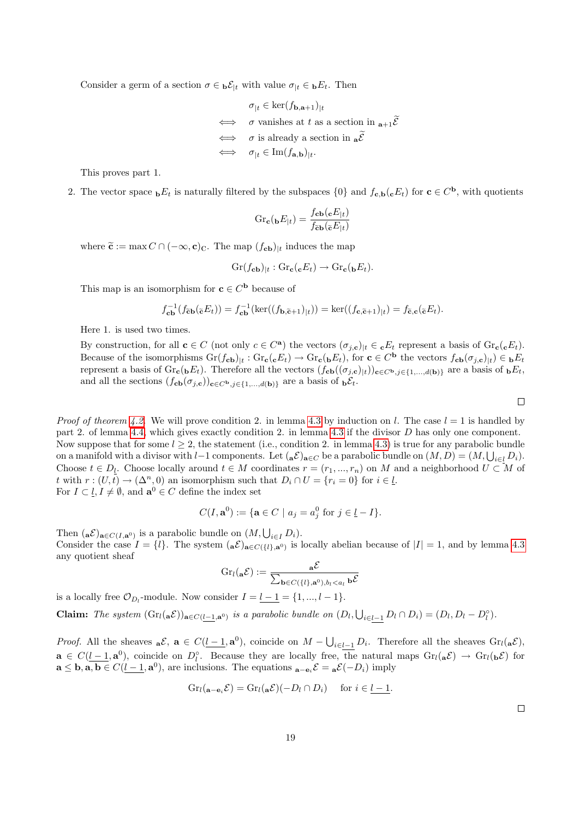Consider a germ of a section  $\sigma \in {}_{\mathbf{b}}\mathcal{E}_{|t}$  with value  $\sigma_{|t} \in {}_{\mathbf{b}}E_t$ . Then

$$
\sigma_{|t} \in \ker(f_{\mathbf{b}, \mathbf{a}+1})_{|t}
$$
\n
$$
\iff \sigma \text{ vanishes at } t \text{ as a section in }_{\mathbf{a}+1} \widetilde{\mathcal{E}}
$$
\n
$$
\iff \sigma \text{ is already a section in }_{\mathbf{a}} \widetilde{\mathcal{E}}
$$
\n
$$
\iff \sigma_{|t} \in \text{Im}(f_{\mathbf{a}, \mathbf{b}})_{|t}.
$$

This proves part 1.

2. The vector space  ${}_{\mathbf{b}}E_t$  is naturally filtered by the subspaces  $\{0\}$  and  $f_{\mathbf{c},\mathbf{b}}({}_{\mathbf{c}}E_t)$  for  $\mathbf{c} \in C^{\mathbf{b}}$ , with quotients

$$
Gr_{\mathbf{c}}(\mathbf{b}E_{|t}) = \frac{f_{\mathbf{c}\mathbf{b}}(\mathbf{c}E_{|t})}{f_{\widetilde{\mathbf{c}}\mathbf{b}}(\widetilde{\mathbf{c}}E_{|t})}
$$

where  $\tilde{\mathbf{c}} := \max C \cap (-\infty, \mathbf{c})_{\mathbb{C}}$ . The map  $(f_{\mathbf{c}\mathbf{b}})_{|t}$  induces the map

 $\mathrm{Gr}(f_{\mathbf{c}\mathbf{b}})_{|t} : \mathrm{Gr}_{\mathbf{c}}(\mathbf{c}E_t) \to \mathrm{Gr}_{\mathbf{c}}(\mathbf{b}E_t).$ 

This map is an isomorphism for  $c \in C^{\mathbf{b}}$  because of

$$
f_{\mathbf{cb}}^{-1}(f_{\widetilde{\mathbf{cb}}}(\widetilde{\mathbf{c}}E_t)) = f_{\mathbf{cb}}^{-1}(\ker((f_{\mathbf{b},\widetilde{\mathbf{c}}+1})_{|t})) = \ker((f_{\mathbf{c},\widetilde{\mathbf{c}}+1})_{|t}) = f_{\widetilde{\mathbf{c}},\mathbf{c}}(\widetilde{\mathbf{c}}E_t).
$$

Here 1. is used two times.

By construction, for all  $\mathbf{c} \in C$  (not only  $c \in C^{\mathbf{a}}$ ) the vectors  $(\sigma_{j,\mathbf{c}})_{|t} \in \mathbf{c}E_t$  represent a basis of  $\text{Gr}_{\mathbf{c}}(\mathbf{c}E_t)$ . Because of the isomorphisms  $\mathrm{Gr}(f_{\mathbf{c}\mathbf{b}})_{|t} : \mathrm{Gr}_{\mathbf{c}}(\mathbf{c}E_t) \to \mathrm{Gr}_{\mathbf{c}}(\mathbf{b}E_t)$ , for  $\mathbf{c} \in C^{\mathbf{b}}$  the vectors  $f_{\mathbf{c}\mathbf{b}}(\sigma_{j,\mathbf{c}})_{|t}) \in \mathbf{b}E_t$ represent a basis of  $Gr_{\mathbf{c}}(\mathbf{b}E_t)$ . Therefore all the vectors  $(f_{\mathbf{cb}}((\sigma_{j,\mathbf{c}})_{|t}))_{\mathbf{c}\in C^{\mathbf{b}},j\in\{1,\dots,d(\mathbf{b})\}}$  are a basis of  $_{\mathbf{b}}E_t$ , and all the sections  $(f_{\mathbf{cb}}(\sigma_{j,\mathbf{c}}))_{\mathbf{c}\in C^{\mathbf{b}},j\in\{1,\ldots,d(\mathbf{b})\}}$  are a basis of  $_{\mathbf{b}}\mathcal{E}_t$ .

*Proof of theorem [4.2.](#page-16-2)* We will prove condition 2. in lemma [4.3](#page-16-3) by induction on l. The case  $l = 1$  is handled by part 2. of lemma [4.4,](#page-17-0) which gives exactly condition 2. in lemma [4.3](#page-16-3) if the divisor D has only one component. Now suppose that for some  $l \geq 2$ , the statement (i.e., condition 2. in lemma [4.3\)](#page-16-3) is true for any parabolic bundle on a manifold with a divisor with l−1 components. Let  $({}_{a}C)_{a\in C}$  be a parabolic bundle on  $(M, D) = (M, \bigcup_{i\in \underline{l}} D_i)$ . Choose  $t \in D_l$ . Choose locally around  $t \in M$  coordinates  $r = (r_1, ..., r_n)$  on M and a neighborhood  $U \subset M$  of t with  $r : (U, t) \to (\Delta^n, 0)$  an isomorphism such that  $D_i \cap U = \{r_i = 0\}$  for  $i \in \underline{l}$ . For  $I \subset \underline{l}, I \neq \emptyset$ , and  $\mathbf{a}^0 \in C$  define the index set

$$
C(I, \mathbf{a}^0) := \{ \mathbf{a} \in C \mid a_j = a_j^0 \text{ for } j \in \underline{l} - I \}.
$$

Then  $({}_{\mathbf{a}}\mathcal{E})_{\mathbf{a}\in C(I,\mathbf{a}^0)}$  is a parabolic bundle on  $(M,\bigcup_{i\in I}D_i)$ . Consider the case  $I = \{l\}$ . The system  $({}_a\mathcal{E})_{a \in C(\{l\}, a^0)}$  is locally abelian because of  $|I| = 1$ , and by lemma [4.3](#page-16-3) any quotient sheaf

$$
\mathrm{Gr}_l({_{\mathbf{a}}\mathcal{E}}) := \frac{{_{\mathbf{a}}\mathcal{E}}}{\sum_{{\mathbf{b}}\in C(\{l\},{\mathbf{a}}^0), b_l
$$

is a locally free  $\mathcal{O}_{D_l}$ -module. Now consider  $I = \underline{l-1} = \{1, ..., l-1\}$ .

Claim: The system  $(\text{Gr}_l(\mathbf{a} \mathcal{E}))_{\mathbf{a} \in C(l-1,\mathbf{a}^0)}$  is a parabolic bundle on  $(D_l, \bigcup_{i \in l-1} D_l \cap D_i) = (D_l, D_l - D_l^{\circ})$ .

*Proof.* All the sheaves  ${}_{\mathbf{a}}\mathcal{E}$ ,  $\mathbf{a} \in C(\underline{l-1}, \mathbf{a}^0)$ , coincide on  $M - \bigcup_{i \in l-1} D_i$ . Therefore all the sheaves  $\mathrm{Gr}_{l}({}_{\mathbf{a}}\mathcal{E})$ ,  $\mathbf{a} \in C(\underline{l-1}, \mathbf{a}^0)$ , coincide on  $D_l^{\circ}$ . Because they are locally free, the natural maps  $\mathrm{Gr}_l(\mathbf{a} \mathcal{E}) \to \mathrm{Gr}_l(\mathbf{b} \mathcal{E})$  for  $\mathbf{a} \leq \mathbf{b}, \mathbf{a}, \mathbf{b} \in C(\underline{l-1}, \mathbf{a}^0)$ , are inclusions. The equations  $_{\mathbf{a}-\mathbf{e}_i} \mathcal{E} = \mathbf{a} \mathcal{E}(-D_i)$  imply

$$
\operatorname{Gr}_{l}({}_{\mathbf{a}-\mathbf{e}_i}\mathcal{E}) = \operatorname{Gr}_{l}({}_{\mathbf{a}}\mathcal{E})(-D_l \cap D_i) \quad \text{ for } i \in \underline{l-1}.
$$

 $\Box$ 

 $\Box$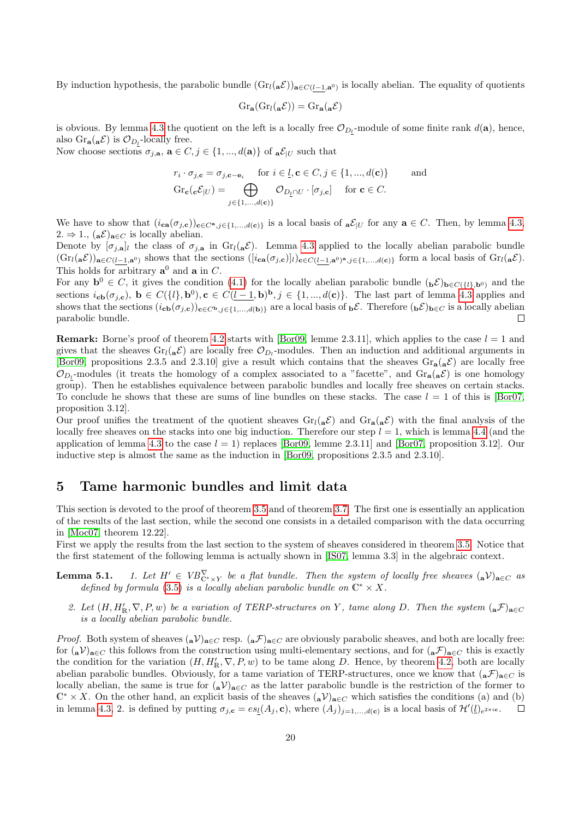By induction hypothesis, the parabolic bundle  $(\text{Gr}_l({}_{\mathbf{a}}\mathcal{E}))_{\mathbf{a}\in C(l-1,\mathbf{a}^0)}$  is locally abelian. The equality of quotients

$$
\mathrm{Gr}_{\mathbf{a}}(\mathrm{Gr}_l({}_{\mathbf{a}}\mathcal{E})) = \mathrm{Gr}_{\mathbf{a}}({}_{\mathbf{a}}\mathcal{E})
$$

is obvious. By lemma [4.3](#page-16-3) the quotient on the left is a locally free  $\mathcal{O}_{D_l}$ -module of some finite rank  $d(\mathbf{a})$ , hence, also  $\text{Gr}_{\mathbf{a}}(\mathbf{a}\mathcal{E})$  is  $\mathcal{O}_{D_l}$ -locally free.

Now choose sections  $\sigma_{j,\mathbf{a}}$ ,  $\mathbf{a} \in C$ ,  $j \in \{1, ..., d(\mathbf{a})\}$  of  $_{\mathbf{a}}\mathcal{E}_{|U}$  such that

$$
r_i \cdot \sigma_{j, \mathbf{c}} = \sigma_{j, \mathbf{c} - \mathbf{e}_i} \quad \text{for } i \in \underline{l}, \mathbf{c} \in C, j \in \{1, ..., d(\mathbf{c})\} \quad \text{and}
$$

$$
\text{Gr}_{\mathbf{c}}(\mathbf{c}\mathcal{E}|U) = \bigoplus_{j \in \{1, ..., d(\mathbf{c})\}} \mathcal{O}_{D\underline{l}} \cap U \cdot [\sigma_{j, \mathbf{c}}] \quad \text{for } \mathbf{c} \in C.
$$

We have to show that  $(i_{ca}(\sigma_{j,c}))_{c\in C^{\mathbf{a}},j\in\{1,\ldots,d(c)\}}$  is a local basis of  ${}_{\mathbf{a}}\mathcal{E}_{|U}$  for any  $\mathbf{a}\in C$ . Then, by lemma [4.3,](#page-16-3)  $2 \Rightarrow 1$ .,  $({}_{\mathbf{a}}\mathcal{E})_{\mathbf{a}\in C}$  is locally abelian.

Denote by  $[\sigma_{j,\mathbf{a}}]_l$  the class of  $\sigma_{j,\mathbf{a}}$  in  $\text{Gr}_{l}(\mathbf{a}\mathcal{E})$ . Lemma [4.3](#page-16-3) applied to the locally abelian parabolic bundle  $(\text{Gr}_l(\mathbf{a}\mathcal{E}))_{\mathbf{a}\in C(l-1,\mathbf{a}^0)}$  shows that the sections  $([i_{\mathbf{ca}}(\sigma_{j,\mathbf{c}})]_l)_{\mathbf{c}\in C(l-1,\mathbf{a}^0)^{\mathbf{a}},j\in\{1,\dots,d(\mathbf{c})\}}$  form a local basis of  $\text{Gr}_l(\mathbf{a}\mathcal{E})$ . This holds for arbitrary  $a^0$  and a in C.

For any  $\mathbf{b}^0 \in C$ , it gives the condition [\(4.1\)](#page-17-1) for the locally abelian parabolic bundle  $(\mathbf{b}\mathcal{E})_{\mathbf{b}\in C(\{l\},\mathbf{b}^0)}$  and the sections  $i_{\mathbf{cb}}(\sigma_{j,\mathbf{c}})$ ,  $\mathbf{b} \in C({l, b^0), \mathbf{c} \in C(l-1, \mathbf{b})^{\mathbf{b}}}, j \in {1, ..., d(\mathbf{c})}$ . The last part of lemma [4.3](#page-16-3) applies and shows that the sections  $(i_{\mathbf{cb}}(\sigma_{j,\mathbf{c}}))_{\mathbf{c}\in C^{\mathbf{b}},j\in\{1,\dots,d(\mathbf{b})\}}$  are a local basis of  ${}_{\mathbf{b}}\mathcal{E}$ . Therefore  $({}_{\mathbf{b}}\mathcal{E})_{\mathbf{b}\in C}$  is a locally abelian parabolic bundle.

**Remark:** Borne's proof of theorem [4.2](#page-16-2) starts with [\[Bor09,](#page-52-13) lemme 2.3.11], which applies to the case  $l = 1$  and gives that the sheaves  $\text{Gr}_{l}({}_{\mathbf{a}}\mathcal{E})$  are locally free  $\mathcal{O}_{D_l}$ -modules. Then an induction and additional arguments in [\[Bor09,](#page-52-13) propositions 2.3.5 and 2.3.10] give a result which contains that the sheaves  $\text{Gr}_{a}(a\mathcal{E})$  are locally free  $\mathcal{O}_{D_l}$ -modules (it treats the homology of a complex associated to a "facette", and  $\text{Gr}_{\mathbf{a}}(\mathbf{a}\mathcal{E})$  is one homology group). Then he establishes equivalence between parabolic bundles and locally free sheaves on certain stacks. To conclude he shows that these are sums of line bundles on these stacks. The case  $l = 1$  of this is [\[Bor07,](#page-52-12) proposition 3.12].

Our proof unifies the treatment of the quotient sheaves  $\text{Gr}_{l}(\mathbf{a}\mathcal{E})$  and  $\text{Gr}_{\mathbf{a}}(\mathbf{a}\mathcal{E})$  with the final analysis of the locally free sheaves on the stacks into one big induction. Therefore our step  $l = 1$ , which is lemma [4.4](#page-17-0) (and the application of lemma [4.3](#page-16-3) to the case  $l = 1$ ) replaces [\[Bor09,](#page-52-13) lemme 2.3.11] and [\[Bor07,](#page-52-12) proposition 3.12]. Our inductive step is almost the same as the induction in [\[Bor09,](#page-52-13) propositions 2.3.5 and 2.3.10].

### <span id="page-19-0"></span>5 Tame harmonic bundles and limit data

This section is devoted to the proof of theorem [3.5](#page-13-1) and of theorem [3.7.](#page-14-0) The first one is essentially an application of the results of the last section, while the second one consists in a detailed comparison with the data occurring in [\[Moc07,](#page-53-12) theorem 12.22].

First we apply the results from the last section to the system of sheaves considered in theorem [3.5.](#page-13-1) Notice that the first statement of the following lemma is actually shown in [\[IS07,](#page-53-15) lemma 3.3] in the algebraic context.

<span id="page-19-1"></span>**Lemma 5.1.** 1. Let  $H' \in VB^{\nabla}_{\mathbb{C}^*\times Y}$  be a flat bundle. Then the system of locally free sheaves  $({}_a\mathcal{V})_{a\in C}$  as defined by formula [\(3.5\)](#page-12-5) is a locally abelian parabolic bundle on  $\mathbb{C}^* \times X$ .

2. Let  $(H, H'_{\mathbb{R}}, \nabla, P, w)$  be a variation of TERP-structures on Y, tame along D. Then the system  $({}_{a}F)_{a\in C}$ is a locally abelian parabolic bundle.

*Proof.* Both system of sheaves  $({}_a\mathcal{V})_{a\in C}$  resp.  $({}_a\mathcal{F})_{a\in C}$  are obviously parabolic sheaves, and both are locally free: for  $(aV)_{a\in\mathbb{C}}$  this follows from the construction using multi-elementary sections, and for  $(a\mathcal{F})_{a\in\mathbb{C}}$  this is exactly the condition for the variation  $(H, H'_{\mathbb{R}}, \nabla, P, w)$  to be tame along D. Hence, by theorem [4.2,](#page-16-2) both are locally abelian parabolic bundles. Obviously, for a tame variation of TERP-structures, once we know that  $({}_{a}F)_{a\in C}$  is locally abelian, the same is true for  $({}_aV)_{a\in C}$  as the latter parabolic bundle is the restriction of the former to  $\mathbb{C}^* \times X$ . On the other hand, an explicit basis of the sheaves  $({}_a\mathcal{V})_{a\in C}$  which satisfies the conditions (a) and (b) in lemma [4.3,](#page-16-3) 2. is defined by putting  $\sigma_{j,c} = es_l(A_j, c)$ , where  $(A_j)_{j=1,\dots,d(c)}$  is a local basis of  $\mathcal{H}'(l)_{e^{2\pi i c}}$ .  $\Box$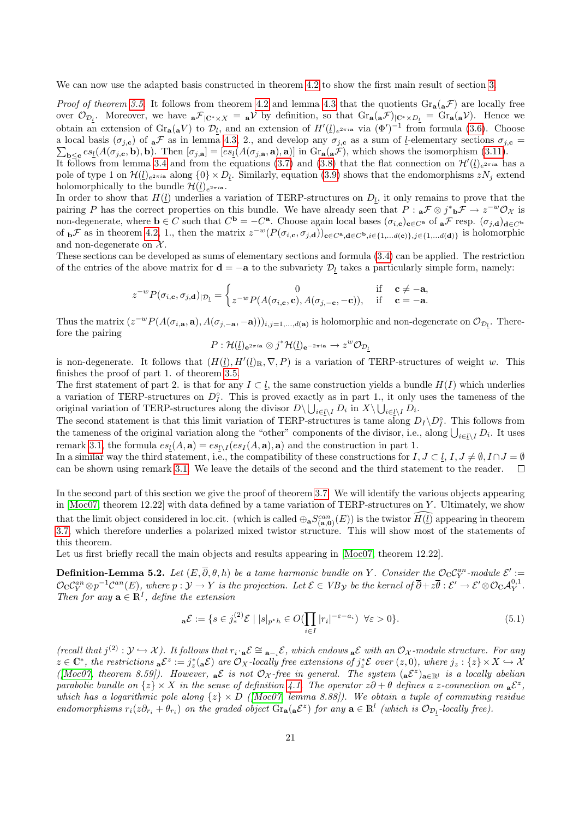We can now use the adapted basis constructed in theorem [4.2](#page-16-2) to show the first main result of section [3.](#page-10-0)

*Proof of theorem [3.5.](#page-13-1)* It follows from theorem [4.2](#page-16-2) and lemma [4.3](#page-16-3) that the quotients  $\text{Gr}_{a}({}_{a}\mathcal{F})$  are locally free over  $\mathcal{O}_{\mathcal{D}_\mathcal{L}}$ . Moreover, we have  ${}_{\mathbf{a}}\mathcal{F}_{|\mathbb{C}^*\times X} = {}_{\mathbf{a}}\mathcal{V}$  by definition, so that  $\text{Gr}_{\mathbf{a}}({}_{\mathbf{a}}\mathcal{F})_{|\mathbb{C}^*\times D_\mathcal{L}} = \text{Gr}_{\mathbf{a}}({}_{\mathbf{a}}\mathcal{V})$ . Hence we obtain an extension of  $\text{Gr}_{\mathbf{a}}(\mathbf{a}V)$  to  $\mathcal{D}_{\underline{l}}$ , and an extension of  $H'(\underline{l})_{e^{2\pi i\mathbf{a}}}$  via  $(\Phi')^{-1}$  from formula [\(3.6\)](#page-12-1). Choose a local basis  $(\sigma_{j,c})$  of  ${}_{\mathbf{a}}\mathcal{F}$  as in lemma [4.3,](#page-16-3) 2., and develop any  $\sigma_{j,c}$  as a sum of *l*-elementary sections  $\sigma_{j,c} = \sum_{\mathbf{b} \leq \mathbf{c}} \epsilon s_l(A(\sigma_{j,c}, \mathbf{b}), \mathbf{b})$ . Then  $[\sigma_{j,\mathbf{a}}] = [\epsilon s_l(A(\sigma_{j,\mathbf{a}}, \mathbf{a}), \mathbf{a$ It follows from lemma [3.4](#page-13-2) and from the equations [\(3.7\)](#page-12-2) and [\(3.8\)](#page-12-2) that the flat connection on  $\mathcal{H}'(l)_{e^{2\pi i a}}$  has a pole of type 1 on  $\mathcal{H}(l)_{e^{2\pi i a}}$  along  $\{0\} \times D_l$ . Similarly, equation [\(3.9\)](#page-12-2) shows that the endomorphisms  $zN_j$  extend

holomorphically to the bundle  $\mathcal{H}(\underline{l})_{e^{2\pi i \mathbf{a}}}$ .

In order to show that  $H(\underline{l})$  underlies a variation of TERP-structures on  $D_{\underline{l}}$ , it only remains to prove that the pairing P has the correct properties on this bundle. We have already seen that  $P: {}_{a} \mathcal{F} \otimes j^* {}_{b} \mathcal{F} \to z^{-w} \mathcal{O}_{\mathcal{X}}$  is non-degenerate, where  $\mathbf{b} \in C$  such that  $C^{\mathbf{b}} = -C^{\mathbf{a}}$ . Choose again local bases  $(\sigma_{i,\mathbf{c}})_{\mathbf{c} \in C^{\mathbf{a}}}$  of  $_{\mathbf{a}}\mathcal{F}$  resp.  $(\sigma_{j,\mathbf{d}})_{\mathbf{d} \in C^{\mathbf{b}}}$ of  ${}_{\mathbf{b}}\mathcal{F}$  as in theorem [4.2,](#page-16-2) 1., then the matrix  $z^{-w}(P(\sigma_{i,\mathbf{c}}, \sigma_{j,\mathbf{d}}))_{\mathbf{c}\in C^{\mathbf{a}},\mathbf{d}\in C^{\mathbf{b}}, i\in\{1,\dots d(\mathbf{c})\}, j\in\{1,\dots d(\mathbf{d})\}}$  is holomorphic and non-degenerate on  $\mathcal{X}$ .

These sections can be developed as sums of elementary sections and formula [\(3.4\)](#page-12-0) can be applied. The restriction of the entries of the above matrix for  $\mathbf{d} = -\mathbf{a}$  to the subvariety  $\mathcal{D}_l$  takes a particularly simple form, namely:

$$
z^{-w}P(\sigma_{i,\mathbf{c}},\sigma_{j,\mathbf{d}})|_{\mathcal{D}_L} = \begin{cases} 0 & \text{if } \mathbf{c} \neq -\mathbf{a}, \\ z^{-w}P(A(\sigma_{i,\mathbf{c}},\mathbf{c}),A(\sigma_{j,-\mathbf{c}},-\mathbf{c})), & \text{if } \mathbf{c} = -\mathbf{a}. \end{cases}
$$

Thus the matrix  $(z^{-w}P(A(\sigma_{i,\mathbf{a}}, \mathbf{a}), A(\sigma_{j,-\mathbf{a}}, -\mathbf{a})))_{i,j=1,\dots,d(\mathbf{a})}$  is holomorphic and non-degenerate on  $\mathcal{O}_{\mathcal{D}_l}$ . Therefore the pairing

$$
P: \mathcal{H}(\underline{l})_{\mathbf{e}^{2\pi i \mathbf{a}}} \otimes j^* \mathcal{H}(\underline{l})_{\mathbf{e}^{-2\pi i \mathbf{a}}} \to z^w \mathcal{O}_{\mathcal{D}_{\underline{l}}}
$$

is non-degenerate. It follows that  $(H(\underline{l}), H'(\underline{l})_R, \nabla, P)$  is a variation of TERP-structures of weight w. This finishes the proof of part 1. of theorem [3.5.](#page-13-1)

The first statement of part 2. is that for any  $I \subset \underline{l}$ , the same construction yields a bundle  $H(I)$  which underlies a variation of TERP-structures on  $D<sub>I</sub><sup>o</sup>$ . This is proved exactly as in part 1., it only uses the tameness of the original variation of TERP-structures along the divisor  $D \setminus \bigcup_{i \in \underline{l} \setminus I} D_i$  in  $X \setminus \bigcup_{i \in \underline{l} \setminus I} D_i$ .

The second statement is that this limit variation of TERP-structures is tame along  $D_I \backslash D_I^{\circ}$ . This follows from the tameness of the original variation along the "other" components of the divisor, i.e., along  $\bigcup_{i\in\mathcal{I}\setminus I} D_i$ . It uses remark [3.1,](#page-12-6) the formula  $es_l(A, \mathbf{a}) = es_{l\setminus I} (es_l(A, \mathbf{a}), \mathbf{a})$  and the construction in part 1.

In a similar way the third statement, i.e., the compatibility of these constructions for  $I, J \subset l, I, J \neq \emptyset, I \cap J = \emptyset$ can be shown using remark [3.1.](#page-12-6) We leave the details of the second and the third statement to the reader.  $\Box$ 

In the second part of this section we give the proof of theorem [3.7.](#page-14-0) We will identify the various objects appearing in  $[MoC7, theorem 12.22]$  with data defined by a tame variation of TERP-structures on Y. Ultimately, we show that the limit object considered in loc.cit. (which is called  $\oplus_{\mathbf{a}} S_{(\mathbf{a},\mathbf{0})}^{can}(E)$ ) is the twistor  $\widehat{H(\underline{l})}$  appearing in theorem [3.7,](#page-14-0) which therefore underlies a polarized mixed twistor structure. This will show most of the statements of this theorem.

Let us first briefly recall the main objects and results appearing in [\[Moc07,](#page-53-12) theorem 12.22].

**Definition-Lemma 5.2.** Let  $(E, \overline{\partial}, \theta, h)$  be a tame harmonic bundle on Y. Consider the  $\mathcal{O}_{\mathbb{C}} \mathcal{C}_{Y}^{an}$ -module  $\mathcal{E}' :=$  $\mathcal{O}_\mathbb{C}\mathcal{C}^{an}_Y\otimes p^{-1}\mathcal{C}^{an}(E),$  where  $p:\mathcal{Y}\to Y$  is the projection. Let  $\mathcal{E}\in VB_\mathcal{Y}$  be the kernel of  $\overline{\partial}+z\overline{\theta}:\mathcal{E}'\to \mathcal{E}'\otimes \mathcal{O}_\mathbb{C}\mathcal{A}_Y^{0,1}.$ Then for any  $\mathbf{a} \in \mathbb{R}^I$ , define the extension

<span id="page-20-0"></span>
$$
\mathbf{a}\mathcal{E} := \{ s \in j_*^{(2)}\mathcal{E} \mid |s|_{p^*h} \in O(\prod_{i \in I} |r_i|^{-\varepsilon - a_i}) \quad \forall \varepsilon > 0 \}. \tag{5.1}
$$

 $(recall that  $j^{(2)}: \mathcal{Y} \hookrightarrow \mathcal{X}$ ). It follows that  $r_i \cdot a\mathcal{E} \cong a_{-i}\mathcal{E}$ , which endows  $a\mathcal{E}$  with an  $\mathcal{O}_{\mathcal{X}}$ -module structure. For any$  $z \in \mathbb{C}^*$ , the restrictions  ${}_{\mathbf{a}} \mathcal{E}^z := j_z^*( {}_{\mathbf{a}} \mathcal{E})$  are  $\mathcal{O}_X$ -locally free extensions of  $j_z^* \mathcal{E}$  over  $(z,0)$ , where  $j_z : \{z\} \times X \hookrightarrow X$ ([\[Moc07,](#page-53-12) theorem 8.59]). However,  ${}_{\bf a} {\cal E}$  is not  ${\cal O}_X$ -free in general. The system  $({}_{\bf a} {\cal E}^z)_{\bf a \in \mathbb{R}^l}$  is a locally abelian parabolic bundle on  $\{z\} \times X$  in the sense of definition [4.1.](#page-16-1) The operator  $z\partial + \theta$  defines a z-connection on  ${}_{\bf a} \mathcal{E}^z$ , which has a logarithmic pole along  $\{z\} \times D$  ([\[Moc07,](#page-53-12) lemma 8.88]). We obtain a tuple of commuting residue endomorphisms  $r_i(z\partial_{r_i} + \theta_{r_i})$  on the graded object  $\text{Gr}_{\mathbf{a}}(\mathbf{a}\mathcal{E}^z)$  for any  $\mathbf{a} \in \mathbb{R}^l$  (which is  $\mathcal{O}_{\mathcal{D}_l}$ -locally free).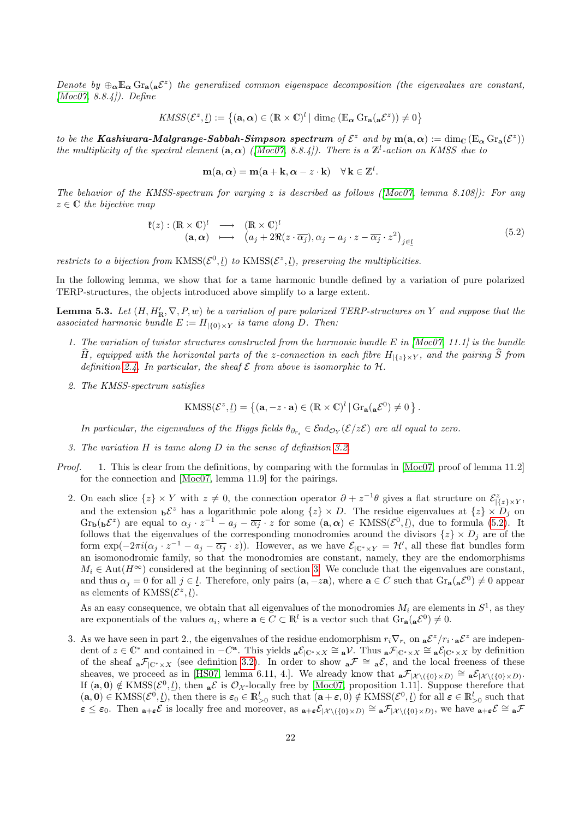Denote by  $\oplus_{\alpha} \mathbb{E}_{\alpha} G_r$  and  $(\mathcal{E}^z)$  the generalized common eigenspace decomposition (the eigenvalues are constant, [\[Moc07,](#page-53-12) 8.8.4]). Define

$$
KMSS(\mathcal{E}^z, \underline{l}) := \left\{ (\mathbf{a}, \alpha) \in (\mathbb{R} \times \mathbb{C})^l \mid \dim_{\mathbb{C}} (\mathbb{E}_{\alpha} \operatorname{Gr}_{\mathbf{a}}(\mathbf{a} \mathcal{E}^z)) \neq 0 \right\}
$$

to be the **Kashiwara-Malgrange-Sabbah-Simpson spectrum** of  $\mathcal{E}^z$  and by  $m(a, \alpha) := \dim_{\mathbb{C}} (\mathbb{E}_{\alpha} \operatorname{Gr}_a(\mathcal{E}^z))$ the multiplicity of the spectral element  $(a, \alpha)$  ([\[Moc07,](#page-53-12) 8.8.4]). There is a  $\mathbb{Z}^l$ -action on KMSS due to

$$
\mathbf{m}(\mathbf{a},\boldsymbol{\alpha}) = \mathbf{m}(\mathbf{a}+\mathbf{k},\boldsymbol{\alpha}-z\cdot\mathbf{k}) \quad \forall \,\mathbf{k}\in\mathbb{Z}^l.
$$

The behavior of the KMSS-spectrum for varying  $z$  is described as follows ([\[Moc07,](#page-53-12) lemma 8.108]): For any  $z \in \mathbb{C}$  the bijective map

<span id="page-21-0"></span>
$$
\mathfrak{k}(z) : (\mathbb{R} \times \mathbb{C})^l \longrightarrow (\mathbb{R} \times \mathbb{C})^l \n(a, \alpha) \longmapsto (a_j + 2\Re(z \cdot \overline{\alpha_j}), \alpha_j - a_j \cdot z - \overline{\alpha_j} \cdot z^2)_{j \in l}
$$
\n(5.2)

restricts to a bijection from KMSS( $\mathcal{E}^0, l$ ) to KMSS( $\mathcal{E}^z, l$ ), preserving the multiplicities.

In the following lemma, we show that for a tame harmonic bundle defined by a variation of pure polarized TERP-structures, the objects introduced above simplify to a large extent.

<span id="page-21-1"></span>**Lemma 5.3.** Let  $(H, H'_{\mathbb{R}}, \nabla, P, w)$  be a variation of pure polarized TERP-structures on Y and suppose that the associated harmonic bundle  $E := H_{\vert {\{0\} \times Y}}$  is tame along D. Then:

- 1. The variation of twistor structures constructed from the harmonic bundle E in  $[MoO7, 11.1]$  is the bundle  $\widehat{H}$ , equipped with the horizontal parts of the z-connection in each fibre  $H_{\frac{1}{2} \times Y}$ , and the pairing  $\widehat{S}$  from definition [2.4.](#page-4-2) In particular, the sheaf  $\mathcal E$  from above is isomorphic to  $\mathcal H$ .
- 2. The KMSS-spectrum satisfies

$$
KMSS(\mathcal{E}^z, \underline{l}) = \left\{ (\mathbf{a}, -z \cdot \mathbf{a}) \in (\mathbb{R} \times \mathbb{C})^l | \operatorname{Gr}_{\mathbf{a}}(\mathbf{a} \mathcal{E}^0) \neq 0 \right\}.
$$

In particular, the eigenvalues of the Higgs fields  $\theta_{\partial_{r_i}} \in End_{\mathcal{O}_Y}(\mathcal{E}/z\mathcal{E})$  are all equal to zero.

- 3. The variation H is tame along D in the sense of definition [3.2.](#page-12-3)
- Proof. 1. This is clear from the definitions, by comparing with the formulas in [\[Moc07,](#page-53-12) proof of lemma 11.2] for the connection and [\[Moc07,](#page-53-12) lemma 11.9] for the pairings.
	- 2. On each slice  $\{z\} \times Y$  with  $z \neq 0$ , the connection operator  $\partial + z^{-1}\theta$  gives a flat structure on  $\mathcal{E}^z_{|\{z\}\times Y}$ , and the extension  ${}_{\mathbf{b}}\mathcal{E}^z$  has a logarithmic pole along  $\{z\} \times D$ . The residue eigenvalues at  $\{z\} \times D_j$  on  $Gr_{\mathbf{b}}(\mathbf{b}\mathcal{E}^z)$  are equal to  $\alpha_j \cdot z^{-1} - a_j - \overline{\alpha_j} \cdot z$  for some  $(\mathbf{a}, \alpha) \in \text{KASS}(\mathcal{E}^0, \underline{l})$ , due to formula [\(5.2\)](#page-21-0). It follows that the eigenvalues of the corresponding monodromies around the divisors  $\{z\} \times D_j$  are of the form  $\exp(-2\pi i (\alpha_j \cdot z^{-1} - a_j - \overline{\alpha_j} \cdot z))$ . However, as we have  $\mathcal{E}_{|\mathbb{C}^*\times Y} = \mathcal{H}'$ , all these flat bundles form an isomonodromic family, so that the monodromies are constant, namely, they are the endomorphisms  $M_i \in \text{Aut}(H^\infty)$  considered at the beginning of section [3.](#page-10-0) We conclude that the eigenvalues are constant, and thus  $\alpha_j = 0$  for all  $j \in \underline{l}$ . Therefore, only pairs  $(a, -za)$ , where  $a \in C$  such that  $\text{Gr}_{a}(a\mathcal{E}^0) \neq 0$  appear as elements of  $KASS(\mathcal{E}^z, \underline{l}).$

As an easy consequence, we obtain that all eigenvalues of the monodromies  $M_i$  are elements in  $S^1$ , as they are exponentials of the values  $a_i$ , where  $\mathbf{a} \in C \subset \mathbb{R}^l$  is a vector such that  $\text{Gr}_{\mathbf{a}}(\mathbf{a}\mathcal{E}^0) \neq 0$ .

3. As we have seen in part 2., the eigenvalues of the residue endomorphism  $r_i \nabla_{r_i}$  on  $\mathbf{a} \mathcal{E}^z / r_i \cdot \mathbf{a} \mathcal{E}^z$  are independent of  $z \in \mathbb{C}^*$  and contained in  $-C^{\mathbf{a}}$ . This yields  ${}_{\mathbf{a}}\mathcal{E}_{|\mathbb{C}^*\times X} \cong {}_{\mathbf{a}}\mathcal{V}$ . Thus  ${}_{\mathbf{a}}\mathcal{F}_{|\mathbb{C}^*\times X} \cong {}_{\mathbf{a}}\mathcal{E}_{|\mathbb{C}^*\times X}$  by definition of the sheaf  $a\mathcal{F}|_{C^* \times X}$  (see definition [3.2\)](#page-12-3). In order to show  $a\mathcal{F} \cong a\mathcal{E}$ , and the local freeness of these sheaves, we proceed as in [\[HS07,](#page-52-8) lemma 6.11, 4.]. We already know that  $\mathbf{a} \mathcal{F}_{|\mathcal{X}\setminus (\{0\}\times D)} \cong \mathbf{a} \mathcal{E}_{|\mathcal{X}\setminus (\{0\}\times D)}$ . If  $(a, 0) \notin KMSS(\mathcal{E}^0, \underline{l})$ , then  ${}_{\bf a} \mathcal{E}$  is  $\mathcal{O}_{\mathcal{X}}$ -locally free by [\[Moc07,](#page-53-12) proposition 1.11]. Suppose therefore that  $(a, 0) \in \text{KMSS}(\mathcal{E}^0, \underline{l})$ , then there is  $\varepsilon_0 \in \mathbb{R}^l_{>0}$  such that  $(a + \varepsilon, 0) \notin \text{KMSS}(\mathcal{E}^0, \underline{l})$  for all  $\varepsilon \in \mathbb{R}^l_{>0}$  such that  $\varepsilon \leq \varepsilon_0$ . Then  $\mathbf{a}_{+\varepsilon} \mathcal{E}$  is locally free and moreover, as  $\mathbf{a}_{+\varepsilon} \mathcal{E}_{|\mathcal{X}\setminus(\{0\}\times D)} \cong \mathbf{a}_{\mathcal{F}|\mathcal{X}\setminus(\{0\}\times D)}$ , we have  $\mathbf{a}_{+\varepsilon} \mathcal{E} \cong \mathbf{a}_{\mathcal{F}|\mathcal{X}\setminus(\{0\}\times D)}$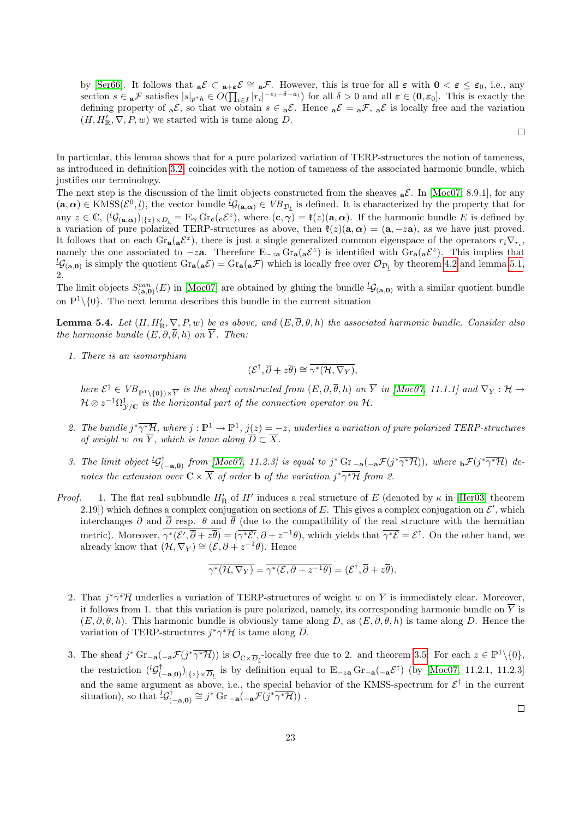by [\[Ser66\]](#page-53-14). It follows that  ${}_{a}E \subset {}_{a+{\varepsilon}}E \cong {}_{a}\mathcal{F}$ . However, this is true for all  ${\varepsilon}$  with  $0 < {\varepsilon} \leq {\varepsilon}_0$ , i.e., any section  $s \in {}_{\mathbf{a}}\mathcal{F}$  satisfies  $|s|_{p^*h} \in O(\prod_{i \in I} |r_i|^{-\varepsilon_i-\delta-a_i})$  for all  $\delta > 0$  and all  $\varepsilon \in (\mathbf{0}, \varepsilon_0]$ . This is exactly the defining property of  ${}_{a}\mathcal{E}$ , so that we obtain  $s \in {}_{a}\mathcal{E}$ . Hence  ${}_{a}\mathcal{E} = {}_{a}\mathcal{F}$ ,  ${}_{a}\mathcal{E}$  is locally free and the variation  $(H, H'_{\mathbb{R}}, \nabla, P, w)$  we started with is tame along D.

In particular, this lemma shows that for a pure polarized variation of TERP-structures the notion of tameness, as introduced in definition [3.2,](#page-12-3) coincides with the notion of tameness of the associated harmonic bundle, which justifies our terminology.

The next step is the discussion of the limit objects constructed from the sheaves  ${}_{\bf a} \mathcal{E}$ . In [\[Moc07,](#page-53-12) 8.9.1], for any  $(a, \alpha) \in \text{KMSS}(\mathcal{E}^0, \underline{l})$ , the vector bundle  ${}^{\underline{l}}\mathcal{G}_{(a,\alpha)} \in {V\!B}_{\mathcal{D}_\underline{l}}$  is defined. It is characterized by the property that for any  $z \in \mathbb{C}$ ,  $(\mathcal{L}(\mathcal{G}_{(a,\alpha)})_{|\{z\}\times D_l} = \mathbb{E}_{\gamma} \text{Gr}_{c}(c\mathcal{E}^z)$ , where  $(c,\gamma) = \mathfrak{k}(z)(a,\alpha)$ . If the harmonic bundle E is defined by a variation of pure polarized TERP-structures as above, then  $\mathfrak{k}(z)(\mathbf{a}, \alpha) = (\mathbf{a}, -z\mathbf{a})$ , as we have just proved. It follows that on each  $\text{Gr}_{\mathbf{a}}(\mathbf{a}\mathcal{E}^z)$ , there is just a single generalized common eigenspace of the operators  $r_i \nabla_{r_i}$ , namely the one associated to  $-za$ . Therefore  $\mathbb{E}_{z\mathbf{a}} \text{Gr}_{\mathbf{a}}(\mathbf{a}\mathcal{E}^z)$  is identified with  $\text{Gr}_{\mathbf{a}}(\mathbf{a}\mathcal{E}^z)$ . This implies that  ${}^l\mathcal{G}_{(a,0)}$  is simply the quotient  $\text{Gr}_{a}({}_{\mathbf{a}}\mathcal{E}) = \text{Gr}_{a}({}_{\mathbf{a}}\mathcal{F})$  which is locally free over  $\mathcal{O}_{\mathcal{D}_l}$  by theorem [4.2](#page-16-2) and lemma [5.1,](#page-19-1) 2.

The limit objects  $S_{(a,0)}^{can}(E)$  in [\[Moc07\]](#page-53-12) are obtained by gluing the bundle  ${}^l\mathcal{G}_{(a,0)}$  with a similar quotient bundle on  $\mathbb{P}^1 \setminus \{0\}$ . The next lemma describes this bundle in the current situation

**Lemma 5.4.** Let  $(H, H'_{\mathbb{R}}, \nabla, P, w)$  be as above, and  $(E, \overline{\partial}, \theta, h)$  the associated harmonic bundle. Consider also the harmonic bundle  $(E, \partial, \overline{\theta}, h)$  on  $\overline{Y}$ . Then:

1. There is an isomorphism

$$
(\mathcal{E}^{\dagger}, \overline{\partial} + z \overline{\theta}) \cong \overline{\gamma^*(\mathcal{H}, \nabla_Y)},
$$

here  $\mathcal{E}^\dagger \in VB_{\mathbb{P}^1\setminus\{0\})\times\overline{Y}}$  is the sheaf constructed from  $(E, \partial, \overline{\theta}, h)$  on  $\overline{Y}$  in [\[Moc07,](#page-53-12) 11.1.1] and  $\nabla_Y: \mathcal{H} \to$  $\mathcal{H}\otimes z^{-1}\Omega^1_{\mathcal{Y}/\mathbb{C}}$  is the horizontal part of the connection operator on  $\mathcal{H}.$ 

- 2. The bundle  $j^*\overline{\gamma^*\mathcal{H}}$ , where  $j:\mathbb{P}^1\to\mathbb{P}^1$ ,  $j(z)=-z$ , underlies a variation of pure polarized TERP-structures of weight w on  $\overline{Y}$ , which is tame along  $\overline{D} \subset \overline{X}$ .
- 3. The limit object  ${}^L\mathcal{G}_0^{\dagger}$  $\int_{(-a,0)}^{b}$  from [\[Moc07,](#page-53-12) 11.2.3] is equal to j<sup>\*</sup> Gr<sub>-a</sub>(-<sub>a</sub> $\mathcal{F}(j^*\overline{\gamma^*H})$ ), where  $\mathbf{b} \mathcal{F}(j^*\overline{\gamma^*H})$  denotes the extension over  $\mathbb{C} \times \overline{X}$  of order **b** of the variation  $j^* \overline{\gamma^* \mathcal{H}}$  from 2.
- *Proof.* 1. The flat real subbundle  $H'_{\mathbb{R}}$  of H' induces a real structure of E (denoted by  $\kappa$  in [\[Her03,](#page-52-2) theorem 2.19) which defines a complex conjugation on sections of E. This gives a complex conjugation on  $\mathcal{E}'$ , which interchanges  $\partial$  and  $\overline{\partial}$  resp.  $\theta$  and  $\overline{\theta}$  (due to the compatibility of the real structure with the hermitian metric). Moreover,  $\gamma^*(\mathcal{E}', \overline{\partial} + z\overline{\theta}) = (\overline{\gamma^*\mathcal{E}'}, \partial + z^{-1}\theta)$ , which yields that  $\overline{\gamma^*\mathcal{E}} = \mathcal{E}^{\dagger}$ . On the other hand, we already know that  $(\mathcal{H}, \nabla_Y) \cong (\mathcal{E}, \partial + z^{-1}\theta)$ . Hence

$$
\overline{\gamma^*(\mathcal{H}, \nabla_Y)} = \overline{\gamma^*(\mathcal{E}, \partial + z^{-1}\theta)} = (\mathcal{E}^\dagger, \overline{\partial} + z\overline{\theta}).
$$

- 2. That  $j^*\overline{\gamma^*\mathcal{H}}$  underlies a variation of TERP-structures of weight w on  $\overline{Y}$  is immediately clear. Moreover, it follows from 1. that this variation is pure polarized, namely, its corresponding harmonic bundle on  $\overline{Y}$  is  $(E, \partial, \overline{\theta}, h)$ . This harmonic bundle is obviously tame along  $\overline{D}$ , as  $(E, \overline{\partial}, \theta, h)$  is tame along D. Hence the variation of TERP-structures  $j^*\overline{\gamma^*\mathcal{H}}$  is tame along  $\overline{D}$ .
- 3. The sheaf  $j^*$  Gr<sub>-a</sub> $(-a\mathcal{F}(j^*\overline{\gamma^*\mathcal{H}}))$  is  $\mathcal{O}_{\mathbb{C}\times\overline{D}_l}$ -locally free due to 2. and theorem [3.5.](#page-13-1) For each  $z \in \mathbb{P}^1 \setminus \{0\}$ , the restriction  $\langle \frac{l}{c} \mathcal{G}_l^{\dagger} \rangle$  $(\mathbf{a}, \mathbf{a})|_{\{z\}\times\overline{D}_l}$  is by definition equal to  $\mathbb{E}_{z\mathbf{a}} \text{Gr}_{-\mathbf{a}}(-\mathbf{a}\mathcal{E}^{\dagger})$  (by [\[Moc07,](#page-53-12) 11.2.1, 11.2.3] and the same argument as above, i.e., the special behavior of the KMSS-spectrum for  $\mathcal{E}^{\dagger}$  in the current situation), so that  ${}^l\mathcal{G}_\ell^\dagger$  $\mathcal{F}^{\dagger}_{(-\mathbf{a},\mathbf{0})} \cong j^* \operatorname{Gr}_{-\mathbf{a}}(-\mathbf{a} \mathcal{F}(j^* \overline{\gamma^* \mathcal{H}}))$ .

 $\Box$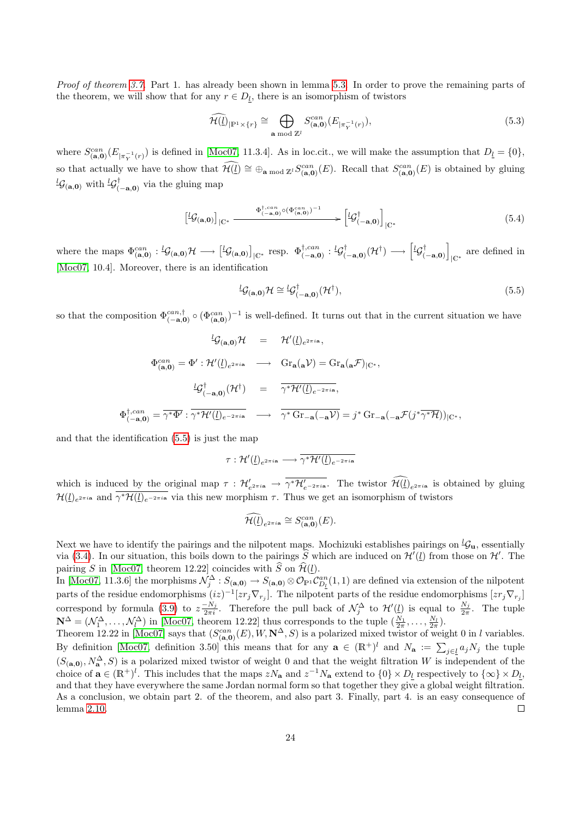Proof of theorem [3.7.](#page-14-0) Part 1. has already been shown in lemma [5.3.](#page-21-1) In order to prove the remaining parts of the theorem, we will show that for any  $r \in D_l$ , there is an isomorphism of twistors

$$
\widehat{\mathcal{H}(\underline{l})}_{|\mathbb{P}^1 \times \{r\}} \cong \bigoplus_{\mathbf{a} \bmod \mathbb{Z}^l} S_{(\mathbf{a},\mathbf{0})}^{can}(E_{|\pi_Y^{-1}(r)}),\tag{5.3}
$$

where  $S_{(a,0)}^{can}(E_{\vert \pi_Y^{-1}(r)})$  is defined in [\[Moc07,](#page-53-12) 11.3.4]. As in loc.cit., we will make the assumption that  $D_{\underline{l}} = \{0\},\$ so that actually we have to show that  $\widehat{\mathcal{H}(l)} \cong \bigoplus_{\mathbf{a} \bmod \mathbb{Z}^l} S_{(\mathbf{a},\mathbf{0})}^{can}(E)$ . Recall that  $S_{(\mathbf{a},\mathbf{0})}^{can}(E)$  is obtained by gluing  ${}^l\mathcal{G}_{(\mathbf{a},\mathbf{0})}$  with  ${}^l\mathcal{G}_0^\dagger$  $\begin{bmatrix} 0 & \text{if } \\ (-a,0) & \text{if } \text{if } a \text{ is } \end{bmatrix}$ 

$$
\left[\frac{^l\mathcal{G}_{(\mathbf{a},\mathbf{0})}}{\mathcal{G}_{(\mathbf{a},\mathbf{0})}}\right]_{|\mathbb{C}^*} \xrightarrow{\Phi_{(-\mathbf{a},\mathbf{0})}^{\dagger,can}(\Phi_{(\mathbf{a},\mathbf{0})}^{can})^{-1}} \searrow \left[\frac{l\mathcal{G}_{(-\mathbf{a},\mathbf{0})}^{\dagger}}{\mathcal{G}_{(-\mathbf{a},\mathbf{0})}}\right]_{|\mathbb{C}^*}
$$
\n(5.4)

where the maps  $\Phi_{(a,0)}^{can}: {}^l\mathcal{G}_{(a,0)}\mathcal{H} \longrightarrow [{}^l\mathcal{G}_{(a,0)}]_{|\mathbb{C}^*}$  resp.  $\Phi_{(-a,0)}^{\dagger,can}: {}^l\mathcal{G}_{(0)}^{\dagger}$  $\vec{\mathcal{G}}_{(-\mathbf{a},\mathbf{0})}^{\dagger}(\mathcal{H}^{\dagger})\longrightarrow\left[\begin{smallmatrix} \underline{l}\mathcal{G}_{(-\mathbf{a},\mathbf{0})}^{\dagger}\end{smallmatrix}\right]$  $\left. \begin{array}{c} \uparrow \ \left(-\mathbf{a},\mathbf{0}\right) \end{array} \right]$  $|C^*|$  are defined in [\[Moc07,](#page-53-12) 10.4]. Moreover, there is an identification

<span id="page-23-0"></span>
$$
{}^{\underline{l}}\mathcal{G}_{(\mathbf{a},\mathbf{0})}\mathcal{H}\cong {}^{\underline{l}}\mathcal{G}^{\dagger}_{(-\mathbf{a},\mathbf{0})}(\mathcal{H}^{\dagger}),\tag{5.5}
$$

so that the composition  $\Phi_{(-\mathbf{a},\mathbf{0})}^{can,\dagger} \circ (\Phi_{(\mathbf{a},\mathbf{0})}^{can})^{-1}$  is well-defined. It turns out that in the current situation we have

$$
\begin{array}{rcl}\n\frac{l_{\mathcal{G}(\mathbf{a},\mathbf{0})}\mathcal{H} & = & \mathcal{H}'(\underline{l})_{e^{2\pi i\mathbf{a}}}, \\
\Phi_{(\mathbf{a},\mathbf{0})}^{can} & = \Phi': \mathcal{H}'(\underline{l})_{e^{2\pi i\mathbf{a}}} & \longrightarrow & \mathrm{Gr}_{\mathbf{a}}(\mathbf{a}\mathcal{V}) = \mathrm{Gr}_{\mathbf{a}}(\mathbf{a}\mathcal{F})_{|\mathbb{C}^*}, \\
\frac{l_{\mathcal{G}}\dot{\mathbf{u}}_{(-\mathbf{a},\mathbf{0})}(\mathcal{H}^{\dagger}) & = & \overline{\gamma^*\mathcal{H}'(\underline{l})_{e^{-2\pi i\mathbf{a}}}}, \\
\Phi_{(-\mathbf{a},\mathbf{0})}^{\dagger,can} & = & \overline{\gamma^*\mathcal{H}'(\underline{l})_{e^{-2\pi i\mathbf{a}}}} & \longrightarrow & \overline{\gamma^*\mathrm{Gr}_{-\mathbf{a}}(-\mathbf{a}\mathcal{V})} = j^*\mathrm{Gr}_{-\mathbf{a}}(-\mathbf{a}\mathcal{F}(j^*\overline{\gamma^*\mathcal{H}}))_{|\mathbb{C}^*},\n\end{array}
$$

and that the identification [\(5.5\)](#page-23-0) is just the map

$$
\tau: \mathcal{H}'(\underline{l})_{e^{2\pi i \mathbf{a}}} \longrightarrow \overline{\gamma^* \mathcal{H}'(\underline{l})_{e^{-2\pi i \mathbf{a}}}}
$$

which is induced by the original map  $\tau : \mathcal{H}'_{e^{2\pi i a}} \to \overline{\gamma^* \mathcal{H}'_{e^{-2\pi i a}}}$ . The twistor  $\mathcal{H}(\underline{l})_{e^{2\pi i a}}$  is obtained by gluing  $\mathcal{H}(\underline{l})_{e^{2\pi i \mathbf{a}}}$  and  $\gamma^* \mathcal{H}(\underline{l})_{e^{-2\pi i \mathbf{a}}}$  via this new morphism  $\tau$ . Thus we get an isomorphism of twistors

$$
\widehat{\mathcal{H}(\underline{l})}_{e^{2\pi i \mathbf{a}}} \cong S^{can}_{(\mathbf{a},\mathbf{0})}(E).
$$

Next we have to identify the pairings and the nilpotent maps. Mochizuki establishes pairings on  ${}^l\mathcal{G}_{\mathbf{u}}$ , essentially via [\(3.4\)](#page-12-0). In our situation, this boils down to the pairings  $\hat{S}$  which are induced on  $\mathcal{H}'(l)$  from those on  $\mathcal{H}'$ . The pairing S in [\[Moc07,](#page-53-12) theorem 12.22] coincides with  $\widehat{S}$  on  $\widehat{\mathcal{H}}(l)$ .

In  $[{\rm Moc07, 11.3.6}]$  the morphisms  $\mathcal{N}_j^{\Delta}: S_{({\bf a}, {\bf 0})} \to S_{({\bf a}, {\bf 0})} \otimes \mathcal{O}_{\mathbb{P}^1}\mathcal{C}_{D_l}^{an}(1,1)$  are defined via extension of the nilpotent parts of the residue endomorphisms  $(iz)^{-1}[zr_j\nabla_{r_j}]$ . The nilpotent parts of the residue endomorphisms  $[zr_j\nabla_{r_j}]$ correspond by formula [\(3.9\)](#page-12-2) to  $z\frac{-N_j}{2\pi i}$ . Therefore the pull back of  $\mathcal{N}_j^{\Delta}$  to  $\mathcal{H}'(l)$  is equal to  $\frac{N_j}{2\pi}$ . The tuple  $\mathbf{N}^{\Delta} = (\mathcal{N}_1^{\Delta}, \dots, \mathcal{N}_l^{\Delta})$  in [\[Moc07,](#page-53-12) theorem 12.22] thus corresponds to the tuple  $(\frac{N_1}{2\pi}, \dots, \frac{N_l}{2\pi})$ .

Theorem 12.22 in [\[Moc07\]](#page-53-12) says that  $(S_{(a,0)}^{can}(E), W, N^{\Delta}, S)$  is a polarized mixed twistor of weight 0 in l variables. By definition [\[Moc07,](#page-53-12) definition 3.50] this means that for any  $\mathbf{a} \in (\mathbb{R}^+)^l$  and  $N_{\mathbf{a}} := \sum_{j \in \mathcal{b}} a_j N_j$  the tuple  $(S_{(a,0)}, N_a^{\Delta}, S)$  is a polarized mixed twistor of weight 0 and that the weight filtration W is independent of the choice of  $\mathbf{a} \in (\mathbb{R}^+)^l$ . This includes that the maps  $zN_{\mathbf{a}}$  and  $z^{-1}N_{\mathbf{a}}$  extend to  $\{0\} \times D_l$  respectively to  $\{\infty\} \times D_l$ , and that they have everywhere the same Jordan normal form so that together they give a global weight filtration. As a conclusion, we obtain part 2. of the theorem, and also part 3. Finally, part 4. is an easy consequence of lemma [2.10.](#page-8-0) П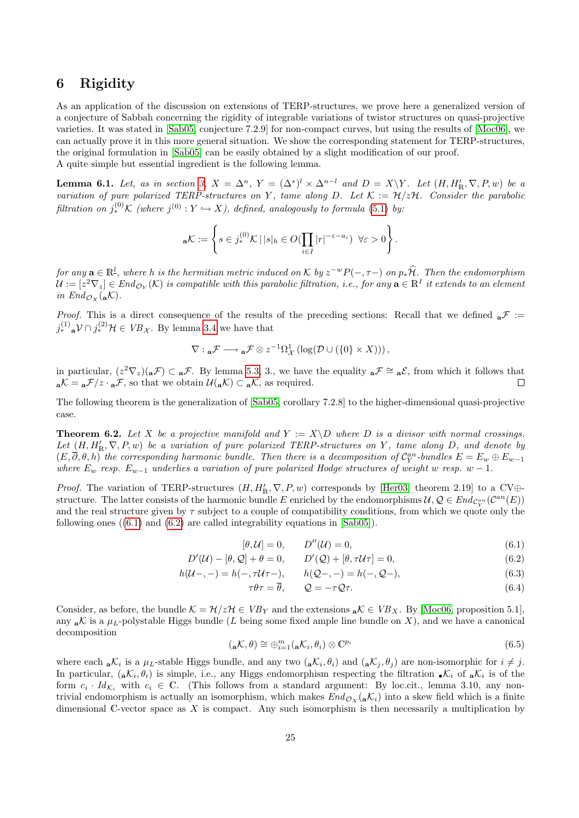### <span id="page-24-0"></span>6 Rigidity

As an application of the discussion on extensions of TERP-structures, we prove here a generalized version of a conjecture of Sabbah concerning the rigidity of integrable variations of twistor structures on quasi-projective varieties. It was stated in [\[Sab05,](#page-53-5) conjecture 7.2.9] for non-compact curves, but using the results of [\[Moc06\]](#page-53-17), we can actually prove it in this more general situation. We show the corresponding statement for TERP-structures, the original formulation in [\[Sab05\]](#page-53-5) can be easily obtained by a slight modification of our proof. A quite simple but essential ingredient is the following lemma.

**Lemma 6.1.** Let, as in section [3,](#page-10-0)  $X = \Delta^n$ ,  $Y = (\Delta^*)^l \times \Delta^{n-l}$  and  $D = X \ Y$ . Let  $(H, H'_{\mathbb{R}}, \nabla, P, w)$  be a variation of pure polarized TERP-structures on Y, tame along D. Let  $\mathcal{K} := \mathcal{H}/\mathcal{ZH}$ . Consider the parabolic filtration on  $j^{(0)}_*\mathcal{K}$  (where  $j^{(0)}: Y \hookrightarrow X$ ), defined, analogously to formula [\(5.1\)](#page-20-0) by:

$$
\mathbf{a}\mathcal{K} := \left\{ s \in j^{(0)}_*\mathcal{K} \, | \, |s|_h \in O(\prod_{i \in I} |r|^{-\varepsilon - a_i}) \ \forall \varepsilon > 0 \right\}.
$$

for any  $\mathbf{a} \in \mathbb{R}^l$ , where h is the hermitian metric induced on K by  $z^{-w}P(-, \tau-)$  on  $p_*\hat{\mathcal{H}}$ . Then the endomorphism  $\mathcal{U} := [z^2 \nabla_z] \in End_{\mathcal{O}_Y}(\mathcal{K})$  is compatible with this parabolic filtration, i.e., for any  $\mathbf{a} \in \mathbb{R}^I$  it extends to an element in  $End_{\mathcal{O}_{\mathbf{Y}}}({}_{\mathbf{a}}\mathcal{K}).$ 

*Proof.* This is a direct consequence of the results of the preceding sections: Recall that we defined  ${}_{a}\mathcal{F}$  :=  $j_{*}^{(1)}$ <sub>a</sub> $\mathcal{V} \cap j_{*}^{(2)}$  $\mathcal{H} \in VB_{\mathcal{X}}$ . By lemma [3.4](#page-13-2) we have that

$$
\nabla: {}_{\mathbf{a}}\mathcal{F} \longrightarrow {}_{\mathbf{a}}\mathcal{F} \otimes z^{-1}\Omega^1_{\mathcal{X}}\left(\log(\mathcal{D}\cup(\{0\}\times X))\right),
$$

in particular,  $(z^2 \nabla_z)(\mathbf{a} \mathcal{F}) \subset \mathbf{a} \mathcal{F}$ . By lemma [5.3,](#page-21-1) 3., we have the equality  $\mathbf{a} \mathcal{F} \cong \mathbf{a} \mathcal{E}$ , from which it follows that  $_{\mathbf{a}}\mathcal{K} =_{\mathbf{a}}\mathcal{F}/z \cdot_{\mathbf{a}}\mathcal{F}$ , so that we obtain  $\mathcal{U}(\mathbf{a}\mathcal{K}) \subset_{\mathbf{a}}\mathcal{K}$ , as required. П

The following theorem is the generalization of [\[Sab05,](#page-53-5) corollary 7.2.8] to the higher-dimensional quasi-projective case.

**Theorem 6.2.** Let X be a projective manifold and  $Y := X \ D$  where D is a divisor with normal crossings. Let  $(H, H'_{\mathbb{R}}, \nabla, P, w)$  be a variation of pure polarized TERP-structures on Y, tame along D, and denote by  $(E, \overline{\partial}, \theta, h)$  the corresponding harmonic bundle. Then there is a decomposition of  $\mathcal{C}_Y^{an}$ -bundles  $E = E_w \oplus E_{w-1}$ where  $E_w$  resp.  $E_{w-1}$  underlies a variation of pure polarized Hodge structures of weight w resp. w – 1.

*Proof.* The variation of TERP-structures  $(H, H'_{R}, \nabla, P, w)$  corresponds by [\[Her03,](#page-52-2) theorem 2.19] to a CV $\oplus$ structure. The latter consists of the harmonic bundle E enriched by the endomorphisms  $\mathcal{U}, \mathcal{Q} \in End_{\mathcal{C}_{Y}^{an}}(\mathcal{C}^{an}(E))$ and the real structure given by  $\tau$  subject to a couple of compatibility conditions, from which we quote only the following ones  $((6.1)$  $((6.1)$  and  $(6.2)$  are called integrability equations in  $[Sub05]$ .

<span id="page-24-1"></span>
$$
[\theta, \mathcal{U}] = 0, \qquad D''(\mathcal{U}) = 0,\tag{6.1}
$$

$$
D'(\mathcal{U}) - [\theta, \mathcal{Q}] + \theta = 0, \qquad D'(\mathcal{Q}) + [\theta, \tau \mathcal{U}\tau] = 0,
$$
\n
$$
(6.2)
$$

$$
h(\mathcal{U}-,-) = h(-,\tau\mathcal{U}\tau-), \qquad h(\mathcal{Q}-,-) = h(-,\mathcal{Q}-), \tag{6.3}
$$

$$
\tau \theta \tau = \overline{\theta}, \qquad Q = -\tau Q \tau. \tag{6.4}
$$

Consider, as before, the bundle  $\mathcal{K} = \mathcal{H}/z\mathcal{H} \in VB_Y$  and the extensions  ${}_{\mathbf{a}}\mathcal{K} \in VB_X$ . By [\[Moc06,](#page-53-17) proposition 5.1], any  ${}_{\mathbf{a}}\mathcal{K}$  is a  $\mu_L$ -polystable Higgs bundle (L being some fixed ample line bundle on X), and we have a canonical decomposition

<span id="page-24-2"></span>
$$
(\mathbf{a}\mathcal{K}, \theta) \cong \bigoplus_{i=1}^{m} (\mathbf{a}\mathcal{K}_i, \theta_i) \otimes \mathbb{C}^{p_i}
$$
\n(6.5)

where each  ${}_{a}K_{i}$  is a  $\mu_{L}$ -stable Higgs bundle, and any two  $({}_{a}K_{i}, \theta_{i})$  and  $({}_{a}K_{j}, \theta_{j})$  are non-isomorphic for  $i \neq j$ . In particular,  $({}_a\mathcal{K}_i, \theta_i)$  is simple, i.e., any Higgs endomorphism respecting the filtration  ${}_{\bullet}\mathcal{K}_i$  of  ${}_{a}\mathcal{K}_i$  is of the form  $c_i \cdot Id_{\mathcal{K}_i}$  with  $c_i \in \mathbb{C}$ . (This follows from a standard argument: By loc.cit., lemma 3.10, any nontrivial endomorphism is actually an isomorphism, which makes  $End_{\mathcal{O}_X}(\mathbf{a} \mathcal{K}_i)$  into a skew field which is a finite dimensional C-vector space as  $X$  is compact. Any such isomorphism is then necessarily a multiplication by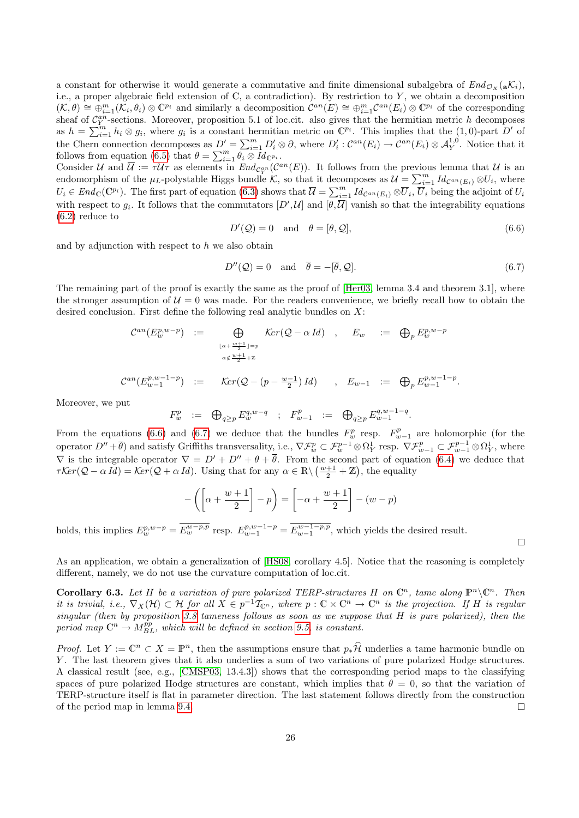a constant for otherwise it would generate a commutative and finite dimensional subalgebra of  $End_{\mathcal{O}_X}({}_{\mathbf{a}}\mathcal{K}_i)$ , i.e., a proper algebraic field extension of  $\mathbb C$ , a contradiction). By restriction to  $Y$ , we obtain a decomposition  $(\mathcal{K},\theta) \cong \bigoplus_{i=1}^m (\tilde{\mathcal{K}}_i,\theta_i) \otimes \mathbb{C}^{p_i}$  and similarly a decomposition  $\mathcal{C}^{an}(E) \cong \bigoplus_{i=1}^m \mathcal{C}^{an}(E_i) \otimes \mathbb{C}^{p_i}$  of the corresponding sheaf of  $\mathcal{C}_Y^{an}$ -sections. Moreover, proposition 5.1 of loc.cit. also gives that the hermitian metric h decomposes as  $h = \sum_{i=1}^{m} h_i \otimes g_i$ , where  $g_i$  is a constant hermitian metric on  $\mathbb{C}^{p_i}$ . This implies that the  $(1,0)$ -part  $D'$  of the Chern connection decomposes as  $D' = \sum_{i=1}^{m} D'_i \otimes \partial$ , where  $D'_i : C^{an}(E_i) \to C^{an}(E_i) \otimes A_Y^{1,0}$ . Notice that it follows from equation [\(6.5\)](#page-24-2) that  $\theta = \sum_{i=1}^{m} \theta_i \otimes \text{Id}_{\mathbb{C}^{p_i}}$ .

Consider U and  $\overline{U} := \tau U \tau$  as elements in  $End_{\mathcal{C}_{Y}^{an}}(\mathcal{C}^{an}(E))$ . It follows from the previous lemma that U is an endomorphism of the  $\mu_L$ -polystable Higgs bundle K, so that it decomposes as  $\mathcal{U} = \sum_{i=1}^m Id_{\mathcal{C}^{an}(E_i)} \otimes U_i$ , where  $U_i \in End_{\mathbb{C}}(\mathbb{C}^{p_i})$ . The first part of equation [\(6.3\)](#page-24-1) shows that  $\overline{\mathcal{U}} = \sum_{i=1}^m Id_{\mathcal{C}^{an}(E_i)} \otimes \overline{U}_i$ ,  $\overline{U}_i$  being the adjoint of  $U_i$ with respect to  $g_i$ . It follows that the commutators  $[D',\mathcal{U}]$  and  $[\theta,\overline{\mathcal{U}}]$  vanish so that the integrability equations [\(6.2\)](#page-24-1) reduce to

<span id="page-25-0"></span>
$$
D'(\mathcal{Q}) = 0 \quad \text{and} \quad \theta = [\theta, \mathcal{Q}], \tag{6.6}
$$

and by adjunction with respect to  $h$  we also obtain

<span id="page-25-1"></span>
$$
D''(\mathcal{Q}) = 0 \quad \text{and} \quad \overline{\theta} = -[\overline{\theta}, \mathcal{Q}]. \tag{6.7}
$$

 $\Box$ 

The remaining part of the proof is exactly the same as the proof of [\[Her03,](#page-52-2) lemma 3.4 and theorem 3.1], where the stronger assumption of  $\mathcal{U} = 0$  was made. For the readers convenience, we briefly recall how to obtain the desired conclusion. First define the following real analytic bundles on  $X$ :

$$
\mathcal{C}^{an}(E_w^{p,w-p}) := \bigoplus_{\substack{\alpha + \frac{w+1}{2} \mid p \\ \alpha \notin \frac{w+1}{2} + \mathbb{Z}}} \mathcal{K}er(\mathcal{Q} - \alpha Id) , \quad E_w := \bigoplus_{p} E_w^{p,w-p}
$$
  

$$
\mathcal{C}^{an}(E_{w-1}^{p,w-1-p}) := \mathcal{K}er(\mathcal{Q} - (p - \frac{w-1}{2})Id) , \quad E_{w-1} := \bigoplus_{p} E_{w-1}^{p,w-1-p}.
$$

Moreover, we put

$$
F_w^p \ := \ \bigoplus_{q \geq p} E_w^{q, w-q} \quad ; \quad F_{w-1}^p \ := \ \bigoplus_{q \geq p} E_{w-1}^{q, w-1-q}.
$$

From the equations [\(6.6\)](#page-25-0) and [\(6.7\)](#page-25-1) we deduce that the bundles  $F_w^p$  resp.  $F_{w-1}^p$  are holomorphic (for the operator  $D'' + \overline{\theta}$  and satisfy Griffiths transversality, i.e.,  $\nabla \mathcal{F}_w^p \subset \mathcal{F}_w^{p-1} \otimes \Omega_Y^1$  resp.  $\nabla \mathcal{F}_{w-1}^p \subset \mathcal{F}_{w-1}^{p-1} \otimes \Omega_Y^1$ , where  $\nabla$  is the integrable operator  $\nabla = D' + D'' + \theta + \overline{\theta}$ . From the second part of equation [\(6.4\)](#page-24-1) we deduce that  $\tau \text{Ker}(\mathcal{Q} - \alpha Id) = \text{Ker}(\mathcal{Q} + \alpha Id)$ . Using that for any  $\alpha \in \mathbb{R} \setminus \left(\frac{w+1}{2} + \mathbb{Z}\right)$ , the equality

$$
-\left(\left[\alpha + \frac{w+1}{2}\right] - p\right) = \left[-\alpha + \frac{w+1}{2}\right] - (w-p)
$$

$$
-\overline{F^{w-p,p}} \text{ non } F^{p,w-1-p} - \overline{F^{w-1-p,p}} \text{ which yields the desired result}
$$

holds, this implies  $E_w^{p,w-p} = E$  $w^{w-p,p}$  resp.  $E_{w-1}^{p,w-1-p} = E$ w−1−p,p w−1 , which yields the desired result.

As an application, we obtain a generalization of [\[HS08,](#page-52-9) corollary 4.5]. Notice that the reasoning is completely different, namely, we do not use the curvature computation of loc.cit.

**Corollary 6.3.** Let H be a variation of pure polarized TERP-structures H on  $\mathbb{C}^n$ , tame along  $\mathbb{P}^n \backslash \mathbb{C}^n$ . Then it is trivial, i.e.,  $\nabla_X(\mathcal{H}) \subset \mathcal{H}$  for all  $X \in p^{-1} \mathcal{I}_{\mathbb{C}^n}$ , where  $p: \mathbb{C} \times \mathbb{C}^n \to \mathbb{C}^n$  is the projection. If H is regular singular (then by proposition [3.8](#page-15-1) tameness follows as soon as we suppose that H is pure polarized), then the period map  $\mathbb{C}^n \to M^{pp}_{BL}$ , which will be defined in section [9.5,](#page-49-0) is constant.

*Proof.* Let  $Y := \mathbb{C}^n \subset X = \mathbb{P}^n$ , then the assumptions ensure that  $p_*\hat{\mathcal{H}}$  underlies a tame harmonic bundle on Y. The last theorem gives that it also underlies a sum of two variations of pure polarized Hodge structures. A classical result (see, e.g., [\[CMSP03,](#page-52-14) 13.4.3]) shows that the corresponding period maps to the classifying spaces of pure polarized Hodge structures are constant, which implies that  $\theta = 0$ , so that the variation of TERP-structure itself is flat in parameter direction. The last statement follows directly from the construction of the period map in lemma [9.4.](#page-49-1)  $\Box$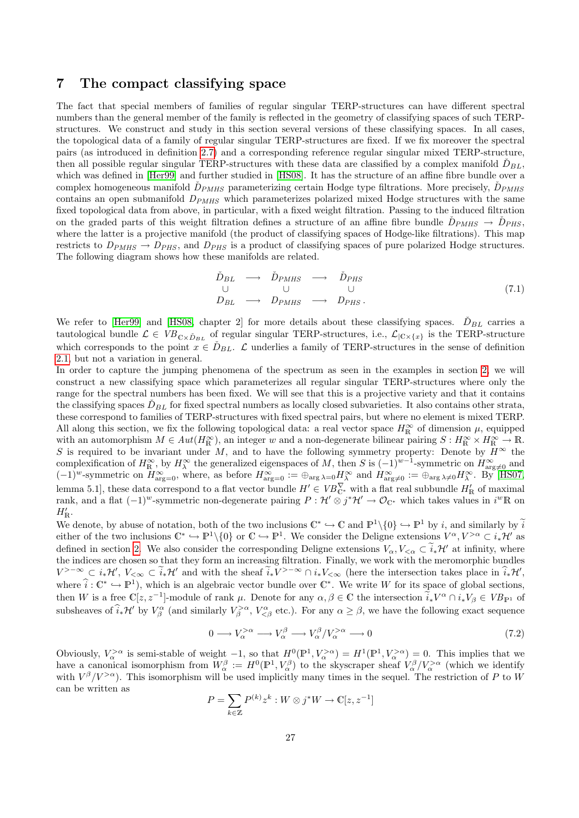### <span id="page-26-0"></span>7 The compact classifying space

The fact that special members of families of regular singular TERP-structures can have different spectral numbers than the general member of the family is reflected in the geometry of classifying spaces of such TERPstructures. We construct and study in this section several versions of these classifying spaces. In all cases, the topological data of a family of regular singular TERP-structures are fixed. If we fix moreover the spectral pairs (as introduced in definition [2.7\)](#page-6-1) and a corresponding reference regular singular mixed TERP-structure, then all possible regular singular TERP-structures with these data are classified by a complex manifold  $\tilde{D}_{BL}$ , which was defined in [\[Her99\]](#page-52-1) and further studied in [\[HS08\]](#page-52-9). It has the structure of an affine fibre bundle over a complex homogeneous manifold  $\tilde{D}_{PMHS}$  parameterizing certain Hodge type filtrations. More precisely,  $\tilde{D}_{PMHS}$ contains an open submanifold  $D_{PMHS}$  which parameterizes polarized mixed Hodge structures with the same fixed topological data from above, in particular, with a fixed weight filtration. Passing to the induced filtration on the graded parts of this weight filtration defines a structure of an affine fibre bundle  $\tilde{D}_{PMHS} \rightarrow \tilde{D}_{PHS}$ , where the latter is a projective manifold (the product of classifying spaces of Hodge-like filtrations). This map restricts to  $D_{PMHS} \rightarrow D_{PHS}$ , and  $D_{PHS}$  is a product of classifying spaces of pure polarized Hodge structures. The following diagram shows how these manifolds are related.

$$
\begin{array}{ccccccc}\n\check{D}_{BL} & \longrightarrow & \check{D}_{PMHS} & \longrightarrow & \check{D}_{PHS} \\
\cup & & \cup & & \cup \\
D_{BL} & \longrightarrow & D_{PMHS} & \longrightarrow & D_{PHS}.\n\end{array} \tag{7.1}
$$

We refer to [\[Her99\]](#page-52-1) and [\[HS08,](#page-52-9) chapter 2] for more details about these classifying spaces.  $\tilde{D}_{BL}$  carries a tautological bundle  $\mathcal{L} \in VB_{\mathbb{C}\times \check{D}_{BL}}$  of regular singular TERP-structures, i.e.,  $\mathcal{L}_{|\mathbb{C}\times\{x\}}$  is the TERP-structure which corresponds to the point  $x \in \check{D}_{BL}$ .  $\mathcal L$  underlies a family of TERP-structures in the sense of definition [2.1,](#page-3-1) but not a variation in general.

In order to capture the jumping phenomena of the spectrum as seen in the examples in section [2,](#page-3-0) we will construct a new classifying space which parameterizes all regular singular TERP-structures where only the range for the spectral numbers has been fixed. We will see that this is a projective variety and that it contains the classifying spaces  $D_{BL}$  for fixed spectral numbers as locally closed subvarieties. It also contains other strata, these correspond to families of TERP-structures with fixed spectral pairs, but where no element is mixed TERP. All along this section, we fix the following topological data: a real vector space  $H_{\rm R}^{\infty}$  of dimension  $\mu$ , equipped with an automorphism  $M \in Aut(H_{\mathbb{R}}^{\infty})$ , an integer w and a non-degenerate bilinear pairing  $S: H_{\mathbb{R}}^{\infty} \times H_{\mathbb{R}}^{\infty} \to \mathbb{R}$ . S is required to be invariant under M, and to have the following symmetry property: Denote by  $\overline{H}^{\infty}$  the complexification of  $H_{\mathbb{R}}^{\infty}$ , by  $H_{\lambda}^{\infty}$  the generalized eigenspaces of M, then S is  $(-1)^{w-1}$ -symmetric on  $H_{\arg\neq0}^{\infty}$  and  $(-1)^w$ -symmetric on  $H_{\text{arg}=0}^{\infty}$ , where, as before  $H_{\text{arg}=0}^{\infty} := \bigoplus_{\text{arg }\lambda=0} H_{\lambda}^{\infty}$  and  $H_{\text{arg}\neq 0}^{\infty} := \bigoplus_{\text{arg }\lambda\neq 0} H_{\lambda}^{\infty}$ . By [\[HS07,](#page-52-8) lemma 5.1], these data correspond to a flat vector bundle  $H' \in VB^{\nabla}_{\mathbb{C}^*}$  with a flat real subbundle  $H'_R$  of maximal rank, and a flat  $(-1)^w$ -symmetric non-degenerate pairing  $P: \mathcal{H}' \otimes j^* \mathcal{H}' \to \mathcal{O}_{\mathbb{C}^*}$  which takes values in  $i^w \mathbb{R}$  on  $H'_{\mathbb{R}}$ .

We denote, by abuse of notation, both of the two inclusions  $\mathbb{C}^* \hookrightarrow \mathbb{C}$  and  $\mathbb{P}^1 \setminus \{0\} \hookrightarrow \mathbb{P}^1$  by i, and similarly by  $\tilde{i}$ either of the two inclusions  $\mathbb{C}^* \hookrightarrow \mathbb{P}^1 \setminus \{0\}$  or  $\mathbb{C} \hookrightarrow \mathbb{P}^1$ . We consider the Deligne extensions  $V^{\alpha}, V^{>\alpha} \subset i_*\mathcal{H}'$  as defined in section [2.](#page-3-0) We also consider the corresponding Deligne extensions  $V_\alpha, V_{\alpha} \subset \tilde{i}_* \mathcal{H}'$  at infinity, where the indices are chosen so that they form an increasing filtration. Finally, we work with the meromorphic bundles  $V^{>-\infty} \subset i_*\mathcal{H}'$ ,  $V_{<\infty} \subset \tilde{i}_*\mathcal{H}'$  and with the sheaf  $\tilde{i}_*V^{>-\infty} \cap i_*V_{<\infty}$  (here the intersection takes place in  $\hat{i}_*\mathcal{H}'$ , where  $\hat{i}: \mathbb{C}^* \to \mathbb{P}^1$ , which is an algebraic vector bundle over  $\mathbb{C}^*$ . We write W for its space of global sections, then W is a free  $\mathbb{C}[z, z^{-1}]$ -module of rank  $\mu$ . Denote for any  $\alpha, \beta \in \mathbb{C}$  the intersection  $\widetilde{i}_* V^\alpha \cap i_* V_\beta \in VB_{\mathbb{P}^1}$  of subsheaves of  $\hat{i}_* \mathcal{H}'$  by  $V_\beta^\alpha$  (and similarly  $V_\beta^{>\alpha}$ ,  $V_{<\beta}^\alpha$  etc.). For any  $\alpha \geq \beta$ , we have the following exact sequence

$$
0 \longrightarrow V_{\alpha}^{>\alpha} \longrightarrow V_{\alpha}^{\beta} \longrightarrow V_{\alpha}^{\beta}/V_{\alpha}^{>\alpha} \longrightarrow 0
$$
\n
$$
(7.2)
$$

Obviously,  $V_\alpha^{>\alpha}$  is semi-stable of weight -1, so that  $H^0(\mathbb{P}^1, V_\alpha^{>\alpha}) = H^1(\mathbb{P}^1, V_\alpha^{>\alpha}) = 0$ . This implies that we have a canonical isomorphism from  $W^{\beta}_{\alpha} := H^0(\mathbb{P}^1, V^{\beta}_{\alpha})$  to the skyscraper sheaf  $V^{\beta}_{\alpha}/V^{\geq \alpha}_{\alpha}$  (which we identify with  $V^{\beta}/V^{>\alpha}$ ). This isomorphism will be used implicitly many times in the sequel. The restriction of P to W can be written as

$$
P = \sum_{k \in \mathbb{Z}} P^{(k)} z^k : W \otimes j^* W \to \mathbb{C}[z, z^{-1}]
$$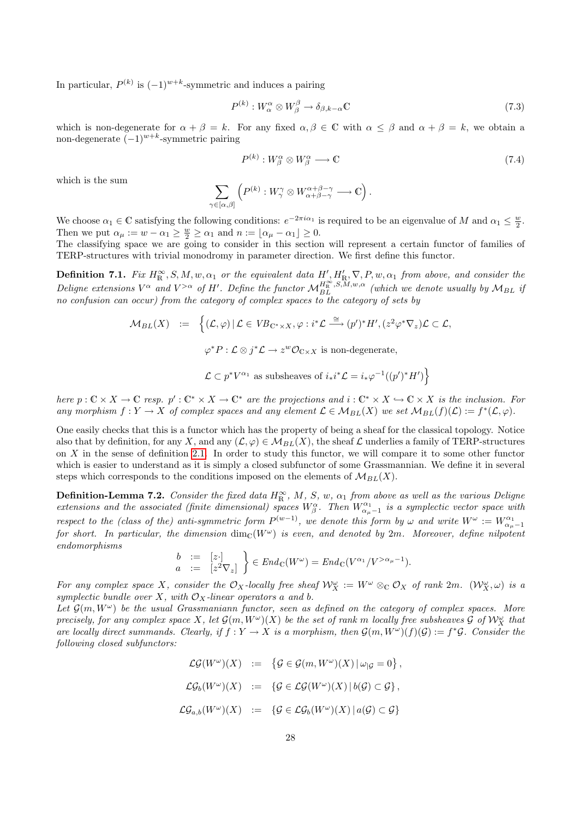In particular,  $P^{(k)}$  is  $(-1)^{w+k}$ -symmetric and induces a pairing

<span id="page-27-2"></span>
$$
P^{(k)}: W_{\alpha}^{\alpha} \otimes W_{\beta}^{\beta} \to \delta_{\beta, k-\alpha} \mathbb{C}
$$
\n
$$
(7.3)
$$

which is non-degenerate for  $\alpha + \beta = k$ . For any fixed  $\alpha, \beta \in \mathbb{C}$  with  $\alpha \leq \beta$  and  $\alpha + \beta = k$ , we obtain a non-degenerate  $(-1)^{w+k}$ -symmetric pairing

<span id="page-27-0"></span>
$$
P^{(k)}: W^{\alpha}_{\beta} \otimes W^{\alpha}_{\beta} \longrightarrow \mathbb{C}
$$
\n
$$
(7.4)
$$

which is the sum

$$
\sum_{\gamma \in [\alpha,\beta]} \left( P^{(k)} : W_{\gamma}^{\gamma} \otimes W_{\alpha+\beta-\gamma}^{\alpha+\beta-\gamma} \longrightarrow \mathbb{C} \right).
$$

We choose  $\alpha_1 \in \mathbb{C}$  satisfying the following conditions:  $e^{-2\pi i \alpha_1}$  is required to be an eigenvalue of M and  $\alpha_1 \leq \frac{w}{2}$ . Then we put  $\alpha_{\mu} := w - \alpha_1 \ge \frac{w}{2} \ge \alpha_1$  and  $n := \lfloor \alpha_{\mu} - \alpha_1 \rfloor \ge 0$ .

The classifying space we are going to consider in this section will represent a certain functor of families of TERP-structures with trivial monodromy in parameter direction. We first define this functor.

<span id="page-27-1"></span>**Definition 7.1.** Fix  $H_{\mathbb{R}}^{\infty}$ , S, M, w,  $\alpha_1$  or the equivalent data  $H', H'_{\mathbb{R}}$ ,  $\nabla$ ,  $P, w, \alpha_1$  from above, and consider the Deligne extensions  $V^{\alpha}$  and  $V^{>\alpha}$  of H'. Define the functor  $\mathcal{M}_{BL}^{H^{\infty}_{\rm R},S,\tilde{M},w,\alpha}$  (which we denote usually by  $M_{BL}$  if no confusion can occur) from the category of complex spaces to the category of sets by

$$
\mathcal{M}_{BL}(X) \quad := \quad \Big\{ (\mathcal{L}, \varphi) \, | \, \mathcal{L} \in VB_{\mathbb{C}^* \times X}, \varphi : i^* \mathcal{L} \stackrel{\cong}{\longrightarrow} (p')^* H', (z^2 \varphi^* \nabla_z) \mathcal{L} \subset \mathcal{L},
$$

 $\varphi^* P : \mathcal{L} \otimes j^* \mathcal{L} \to z^w \mathcal{O}_{\mathbb{C} \times X}$  is non-degenerate,

 $\mathcal{L} \subset p^*V^{\alpha_1}$  as subsheaves of  $i_*i^*\mathcal{L} = i_*\varphi^{-1}((p')^*H')$ 

here  $p: \mathbb{C} \times X \to \mathbb{C}$  resp.  $p': \mathbb{C}^* \times X \to \mathbb{C}^*$  are the projections and  $i: \mathbb{C}^* \times X \to \mathbb{C} \times X$  is the inclusion. For any morphism  $f: Y \to X$  of complex spaces and any element  $\mathcal{L} \in \mathcal{M}_{BL}(X)$  we set  $\mathcal{M}_{BL}(f)(\mathcal{L}) := f^*(\mathcal{L}, \varphi)$ .

One easily checks that this is a functor which has the property of being a sheaf for the classical topology. Notice also that by definition, for any X, and any  $(\mathcal{L}, \varphi) \in \mathcal{M}_{BL}(X)$ , the sheaf  $\mathcal L$  underlies a family of TERP-structures on X in the sense of definition [2.1.](#page-3-1) In order to study this functor, we will compare it to some other functor which is easier to understand as it is simply a closed subfunctor of some Grassmannian. We define it in several steps which corresponds to the conditions imposed on the elements of  $\mathcal{M}_{BL}(X)$ .

**Definition-Lemma 7.2.** Consider the fixed data  $H_{\mathbb{R}}^{\infty}$ , M, S, w,  $\alpha_1$  from above as well as the various Deligne extensions and the associated (finite dimensional) spaces  $W^{\alpha}_{\beta}$ . Then  $W^{\alpha_1}_{\alpha_{\mu}-1}$  is a symplectic vector space with respect to the (class of the) anti-symmetric form  $P^{(w-1)}$ , we denote this form by  $\omega$  and write  $W^{\omega} := W^{\alpha_1}_{\alpha_{\mu}-1}$ <br>for short. In particular, the dimension  $\dim_{\mathbb{C}}(W^{\omega})$  is even, and denoted by  $2m$ . Moreover, endomorphisms

$$
\begin{array}{lll}\nb & := & [z \cdot] \\
a & := & [z^2 \nabla_z] \\
\end{array}\n\bigg\} \in End_{\mathbb{C}}(W^{\omega}) = End_{\mathbb{C}}(V^{\alpha_1}/V^{>\alpha_{\mu}-1}).
$$

For any complex space X, consider the  $\mathcal{O}_X$ -locally free sheaf  $\mathcal{W}_X^{\omega} := W^{\omega} \otimes_{\mathbb{C}} \mathcal{O}_X$  of rank  $2m$ .  $(\mathcal{W}_X^{\omega}, \omega)$  is a symplectic bundle over X, with  $\mathcal{O}_X$ -linear operators a and b.

Let  $\mathcal{G}(m, W^{\omega})$  be the usual Grassmaniann functor, seen as defined on the category of complex spaces. More precisely, for any complex space X, let  $\mathcal{G}(m, W^{\omega})(X)$  be the set of rank m locally free subsheaves  $\mathcal G$  of  $\mathcal W_{X}^{\omega}$  that are locally direct summands. Clearly, if  $f: Y \to X$  is a morphism, then  $\mathcal{G}(m, W^{\omega})(f)(\mathcal{G}) := f^*\mathcal{G}$ . Consider the following closed subfunctors:

$$
\mathcal{LG}(W^{\omega})(X) := \{ \mathcal{G} \in \mathcal{G}(m, W^{\omega})(X) \mid \omega_{|\mathcal{G}} = 0 \},
$$
  

$$
\mathcal{LG}_b(W^{\omega})(X) := \{ \mathcal{G} \in \mathcal{LG}(W^{\omega})(X) \mid b(\mathcal{G}) \subset \mathcal{G} \},
$$
  

$$
\mathcal{LG}_{a,b}(W^{\omega})(X) := \{ \mathcal{G} \in \mathcal{LG}_b(W^{\omega})(X) \mid a(\mathcal{G}) \subset \mathcal{G} \}
$$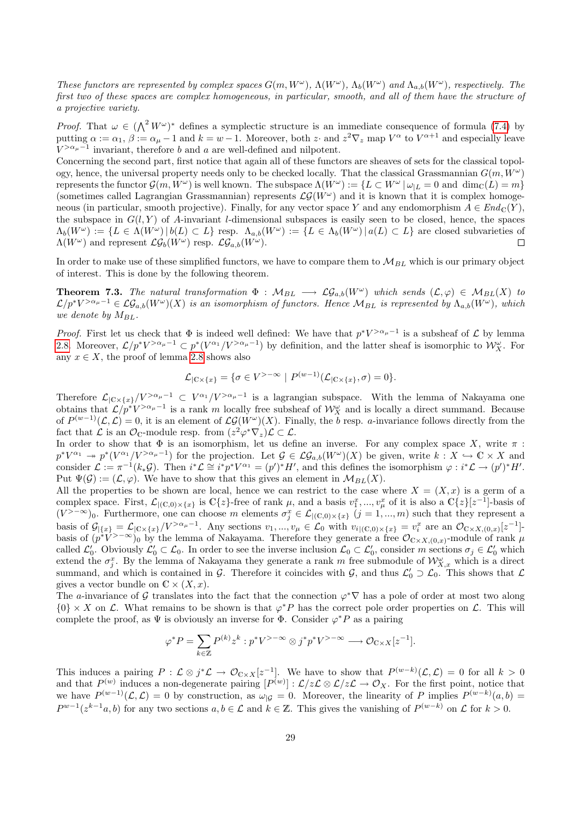These functors are represented by complex spaces  $G(m, W^{\omega})$ ,  $\Lambda(W^{\omega})$ ,  $\Lambda_b(W^{\omega})$  and  $\Lambda_{a,b}(W^{\omega})$ , respectively. The first two of these spaces are complex homogeneous, in particular, smooth, and all of them have the structure of a projective variety.

*Proof.* That  $\omega \in (\bigwedge^2 W^{\omega})^*$  defines a symplectic structure is an immediate consequence of formula [\(7.4\)](#page-27-0) by putting  $\alpha := \alpha_1, \beta := \alpha_{\mu} - 1$  and  $k = w - 1$ . Moreover, both z· and  $z^2 \nabla_z$  map  $V^{\alpha}$  to  $V^{\alpha+1}$  and especially leave  $V^{> \alpha_{\mu}-1}$  invariant, therefore b and a are well-defined and nilpotent.

Concerning the second part, first notice that again all of these functors are sheaves of sets for the classical topology, hence, the universal property needs only to be checked locally. That the classical Grassmannian  $G(m, W^{\omega})$ represents the functor  $\mathcal{G}(m, W^{\omega})$  is well known. The subspace  $\Lambda(W^{\omega}) := \{ L \subset W^{\omega} \mid \omega_{|L} = 0 \text{ and } \dim_{\mathbb{C}}(L) = m \}$ (sometimes called Lagrangian Grassmannian) represents  $\mathcal{LG}(W^{\omega})$  and it is known that it is complex homogeneous (in particular, smooth projective). Finally, for any vector space Y and any endomorphism  $A \in End_{\mathbb{C}}(Y)$ , the subspace in  $G(l, Y)$  of A-invariant l-dimensional subspaces is easily seen to be closed, hence, the spaces  $\Lambda_b(W^\omega) := \{L \in \Lambda(W^\omega) \mid b(L) \subset L\}$  resp.  $\Lambda_{a,b}(W^\omega) := \{L \in \Lambda_b(W^\omega) \mid a(L) \subset L\}$  are closed subvarieties of  $\Lambda(W^{\omega})$  and represent  $\mathcal{LG}_b(W^{\omega})$  resp.  $\mathcal{LG}_{a,b}(W^{\omega})$ .  $\Box$ 

In order to make use of these simplified functors, we have to compare them to  $M_{BL}$  which is our primary object of interest. This is done by the following theorem.

<span id="page-28-0"></span>**Theorem 7.3.** The natural transformation  $\Phi : \mathcal{M}_{BL} \longrightarrow \mathcal{LG}_{a,b}(W^{\omega})$  which sends  $(\mathcal{L}, \varphi) \in \mathcal{M}_{BL}(X)$  to  $\mathcal{L}/p^*V^{>\alpha_\mu-1}\in\mathcal{LG}_{a,b}(W^\omega)(X)$  is an isomorphism of functors. Hence  $\mathcal{M}_{BL}$  is represented by  $\Lambda_{a,b}(W^\omega)$ , which we denote by  $M_{BL}$ .

*Proof.* First let us check that  $\Phi$  is indeed well defined: We have that  $p^*V^{>\alpha_{\mu}-1}$  is a subsheaf of  $\mathcal L$  by lemma [2.8.](#page-7-0) Moreover,  $\mathcal{L}/p^*V^{>\alpha_\mu-1} \subset p^*(V^{\alpha_1}/V^{>\alpha_\mu-1})$  by definition, and the latter sheaf is isomorphic to  $\mathcal{W}_X^{\omega}$ . For any  $x \in X$ , the proof of lemma [2.8](#page-7-0) shows also

$$
\mathcal{L}_{|\mathbb{C}\times\{x\}} = \{\sigma \in V^{>-\infty} \mid P^{(w-1)}(\mathcal{L}_{|\mathbb{C}\times\{x\}}, \sigma) = 0\}.
$$

Therefore  $\mathcal{L}_{|\mathbb{C}\times\{x\}}/V^{>\alpha_{\mu}-1} \subset V^{\alpha_1}/V^{>\alpha_{\mu}-1}$  is a lagrangian subspace. With the lemma of Nakayama one obtains that  $\mathcal{L}/p^*V^{>\alpha_{\mu}-1}$  is a rank m locally free subsheaf of  $\mathcal{W}_X^{\omega}$  and is locally a direct summand. Because of  $P^{(w-1)}(\mathcal{L},\mathcal{L})=0$ , it is an element of  $\mathcal{LG}(W^{\omega})(X)$ . Finally, the b resp. a-invariance follows directly from the fact that  $\mathcal L$  is an  $\mathcal O_{\mathbb C}$ -module resp. from  $(z^2\varphi^*\nabla_z)\mathcal L \subset \mathcal L$ .

In order to show that  $\Phi$  is an isomorphism, let us define an inverse. For any complex space X, write  $\pi$ :  $p^*V^{\alpha_1} \twoheadrightarrow p^*(V^{\alpha_1}/V^{>\alpha_{\mu}-1})$  for the projection. Let  $\mathcal{G} \in \mathcal{LG}_{a,b}(W^{\omega})(X)$  be given, write  $k: X \hookrightarrow \mathbb{C} \times X$  and consider  $\mathcal{L} := \pi^{-1}(k_*\mathcal{G})$ . Then  $i^*\mathcal{L} \cong i^*p^*V^{\alpha_1} = (p')^*H'$ , and this defines the isomorphism  $\varphi : i^*\mathcal{L} \to (p')^*H'$ . Put  $\Psi(\mathcal{G}) := (\mathcal{L}, \varphi)$ . We have to show that this gives an element in  $\mathcal{M}_{BL}(X)$ .

All the properties to be shown are local, hence we can restrict to the case where  $X = (X, x)$  is a germ of a complex space. First,  $\mathcal{L}_{|(C,0)\times\{x\}}$  is  $\mathbb{C}\{z\}$ -free of rank  $\mu$ , and a basis  $v_1^x, ..., v_\mu^x$  of it is also a  $\mathbb{C}\{z\}[z^{-1}]$ -basis of  $(V^{>-\infty})_0$ . Furthermore, one can choose m elements  $\sigma_j^x \in \mathcal{L}_{|(\mathbb{C},0)\times\{x\}}$   $(j=1,...,m)$  such that they represent a basis of  $\mathcal{G}_{|\{x\}} = \mathcal{L}_{|\mathbb{C}\times\{x\}}/V^{>\alpha_{\mu}-1}$ . Any sections  $v_1, ..., v_{\mu} \in \mathcal{L}_0$  with  $v_{i|(\mathbb{C},0)\times\{x\}} = v_i^x$  are an  $\mathcal{O}_{\mathbb{C}\times X,(0,x)}[z^{-1}]$ basis of  $(p^*V^{>-\infty})_0$  by the lemma of Nakayama. Therefore they generate a free  $\mathcal{O}_{C\times X,(0,x)}$ -module of rank  $\mu$ called  $\mathcal{L}'_0$ . Obviously  $\mathcal{L}'_0 \subset \mathcal{L}_0$ . In order to see the inverse inclusion  $\mathcal{L}_0 \subset \mathcal{L}'_0$ , consider m sections  $\sigma_j \in \mathcal{L}'_0$  which extend the  $\sigma_j^x$ . By the lemma of Nakayama they generate a rank m free submodule of  $\mathcal{W}_{X,x}^{\omega}$  which is a direct summand, and which is contained in G. Therefore it coincides with  $\mathcal{G}$ , and thus  $\mathcal{L}'_0 \supset \mathcal{L}_0$ . This shows that  $\mathcal{L}$ gives a vector bundle on  $\mathbb{C} \times (X, x)$ .

The a-invariance of G translates into the fact that the connection  $\varphi^*\nabla$  has a pole of order at most two along  ${0} \times X$  on  $\mathcal{L}$ . What remains to be shown is that  $\varphi^* P$  has the correct pole order properties on  $\mathcal{L}$ . This will complete the proof, as  $\Psi$  is obviously an inverse for  $\Phi$ . Consider  $\varphi^* P$  as a pairing

$$
\varphi^* P = \sum_{k \in \mathbb{Z}} P^{(k)} z^k : p^* V^{> - \infty} \otimes j^* p^* V^{> - \infty} \longrightarrow \mathcal{O}_{\mathbb{C} \times X} [z^{-1}].
$$

This induces a pairing  $P: \mathcal{L} \otimes j^* \mathcal{L} \to \mathcal{O}_{\mathbb{C} \times X}[z^{-1}]$ . We have to show that  $P^{(w-k)}(\mathcal{L}, \mathcal{L}) = 0$  for all  $k > 0$ and that  $P^{(w)}$  induces a non-degenerate pairing  $[P^{(w)}]: \mathcal{L}/z\mathcal{L} \otimes \mathcal{L}/z\mathcal{L} \to \mathcal{O}_X$ . For the first point, notice that we have  $P^{(w-1)}(\mathcal{L}, \mathcal{L}) = 0$  by construction, as  $\omega_{|\mathcal{G}} = 0$ . Moreover, the linearity of P implies  $P^{(w-k)}(a, b) =$  $P^{w-1}(z^{k-1}a, b)$  for any two sections  $a, b \in \mathcal{L}$  and  $k \in \mathbb{Z}$ . This gives the vanishing of  $P^{(w-k)}$  on  $\mathcal{L}$  for  $k > 0$ .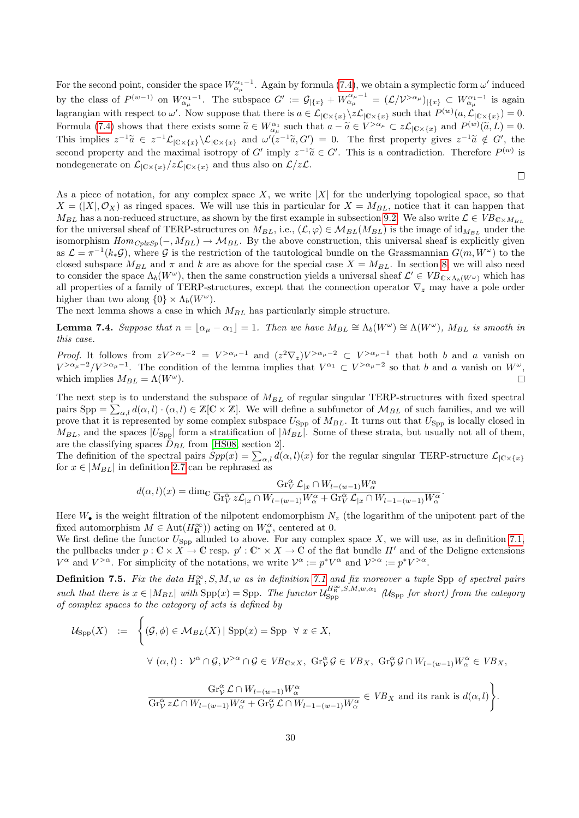For the second point, consider the space  $W_{\alpha_\mu}^{\alpha_1-1}$ . Again by formula [\(7.4\)](#page-27-0), we obtain a symplectic form  $\omega'$  induced by the class of  $P^{(w-1)}$  on  $W_{\alpha_\mu}^{\alpha_1-1}$ . The subspace  $G' := \mathcal{G}_{|\{x\}} + W_{\alpha_\mu}^{\alpha_\mu-1} = (\mathcal{L}/\mathcal{V}^{>\alpha_\mu})_{|\{x\}} \subset W_{\alpha_\mu}^{\alpha_1-1}$  is again lagrangian with respect to  $\omega'$ . Now suppose that there is  $a \in \mathcal{L}_{|\mathbb{C} \times \{x\}} \setminus z\mathcal{L}_{|\mathbb{C} \times \{x\}}$  such that  $P^{(w)}(a, \mathcal{L}_{|\mathbb{C} \times \{x\}}) = 0$ . Formula [\(7.4\)](#page-27-0) shows that there exists some  $\widetilde{a} \in W^{\alpha_1}_{\alpha_1}$  such that  $a - \widetilde{a} \in V^{>\alpha_\mu} \subset z\mathcal{L}_{|C \times \{x\}}$  and  $P^{(w)}(\widetilde{a}, L) = 0$ .<br>This implies  $z^{-1} \widetilde{z} - \widetilde{c}^{-1} \widetilde{c}$ This implies  $z^{-1}\tilde{a} \in z^{-1}\mathcal{L}_{|C\times\{x\}}\setminus\mathcal{L}_{|C\times\{x\}}$  and  $\omega'(z^{-1}\tilde{a}, G') = 0$ . The first property gives  $z^{-1}\tilde{a} \notin G'$ , the second property and the maximal isotropy of G' imply  $z^{-1}\tilde{a} \in G'$ . This is a contradiction. Therefore  $P^{(w)}$  is<br>nondegenerate on  $C_{\text{max}}/zC_{\text{max}}$  and thus also on  $C/zC$ . nondegenerate on  $\mathcal{L}_{\left|\mathbb{C}\times\{x\}\right|}/z\mathcal{L}_{\left|\mathbb{C}\times\{x\}\right|}$  and thus also on  $\mathcal{L}/z\mathcal{L}$ .

 $\Box$ 

As a piece of notation, for any complex space X, we write  $|X|$  for the underlying topological space, so that  $X = (X|, \mathcal{O}_X)$  as ringed spaces. We will use this in particular for  $X = M_{BL}$ , notice that it can happen that  $M_{BL}$  has a non-reduced structure, as shown by the first example in subsection [9.2.](#page-43-0) We also write  $\mathcal{L} \in VB_{C \times M_{BL}}$ for the universal sheaf of TERP-structures on  $M_{BL}$ , i.e.,  $(L, \varphi) \in \mathcal{M}_{BL}(M_{BL})$  is the image of  $\mathrm{id}_{M_{BL}}$  under the isomorphism  $Hom_{ChxSp}(-, M_{BL}) \to M_{BL}$ . By the above construction, this universal sheaf is explicitly given as  $\mathcal{L} = \pi^{-1}(k_*\mathcal{G})$ , where  $\mathcal G$  is the restriction of the tautological bundle on the Grassmannian  $G(m, W^{\omega})$  to the closed subspace  $M_{BL}$  and  $\pi$  and k are as above for the special case  $X = M_{BL}$ . In section [8,](#page-32-0) we will also need to consider the space  $\Lambda_b(W^{\omega})$ , then the same construction yields a universal sheaf  $\mathcal{L}' \in VB_{\mathbb{C} \times \Lambda_b(W^{\omega})}$  which has all properties of a family of TERP-structures, except that the connection operator  $\nabla_z$  may have a pole order higher than two along  $\{0\} \times \Lambda_b(W^\omega)$ .

The next lemma shows a case in which  $M_{BL}$  has particularly simple structure.

<span id="page-29-1"></span>**Lemma 7.4.** Suppose that  $n = |\alpha_{\mu} - \alpha_1| = 1$ . Then we have  $M_{BL} \cong \Lambda_b(W^{\omega}) \cong \Lambda(W^{\omega})$ ,  $M_{BL}$  is smooth in this case.

Proof. It follows from  $zV^{>\alpha_{\mu}-2} = V^{>\alpha_{\mu}-1}$  and  $(z^2 \nabla_z)V^{>\alpha_{\mu}-2} \subset V^{>\alpha_{\mu}-1}$  that both b and a vanish on  $V^{>\alpha_{\mu}-2}/V^{>\alpha_{\mu}-1}$ . The condition of the lemma implies that  $V^{\alpha_1} \subset V^{>\alpha_{\mu}-2}$  so that b and a vanish on  $W^{\omega}$ , which implies  $M_{BL} = \Lambda(W^{\omega})$ .  $\Box$ 

The next step is to understand the subspace of  $M_{BL}$  of regular singular TERP-structures with fixed spectral pairs Spp =  $\sum_{\alpha,l} d(\alpha,l) \cdot (\alpha,l) \in \mathbb{Z}[\mathbb{C} \times \mathbb{Z}]$ . We will define a subfunctor of  $\mathcal{M}_{BL}$  of such families, and we will prove that it is represented by some complex subspace  $U_{\text{Spp}}$  of  $M_{BL}$ . It turns out that  $U_{\text{Spp}}$  is locally closed in  $M_{BL}$ , and the spaces  $|U_{\text{Spp}}|$  form a stratification of  $|M_{BL}|$ . Some of these strata, but usually not all of them, are the classifying spaces  $D_{BL}$  from [\[HS08,](#page-52-9) section 2].

The definition of the spectral pairs  $Spp(x) = \sum_{\alpha,l} d(\alpha,l)(x)$  for the regular singular TERP-structure  $\mathcal{L}_{|\mathbb{C}\times\{x\}}$ for  $x \in |M_{BL}|$  in definition [2.7](#page-6-1) can be rephrased as

$$
d(\alpha, l)(x) = \dim_{\mathbb{C}} \frac{\text{Gr}_{V}^{\alpha} \mathcal{L}_{|x} \cap W_{l-(w-1)} W_{\alpha}^{\alpha}}{\text{Gr}_{V}^{\alpha} z \mathcal{L}_{|x} \cap W_{l-(w-1)} W_{\alpha}^{\alpha} + \text{Gr}_{V}^{\alpha} \mathcal{L}_{|x} \cap W_{l-1-(w-1)} W_{\alpha}^{\alpha}}.
$$

Here  $W_{\bullet}$  is the weight filtration of the nilpotent endomorphism  $N_{z}$  (the logarithm of the unipotent part of the fixed automorphism  $M \in \text{Aut}(H^{\infty}_{\mathbb{R}})$  acting on  $W^{\alpha}_{\alpha}$ , centered at 0.

We first define the functor  $U_{\text{Spp}}$  alluded to above. For any complex space X, we will use, as in definition [7.1,](#page-27-1) the pullbacks under  $p: \mathbb{C} \times X \to \mathbb{C}$  resp.  $p': \mathbb{C}^* \times X \to \mathbb{C}$  of the flat bundle H' and of the Deligne extensions  $V^{\alpha}$  and  $V^{>\alpha}$ . For simplicity of the notations, we write  $\mathcal{V}^{\alpha} := p^*V^{\alpha}$  and  $\mathcal{V}^{>\alpha} := p^*V^{>\alpha}$ .

<span id="page-29-0"></span>**Definition 7.5.** Fix the data  $H_{\mathbb{R}}^{\infty}$ , S, M, w as in definition [7.1](#page-27-1) and fix moreover a tuple Spp of spectral pairs such that there is  $x \in |M_{BL}|$  with  $\text{Spp}(x) = \text{Spp}$ . The functor  $\mathcal{U}_{\text{Spp}}^{H_{\text{R}}^{\infty},S,M,w,\alpha_1}$  ( $\mathcal{U}_{\text{Spp}}$  for short) from the category of complex spaces to the category of sets is defined by

$$
\mathcal{U}_{\text{Spp}}(X) := \begin{cases} (\mathcal{G}, \phi) \in \mathcal{M}_{BL}(X) \mid \text{Spp}(x) = \text{Spp} \ \forall \ x \in X, \\ & \forall \ (\alpha, l) : \ \mathcal{V}^{\alpha} \cap \mathcal{G}, \mathcal{V}^{>\alpha} \cap \mathcal{G} \in \mathit{VB}_{\mathbb{C} \times X}, \ \text{Gr}_{\mathcal{V}}^{\alpha} \mathcal{G} \in \mathit{VB}_X, \ \text{Gr}_{\mathcal{V}}^{\alpha} \mathcal{G} \cap W_{l-(w-1)} W_{\alpha}^{\alpha} \in \mathit{VB}_X, \end{cases}
$$

$$
\frac{\mathrm{Gr}_{\mathcal{V}}^{\alpha} \mathcal{L} \cap W_{l-(w-1)} W_{\alpha}^{\alpha}}{\mathrm{Gr}_{\mathcal{V}}^{\alpha} z \mathcal{L} \cap W_{l-(w-1)} W_{\alpha}^{\alpha} + \mathrm{Gr}_{\mathcal{V}}^{\alpha} \mathcal{L} \cap W_{l-1-(w-1)} W_{\alpha}^{\alpha}} \in VB_X \text{ and its rank is } d(\alpha, l) \Bigg\}.
$$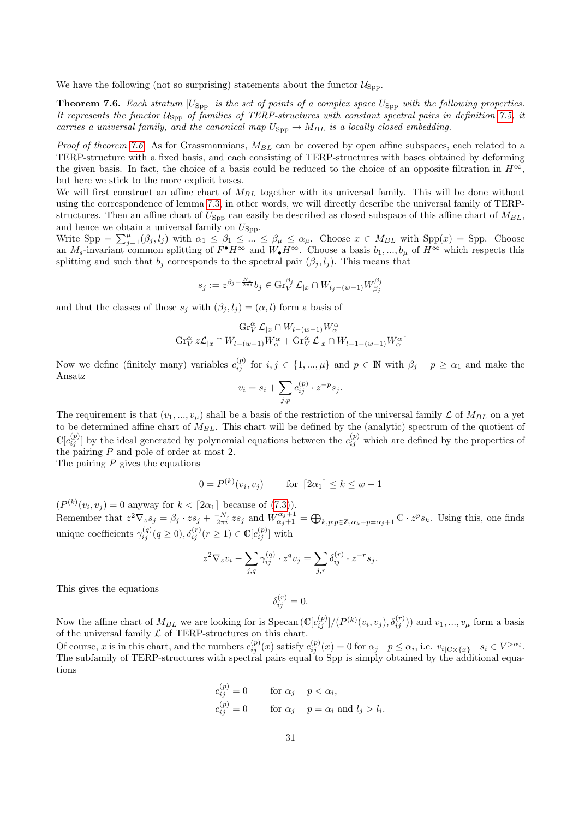We have the following (not so surprising) statements about the functor  $\mathcal{U}_{\text{Spp}}$ .

<span id="page-30-0"></span>**Theorem 7.6.** Each stratum  $|U_{\text{Spp}}|$  is the set of points of a complex space  $U_{\text{Spp}}$  with the following properties. It represents the functor  $U_{\text{Spp}}$  of families of TERP-structures with constant spectral pairs in definition [7.5,](#page-29-0) it carries a universal family, and the canonical map  $U_{\text{Spp}} \to M_{BL}$  is a locally closed embedding.

Proof of theorem [7.6.](#page-30-0) As for Grassmannians,  $M_{BL}$  can be covered by open affine subspaces, each related to a TERP-structure with a fixed basis, and each consisting of TERP-structures with bases obtained by deforming the given basis. In fact, the choice of a basis could be reduced to the choice of an opposite filtration in  $H^{\infty}$ , but here we stick to the more explicit bases.

We will first construct an affine chart of  $M_{BL}$  together with its universal family. This will be done without using the correspondence of lemma [7.3,](#page-28-0) in other words, we will directly describe the universal family of TERPstructures. Then an affine chart of  $U_{\text{Spp}}$  can easily be described as closed subspace of this affine chart of  $M_{BL}$ , and hence we obtain a universal family on  $U_{\rm Spp}.$ 

Write  $Spp = \sum_{j=1}^{\mu} (\beta_j, l_j)$  with  $\alpha_1 \leq \beta_1 \leq ... \leq \beta_{\mu} \leq \alpha_{\mu}$ . Choose  $x \in M_{BL}$  with  $Spp(x) = Spp.$  Choose an  $M_s$ -invariant common splitting of  $F^{\bullet}H^{\infty}$  and  $W_{\bullet}H^{\infty}$ . Choose a basis  $b_1, ..., b_{\mu}$  of  $H^{\infty}$  which respects this splitting and such that  $b_j$  corresponds to the spectral pair  $(\beta_j, l_j)$ . This means that

$$
s_j:=z^{\beta_j-\frac{N_z}{2\pi i}}b_j\in \textnormal{Gr}_V^{\beta_j}\,\mathcal{L}_{|x}\cap W_{l_j-(w-1)}W_{\beta_j}^{\beta_j}
$$

and that the classes of those  $s_i$  with  $(\beta_i, l_i) = (\alpha, l)$  form a basis of

$$
\frac{\operatorname{Gr}_{V}^{\alpha}\mathcal{L}_{|x}\cap W_{l-(w-1)}W^{\alpha}_{\alpha}}{\operatorname{Gr}_{V}^{\alpha}z\mathcal{L}_{|x}\cap W_{l-(w-1)}W^{\alpha}_{\alpha}+\operatorname{Gr}_{V}^{\alpha}\mathcal{L}_{|x}\cap W_{l-1-(w-1)}W^{\alpha}_{\alpha}}.
$$

Now we define (finitely many) variables  $c_{ij}^{(p)}$  for  $i, j \in \{1, ..., \mu\}$  and  $p \in \mathbb{N}$  with  $\beta_j - p \ge \alpha_1$  and make the Ansatz

$$
v_i = s_i + \sum_{j,p} c_{ij}^{(p)} \cdot z^{-p} s_j.
$$

The requirement is that  $(v_1, ..., v_\mu)$  shall be a basis of the restriction of the universal family  $\mathcal L$  of  $M_{BL}$  on a yet to be determined affine chart of  $M_{BL}$ . This chart will be defined by the (analytic) spectrum of the quotient of  $\mathbb{C}[c_{ij}^{(p)}]$  by the ideal generated by polynomial equations between the  $c_{ij}^{(p)}$  which are defined by the properties of the pairing  $P$  and pole of order at most 2.

The pairing  $P$  gives the equations

$$
0 = P^{(k)}(v_i, v_j) \qquad \text{for } [2\alpha_1] \le k \le w - 1
$$

 $(P^{(k)}(v_i, v_j) = 0$  anyway for  $k < \lceil 2\alpha_1 \rceil$  because of  $(7.3)$ ). Remember that  $z^2 \nabla_z s_j = \beta_j \cdot zs_j + \frac{-N_z}{2\pi i} zs_j$  and  $W^{\alpha_j+1}_{\alpha_j+1} = \bigoplus_{k,p: p \in \mathbb{Z}, \alpha_k + p = \alpha_j + 1} \mathbb{C} \cdot z^p s_k$ . Using this, one finds unique coefficients  $\gamma_{ij}^{(q)} (q \ge 0), \delta_{ij}^{(r)} (r \ge 1) \in \mathbb{C} [c_{ij}^{(p)}]$  with

$$
z^2 \nabla_z v_i - \sum_{j,q} \gamma_{ij}^{(q)} \cdot z^q v_j = \sum_{j,r} \delta_{ij}^{(r)} \cdot z^{-r} s_j.
$$

This gives the equations

$$
\delta_{ij}^{(r)} = 0.
$$

Now the affine chart of  $M_{BL}$  we are looking for is Specan  $(\mathbb{C}[c_{ij}^{(p)}]/(P^{(k)}(v_i, v_j), \delta_{ij}^{(r)}))$  and  $v_1, ..., v_\mu$  form a basis of the universal family  $\mathcal L$  of TERP-structures on this chart.

Of course, x is in this chart, and the numbers  $c_{ij}^{(p)}(x)$  satisfy  $c_{ij}^{(p)}(x) = 0$  for  $\alpha_j - p \leq \alpha_i$ , i.e.  $v_{i|0 \times {\{x\}}} - s_i \in V^{>\alpha_i}$ . The subfamily of TERP-structures with spectral pairs equal to Spp is simply obtained by the additional equations

$$
c_{ij}^{(p)} = 0 \tfor  $\alpha_j - p < \alpha_i$ ,  
\n
$$
c_{ij}^{(p)} = 0 \tfor  $\alpha_j - p = \alpha_i$  and  $l_j > l_i$ .
$$
$$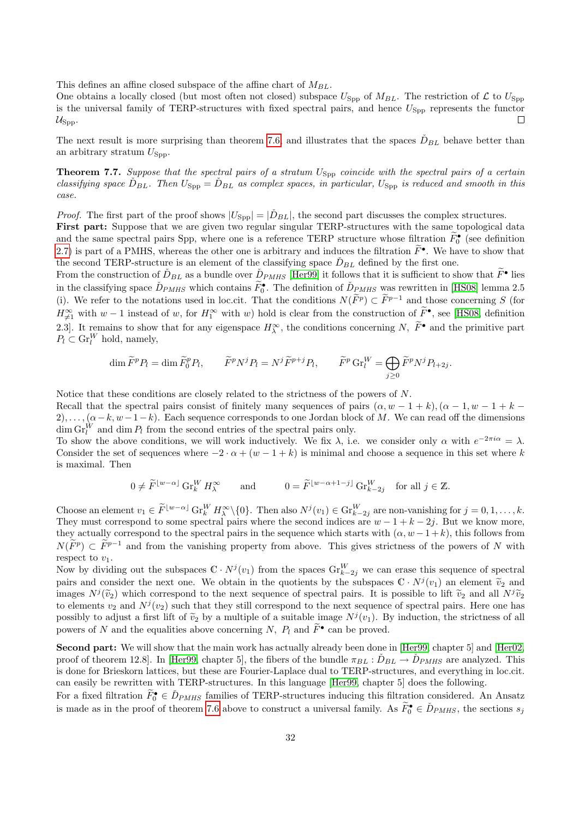This defines an affine closed subspace of the affine chart of  $M_{BL}$ .

One obtains a locally closed (but most often not closed) subspace  $U_{\text{Spp}}$  of  $M_{BL}$ . The restriction of  $\mathcal{L}$  to  $U_{\text{Spp}}$ is the universal family of TERP-structures with fixed spectral pairs, and hence  $U_{\text{Spp}}$  represents the functor  $\mathcal{U}_{\text{Spp}}$ . П

The next result is more surprising than theorem [7.6,](#page-30-0) and illustrates that the spaces  $\tilde{D}_{BL}$  behave better than an arbitrary stratum  $U_{\text{Spp}}$ .

**Theorem 7.7.** Suppose that the spectral pairs of a stratum  $U_{\text{Spp}}$  coincide with the spectral pairs of a certain classifying space  $\check{D}_{BL}$ . Then  $U_{Spp} = \check{D}_{BL}$  as complex spaces, in particular,  $U_{Spp}$  is reduced and smooth in this case.

*Proof.* The first part of the proof shows  $|U_{\text{Spp}}| = |D_{BL}|$ , the second part discusses the complex structures.

First part: Suppose that we are given two regular singular TERP-structures with the same topological data and the same spectral pairs Spp, where one is a reference TERP structure whose filtration  $\widetilde{F}_0^{\bullet}$  (see definition [2.7\)](#page-6-1) is part of a PMHS, whereas the other one is arbitrary and induces the filtration  $\tilde{F}^{\bullet}$ . We have to show that the second TERP-structure is an element of the classifying space  $\check{D}_{BL}$  defined by the first one.

From the construction of  $\check{D}_{BL}$  as a bundle over  $\check{D}_{PMHS}$  [\[Her99\]](#page-52-1) it follows that it is sufficient to show that  $\widetilde{F}^{\bullet}$  lies in the classifying space  $\tilde{D}_{PMHS}$  which contains  $\tilde{F}_0^{\bullet}$ . The definition of  $\tilde{D}_{PMHS}$  was rewritten in [\[HS08\]](#page-52-9) lemma 2.5 (i). We refer to the notations used in loc.cit. That the conditions  $N(F^p) \subset F^{p-1}$  and those concerning S (for  $H_{\neq 1}^{\infty}$  with  $w-1$  instead of w, for  $H_1^{\infty}$  with w) hold is clear from the construction of  $\widetilde{F}^{\bullet}$ , see [\[HS08,](#page-52-9) definition 2.3]. It remains to show that for any eigenspace  $H_{\lambda}^{\infty}$ , the conditions concerning N,  $\widetilde{F}^{\bullet}$  and the primitive part  $P_l \subset \mathrm{Gr}_l^W$  hold, namely,

$$
\dim \widetilde{F}^p P_l = \dim \widetilde{F}_0^p P_l, \qquad \widetilde{F}^p N^j P_l = N^j \widetilde{F}^{p+j} P_l, \qquad \widetilde{F}^p \operatorname{Gr}_l^W = \bigoplus_{j \ge 0} \widetilde{F}^p N^j P_{l+2j}.
$$

Notice that these conditions are closely related to the strictness of the powers of N.

Recall that the spectral pairs consist of finitely many sequences of pairs  $(\alpha, w - 1 + k), (\alpha - 1, w - 1 + k - \alpha)$  $2), \ldots, (\alpha-k, w-1-k)$ . Each sequence corresponds to one Jordan block of M. We can read off the dimensions  $\dim \mathrm{Gr}_{l}^{W}$  and  $\dim P_{l}$  from the second entries of the spectral pairs only.

To show the above conditions, we will work inductively. We fix  $\lambda$ , i.e. we consider only  $\alpha$  with  $e^{-2\pi i \alpha} = \lambda$ . Consider the set of sequences where  $-2 \cdot \alpha + (w - 1 + k)$  is minimal and choose a sequence in this set where k is maximal. Then

$$
0\neq \widetilde{F}^{\lfloor w-\alpha\rfloor}\operatorname{Gr}_{k}^{W} H^{\infty}_{\lambda}\qquad \text{and}\qquad\qquad 0=\widetilde{F}^{\lfloor w-\alpha+1-j\rfloor}\operatorname{Gr}_{k-2j}^{W}\quad \text{for all}\,\,j\in\mathbb{Z}.
$$

Choose an element  $v_1 \in \widetilde{F}^{\lfloor w-\alpha \rfloor} \operatorname{Gr}_k^W H_\lambda^{\infty} \setminus \{0\}$ . Then also  $N^j(v_1) \in \operatorname{Gr}_{k-2j}^W$  are non-vanishing for  $j = 0, 1, ..., k$ . They must correspond to some spectral pairs where the second indices are  $w - 1 + k - 2j$ . But we know more, they actually correspond to the spectral pairs in the sequence which starts with  $(\alpha, w - 1 + k)$ , this follows from  $N(F^p) \subset F^{p-1}$  and from the vanishing property from above. This gives strictness of the powers of N with respect to  $v_1$ .

Now by dividing out the subspaces  $\mathbb{C} \cdot N^j(v_1)$  from the spaces  $\text{Gr}_{k-2j}^W$  we can erase this sequence of spectral pairs and consider the next one. We obtain in the quotients by the subspaces  $\mathbb{C} \cdot N^j(v_1)$  an element  $\tilde{v}_2$  and  $\tilde{v}_1$  is not all  $N^j(\tilde{v}_1)$  which correspond to the next soquence of spectral pairs. It is pos images  $N^j(\tilde{v}_2)$  which correspond to the next sequence of spectral pairs. It is possible to lift  $\tilde{v}_2$  and all  $N^j\tilde{v}_2$ <br>to elements us and  $N^j(v_2)$  such that they still correspond to the next sequence of spec to elements  $v_2$  and  $N^j(v_2)$  such that they still correspond to the next sequence of spectral pairs. Here one has possibly to adjust a first lift of  $\tilde{v}_2$  by a multiple of a suitable image  $N^j(v_1)$ . By induction, the strictness of all<br>normal of N and the equalities above concerning N. B and  $\tilde{v}_2^*$  can be usered powers of N and the equalities above concerning N,  $P_l$  and  $\tilde{F}^{\bullet}$  can be proved.

Second part: We will show that the main work has actually already been done in [\[Her99,](#page-52-1) chapter 5] and [\[Her02,](#page-52-15) proof of theorem 12.8]. In [\[Her99,](#page-52-1) chapter 5], the fibers of the bundle  $\pi_{BL} : \dot{D}_{BL} \to \dot{D}_{PMHS}$  are analyzed. This is done for Brieskorn lattices, but these are Fourier-Laplace dual to TERP-structures, and everything in loc.cit. can easily be rewritten with TERP-structures. In this language [\[Her99,](#page-52-1) chapter 5] does the following.

For a fixed filtration  $\widetilde{F}_0^{\bullet} \in \widetilde{D}_{PMHS}$  families of TERP-structures inducing this filtration considered. An Ansatz is made as in the proof of theorem [7.6](#page-30-0) above to construct a universal family. As  $\tilde{F}_0^{\bullet} \in \tilde{D}_{PMHS}$ , the sections  $s_j$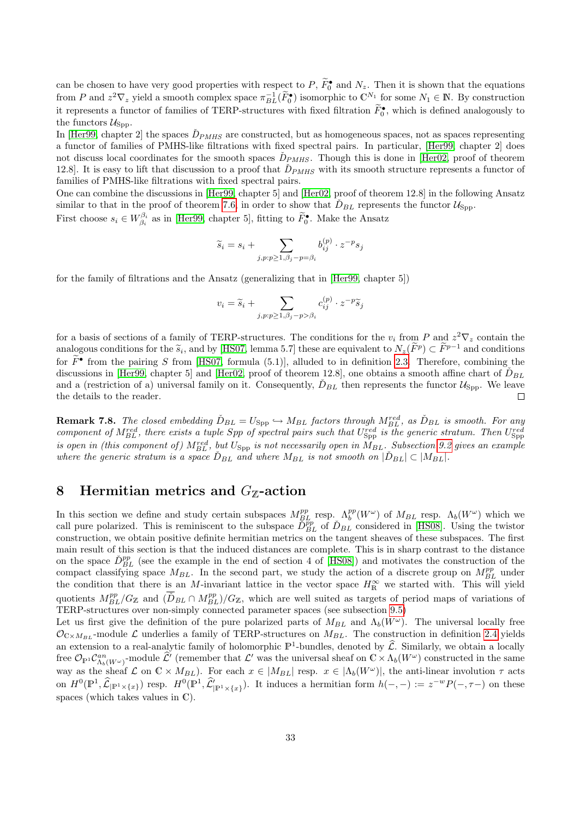can be chosen to have very good properties with respect to P,  $\tilde{F}_0^{\bullet}$  and  $N_z$ . Then it is shown that the equations from P and  $z^2 \nabla_z$  yield a smooth complex space  $\pi_{BL}^{-1}(\widetilde{F}_0^{\bullet})$  isomorphic to  $\mathbb{C}^{N_1}$  for some  $N_1 \in \mathbb{N}$ . By construction it represents a functor of families of TERP-structures with fixed filtration  $\tilde{F}_0^{\bullet}$ , which is defined analogously to the functors  $\mathcal{U}_{\text{Spp}}$ .

In [Herg9, chapter 2] the spaces  $\tilde{D}_{PMHS}$  are constructed, but as homogeneous spaces, not as spaces representing a functor of families of PMHS-like filtrations with fixed spectral pairs. In particular, [\[Her99,](#page-52-1) chapter 2] does not discuss local coordinates for the smooth spaces  $\ddot{D}_{PMHS}$ . Though this is done in [\[Her02,](#page-52-15) proof of theorem 12.8]. It is easy to lift that discussion to a proof that  $\tilde{D}_{PMHS}$  with its smooth structure represents a functor of families of PMHS-like filtrations with fixed spectral pairs.

One can combine the discussions in [\[Her99,](#page-52-1) chapter 5] and [\[Her02,](#page-52-15) proof of theorem 12.8] in the following Ansatz similar to that in the proof of theorem [7.6,](#page-30-0) in order to show that  $\tilde{D}_{BL}$  represents the functor  $\mathcal{U}_{Spp}$ .

First choose  $s_i \in W_{\beta_i}^{\beta_i}$  as in [\[Her99,](#page-52-1) chapter 5], fitting to  $\widetilde{F}_0^{\bullet}$ . Make the Ansatz

$$
\widetilde{s}_i = s_i + \sum_{j, p: p \ge 1, \beta_j - p = \beta_i} b_{ij}^{(p)} \cdot z^{-p} s_j
$$

for the family of filtrations and the Ansatz (generalizing that in [\[Her99,](#page-52-1) chapter 5])

$$
v_i = \widetilde{s}_i + \sum_{j, p : p \ge 1, \beta_j - p > \beta_i} c_{ij}^{(p)} \cdot z^{-p} \widetilde{s}_j
$$

for a basis of sections of a family of TERP-structures. The conditions for the  $v_i$  from P and  $z^2 \nabla_z$  contain the analogous conditions for the  $\tilde{s}_i$ , and by [\[HS07,](#page-52-8) lemma 5.7] these are equivalent to  $N_z(\tilde{F}^p) \subset \tilde{F}^{p-1}$  and conditions for  $\tilde{F}^p$ ,  $\tilde{F}^p$ ,  $\tilde{F}^p$ ,  $\tilde{F}^p$ ,  $\tilde{F}^p$ ,  $\tilde{F}^p$ ,  $\tilde{F}^p$ ,  $\til$ for  $\tilde{F}^{\bullet}$  from the pairing S from [\[HS07,](#page-52-8) formula (5.1)], alluded to in definition [2.3.](#page-4-0) Therefore, combining the discussions in [\[Her99,](#page-52-1) chapter 5] and [\[Her02,](#page-52-15) proof of theorem 12.8], one obtains a smooth affine chart of  $\tilde{D}_{BL}$ and a (restriction of a) universal family on it. Consequently,  $D_{BL}$  then represents the functor  $\mathcal{U}_{Spp}$ . We leave the details to the reader. П

**Remark 7.8.** The closed embedding  $\check{D}_{BL} = U_{\text{Spp}} \hookrightarrow M_{BL}$  factors through  $M_{BL}^{red}$ , as  $\check{D}_{BL}$  is smooth. For any component of  $M_{BL}^{red}$ , there exists a tuple Spp of spectral pairs such that  $U_{Spp}^{red}$  is the generic stratum. Then  $U_{Spp}^{red}$ is open in (this component of)  $M_{BL}^{red}$ , but  $U_{\rm Spp}$  is not necessarily open in  $M_{BL}$ . Subsection [9.2](#page-43-0) gives an example where the generic stratum is a space  $\check{D}_{BL}$  and where  $M_{BL}$  is not smooth on  $|\check{D}_{BL}| \subset |M_{BL}|$ .

### <span id="page-32-0"></span>8 Hermitian metrics and  $G_{\mathbb{Z}}$ -action

In this section we define and study certain subspaces  $M_{BL}^{pp}$  resp.  $\Lambda_b^{pp}(W^{\omega})$  of  $M_{BL}$  resp.  $\Lambda_b(W^{\omega})$  which we call pure polarized. This is reminiscent to the subspace  $\tilde{D}_{BL}^{pp}$  of  $\tilde{D}_{BL}$  considered in [\[HS08\]](#page-52-9). Using the twistor construction, we obtain positive definite hermitian metrics on the tangent sheaves of these subspaces. The first main result of this section is that the induced distances are complete. This is in sharp contrast to the distance on the space  $\tilde{D}_{BL}^{pp}$  (see the example in the end of section 4 of [\[HS08\]](#page-52-9)) and motivates the construction of the compact classifying space  $M_{BL}$ . In the second part, we study the action of a discrete group on  $M_{BL}^{pp}$  under the condition that there is an M-invariant lattice in the vector space  $H_{\mathbb{R}}^{\infty}$  we started with. This will yield quotients  $M_{BL}^{pp}/G_{\mathbb{Z}}$  and  $(\overline{\tilde{D}}_{BL} \cap M_{BL}^{pp})/G_{\mathbb{Z}}$ , which are well suited as targets of period maps of variations of TERP-structures over non-simply connected parameter spaces (see subsection [9.5\)](#page-49-0)

Let us first give the definition of the pure polarized parts of  $M_{BL}$  and  $\Lambda_b(W^\omega)$ . The universal locally free  $\mathcal{O}_{\mathbb{C}\times M_{BL}}$ -module  $\mathcal L$  underlies a family of TERP-structures on  $M_{BL}$ . The construction in definition [2.4](#page-4-2) yields an extension to a real-analytic family of holomorphic  $\mathbb{P}^1$ -bundles, denoted by  $\hat{\mathcal{L}}$ . Similarly, we obtain a locally<br>free  $\mathcal{O}_{\mathbb{P}^1} \mathcal{C}_{\Lambda_b(W^\omega)}^{an}$ -module  $\hat{\mathcal{L}}'$  (remember that  $\mathcal{L}'$  was the uni way as the sheaf  $\mathcal{L}$  on  $\mathbb{C} \times M_{BL}$ . For each  $x \in |M_{BL}|$  resp.  $x \in |\Lambda_b(W^{\omega})|$ , the anti-linear involution  $\tau$  acts on  $H^0(\mathbb{P}^1, \hat{\mathcal{L}}_{|\mathbb{P}^1 \times \{x\}})$  resp.  $H^0(\mathbb{P}^1, \hat{\mathcal{L}}'_{|\mathbb{P}^1 \times \{x\}})$ . It induces a hermitian form  $h(-,-) := z^{-w}P(-,\tau-)$  on these spaces (which takes values in C).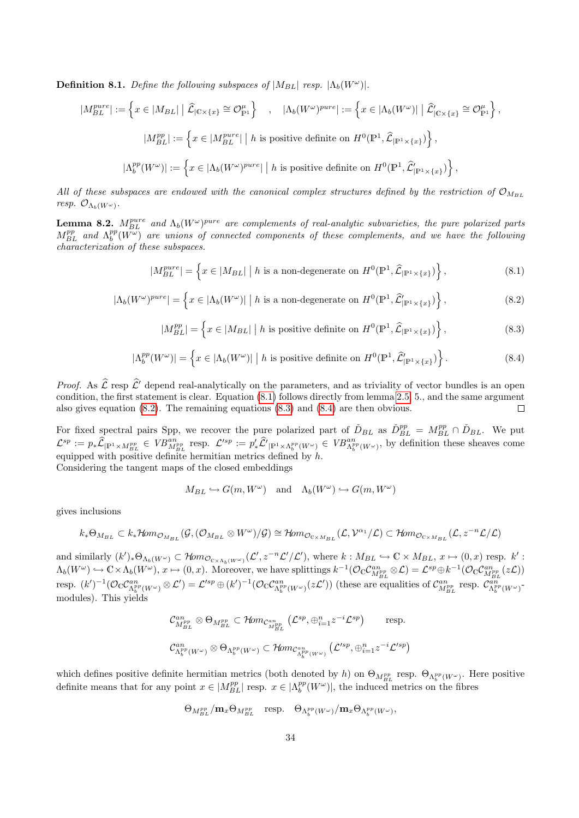**Definition 8.1.** Define the following subspaces of  $|M_{BL}|$  resp.  $|\Lambda_b(W^{\omega})|$ .

$$
|M_{BL}^{pure}| := \left\{ x \in |M_{BL}| \mid \hat{\mathcal{L}}_{|\mathbb{C} \times \{x\}} \cong \mathcal{O}_{\mathbb{P}^1}^{\mu} \right\} , \quad |\Lambda_b(W^{\omega})^{pure}| := \left\{ x \in |\Lambda_b(W^{\omega})| \mid \hat{\mathcal{L}}'_{|\mathbb{C} \times \{x\}} \cong \mathcal{O}_{\mathbb{P}^1}^{\mu} \right\} ,
$$
  

$$
|M_{BL}^{pp}| := \left\{ x \in |M_{BL}^{pure}| \mid h \text{ is positive definite on } H^0(\mathbb{P}^1, \hat{\mathcal{L}}_{|\mathbb{P}^1 \times \{x\}}) \right\} ,
$$
  

$$
|\Lambda_b^{pp}(W^{\omega})| := \left\{ x \in |\Lambda_b(W^{\omega})^{pure}| \mid h \text{ is positive definite on } H^0(\mathbb{P}^1, \hat{\mathcal{L}}'_{|\mathbb{P}^1 \times \{x\}}) \right\} ,
$$

All of these subspaces are endowed with the canonical complex structures defined by the restriction of  $\mathcal{O}_{M_{BL}}$ resp.  $\mathcal{O}_{\Lambda_b(W^\omega)}$ .

<span id="page-33-1"></span>**Lemma 8.2.**  $M_{BL}^{pure}$  and  $\Lambda_b(W^{\omega})^{pure}$  are complements of real-analytic subvarieties, the pure polarized parts  $M_{BL}^{pp}$  and  $\Lambda_b^{pp}(W^{\omega})$  are unions of connected components of these complements, and we have the following characterization of these subspaces.

<span id="page-33-0"></span>
$$
|M_{BL}^{pure}| = \left\{ x \in |M_{BL}| \mid h \text{ is a non-degenerate on } H^0(\mathbb{P}^1, \hat{\mathcal{L}}_{|\mathbb{P}^1 \times \{x\}}) \right\},\tag{8.1}
$$

$$
|\Lambda_b(W^\omega)^{pure}| = \left\{ x \in |\Lambda_b(W^\omega)| \mid h \text{ is a non-degenerate on } H^0(\mathbb{P}^1, \widehat{\mathcal{L}}_{|\mathbb{P}^1 \times \{x\}}) \right\},\tag{8.2}
$$

$$
|M_{BL}^{pp}| = \left\{ x \in |M_{BL}| \mid h \text{ is positive definite on } H^0(\mathbb{P}^1, \hat{\mathcal{L}}_{|\mathbb{P}^1 \times \{x\}}) \right\},\tag{8.3}
$$

$$
|\Lambda_b^{pp}(W^{\omega})| = \left\{ x \in |\Lambda_b(W^{\omega})| \mid h \text{ is positive definite on } H^0(\mathbb{P}^1, \widehat{\mathcal{L}}'_{|\mathbb{P}^1 \times \{x\}}) \right\}.
$$
 (8.4)

*Proof.* As  $\hat{\mathcal{L}}$  resp  $\hat{\mathcal{L}}'$  depend real-analytically on the parameters, and as triviality of vector bundles is an open condition, the first statement is clear. Equation [\(8.1\)](#page-33-0) follows directly from lemma [2.5,](#page-5-0) 5., and the same argument also gives equation [\(8.2\)](#page-33-0). The remaining equations [\(8.3\)](#page-33-0) and [\(8.4\)](#page-33-0) are then obvious. П

For fixed spectral pairs Spp, we recover the pure polarized part of  $\check{D}_{BL}$  as  $\check{D}_{BL}^{pp} = M_{BL}^{pp} \cap \check{D}_{BL}$ . We put  $\mathcal{L}^{sp} := p_* \widehat{\mathcal{L}}_{\vert \mathbb{P}^1 \times M_{BL}^{pp}} \in VB_{M_{BL}^{pp}}^{an} \text{ resp. } \mathcal{L}^{\prime sp} := p'_* \widehat{\mathcal{L}}'_{\vert \mathbb{P}^1 \times \Lambda_b^{pp}(W^{\omega})} \in VB_{\Lambda_b^{pp}(W^{\omega})}^{an}, \text{ by definition these sheaves come}$ equipped with positive definite hermitian metrics defined by  $h$ .

Considering the tangent maps of the closed embeddings

$$
M_{BL} \hookrightarrow G(m, W^{\omega})
$$
 and  $\Lambda_b(W^{\omega}) \hookrightarrow G(m, W^{\omega})$ 

gives inclusions

$$
k_*\Theta_{M_{BL}}\subset k_*\mathcal{H}\!\mathit{om}_{\mathcal{O}_{M_{BL}}}(\mathcal{G},(\mathcal{O}_{M_{BL}}\otimes W^\omega)/\mathcal{G})\cong \mathcal{H}\!\mathit{om}_{\mathcal{O}_{\mathbb{C}\times M_{BL}}}(\mathcal{L},\mathcal{V}^{\alpha_1}/\mathcal{L})\subset \mathcal{H}\!\mathit{om}_{\mathcal{O}_{\mathbb{C}\times M_{BL}}}(\mathcal{L},z^{-n}\mathcal{L}/\mathcal{L})
$$

and similarly  $(k')_*\Theta_{\Lambda_b(W^\omega)} \subset \mathcal{H}om_{\mathcal{O}_{\mathbb{C}\times\Lambda_b(W^\omega)}}(\mathcal{L}', z^{-n}\mathcal{L}'/\mathcal{L}'),$  where  $k: M_{BL} \hookrightarrow \mathbb{C} \times M_{BL}, x \mapsto (0, x)$  resp.  $k'$ :  $\Lambda_b(W^\omega) \hookrightarrow \mathbb{C} \times \Lambda_b(W^\omega), x \mapsto (0, x)$ . Moreover, we have splittings  $k^{-1}(\mathcal{O}_{\mathbb{C}} \mathcal{C}_{M_{BL}^{pp}}^{an} \otimes \mathcal{L}) = \mathcal{L}^{sp} \oplus k^{-1}(\mathcal{O}_{\mathbb{C}} \mathcal{C}_{M_{BL}^{pp}}^{an}(z\mathcal{L}))$  $\text{resp. } (k')^{-1}(\mathcal{O}_{\mathbb{C}}\mathcal{C}_{\Lambda_{b}^{pp}(W^{\omega})}^{an}\otimes \mathcal{L}') = \mathcal{L}'^{sp}\oplus (k')^{-1}(\mathcal{O}_{\mathbb{C}}\mathcal{C}_{\Lambda_{b}^{pp}(W^{\omega})}^{an}(z\mathcal{L}')) \text{ (these are equalities of } \mathcal{C}_{M_{BL}^{pp}}^{an} \text{ resp. } \mathcal{C}_{\Lambda_{b}^{pp}(W^{\omega})}^{an}$ modules). This yields

$$
\mathcal{C}_{M_{BL}^{pp}}^{an} \otimes \Theta_{M_{BL}^{pp}} \subset \mathcal{H}om_{\mathcal{C}_{M_{BL}^{pp}}} (\mathcal{L}^{sp}, \oplus_{i=1}^{n} z^{-i} \mathcal{L}^{sp}) \qquad \text{resp.}
$$
  

$$
\mathcal{C}_{\Lambda_{b}^{pp}(W^{\omega})}^{an} \otimes \Theta_{\Lambda_{b}^{pp}(W^{\omega})} \subset \mathcal{H}om_{\mathcal{C}_{\Lambda_{b}^{pp}(W^{\omega})}} (\mathcal{L}'^{sp}, \oplus_{i=1}^{n} z^{-i} \mathcal{L}'^{sp})
$$

which defines positive definite hermitian metrics (both denoted by h) on  $\Theta_{M_{BL}^{pp}}$  resp.  $\Theta_{\Lambda_b^{pp}(W^{\omega})}$ . Here positive definite means that for any point  $x \in |M_{BL}^{pp}|$  resp.  $x \in |\Lambda_b^{pp}(W^{\omega})|$ , the induced metrics on the fibres

$$
\Theta_{M^{pp}_{BL}}/{\bf m}_x\Theta_{M^{pp}_{BL}} \quad \text{resp.} \quad \Theta_{\Lambda^{pp}_b(W^\omega)}/{\bf m}_x\Theta_{\Lambda^{pp}_b(W^\omega)},
$$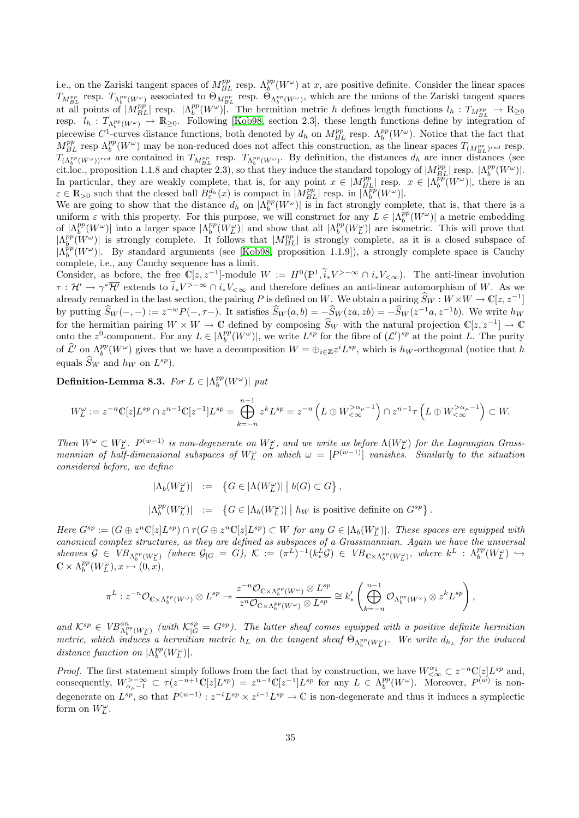i.e., on the Zariski tangent spaces of  $M_{BL}^{pp}$  resp.  $\Lambda_b^{pp}(W^{\omega})$  at x, are positive definite. Consider the linear spaces  $T_{M_{BL}^{pp}}$  resp.  $T_{\Lambda_b^{pp}(W^\omega)}$  associated to  $\Theta_{M_{BL}^{pp}}$  resp.  $\Theta_{\Lambda_b^{pp}(W^\omega)}$ , which are the unions of the Zariski tangent spaces at all points of  $|M_{BL}^{pp}|$  resp.  $|\Lambda_b^{pp}(W^{\omega})|$ . The hermitian metric h defines length functions  $l_h: T_{M_{BL}^{pp}} \to \mathbb{R}_{\geq 0}$ resp.  $l_h: T_{\Lambda_h^{pp}(W^{\omega})} \to \mathbb{R}_{\geq 0}$ . Following [\[Kob98,](#page-53-18) section 2.3], these length functions define by integration of piecewise  $C^1$ -curves distance functions, both denoted by  $d_h$  on  $M_{BL}^{pp}$  resp.  $\Lambda_b^{pp}(W^{\omega})$ . Notice that the fact that  $M_{BL}^{pp}$  resp  $\Lambda_b^{pp}(W^{\omega})$  may be non-reduced does not affect this construction, as the linear spaces  $T_{(M_{BL}^{pp})^{red}}$  resp.  $T_{(\Lambda_b^{pp}(W^{\omega}))^{red}}$  are contained in  $T_{M_{BL}^{pp}}$  resp.  $T_{\Lambda_b^{pp}(W^{\omega})}$ . By definition, the distances  $d_h$  are inner distances (see cit.loc., proposition 1.1.8 and chapter 2.3), so that they induce the standard topology of  $|M_{BL}^{pp}|$  resp.  $|\Lambda_b^{pp}(W^{\omega})|$ . In particular, they are weakly complete, that is, for any point  $x \in |M_{BL}^{pp}|$  resp.  $x \in |\Lambda_b^{pp}(W^{\omega})|$ , there is an  $\varepsilon \in \mathbb{R}_{>0}$  such that the closed ball  $B^{d_h}_{\varepsilon}(x)$  is compact in  $|M_{BL}^{pp}|$  resp. in  $|\widetilde{\Lambda}_b^{pp}(W^{\omega})|$ .

We are going to show that the distance  $d_h$  on  $|\Lambda_b^{pp}(W^{\omega})|$  is in fact strongly complete, that is, that there is a uniform  $\varepsilon$  with this property. For this purpose, we will construct for any  $L \in |\Lambda_b^{pp}(W^{\omega})|$  a metric embedding of  $|\Lambda_b^{pp}(W^{\omega})|$  into a larger space  $|\Lambda_b^{pp}(W_L^{\omega})|$  and show that all  $|\Lambda_b^{pp}(W_L^{\omega})|$  are isometric. This will prove that  $|\Lambda_b^{pp}(\hat{W}^{\omega})|$  is strongly complete. It follows that  $|M_{BL}^{pp}|$  is strongly complete, as it is a closed subspace of  $|\Lambda_b^{pp}(W^{\omega})|$ . By standard arguments (see [\[Kob98,](#page-53-18) proposition 1.1.9]), a strongly complete space is Cauchy complete, i.e., any Cauchy sequence has a limit.

Consider, as before, the free  $\mathbb{C}[z, z^{-1}]$ -module  $W := H^0(\mathbb{P}^1, \tilde{i}_*V^{>-\infty} \cap i_*V_{<\infty})$ . The anti-linear involution  $\tau : \mathcal{H}' \to \gamma^* \overline{\mathcal{H}}'$  extends to  $\tilde{i}_* V^{>-\infty} \cap i_* V_{<\infty}$  and therefore defines an anti-linear automorphism of W. As we already remarked in the last section, the pairing P is defined on W. We obtain a pairing  $\widehat{S}_W : W \times W \to \mathbb{C}[z, z^{-1}]$ by putting  $\widehat{S}_W(-,-) := z^{-w}P(-,\tau-)$ . It satisfies  $\widehat{S}_W(a,b) = -\widehat{S}_W(za, zb) = -\widehat{S}_W(z^{-1}a, z^{-1}b)$ . We write  $h_W$ for the hermitian pairing  $W \times W \to \mathbb{C}$  defined by composing  $\widehat{S}_W$  with the natural projection  $\mathbb{C}[z, z^{-1}] \to \mathbb{C}$ onto the z<sup>0</sup>-component. For any  $L \in |\Lambda_b^{pp}(W^{\omega})|$ , we write  $L^{sp}$  for the fibre of  $(\mathcal{L}')^{sp}$  at the point L. The purity of  $\hat{\mathcal{L}}'$  on  $\Lambda_b^{pp}(W^{\omega})$  gives that we have a decomposition  $W = \bigoplus_{i \in \mathbb{Z}} z^i L^{sp}$ , which is  $h_W$ -orthogonal (notice that  $h$ equals  $\widehat{S}_W$  and  $h_W$  on  $L^{sp}$ ).

Definition-Lemma 8.3. For  $L \in |\Lambda_b^{pp}(W^{\omega})|$  put

$$
W_L^{\omega}:=z^{-n}\mathbb{C}[z]L^{sp}\cap z^{n-1}\mathbb{C}[z^{-1}]L^{sp}=\bigoplus_{k=-n}^{n-1}z^kL^{sp}=z^{-n}\left(L\oplus W^{>\alpha_\mu-1}_{<\infty}\right)\cap z^{n-1}\tau\left(L\oplus W^{>\alpha_\mu-1}_{<\infty}\right)\subset W.
$$

Then  $W^{\omega} \subset W^{\omega}_{L}$ .  $P^{(w-1)}$  is non-degenerate on  $W^{\omega}_{L}$ , and we write as before  $\Lambda(W^{\omega}_{L})$  for the Lagrangian Grassmannian of half-dimensional subspaces of  $W_L^{\omega}$  on which  $\omega = [P^{(w-1)}]$  vanishes. Similarly to the situation considered before, we define

> $|\Lambda_b(W_L^{\omega})|$  :=  $\{G \in |\Lambda(W_L^{\omega})| \mid b(G) \subset G\},\$  $|\Lambda_b^{pp}(W^{\omega}_L)|$  :=  $\{G \in |\Lambda_b(W^{\omega}_L)| \mid h_W \text{ is positive definite on } G^{sp}\}\.$

Here  $G^{sp} := (G \oplus z^n \mathbb{C}[z] L^{sp}) \cap \tau(G \oplus z^n \mathbb{C}[z] L^{sp}) \subset W$  for any  $G \in |\Lambda_b(W_L^{\omega})|$ . These spaces are equipped with canonical complex structures, as they are defined as subspaces of a Grassmannian. Again we have the universal  $\mathcal{L}_{\mathcal{A}_{b}}^{h}(\mathcal{W}_{b}^{\omega})$  (where  $\mathcal{G}_{|G} = G$ ),  $\mathcal{K} := (\pi^{L})^{-1}(k_{*}^{L}\mathcal{G}) \in VB_{\mathbb{C}\times\Lambda_{b}^{pp}(W_{L}^{\omega})}$ , where  $k^{L}: \Lambda_{b}^{pp}(W_{L}^{\omega}) \hookrightarrow$  $\mathbb{C} \times \Lambda_b^{pp}(W_L^{\omega}), x \mapsto (0, \tilde{x}),$ 

$$
\pi^L: z^{-n} \mathcal{O}_{\mathbb{C}\times\Lambda_b^{pp}(W^\omega)} \otimes L^{sp} \twoheadrightarrow \frac{z^{-n} \mathcal{O}_{\mathbb{C}\times\Lambda_b^{pp}(W^\omega)} \otimes L^{sp}}{z^n \mathcal{O}_{\mathbb{C}\times\Lambda_b^{pp}(W^\omega)} \otimes L^{sp}} \cong k'_* \left(\bigoplus_{k=-n}^{n-1} \mathcal{O}_{\Lambda_b^{pp}(W^\omega)} \otimes z^k L^{sp}\right),
$$

and  $\mathcal{K}^{sp} \in VB^{an}_{\Lambda_b^{pp}(W_L^{\omega})}$  (with  $\mathcal{K}_{|G}^{sp} = G^{sp}$ ). The latter sheaf comes equipped with a positive definite hermitian metric, which induces a hermitian metric  $h_L$  on the tangent sheaf  $\Theta_{\Lambda_b^{pp}(W_L^\omega)}$ . We write  $d_{h_L}$  for the induced distance function on  $|\Lambda_b^{pp}(W_L^{\omega})|$ .

*Proof.* The first statement simply follows from the fact that by construction, we have  $W^{a_1}_{\leq \infty} \subset z^{-n} \mathbb{C}[z] L^{sp}$  and, consequently,  $W_{\alpha_{\mu}-1}^{>-\infty} \subset \tau(z^{-n+1} \mathbb{C}[z] L^{sp}) = z^{n-1} \mathbb{C}[z^{-1}] L^{sp}$  for any  $L \in \Lambda_b^{pp}(W^{\omega})$ . Moreover,  $P^{(w)}$  is nondegenerate on  $L^{sp}$ , so that  $P^{(w-1)}$ :  $z^{-i}L^{sp} \times z^{i-1}L^{sp} \to \mathbb{C}$  is non-degenerate and thus it induces a symplectic form on  $W_L^{\omega}$ .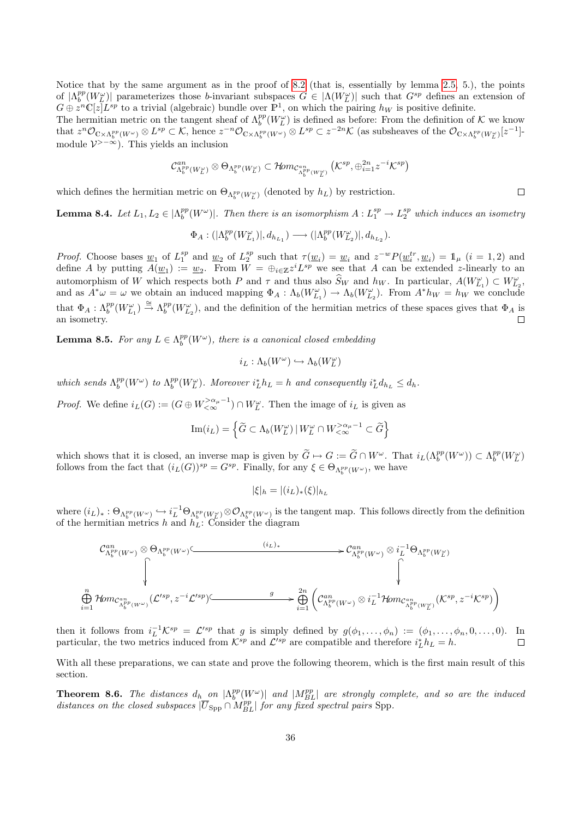Notice that by the same argument as in the proof of [8.2](#page-33-1) (that is, essentially by lemma [2.5,](#page-5-0) 5.), the points of  $|\Lambda_b^{pp}(W_L^{\omega})|$  parameterizes those b-invariant subspaces  $G \in |\Lambda(W_L^{\omega})|$  such that  $G^{sp}$  defines an extension of  $G \oplus z^n \mathbb{C}[z] L^{sp}$  to a trivial (algebraic) bundle over  $\mathbb{P}^1$ , on which the pairing  $h_W$  is positive definite.

The hermitian metric on the tangent sheaf of  $\Lambda_b^{pp}(W_L^{\omega})$  is defined as before: From the definition of K we know that  $z^n\mathcal{O}_{\mathbb{C}\times\Lambda_b^{pp}(W^\omega)}\otimes L^{sp}\subset \mathcal{K}$ , hence  $z^{-n}\mathcal{O}_{\mathbb{C}\times\Lambda_b^{pp}(W^\omega)}\otimes L^{sp}\subset z^{-2n}\mathcal{K}$  (as subsheaves of the  $\mathcal{O}_{\mathbb{C}\times\Lambda_b^{pp}(W^\omega)}[z^{-1}]$ module  $\mathcal{V}^{>-\infty}$ ). This yields an inclusion

$$
\mathcal{C}^{an}_{\Lambda^{\mathcal{PP}}_b(W_L^\omega)}\otimes \Theta_{\Lambda^{\mathcal{PP}}_b(W_L^\omega)}\subset \mathcal{H}\!{\it om}_{\mathcal{C}^{an}_{\Lambda^{\mathcal{PP}}_b(W_L^\omega)}}\left(\mathcal{K}^{sp},\oplus_{i=1}^{2n}z^{-i}\mathcal{K}^{sp}\right)
$$

which defines the hermitian metric on  $\Theta_{\Lambda_b^{pp}(W_L^{\omega})}$  (denoted by  $h_L$ ) by restriction.

<span id="page-35-1"></span>**Lemma 8.4.** Let  $L_1, L_2 \in |\Lambda_b^{pp}(W^{\omega})|$ . Then there is an isomorphism  $A: L_1^{sp} \to L_2^{sp}$  which induces an isometry

$$
\Phi_A: \big( |\Lambda_b^{pp}(W^\omega_{L_1})|, d_{h_{L_1}} \big) \longrightarrow \big( |\Lambda_b^{pp}(W^\omega_{L_2})|, d_{h_{L_2}} \big).
$$

*Proof.* Choose bases  $\underline{w}_1$  of  $L_1^{sp}$  and  $\underline{w}_2$  of  $L_2^{sp}$  such that  $\tau(\underline{w}_i) = \underline{w}_i$  and  $z^{-w}P(\underline{w}_i^{tr}, \underline{w}_i) = \mathbb{1}_{\mu}$   $(i = 1, 2)$  and define A by putting  $A(\underline{w}_1) := \underline{w}_2$ . From  $W = \bigoplus_{i \in \mathbb{Z}} z^i L^{sp}$  we see that A can be extended z-linearly to an automorphism of W which respects both P and  $\tau$  and thus also  $\widehat{S}_W$  and  $h_W$ . In particular,  $A(W_{L_1}^{\omega}) \subset W_{L_2}^{\omega}$ , and as  $A^*\omega = \omega$  we obtain an induced mapping  $\Phi_A : \Lambda_b(W_{L_1}^{\omega}) \to \Lambda_b(W_{L_2}^{\omega})$ . From  $A^*h_W = h_W$  we conclude that  $\Phi_A : \Lambda_b^{pp}(W_{L_1}^{\omega}) \stackrel{\cong}{\to} \Lambda_b^{pp}(W_{L_2}^{\omega})$ , and the definition of the hermitian metrics of these spaces gives that  $\Phi_A$  is an isometry.

<span id="page-35-0"></span>**Lemma 8.5.** For any  $L \in \Lambda_b^{pp}(W^{\omega})$ , there is a canonical closed embedding

$$
i_L: \Lambda_b(W^\omega) \hookrightarrow \Lambda_b(W_L^\omega)
$$

which sends  $\Lambda_b^{pp}(W^{\omega})$  to  $\Lambda_b^{pp}(W^{\omega}_L)$ . Moreover  $i_L^*h_L = h$  and consequently  $i_L^*d_{h_L} \leq d_h$ .

*Proof.* We define  $i_L(G) := (G \oplus W_{\leq \infty}^{> \alpha_{\mu}-1}) \cap W_L^{\omega}$ . Then the image of  $i_L$  is given as

$$
\mathrm{Im}(i_L)=\left\{\widetilde{G}\subset \Lambda_b(W_L^\omega)\,|\,W_L^\omega\cap W_{<\infty}^{>\alpha_\mu-1}\subset \widetilde{G}\right\}
$$

which shows that it is closed, an inverse map is given by  $\widetilde{G} \mapsto G := \widetilde{G} \cap W^{\omega}$ . That  $i_L(\Lambda_b^{pp}(W^{\omega})) \subset \Lambda_b^{pp}(W_L^{\omega})$ follows from the fact that  $(i_L(G))^{sp} = G^{sp}$ . Finally, for any  $\xi \in \Theta_{\Lambda_b^{pp}(W^{\omega})}$ , we have

$$
|\xi|_h = |(i_L)_*(\xi)|_{h_L}
$$

 $\text{where } (i_L)_*: \Theta_{\Lambda_b^{pp}(W^{\omega})} \hookrightarrow i_L^{-1} \Theta_{\Lambda_b^{pp}(W^{\omega})} \otimes \mathcal{O}_{\Lambda_b^{pp}(W^{\omega})}$  is the tangent map. This follows directly from the definition of the hermitian metrics h and  $h_L$ : Consider the diagram

$$
\mathcal{C}^{an}_{\Lambda_b^{pp}(W^{\omega})} \otimes \Theta_{\Lambda_b^{pp}(W^{\omega})} \left( \bigvee_{i=1}^{(i_L)_*} \cdots \bigotimes_{\Lambda_b^{np}(W^{\omega})} \mathcal{C}^{an}_{\Lambda_b^{pp}(W^{\omega})} \otimes i_L^{-1} \Theta_{\Lambda_b^{pp}(W^{\omega})} \right)
$$
\n
$$
\downarrow \qquad \qquad \downarrow
$$
\n
$$
\oplus \text{Hom}_{\mathcal{C}^{an}_{\Lambda_b^{pp}(W^{\omega})}}(\mathcal{L}^{\prime sp}, z^{-i}\mathcal{L}^{\prime sp}) \subseteq \mathcal{C}^{an}_{\Lambda_b^{pp}(W^{\omega})} \otimes i_L^{-1} \text{Hom}_{\mathcal{C}^{an}_{\Lambda_b^{pp}(W^{\omega})}}(\mathcal{K}^{sp}, z^{-i}\mathcal{K}^{sp})
$$

then it follows from  $i_L^{-1} \mathcal{K}^{sp} = \mathcal{L}^{\prime sp}$  that g is simply defined by  $g(\phi_1, \ldots, \phi_n) := (\phi_1, \ldots, \phi_n, 0, \ldots, 0)$ . In particular, the two metrics induced from  $\mathcal{K}^{sp}$  and  $\mathcal{L}'^{sp}$  are compatible and therefore  $i_L^* h_L = h$ .  $\Box$ 

With all these preparations, we can state and prove the following theorem, which is the first main result of this section.

<span id="page-35-2"></span>**Theorem 8.6.** The distances  $d_h$  on  $|\Lambda_b^{pp}(W^{\omega})|$  and  $|M_{BL}^{pp}|$  are strongly complete, and so are the induced distances on the closed subspaces  $|\overline{U}_{\text{Spp}} \cap M_{BL}^{pp}|$  for any fixed spectral pairs Spp.

 $\Box$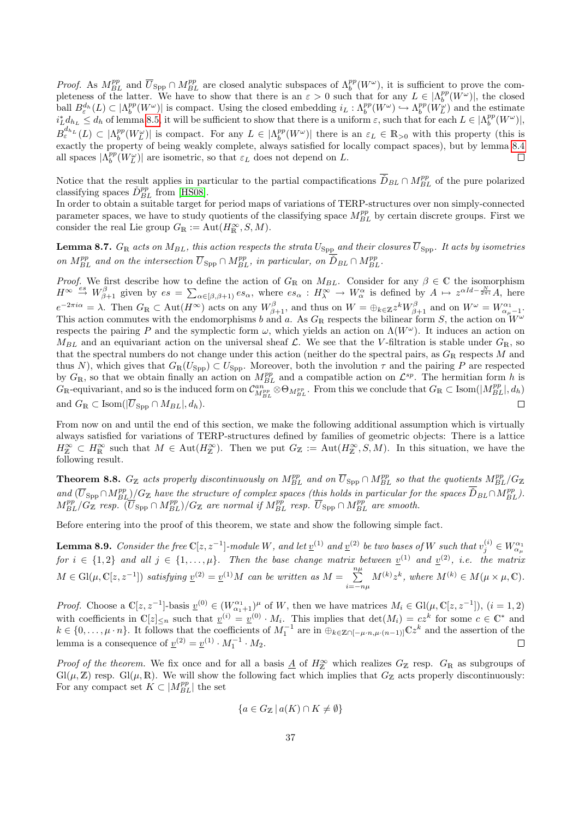*Proof.* As  $M_{BL}^{pp}$  and  $\overline{U}_{\text{Spp}} \cap M_{BL}^{pp}$  are closed analytic subspaces of  $\Lambda_b^{pp}(W^{\omega})$ , it is sufficient to prove the completeness of the latter. We have to show that there is an  $\varepsilon > 0$  such that for any  $L \in |\Lambda_b^{pp}(W^{\omega})|$ , the closed ball  $B_{\varepsilon}^{d_h}(L) \subset |\Lambda_b^{pp}(W^{\omega})|$  is compact. Using the closed embedding  $i_L : \Lambda_b^{pp}(W^{\omega}) \hookrightarrow \Lambda_b^{pp}(W^{\omega}_L)$  and the estimate  $i_L^* d_{h_L} \leq d_h$  of lemma [8.5,](#page-35-0) it will be sufficient to show that there is a uniform  $\varepsilon$ , such that for each  $L \in |\Lambda_b^{pp}(W^{\omega})|$ ,  $B_{\varepsilon}^{d_{h_L}}(L) \subset |\Lambda_b^{pp}(W_L^{\omega})|$  is compact. For any  $L \in |\Lambda_b^{pp}(W^{\omega})|$  there is an  $\varepsilon_L \in \mathbb{R}_{>0}$  with this property (this is exactly the property of being weakly complete, always satisfied for locally compact spaces), but by lemma [8.4](#page-35-1) all spaces  $|\Lambda_b^{pp}(W_L^{\omega})|$  are isometric, so that  $\varepsilon_L$  does not depend on L.  $\Box$ 

Notice that the result applies in particular to the partial compactifications  $\overline{D}_{BL} \cap M_{BL}^{pp}$  of the pure polarized classifying spaces  $\check{D}_{BL}^{pp}$  from [\[HS08\]](#page-52-9).

In order to obtain a suitable target for period maps of variations of TERP-structures over non simply-connected parameter spaces, we have to study quotients of the classifying space  $M_{BL}^{pp}$  by certain discrete groups. First we consider the real Lie group  $G_{\mathbb{R}} := \text{Aut}(H^{\infty}_{\mathbb{R}}, S, M)$ .

**Lemma 8.7.**  $G_R$  acts on  $M_{BL}$ , this action respects the strata  $U_{Spp}$  and their closures  $\overline{U}_{Spp}$ . It acts by isometries on  $M_{BL}^{pp}$  and on the intersection  $\overline{U}_{\text{Spp}} \cap M_{BL}^{pp}$ , in particular, on  $\overline{\tilde{D}}_{BL} \cap M_{BL}^{pp}$ .

*Proof.* We first describe how to define the action of  $G_R$  on  $M_{BL}$ . Consider for any  $\beta \in \mathbb{C}$  the isomorphism  $H^{\infty} \stackrel{\epsilon s}{\to} W^{\beta}_{\beta+1}$  given by  $es = \sum_{\alpha \in [\beta,\beta+1)} es_{\alpha}$ , where  $es_{\alpha}: H^{\infty}_{\lambda} \to W^{\alpha}_{\alpha}$  is defined by  $A \mapsto z^{\alpha Id - \frac{N}{2\pi i}} A$ , here  $e^{-2\pi i\alpha} = \lambda$ . Then  $G_{\mathbb{R}} \subset \text{Aut}(H^{\infty})$  acts on any  $W^{\beta}_{\beta+1}$ , and thus on  $W = \bigoplus_{k \in \mathbb{Z}} z^k W^{\beta}_{\beta+1}$  and on  $W^{\omega} = W^{\alpha_1}_{\alpha_{\mu}-1}$ . This action commutes with the endomorphisms b and a. As  $G_R$  respects the bilinear form S, the action on  $W^{\omega}$ respects the pairing P and the symplectic form  $\omega$ , which yields an action on  $\Lambda(W^{\omega})$ . It induces an action on  $M_{BL}$  and an equivariant action on the universal sheaf  $\mathcal{L}$ . We see that the V-filtration is stable under  $G_{\rm R}$ , so that the spectral numbers do not change under this action (neither do the spectral pairs, as  $G_{\mathbb{R}}$  respects  $M$  and thus N), which gives that  $G_{\mathbb{R}}(U_{\text{Spp}}) \subset U_{\text{Spp}}$ . Moreover, both the involution  $\tau$  and the pairing P are respected by  $G_{\mathbb{R}}$ , so that we obtain finally an action on  $M_{BL}^{pp}$  and a compatible action on  $\mathcal{L}^{sp}$ . The hermitian form h is  $G_{\mathbb{R}}$ -equivariant, and so is the induced form on  $\mathcal{C}_{M_{BL}^{pp}}^{an}$   $\otimes \Theta_{M_{BL}^{pp}}$ . From this we conclude that  $G_{\mathbb{R}} \subset \text{Isom}(|M_{BL}^{pp}|, d_h)$ and  $G_{\mathbb{R}} \subset \text{Isom}(|\overline{U}_{\text{Spp}} \cap M_{BL}|, d_h)$ .  $\Box$ 

From now on and until the end of this section, we make the following additional assumption which is virtually always satisfied for variations of TERP-structures defined by families of geometric objects: There is a lattice  $H_{\mathbb{Z}}^{\infty} \subset H_{\mathbb{R}}^{\infty}$  such that  $M \in \text{Aut}(H_{\mathbb{Z}}^{\infty})$ . Then we put  $G_{\mathbb{Z}} := \text{Aut}(H_{\mathbb{Z}}^{\infty}, S, M)$ . In this situation, we have the following result.

**Theorem 8.8.**  $G_{\mathbb{Z}}$  acts properly discontinuously on  $M_{BL}^{pp}$  and on  $\overline{U}_{\text{Spp}} \cap M_{BL}^{pp}$  so that the quotients  $M_{BL}^{pp}/G_{\mathbb{Z}}$ and  $(\overline{U}_{\text{Spp}} \cap M_{BL}^{pp})/G_{\mathbb{Z}}$  have the structure of complex spaces (this holds in particular for the spaces  $\overline{D}_{BL} \cap M_{BL}^{pp}$ ).  $M_{BL}^{pp}/G_{\mathbb{Z}}$  resp.  $(\overline{U}_{\text{Spp}} \cap M_{BL}^{pp})/G_{\mathbb{Z}}$  are normal if  $M_{BL}^{pp}$  resp.  $\overline{U}_{\text{Spp}} \cap M_{BL}^{pp}$  are smooth.

Before entering into the proof of this theorem, we state and show the following simple fact.

<span id="page-36-0"></span>**Lemma 8.9.** Consider the free  $\mathbb{C}[z,z^{-1}]$ -module W, and let  $\underline{v}^{(1)}$  and  $\underline{v}^{(2)}$  be two bases of W such that  $v_j^{(i)}\in W_{\alpha_\mu}^{\alpha_1}$ for  $i \in \{1,2\}$  and all  $j \in \{1,\ldots,\mu\}$ . Then the base change matrix between  $\underline{v}^{(1)}$  and  $\underline{v}^{(2)}$ , i.e. the matrix  $M \in Gl(\mu, \mathbb{C}[z, z^{-1}])$  satisfying  $\underline{v}^{(2)} = \underline{v}^{(1)}M$  can be written as  $M = \sum_{i=1}^{n}$  $i=-n\mu$  $M^{(k)}z^k$ , where  $M^{(k)} \in M(\mu \times \mu, \mathbb{C})$ .

*Proof.* Choose a  $\mathbb{C}[z, z^{-1}]$ -basis  $\underline{v}^{(0)} \in (W_{\alpha_1+1}^{\alpha_1})^{\mu}$  of W, then we have matrices  $M_i \in Gl(\mu, \mathbb{C}[z, z^{-1}])$ ,  $(i = 1, 2)$ with coefficients in  $\mathbb{C}[z]_{\leq n}$  such that  $\underline{v}^{(i)} = \underline{v}^{(0)} \cdot M_i$ . This implies that  $\det(M_i) = cz^k$  for some  $c \in \mathbb{C}^*$  and  $k \in \{0,\ldots,\mu\cdot n\}$ . It follows that the coefficients of  $M_1^{-1}$  are in  $\bigoplus_{k\in\mathbb{Z}\cap[-\mu\cdot n,\mu\cdot(n-1)]}\mathbb{C}z^k$  and the assertion of the lemma is a consequence of  $\underline{v}^{(2)} = \underline{v}^{(1)} \cdot M_1^{-1} \cdot M_2$ .  $\Box$ 

*Proof of the theorem.* We fix once and for all a basis  $\underline{A}$  of  $H_{\mathbb{Z}}^{\infty}$  which realizes  $G_{\mathbb{Z}}$  resp.  $G_{\mathbb{R}}$  as subgroups of  $Gl(\mu, \mathbb{Z})$  resp.  $Gl(\mu, \mathbb{R})$ . We will show the following fact which implies that  $G_{\mathbb{Z}}$  acts properly discontinuously: For any compact set  $K \subset |M^{pp}_{BL}|$  the set

$$
\{a \in G_{\mathbb{Z}} \mid a(K) \cap K \neq \emptyset\}
$$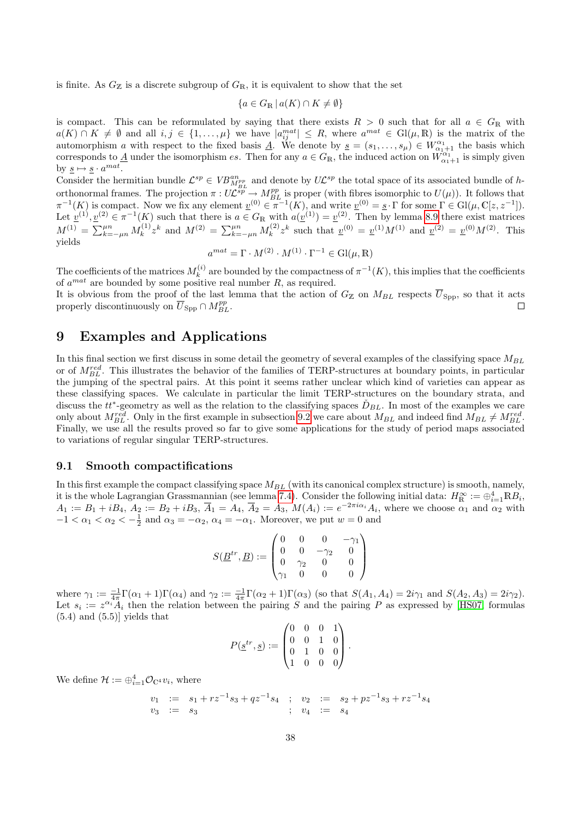is finite. As  $G_{\mathbb{Z}}$  is a discrete subgroup of  $G_{\mathbb{R}}$ , it is equivalent to show that the set

$$
\{a \in G_{\mathbb{R}} \mid a(K) \cap K \neq \emptyset\}
$$

is compact. This can be reformulated by saying that there exists  $R > 0$  such that for all  $a \in G_{\mathbb{R}}$  with  $a(K) \cap K \neq \emptyset$  and all  $i, j \in \{1, \ldots, \mu\}$  we have  $|a_{ij}^{mat}| \leq R$ , where  $a^{mat} \in Gl(\mu, \mathbb{R})$  is the matrix of the automorphism a with respect to the fixed basis  $\underline{A}$ . We denote by  $\underline{s} = (s_1, \ldots, s_\mu) \in W^{\alpha_1}_{\alpha_1+1}$  the basis which corresponds to  $\underline{A}$  under the isomorphism es. Then for any  $a \in G_{\mathbb{R}}$ , the induced action on  $\widetilde{W}_{\alpha_1+1}^{\alpha_1}$  is simply given by  $\underline{s} \mapsto \underline{s} \cdot a^{mat}$ .

Consider the hermitian bundle  $\mathcal{L}^{sp} \in VB^{an}_{M_{BL}^{pp}}$  and denote by  $U\mathcal{L}^{sp}$  the total space of its associated bundle of horthonormal frames. The projection  $\pi: U^{\mathcal{L}^{sp}} \to M^{pp}_{BL}$  is proper (with fibres isomorphic to  $U(\mu)$ ). It follows that  $\pi^{-1}(K)$  is compact. Now we fix any element  $\underline{v}^{(0)} \in \pi^{-1}(K)$ , and write  $\underline{v}^{(0)} = \underline{s} \cdot \Gamma$  for some  $\Gamma \in Gl(\mu, \mathbb{C}[z, z^{-1}])$ . Let  $\underline{v}^{(1)}, \underline{v}^{(2)} \in \pi^{-1}(K)$  such that there is  $a \in G_{\mathbb{R}}$  with  $a(\underline{v}^{(1)}) = \underline{v}^{(2)}$ . Then by lemma [8.9](#page-36-0) there exist matrices  $M^{(1)} = \sum_{k=-\mu n}^{\mu n} M_k^{(1)}$  $\chi_k^{(1)} z^k$  and  $M^{(2)} = \sum_{k=-\mu n}^{\mu n} M_k^{(2)}$  $\frac{\partial v^{(2)}}{k} z^k$  such that  $\underline{v}^{(0)} = \underline{v}^{(1)} M^{(1)}$  and  $\underline{v}^{(2)} = \underline{v}^{(0)} M^{(2)}$ . This yields

$$
a^{mat} = \Gamma \cdot M^{(2)} \cdot M^{(1)} \cdot \Gamma^{-1} \in \text{Gl}(\mu, \mathbb{R})
$$

The coefficients of the matrices  $M_k^{(i)}$  $k^{(i)}_k$  are bounded by the compactness of  $\pi^{-1}(K)$ , this implies that the coefficients of  $a^{mat}$  are bounded by some positive real number  $R$ , as required.

It is obvious from the proof of the last lemma that the action of  $G_{\mathbb{Z}}$  on  $M_{BL}$  respects  $\overline{U}_{\text{Spp}}$ , so that it acts properly discontinuously on  $\overline{U}_{\text{Spp}} \cap M_{BL}^{pp}$ .  $\Box$ 

# <span id="page-37-0"></span>9 Examples and Applications

In this final section we first discuss in some detail the geometry of several examples of the classifying space  $M_{BL}$ or of  $M_{BL}^{red}$ . This illustrates the behavior of the families of TERP-structures at boundary points, in particular the jumping of the spectral pairs. At this point it seems rather unclear which kind of varieties can appear as these classifying spaces. We calculate in particular the limit TERP-structures on the boundary strata, and discuss the  $tt^*$ -geometry as well as the relation to the classifying spaces  $\check{D}_{BL}$ . In most of the examples we care only about  $M_{BL}^{red}$ . Only in the first example in subsection [9.2](#page-43-0) we care about  $M_{BL}$  and indeed find  $M_{BL} \neq M_{BL}^{red}$ . Finally, we use all the results proved so far to give some applications for the study of period maps associated to variations of regular singular TERP-structures.

### <span id="page-37-1"></span>9.1 Smooth compactifications

In this first example the compact classifying space  $M_{BL}$  (with its canonical complex structure) is smooth, namely, it is the whole Lagrangian Grassmannian (see lemma [7.4\)](#page-29-1). Consider the following initial data:  $H_{\mathbb{R}}^{\infty} := \bigoplus_{i=1}^{4} \mathbb{R} B_i$ ,  $A_1 := B_1 + iB_4, A_2 := B_2 + iB_3, \overline{A}_1 = A_4, \overline{A}_2 = A_3, M(A_i) := e^{-2\pi i \alpha_i} A_i$ , where we choose  $\alpha_1$  and  $\alpha_2$  with  $-1 < \alpha_1 < \alpha_2 < -\frac{1}{2}$  and  $\alpha_3 = -\alpha_2$ ,  $\alpha_4 = -\alpha_1$ . Moreover, we put  $w = 0$  and

$$
S(\underline{B}^{tr}, \underline{B}) := \begin{pmatrix} 0 & 0 & 0 & -\gamma_1 \\ 0 & 0 & -\gamma_2 & 0 \\ 0 & \gamma_2 & 0 & 0 \\ \gamma_1 & 0 & 0 & 0 \end{pmatrix}
$$

where  $\gamma_1 := \frac{-1}{4\pi} \Gamma(\alpha_1 + 1) \Gamma(\alpha_4)$  and  $\gamma_2 := \frac{-1}{4\pi} \Gamma(\alpha_2 + 1) \Gamma(\alpha_3)$  (so that  $S(A_1, A_4) = 2i\gamma_1$  and  $S(A_2, A_3) = 2i\gamma_2$ ). Let  $s_i := z^{\alpha_i} A_i$  then the relation between the pairing S and the pairing P as expressed by [\[HS07,](#page-52-8) formulas  $(5.4)$  and  $(5.5)$ ] yields that

$$
P(\underline{s}^{tr}, \underline{s}) := \begin{pmatrix} 0 & 0 & 0 & 1 \\ 0 & 0 & 1 & 0 \\ 0 & 1 & 0 & 0 \\ 1 & 0 & 0 & 0 \end{pmatrix}.
$$

We define  $\mathcal{H} := \bigoplus_{i=1}^4 \mathcal{O}_{\mathbb{C}^4} v_i$ , where

$$
v_1 := s_1 + rz^{-1}s_3 + qz^{-1}s_4 ; v_2 := s_2 + pz^{-1}s_3 + rz^{-1}s_4 \n v_3 := s_3 ; v_4 := s_4
$$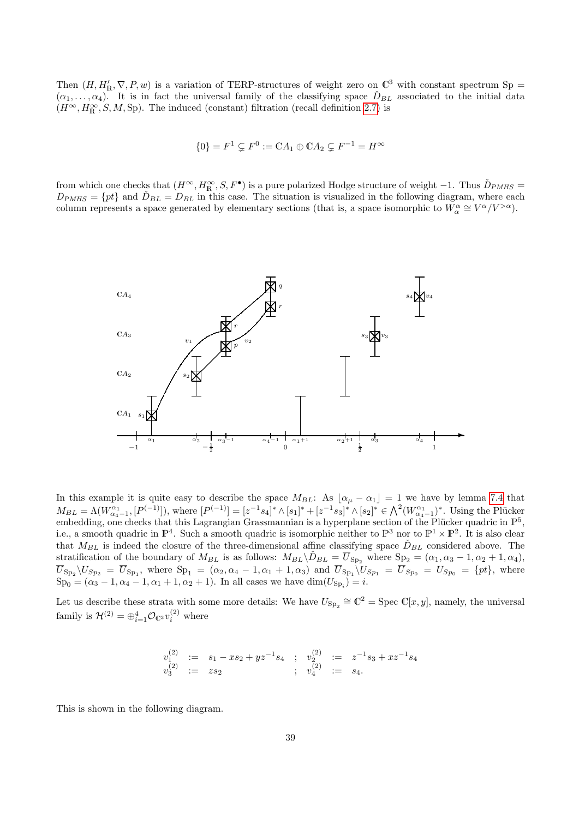Then  $(H, H'_{\mathbb{R}}, \nabla, P, w)$  is a variation of TERP-structures of weight zero on  $\mathbb{C}^3$  with constant spectrum Sp =  $(\alpha_1, \ldots, \alpha_4)$ . It is in fact the universal family of the classifying space  $\check{D}_{BL}$  associated to the initial data  $(H^{\infty}, H^{\infty}_{R}, S, M, Sp)$ . The induced (constant) filtration (recall definition [2.7\)](#page-6-1) is

$$
\{0\} = F^1 \subsetneq F^0 := \mathbb{C}A_1 \oplus \mathbb{C}A_2 \subsetneq F^{-1} = H^{\infty}
$$

from which one checks that  $(H^{\infty}, H^{\infty}_{\mathbb{R}}, S, F^{\bullet})$  is a pure polarized Hodge structure of weight -1. Thus  $\check{D}_{PMHS}$  =  $D_{PMHS} = \{pt\}$  and  $\tilde{D}_{BL} = D_{BL}$  in this case. The situation is visualized in the following diagram, where each column represents a space generated by elementary sections (that is, a space isomorphic to  $W_\alpha^{\alpha} \cong V^{\alpha}/V^{>\alpha}$ ).



In this example it is quite easy to describe the space  $M_{BL}$ : As  $\lfloor \alpha_\mu - \alpha_1 \rfloor = 1$  we have by lemma [7.4](#page-29-1) that  $M_{BL} = \Lambda(W_{\alpha_4-1}^{\alpha_1}, [P^{(-1)}])$ , where  $[P^{(-1)}] = [z^{-1}s_4]^* \wedge [s_1]^* + [z^{-1}s_3]^* \wedge [s_2]^* \in \bigwedge^2(W_{\alpha_4-1}^{\alpha_1})^*$ . Using the Plücker embedding, one checks that this Lagrangian Grassmannian is a hyperplane section of the Plücker quadric in  $\mathbb{P}^5$ , i.e., a smooth quadric in  $\mathbb{P}^4$ . Such a smooth quadric is isomorphic neither to  $\mathbb{P}^3$  nor to  $\mathbb{P}^1 \times \mathbb{P}^2$ . It is also clear that  $M_{BL}$  is indeed the closure of the three-dimensional affine classifying space  $\check{D}_{BL}$  considered above. The stratification of the boundary of  $M_{BL}$  is as follows:  $M_{BL}\setminus \check{D}_{BL} = \overline{U}_{Sp_2}$  where  $Sp_2 = (\alpha_1, \alpha_3 - 1, \alpha_2 + 1, \alpha_4)$ ,  $U_{\text{Sp}_2}\setminus U_{Sp_2} = U_{\text{Sp}_1}$ , where  $\text{Sp}_1 = (\alpha_2, \alpha_4 - 1, \alpha_1 + 1, \alpha_3)$  and  $U_{\text{Sp}_1}\setminus U_{Sp_1} = U_{Sp_0} = U_{Sp_0} = \{pt\}$ , where  $\text{Sp}_0 = (\alpha_3 - 1, \alpha_4 - 1, \alpha_1 + 1, \alpha_2 + 1)$ . In all cases we have  $\dim(U_{\text{Sp}_i}) = i$ .

Let us describe these strata with some more details: We have  $U_{\text{Sp}_2} \cong \mathbb{C}^2 = \text{Spec } \mathbb{C}[x, y]$ , namely, the universal family is  $\mathcal{H}^{(2)} = \bigoplus_{i=1}^{4} \mathcal{O}_{\mathbb{C}^3} v_i^{(2)}$  where

$$
v_1^{(2)} := s_1 - x s_2 + y z^{-1} s_4 \quad ; \quad v_2^{(2)} := z^{-1} s_3 + x z^{-1} s_4 \n v_3^{(2)} := z s_2 \quad ; \quad v_4^{(2)} := s_4.
$$

This is shown in the following diagram.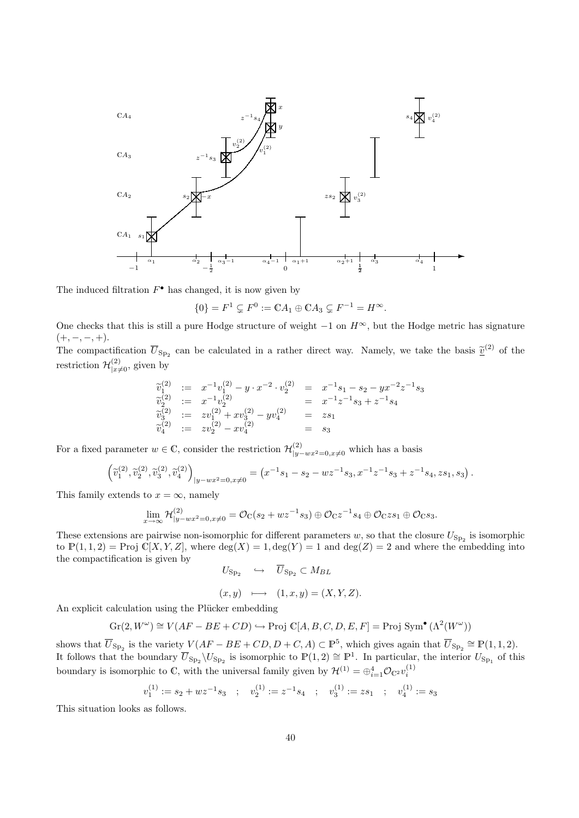

The induced filtration  $F^{\bullet}$  has changed, it is now given by

 $\{0\} = F^1 \subsetneq F^0 := \mathbb{C} A_1 \oplus \mathbb{C} A_3 \subsetneq F^{-1} = H^{\infty}.$ 

One checks that this is still a pure Hodge structure of weight  $-1$  on  $H^{\infty}$ , but the Hodge metric has signature  $(+, -, -, +).$ 

The compactification  $\overline{U}_{\text{Sp}_2}$  can be calculated in a rather direct way. Namely, we take the basis  $\tilde{v}^{(2)}$  of the restriction  $\mathcal{H}^{(2)}_{x\neq0}$ , given by

$$
\begin{array}{rcl}\n\widetilde{v}_1^{(2)} & := & x^{-1}v_1^{(2)} - y \cdot x^{-2} \cdot v_2^{(2)} & = & x^{-1}s_1 - s_2 - yx^{-2}z^{-1}s_3 \\
\widetilde{v}_2^{(2)} & := & x^{-1}v_2^{(2)} & = & x^{-1}z^{-1}s_3 + z^{-1}s_4 \\
\widetilde{v}_3^{(2)} & := & zv_1^{(2)} + xv_3^{(2)} - yv_4^{(2)} & = & zs_1 \\
\widetilde{v}_4^{(2)} & := & zv_2^{(2)} - xv_4^{(2)} & = & s_3\n\end{array}
$$

For a fixed parameter  $w \in \mathbb{C}$ , consider the restriction  $\mathcal{H}_{|y-wx^2=0, x\neq 0}^{(2)}$  which has a basis

$$
\left(\tilde{v}_1^{(2)}, \tilde{v}_2^{(2)}, \tilde{v}_3^{(2)}, \tilde{v}_4^{(2)}\right)_{|y-wx^2=0, x\neq 0} = \left(x^{-1}s_1 - s_2 - wz^{-1}s_3, x^{-1}z^{-1}s_3 + z^{-1}s_4, zs_1, s_3\right).
$$

This family extends to  $x = \infty$ , namely

$$
\lim_{x\to\infty} \mathcal{H}_{|y-wx^2=0,x\neq 0}^{(2)} = \mathcal{O}_{\mathbb{C}}(s_2+wz^{-1}s_3) \oplus \mathcal{O}_{\mathbb{C}}z^{-1}s_4 \oplus \mathcal{O}_{\mathbb{C}}zs_1 \oplus \mathcal{O}_{\mathbb{C}}s_3.
$$

These extensions are pairwise non-isomorphic for different parameters  $w$ , so that the closure  $U_{\text{Sp}_2}$  is isomorphic to  $\mathbb{P}(1,1,2) = \text{Proj } \mathbb{C}[X,Y,Z],$  where  $\text{deg}(X) = 1, \text{deg}(Y) = 1$  and  $\text{deg}(Z) = 2$  and where the embedding into the compactification is given by

$$
U_{\mathrm{Sp}_2} \quad \hookrightarrow \quad \overline{U}_{\mathrm{Sp}_2} \subset M_{BL}
$$

$$
(x, y) \longrightarrow (1, x, y) = (X, Y, Z).
$$

An explicit calculation using the Plücker embedding

$$
\operatorname{Gr}(2,W^\omega)\cong V(AF-BE+CD)\hookrightarrow \operatorname{Proj}\, \mathbb{C}[A,B,C,D,E,F]=\operatorname{Proj}\, \operatorname{Sym}^\bullet\left(\Lambda^2(W^\omega)\right)
$$

shows that  $\overline{U}_{\text{Sp}_2}$  is the variety  $V(AF - BE + CD, D + C, A) \subset \mathbb{P}^5$ , which gives again that  $\overline{U}_{\text{Sp}_2} \cong \mathbb{P}(1, 1, 2)$ . It follows that the boundary  $\overline{U}_{\text{Sp}_2}\backslash U_{\text{Sp}_2}$  is isomorphic to  $\mathbb{P}(1,2) \cong \mathbb{P}^1$ . In particular, the interior  $U_{\text{Sp}_1}$  of this boundary is isomorphic to C, with the universal family given by  $\mathcal{H}^{(1)} = \bigoplus_{i=1}^4 \mathcal{O}_{\mathbb{C}^2} v_i^{(1)}$ 

$$
v_1^{(1)} := s_2 + wz^{-1}s_3
$$
 ;  $v_2^{(1)} := z^{-1}s_4$  ;  $v_3^{(1)} := zs_1$  ;  $v_4^{(1)} := s_3$ 

This situation looks as follows.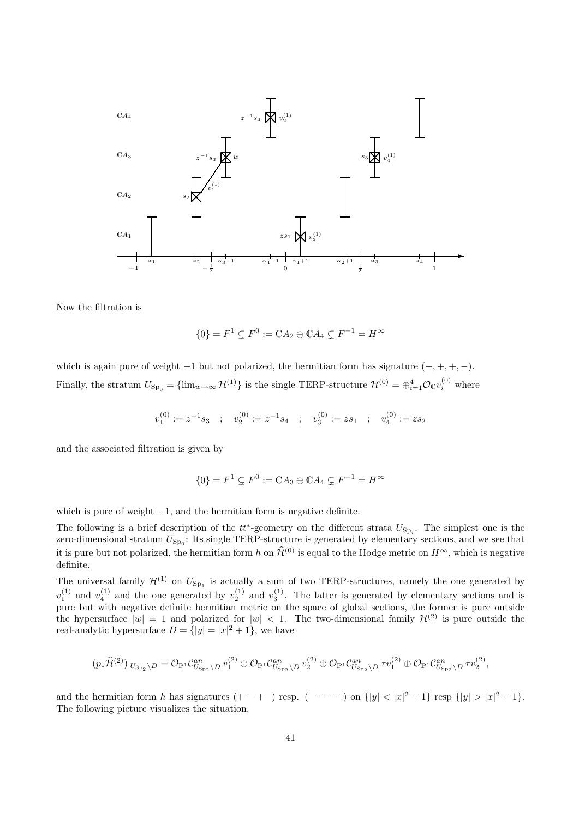

Now the filtration is

$$
\{0\} = F^1 \subsetneq F^0 := \mathbb{C}A_2 \oplus \mathbb{C}A_4 \subsetneq F^{-1} = H^{\infty}
$$

which is again pure of weight  $-1$  but not polarized, the hermitian form has signature  $(-, +, +, -)$ . Finally, the stratum  $U_{\text{Sp}_0} = \{\lim_{w \to \infty} \mathcal{H}^{(1)}\}$  is the single TERP-structure  $\mathcal{H}^{(0)} = \bigoplus_{i=1}^4 \mathcal{O}_\mathbb{C} v_i^{(0)}$  where

$$
v_1^{(0)}:=z^{-1}s_3\quad;\quad v_2^{(0)}:=z^{-1}s_4\quad;\quad v_3^{(0)}:=zs_1\quad;\quad v_4^{(0)}:=zs_2
$$

and the associated filtration is given by

$$
\{0\} = F^1 \subsetneq F^0 := \mathbb{C}A_3 \oplus \mathbb{C}A_4 \subsetneq F^{-1} = H^{\infty}
$$

which is pure of weight  $-1$ , and the hermitian form is negative definite.

The following is a brief description of the  $tt^*$ -geometry on the different strata  $U_{\text{Sp}_i}$ . The simplest one is the zero-dimensional stratum  $U_{\text{Sp}_0}$ : Its single TERP-structure is generated by elementary sections, and we see that it is pure but not polarized, the hermitian form h on  $\hat{\mathcal{H}}^{(0)}$  is equal to the Hodge metric on  $H^{\infty}$ , which is negative definite.

The universal family  $\mathcal{H}^{(1)}$  on  $U_{\text{Sp}_1}$  is actually a sum of two TERP-structures, namely the one generated by  $v_1^{(1)}$  and  $v_4^{(1)}$  and the one generated by  $v_2^{(1)}$  and  $v_3^{(1)}$ . The latter is generated by elementary sections and is pure but with negative definite hermitian metric on the space of global sections, the former is pure outside the hypersurface  $|w| = 1$  and polarized for  $|w| < 1$ . The two-dimensional family  $\mathcal{H}^{(2)}$  is pure outside the real-analytic hypersurface  $D = \{ |y| = |x|^2 + 1 \}$ , we have

$$
(p_*\widehat{\mathcal{H}}^{(2)})_{|U_{\mathrm{Sp}_2}\backslash D}=\mathcal{O}_{\mathbb{P}^1}\mathcal{C}^{an}_{U_{\mathrm{Sp}_2}\backslash D}\,v_1^{(2)}\oplus \mathcal{O}_{\mathbb{P}^1}\mathcal{C}^{an}_{U_{\mathrm{Sp}_2}\backslash D}\,v_2^{(2)}\oplus \mathcal{O}_{\mathbb{P}^1}\mathcal{C}^{an}_{U_{\mathrm{Sp}_2}\backslash D}\,\tau v_1^{(2)}\oplus \mathcal{O}_{\mathbb{P}^1}\mathcal{C}^{an}_{U_{\mathrm{Sp}_2}\backslash D}\,\tau v_2^{(2)},
$$

and the hermitian form h has signatures  $(+ - + -)$  resp.  $(- - - -)$  on  $\{|y| < |x|^2 + 1\}$  resp  $\{|y| > |x|^2 + 1\}$ . The following picture visualizes the situation.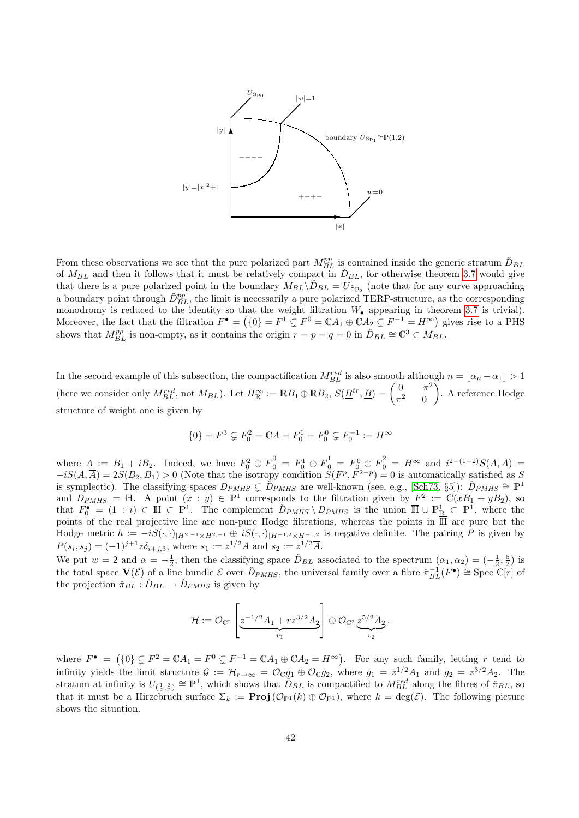

From these observations we see that the pure polarized part  $M_{BL}^{pp}$  is contained inside the generic stratum  $\check{D}_{BL}$ of  $M_{BL}$  and then it follows that it must be relatively compact in  $\tilde{D}_{BL}$ , for otherwise theorem [3.7](#page-14-0) would give that there is a pure polarized point in the boundary  $M_{BL} \setminus \check{D}_{BL} = \overline{U}_{Sp_2}$  (note that for any curve approaching a boundary point through  $\check{D}_{BL}^{pp}$ , the limit is necessarily a pure polarized TERP-structure, as the corresponding monodromy is reduced to the identity so that the weight filtration  $W_{\bullet}$  appearing in theorem [3.7](#page-14-0) is trivial). Moreover, the fact that the filtration  $F^{\bullet} = (\{0\} = F^1 \subsetneq F^0 = \mathbb{C}A_1 \oplus \mathbb{C}A_2 \subsetneq F^{-1} = H^{\infty})$  gives rise to a PHS shows that  $M_{BL}^{pp}$  is non-empty, as it contains the origin  $r = p = q = 0$  in  $\tilde{D}_{BL} \cong \mathbb{C}^3 \subset M_{BL}$ .

In the second example of this subsection, the compactification  $M_{BL}^{red}$  is also smooth although  $n = \lfloor \alpha_\mu - \alpha_1 \rfloor > 1$ (here we consider only  $M_{BL}^{red}$ , not  $M_{BL}$ ). Let  $H_{\mathbb{R}}^{\infty} := \mathbb{R}B_1 \oplus \mathbb{R}B_2$ ,  $S(\underline{B}^{tr}, \underline{B}) = \begin{pmatrix} 0 & -\pi^2 \\ \pi^2 & 0 \end{pmatrix}$  $\pi^2$  0 . A reference Hodge structure of weight one is given by

$$
\{0\} = F^3 \subsetneq F_0^2 = \mathbb{C}A = F_0^1 = F_0^0 \subsetneq F_0^{-1} := H^\infty
$$

where  $A := B_1 + iB_2$ . Indeed, we have  $F_0^2 \oplus \overline{F}_0^0 = F_0^1 \oplus \overline{F}_0^1 = F_0^0 \oplus \overline{F}_0^2 = H^{\infty}$  and  $i^{2-(1-2)}S(A,\overline{A}) =$  $-iS(A,\overline{A})=2S(B_2,B_1)>0$  (Note that the isotropy condition  $S(F^p,F^{2-p})=0$  is automatically satisfied as S is symplectic). The classifying spaces  $D_{PMHS} \subsetneq \tilde{D}_{PMHS}$  are well-known (see, e.g., [\[Sch73,](#page-53-11) §5]):  $\tilde{D}_{PMHS} \cong \mathbb{P}^1$ and  $D_{PMHS} = \mathbb{H}$ . A point  $(x : y) \in \mathbb{P}^1$  corresponds to the filtration given by  $F^2 := \mathbb{C}(xB_1 + yB_2)$ , so that  $F_0^{\bullet} = (1 : i) \in \mathbb{H} \subset \mathbb{P}^1$ . The complement  $\check{D}_{PMHS} \setminus D_{PMHS}$  is the union  $\overline{\mathbb{H}} \cup \mathbb{P}^1_{\mathbb{R}} \subset \mathbb{P}^1$ , where the points of the real projective line are non-pure Hodge filtrations, whereas the points in  $\overline{H}$  are pure but the Hodge metric  $h := -iS(\cdot, \overline{\cdot})_{|H^{2,-1}\times H^{2,-1}} \oplus iS(\cdot, \overline{\cdot})_{|H^{-1,2}\times H^{-1,2}}$  is negative definite. The pairing P is given by  $P(s_i, s_j) = (-1)^{j+1} \tilde{z} \delta_{i+j,3}$ , where  $s_1 := z^{1/2} A$  and  $s_2 := z^{1/2} \overline{A}$ .

We put  $w = 2$  and  $\alpha = -\frac{1}{2}$ , then the classifying space  $\check{D}_{BL}$  associated to the spectrum  $(\alpha_1, \alpha_2) = (-\frac{1}{2}, \frac{5}{2})$  is the total space  $\mathbf{V}(\mathcal{E})$  of a line bundle  $\mathcal{E}$  over  $\check{D}_{PMHS}$ , the universal family over a fibre  $\check{\pi}_{BL}^{-1}(F^{\bullet}) \cong \text{Spec } \check{\mathbb{C}}[r]$  of the projection  $\check{\pi}_{BL} : \check{D}_{BL} \to \check{D}_{PMHS}$  is given by

$$
\mathcal{H}:=\mathcal{O}_{\mathbb{C}^2}\left[\underline{z^{-1/2}A_1+r z^{3/2}A_2}_{v_1}\right]\oplus \mathcal{O}_{\mathbb{C}^2}\underbrace{z^{5/2}A_2}_{v_2}.
$$

where  $F^{\bullet} = (\{0\} \subsetneq F^2 = \mathbb{C}A_1 = F^0 \subsetneq F^{-1} = \mathbb{C}A_1 \oplus \mathbb{C}A_2 = H^{\infty}).$  For any such family, letting r tend to infinity yields the limit structure  $G := H_{r \to \infty} = \mathcal{O}_{\mathbb{C}}g_1 \oplus \mathcal{O}_{\mathbb{C}}g_2$ , where  $g_1 = z^{1/2}A_1$  and  $g_2 = z^{3/2}A_2$ . The stratum at infinity is  $U_{(\frac{1}{2},\frac{3}{2})} \cong \mathbb{P}^1$ , which shows that  $\check{D}_{BL}$  is compactified to  $M_{BL}^{red}$  along the fibres of  $\check{\pi}_{BL}$ , so that it must be a Hirzebruch surface  $\Sigma_k := \text{Proj}(\mathcal{O}_{\mathbb{P}^1}(k) \oplus \mathcal{O}_{\mathbb{P}^1})$ , where  $k = \deg(\mathcal{E})$ . The following picture shows the situation.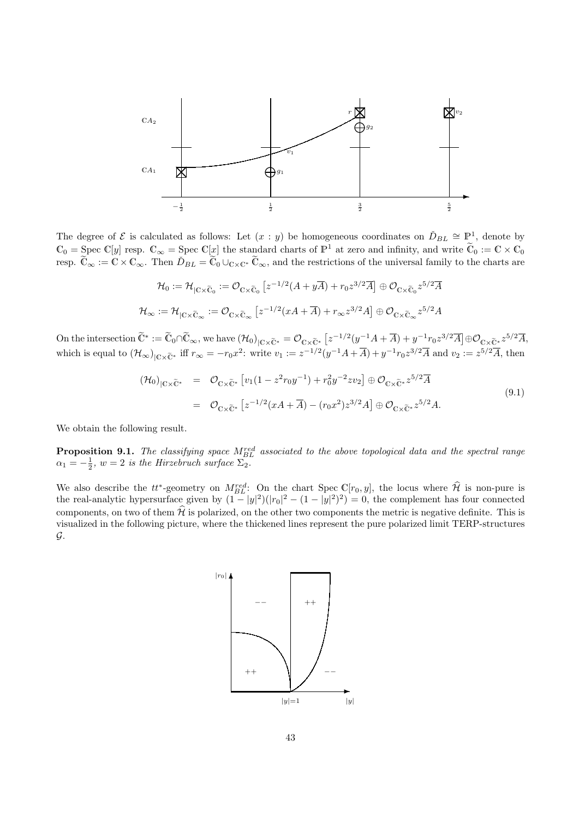

The degree of  $\mathcal E$  is calculated as follows: Let  $(x : y)$  be homogeneous coordinates on  $\check{D}_{BL} \cong \mathbb{P}^1$ , denote by  $\mathbb{C}_0 = \text{Spec } \mathbb{C}[y]$  resp.  $\mathbb{C}_{\infty} = \text{Spec } \mathbb{C}[x]$  the standard charts of  $\mathbb{P}^1$  at zero and infinity, and write  $\widetilde{\mathbb{C}}_0 := \mathbb{C} \times \mathbb{C}_0$ resp.  $\widetilde{\mathbb{C}}_{\infty} := \mathbb{C} \times \mathbb{C}_{\infty}$ . Then  $\check{D}_{BL} = \widetilde{\mathbb{C}}_0 \cup_{\mathbb{C} \times \mathbb{C}^*} \widetilde{\mathbb{C}}_{\infty}$ , and the restrictions of the universal family to the charts are

$$
\mathcal{H}_0 := \mathcal{H}_{|\mathbb{C}\times\tilde{\mathbb{C}}_0} := \mathcal{O}_{\mathbb{C}\times\tilde{\mathbb{C}}_0} \left[ z^{-1/2} (A + y\overline{A}) + r_0 z^{3/2} \overline{A} \right] \oplus \mathcal{O}_{\mathbb{C}\times\tilde{\mathbb{C}}_0} z^{5/2} \overline{A}
$$
  

$$
\mathcal{H}_{\infty} := \mathcal{H}_{|\mathbb{C}\times\tilde{\mathbb{C}}_{\infty}} := \mathcal{O}_{\mathbb{C}\times\tilde{\mathbb{C}}_{\infty}} \left[ z^{-1/2} (xA + \overline{A}) + r_{\infty} z^{3/2} A \right] \oplus \mathcal{O}_{\mathbb{C}\times\tilde{\mathbb{C}}_{\infty}} z^{5/2} A
$$

On the intersection  $\widetilde{\mathbb{C}}^* := \widetilde{\mathbb{C}}_0 \cap \widetilde{\mathbb{C}}_{\infty}$ , we have  $(\mathcal{H}_0)_{|\mathbb{C}\times\widetilde{\mathbb{C}}^*} = \mathcal{O}_{\mathbb{C}\times\widetilde{\mathbb{C}}^*} \left[z^{-1/2}(y^{-1}A + \overline{A}) + y^{-1}r_0z^{3/2}\overline{A}\right] \oplus \mathcal{O}_{\mathbb{C}\times\widetilde{\mathbb{C}}^*} z^{5/2}\overline{A},$ which is equal to  $(\mathcal{H}_{\infty})_{|\mathbb{C}\times\widetilde{\mathbb{C}}^*}$  iff  $r_{\infty} = -r_0x^2$ : write  $v_1 := z^{-1/2}(y^{-1}A + \overline{A}) + y^{-1}r_0z^{3/2}\overline{A}$  and  $v_2 := z^{5/2}\overline{A}$ , then

<span id="page-42-0"></span>
$$
(\mathcal{H}_0)_{|C \times \tilde{C}^*} = \mathcal{O}_{C \times \tilde{C}^*} \left[ v_1 (1 - z^2 r_0 y^{-1}) + r_0^2 y^{-2} z v_2 \right] \oplus \mathcal{O}_{C \times \tilde{C}^*} z^{5/2} \overline{A}
$$
  
=  $\mathcal{O}_{C \times \tilde{C}^*} \left[ z^{-1/2} (x A + \overline{A}) - (r_0 x^2) z^{3/2} A \right] \oplus \mathcal{O}_{C \times \tilde{C}^*} z^{5/2} A.$  (9.1)

We obtain the following result.

**Proposition 9.1.** The classifying space  $M_{BL}^{red}$  associated to the above topological data and the spectral range  $\alpha_1 = -\frac{1}{2}$ ,  $w = 2$  is the Hirzebruch surface  $\Sigma_2$ .

We also describe the *tt*<sup>\*</sup>-geometry on  $M_{BL}^{red}$ : On the chart Spec  $\mathbb{C}[r_0, y]$ , the locus where  $\hat{\mathcal{H}}$  is non-pure is the real-analytic hypersurface given by  $(1 - |y|^2)(|r_0|^2 - (1 - |y|^2)^2) = 0$ , the complement has fo components, on two of them  $\hat{\mathcal{H}}$  is polarized, on the other two components the metric is negative definite. This is visualized in the following picture, where the thickened lines represent the pure polarized limit TERP-structures G.

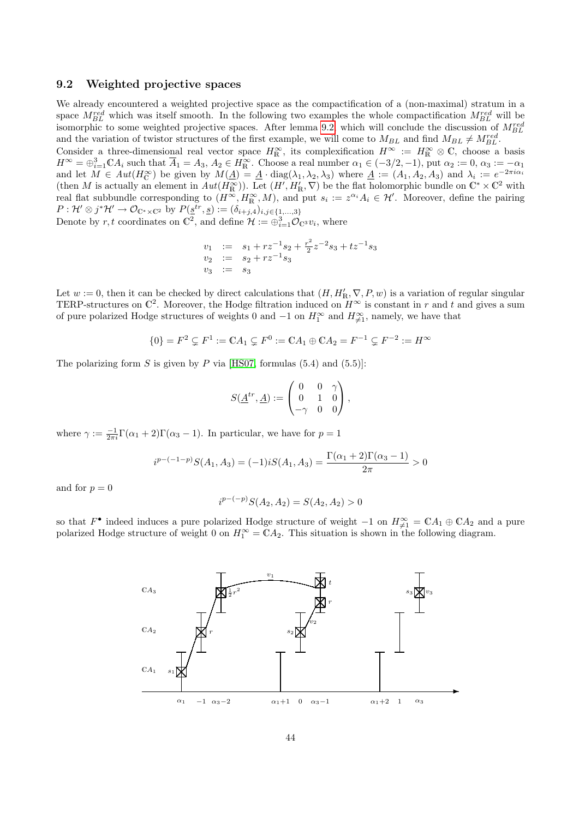#### <span id="page-43-0"></span>9.2 Weighted projective spaces

We already encountered a weighted projective space as the compactification of a (non-maximal) stratum in a space  $M_{BL}^{red}$  which was itself smooth. In the following two examples the whole compactification  $M_{BL}^{red}$  will be isomorphic to some weighted projective spaces. After lemma [9.2,](#page-45-0) which will conclude the discussion of  $M_{BL}^{red}$ and the variation of twistor structures of the first example, we will come to  $M_{BL}$  and find  $M_{BL} \neq M_{BL}^{red}$ .

Consider a three-dimensional real vector space  $H_{\mathbb{R}}^{\infty}$ , its complexification  $H^{\infty} := H_{\mathbb{R}}^{\infty} \otimes \mathbb{C}$ , choose a basis  $H^{\infty} = \bigoplus_{i=1}^{3} \mathbb{C}A_{i}$  such that  $\overline{A}_{1} = A_{3}, A_{2} \in H^{\infty}_{\mathbb{R}}$ . Choose a real number  $\alpha_{1} \in (-3/2, -1)$ , put  $\alpha_{2} := 0$ ,  $\alpha_{3} := -\alpha_{1}$ and let  $M \in Aut(H_{\mathbb{C}}^{\infty})$  be given by  $M(\underline{A}) = \underline{A} \cdot diag(\lambda_1, \lambda_2, \lambda_3)$  where  $\underline{A} := (A_1, A_2, A_3)$  and  $\lambda_i := e^{-2\pi i \alpha_i}$ (then M is actually an element in  $Aut(H_{\mathbb{R}}^{\infty})$ ). Let  $(H', H_{\mathbb{R}}', \nabla)$  be the flat holomorphic bundle on  $\mathbb{C}^* \times \mathbb{C}^2$  with real flat subbundle corresponding to  $(H^{\infty}, H^{\infty}_{R}, M)$ , and put  $s_i := z^{\alpha_i} A_i \in \mathcal{H}'$ . Moreover, define the pairing  $P: \mathcal{H}' \otimes j^* \mathcal{H}' \to \mathcal{O}_{\mathbb{C}^*\times\mathbb{C}^2}$  by  $P(\underline{s}^{tr}, \underline{s}) := (\delta_{i+j,4})_{i,j\in\{1,\ldots,3\}}$ 

Denote by r, t coordinates on  $\mathbb{C}^2$ , and define  $\mathcal{H} := \bigoplus_{i=1}^3 \mathcal{O}_{\mathbb{C}^3} v_i$ , where

$$
v_1 := s_1 + rz^{-1}s_2 + \frac{r^2}{2}z^{-2}s_3 + tz^{-1}s_3
$$
  
\n
$$
v_2 := s_2 + rz^{-1}s_3
$$
  
\n
$$
v_3 := s_3
$$

Let  $w := 0$ , then it can be checked by direct calculations that  $(H, H'_{R}, \nabla, P, w)$  is a variation of regular singular TERP-structures on  $\mathbb{C}^2$ . Moreover, the Hodge filtration induced on  $H^{\infty}$  is constant in r and t and gives a sum of pure polarized Hodge structures of weights 0 and  $-1$  on  $H_1^{\infty}$  and  $H_{\neq 1}^{\infty}$ , namely, we have that

$$
\{0\} = F^2 \subsetneq F^1 := \mathbb{C}A_1 \subsetneq F^0 := \mathbb{C}A_1 \oplus \mathbb{C}A_2 = F^{-1} \subsetneq F^{-2} := H^{\infty}
$$

The polarizing form S is given by P via [\[HS07,](#page-52-8) formulas  $(5.4)$  and  $(5.5)$ ]:

$$
S(\underline{A}^{tr}, \underline{A}) := \begin{pmatrix} 0 & 0 & \gamma \\ 0 & 1 & 0 \\ -\gamma & 0 & 0 \end{pmatrix},
$$

where  $\gamma := \frac{-1}{2\pi i} \Gamma(\alpha_1 + 2) \Gamma(\alpha_3 - 1)$ . In particular, we have for  $p = 1$ 

$$
i^{p-(-1-p)}S(A_1, A_3) = (-1)iS(A_1, A_3) = \frac{\Gamma(\alpha_1 + 2)\Gamma(\alpha_3 - 1)}{2\pi} > 0
$$

and for  $p = 0$ 

$$
i^{p-(-p)}S(A_2, A_2) = S(A_2, A_2) > 0
$$

so that  $F^{\bullet}$  indeed induces a pure polarized Hodge structure of weight  $-1$  on  $H_{\neq 1}^{\infty} = \mathbb{C}A_1 \oplus \mathbb{C}A_2$  and a pure polarized Hodge structure of weight 0 on  $H_1^{\infty} = \mathbb{C} A_2$ . This situation is shown in the following diagram.

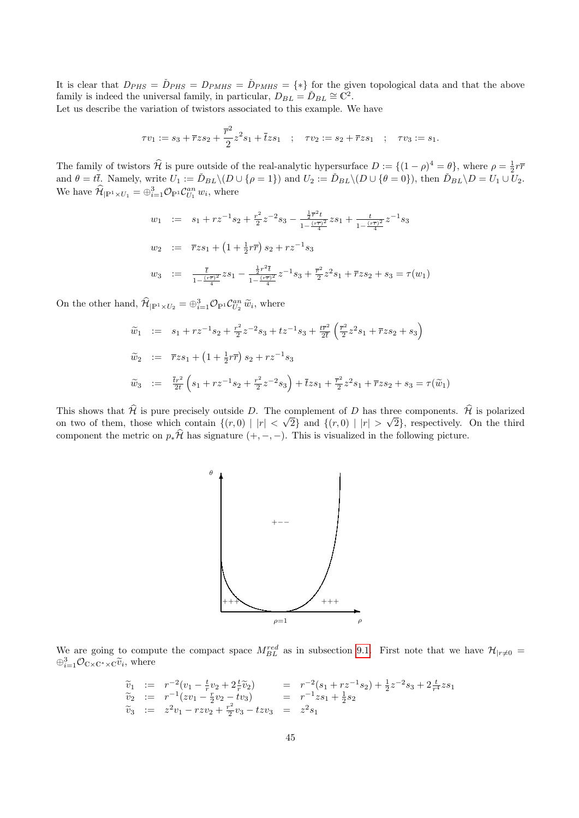It is clear that  $D_{PHS} = \tilde{D}_{PHS} = D_{PMHS} = \tilde{D}_{PMHS} = \{*\}$  for the given topological data and that the above family is indeed the universal family, in particular,  $D_{BL} = D_{BL} \approx \overline{\mathbb{C}^2}$ .

Let us describe the variation of twistors associated to this example. We have

$$
\tau v_1 := s_3 + \overline{r} z s_2 + \frac{\overline{r}^2}{2} z^2 s_1 + \overline{t} z s_1 \quad ; \quad \tau v_2 := s_2 + \overline{r} z s_1 \quad ; \quad \tau v_3 := s_1.
$$

The family of twistors  $\hat{\mathcal{H}}$  is pure outside of the real-analytic hypersurface  $D := \{(1 - \rho)^4 = \theta\}$ , where  $\rho = \frac{1}{2}r\bar{r}$ and  $\theta = t\bar{t}$ . Namely, write  $U_1 := \tilde{D}_{BL} \setminus (D \cup \{\rho = 1\})$  and  $U_2 := \tilde{D}_{BL} \setminus (D \cup \{\theta = 0\})$ , then  $\tilde{D}_{BL} \setminus D = U_1 \cup U_2$ . We have  $\widehat{\mathcal{H}}_{|\mathbb{P}^1 \times U_1} = \bigoplus_{i=1}^3 \mathcal{O}_{\mathbb{P}^1} \mathcal{C}_{U_1}^{an} w_i$ , where

$$
w_1 \quad := \quad s_1 + rz^{-1}s_2 + \frac{r^2}{2}z^{-2}s_3 - \frac{\frac{1}{2}\overline{r}^2t}{1 - \frac{(r\overline{r})^2}{4}}z s_1 + \frac{t}{1 - \frac{(r\overline{r})^2}{4}}z^{-1}s_3
$$
\n
$$
w_2 \quad := \quad \overline{r}z s_1 + \left(1 + \frac{1}{2}r\overline{r}\right)s_2 + rz^{-1}s_3
$$
\n
$$
w_3 \quad := \quad \frac{\overline{t}}{1 - \frac{(r\overline{r})^2}{4}}z s_1 - \frac{\frac{1}{2}r^2\overline{t}}{1 - \frac{(r\overline{r})^2}{4}}z^{-1}s_3 + \frac{\overline{r}^2}{2}z^2 s_1 + \overline{r}z s_2 + s_3 = \tau(w_1)
$$

On the other hand,  $\hat{\mathcal{H}}_{|\mathbb{P}^1 \times U_2} = \bigoplus_{i=1}^3 \mathcal{O}_{\mathbb{P}^1} C_{U_2}^{an} \tilde{w}_i$ , where

$$
\widetilde{w}_1 := s_1 + rz^{-1}s_2 + \frac{r^2}{2}z^{-2}s_3 + tz^{-1}s_3 + \frac{t\overline{r}^2}{2\overline{t}} \left(\frac{\overline{r}^2}{2}z^2s_1 + \overline{r}zs_2 + s_3\right)
$$
  
\n
$$
\widetilde{w}_2 := \overline{r}zs_1 + \left(1 + \frac{1}{2}r\overline{r}\right)s_2 + rz^{-1}s_3
$$
  
\n
$$
\widetilde{w}_3 := \frac{\overline{t}r^2}{2t} \left(s_1 + rz^{-1}s_2 + \frac{r^2}{2}z^{-2}s_3\right) + \overline{t}zs_1 + \frac{\overline{r}^2}{2}z^2s_1 + \overline{r}zs_2 + s_3 = \tau(\widetilde{w}_1)
$$

This shows that H is pure precisely outside D. The complement of D has three components. H is polarized on two of them, those which contain  $\{(r, 0) \mid |r| < \sqrt{2}\}$  and  $\{(r, 0) \mid |r| > \sqrt{2}\}$ , respectively. On the third component the metric on  $p_*\hat{\mathcal{H}}$  has signature  $(+, -, -)$ . This is visualized in the following picture.



We are going to compute the compact space  $M_{BL}^{red}$  as in subsection [9.1.](#page-37-1) First note that we have  $\mathcal{H}_{|r\neq0}$  =  $\oplus_{i=1}^3 \mathcal{O}_{\mathbb{C} \times \mathbb{C}^* \times \mathbb{C}} \widetilde{v}_i$ , where

$$
\begin{array}{rcl}\n\widetilde{v}_1 & := & r^{-2}(v_1 - \frac{t}{r}v_2 + 2\frac{t}{r}\widetilde{v}_2) \\
\widetilde{v}_2 & := & r^{-1}(zv_1 - \frac{r}{2}v_2 - tv_3) \\
\widetilde{v}_3 & := & z^2v_1 - rzv_2 + \frac{r^2}{2}v_3 - tzv_3 \\
\end{array} \quad = \quad \begin{array}{rcl}\n r^{-2}(s_1 + rz^{-1}s_2) + \frac{1}{2}z^{-2}s_3 + 2\frac{t}{r^4}zs_1 \\
r^{-1}zs_1 + \frac{1}{2}s_2 \\
\widetilde{v}_3 & := & z^2v_1 - rzv_2 + \frac{r^2}{2}v_3 - tzv_3 \\
\end{array}
$$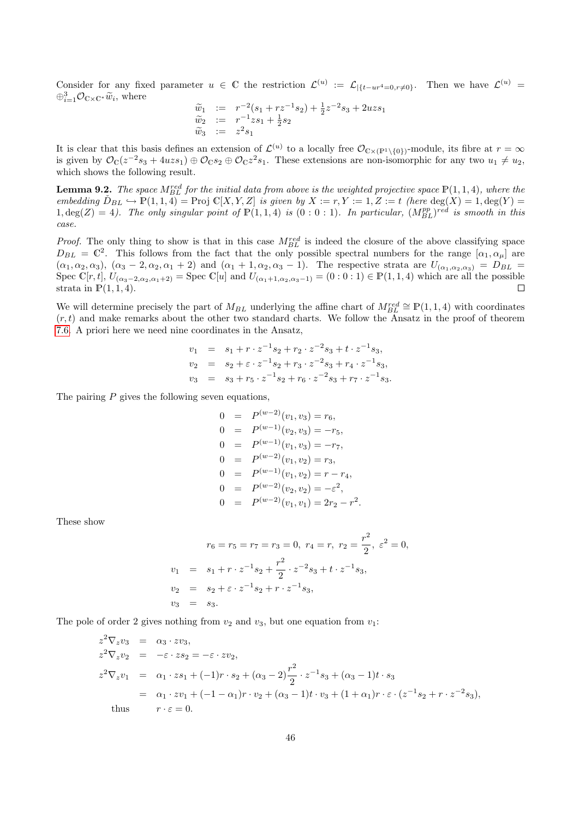Consider for any fixed parameter  $u \in \mathbb{C}$  the restriction  $\mathcal{L}^{(u)} := \mathcal{L}_{|\{t-u\}| \leq 0, \tau \neq 0\}}$ . Then we have  $\mathcal{L}^{(u)} =$  $\oplus_{i=1}^3 \mathcal{O}_{\mathbb{C} \times \mathbb{C}^*} \widetilde{w}_i$ , where

$$
\widetilde{w}_1 := r^{-2}(s_1 + rz^{-1}s_2) + \frac{1}{2}z^{-2}s_3 + 2uzs_1 \n\widetilde{w}_2 := r^{-1}zs_1 + \frac{1}{2}s_2 \n\widetilde{w}_3 := z^2s_1
$$

It is clear that this basis defines an extension of  $\mathcal{L}^{(u)}$  to a locally free  $\mathcal{O}_{\mathbb{C}\times(\mathbb{P}^1\setminus\{0\})}$ -module, its fibre at  $r=\infty$ is given by  $\mathcal{O}_{\mathbb{C}}(z^{-2}s_3 + 4uzs_1) \oplus \mathcal{O}_{\mathbb{C}}s_2 \oplus \mathcal{O}_{\mathbb{C}}z^2s_1$ . These extensions are non-isomorphic for any two  $u_1 \neq u_2$ , which shows the following result.

<span id="page-45-0"></span>**Lemma 9.2.** The space  $M_{BL}^{red}$  for the initial data from above is the weighted projective space  $\mathbb{P}(1,1,4)$ , where the embedding  $\tilde{D}_{BL} \hookrightarrow \mathbb{P}(1,1,4) = \text{Proj } \mathbb{C}[X,Y,Z]$  is given by  $X := r, Y := 1, Z := t$  (here  $\deg(X) = 1, \deg(Y) = 1$  $1, \deg(Z) = 4$ ). The only singular point of  $\mathbb{P}(1,1,4)$  is  $(0:0:1)$ . In particular,  $(M_{BL}^{pp})^{red}$  is smooth in this case.

*Proof.* The only thing to show is that in this case  $M_{BL}^{red}$  is indeed the closure of the above classifying space  $D_{BL} = \mathbb{C}^2$ . This follows from the fact that the only possible spectral numbers for the range  $[\alpha_1, \alpha_\mu]$  are  $(\alpha_1, \alpha_2, \alpha_3), (\alpha_3 - 2, \alpha_2, \alpha_1 + 2)$  and  $(\alpha_1 + 1, \alpha_2, \alpha_3 - 1)$ . The respective strata are  $U_{(\alpha_1, \alpha_2, \alpha_3)} = D_{BL}$ Spec  $\mathbb{C}[r,t], U_{(\alpha_3-2,\alpha_2,\alpha_1+2)} = \text{Spec } \mathbb{C}[u]$  and  $U_{(\alpha_1+1,\alpha_2,\alpha_3-1)} = (0:0:1) \in \mathbb{P}(1,1,4)$  which are all the possible strata in  $P(1, 1, 4)$ .  $\Box$ 

We will determine precisely the part of  $M_{BL}$  underlying the affine chart of  $M_{BL}^{red} \cong \mathbb{P}(1,1,4)$  with coordinates  $(r, t)$  and make remarks about the other two standard charts. We follow the Ansatz in the proof of theorem [7.6.](#page-30-0) A priori here we need nine coordinates in the Ansatz,

$$
v_1 = s_1 + r \cdot z^{-1} s_2 + r_2 \cdot z^{-2} s_3 + t \cdot z^{-1} s_3,
$$
  
\n
$$
v_2 = s_2 + \varepsilon \cdot z^{-1} s_2 + r_3 \cdot z^{-2} s_3 + r_4 \cdot z^{-1} s_3,
$$
  
\n
$$
v_3 = s_3 + r_5 \cdot z^{-1} s_2 + r_6 \cdot z^{-2} s_3 + r_7 \cdot z^{-1} s_3.
$$

The pairing  $P$  gives the following seven equations,

$$
0 = P^{(w-2)}(v_1, v_3) = r_6,
$$
  
\n
$$
0 = P^{(w-1)}(v_2, v_3) = -r_5,
$$
  
\n
$$
0 = P^{(w-1)}(v_1, v_3) = -r_7,
$$
  
\n
$$
0 = P^{(w-2)}(v_1, v_2) = r_3,
$$
  
\n
$$
0 = P^{(w-1)}(v_1, v_2) = r - r_4,
$$
  
\n
$$
0 = P^{(w-2)}(v_2, v_2) = -\varepsilon^2,
$$
  
\n
$$
0 = P^{(w-2)}(v_1, v_1) = 2r_2 - r^2.
$$

These show

$$
r_6 = r_5 = r_7 = r_3 = 0, r_4 = r, r_2 = \frac{r^2}{2}, \varepsilon^2 = 0,
$$
  
\n
$$
v_1 = s_1 + r \cdot z^{-1} s_2 + \frac{r^2}{2} \cdot z^{-2} s_3 + t \cdot z^{-1} s_3,
$$
  
\n
$$
v_2 = s_2 + \varepsilon \cdot z^{-1} s_2 + r \cdot z^{-1} s_3,
$$
  
\n
$$
v_3 = s_3.
$$

The pole of order 2 gives nothing from  $v_2$  and  $v_3$ , but one equation from  $v_1$ :

$$
z^{2}\nabla_{z}v_{3} = \alpha_{3} \cdot zv_{3},
$$
  
\n
$$
z^{2}\nabla_{z}v_{2} = -\varepsilon \cdot z^{2}\nabla_{z}v_{1} = \alpha_{1} \cdot z^{2}\nabla_{z}v_{1} + (-1)^{r} \cdot z^{2} + (\alpha_{3} - 2)^{\frac{r^{2}}{2}} \cdot z^{-1}s_{3} + (\alpha_{3} - 1)t \cdot s_{3}
$$
  
\n
$$
= \alpha_{1} \cdot zv_{1} + (-1 - \alpha_{1})r \cdot v_{2} + (\alpha_{3} - 1)t \cdot v_{3} + (1 + \alpha_{1})r \cdot \varepsilon \cdot (z^{-1}s_{2} + r \cdot z^{-2}s_{3}),
$$
  
\nthus  $r \cdot \varepsilon = 0.$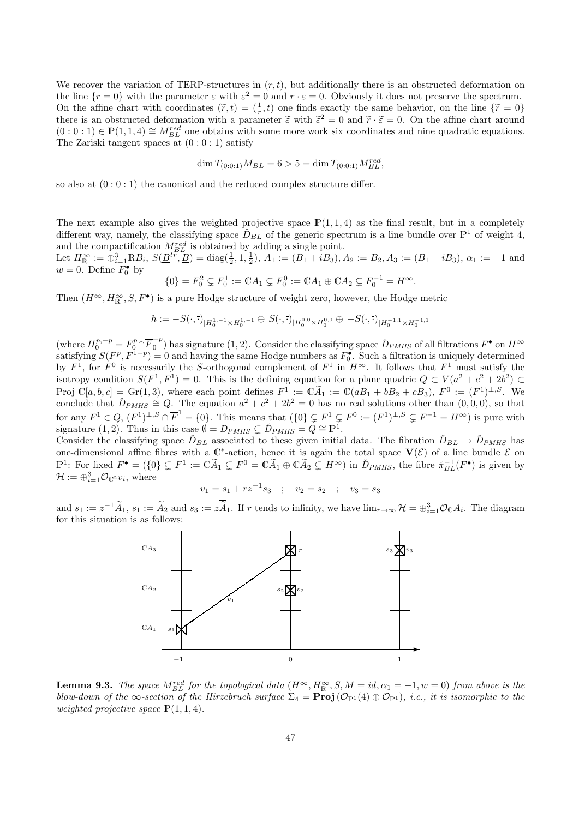We recover the variation of TERP-structures in  $(r, t)$ , but additionally there is an obstructed deformation on the line  $\{r=0\}$  with the parameter  $\varepsilon$  with  $\varepsilon^2=0$  and  $r \cdot \varepsilon=0$ . Obviously it does not preserve the spectrum. On the affine chart with coordinates  $(\tilde{r}, t) = (\frac{1}{r}, t)$  one finds exactly the same behavior, on the line  $\{\tilde{r} = 0\}$ <br>there is an obstructed deformation with a parameter  $\tilde{\epsilon}$  with  $\tilde{\epsilon}^2 = 0$  and  $\tilde{\epsilon}$ ,  $\tilde{\$ there is an obstructed deformation with a parameter  $\tilde{\varepsilon}$  with  $\tilde{\varepsilon}^2 = 0$  and  $\tilde{r} \cdot \tilde{\varepsilon} = 0$ . On the affine chart around  $(0, 0, 1) \in \mathbb{P}(1, 1, 4) \approx M^{red}$  and obtains with some more work six coordinates a  $(0:0:1) \in \mathbb{P}(1,1,4) \cong M_{BL}^{red}$  one obtains with some more work six coordinates and nine quadratic equations. The Zariski tangent spaces at  $(0:0:1)$  satisfy

$$
\dim T_{(0:0:1)} M_{BL} = 6 > 5 = \dim T_{(0:0:1)} M_{BL}^{red},
$$

so also at  $(0:0:1)$  the canonical and the reduced complex structure differ.

The next example also gives the weighted projective space  $\mathbb{P}(1,1,4)$  as the final result, but in a completely different way, namely, the classifying space  $\tilde{D}_{BL}$  of the generic spectrum is a line bundle over  $\mathbb{P}^1$  of weight 4, and the compactification  $M_{BL}^{red}$  is obtained by adding a single point.

Let  $H_{\mathbb{R}}^{\infty} := \bigoplus_{i=1}^{3} \mathbb{R}B_{i}$ ,  $S(\underline{B}^{t\widetilde{r}}, \underline{B}) = \text{diag}(\frac{1}{2}, 1, \frac{1}{2})$ ,  $A_1 := (B_1 + iB_3)$ ,  $A_2 := B_2$ ,  $A_3 := (B_1 - iB_3)$ ,  $\alpha_1 := -1$  and  $w = 0$ . Define  $F_0^{\bullet}$  by

$$
\{0\} = F_0^2 \subsetneq F_0^1 := \mathbb{C}A_1 \subsetneq F_0^0 := \mathbb{C}A_1 \oplus \mathbb{C}A_2 \subsetneq F_0^{-1} = H^{\infty}.
$$

Then  $(H^{\infty}, H^{\infty}_{R}, S, F^{\bullet})$  is a pure Hodge structure of weight zero, however, the Hodge metric

$$
h:=-S(\cdot,\overline{\cdot})_{|H_{0}^{1,-1}\times H_{0}^{1,-1}}\oplus S(\cdot,\overline{\cdot})_{|H_{0}^{0,0}\times H_{0}^{0,0}}\oplus -S(\cdot,\overline{\cdot})_{|H_{0}^{-1,1}\times H_{0}^{-1,1}}
$$

(where  $H_0^{p,-p} = F_0^p \cap \overline{F}_0^{-p}$  $\bigcup_{0}^{-p}$ ) has signature (1, 2). Consider the classifying space  $\check{D}_{PMHS}$  of all filtrations  $F^{\bullet}$  on  $H^{\infty}$ satisfying  $S(F^p, F^{1-p}) = 0$  and having the same Hodge numbers as  $F_0^{\bullet}$ . Such a filtration is uniquely determined by  $F^1$ , for  $F^0$  is necessarily the S-orthogonal complement of  $F^1$  in  $H^{\infty}$ . It follows that  $F^1$  must satisfy the isotropy condition  $S(F^1, F^1) = 0$ . This is the defining equation for a plane quadric  $Q \subset V(a^2 + c^2 + 2b^2)$ Proj  $\mathbb{C}[a, b, c] = \text{Gr}(1, 3)$ , where each point defines  $F^1 := \mathbb{C} \widetilde{A}_1 := \mathbb{C}(aB_1 + bB_2 + cB_3)$ ,  $F^0 := (F^1)^{\perp, S}$ . We conclude that  $\tilde{D}_{PMHS} \cong Q$ . The equation  $a^2 + c^2 + 2b^2 = 0$  has no real solutions other than  $(0,0,0)$ , so that for any  $F^1 \in Q$ ,  $(F^1)^{\perp,S} \cap \overline{F}^1 = \{0\}$ . This means that  $(\{0\} \subsetneq F^1 \subsetneq F^0 := (F^1)^{\perp,S} \subsetneq F^{-1} = H^{\infty}$  is pure with signature (1, 2). Thus in this case  $\emptyset = D_{PMHS} \subsetneq D_{PMHS} = Q \cong \mathbb{P}^1$ .

Consider the classifying space  $\check{D}_{BL}$  associated to these given initial data. The fibration  $\check{D}_{BL} \to \check{D}_{PMHS}$  has one-dimensional affine fibres with a  $\mathbb{C}^*$ -action, hence it is again the total space  $\mathbf{V}(\mathcal{E})$  of a line bundle  $\mathcal E$  on  $\mathbb{P}^1$ : For fixed  $F^{\bullet} = (\{0\} \subsetneq F^1 := \mathbb{C} \widetilde{A}_1 \subsetneq F^0 = \mathbb{C} \widetilde{A}_1 \oplus \mathbb{C} \widetilde{A}_2 \subsetneq H^{\infty})$  in  $\check{D}_{PMHS}$ , the fibre  $\check{\pi}_{BL}^{-1}(F^{\bullet})$  is given by  $\mathcal{H} := \oplus_{i=1}^3 \mathcal{O}_{\mathbb{C}^2} v_i$ , where

$$
v_1 = s_1 + rz^{-1}s_3 \quad ; \quad v_2 = s_2 \quad ; \quad v_3 = s_3
$$

and  $s_1 := z^{-1}\tilde{A}_1$ ,  $s_1 := \tilde{A}_2$  and  $s_3 := z\tilde{A}_1$ . If r tends to infinity, we have  $\lim_{r \to \infty} \mathcal{H} = \bigoplus_{i=1}^3 \mathcal{O}_\mathbb{C} A_i$ . The diagram for this situation is as follows:



**Lemma 9.3.** The space  $M_{BL}^{red}$  for the topological data  $(H^{\infty}, H^{\infty}_{R}, S, M = id, \alpha_1 = -1, w = 0)$  from above is the blow-down of the  $\infty$ -section of the Hirzebruch surface  $\Sigma_4 = \textbf{Proj}(\mathcal{O}_{\mathbb{P}^1}(4) \oplus \mathcal{O}_{\mathbb{P}^1})$ , i.e., it is isomorphic to the weighted projective space  $\mathbb{P}(1,1,4)$ .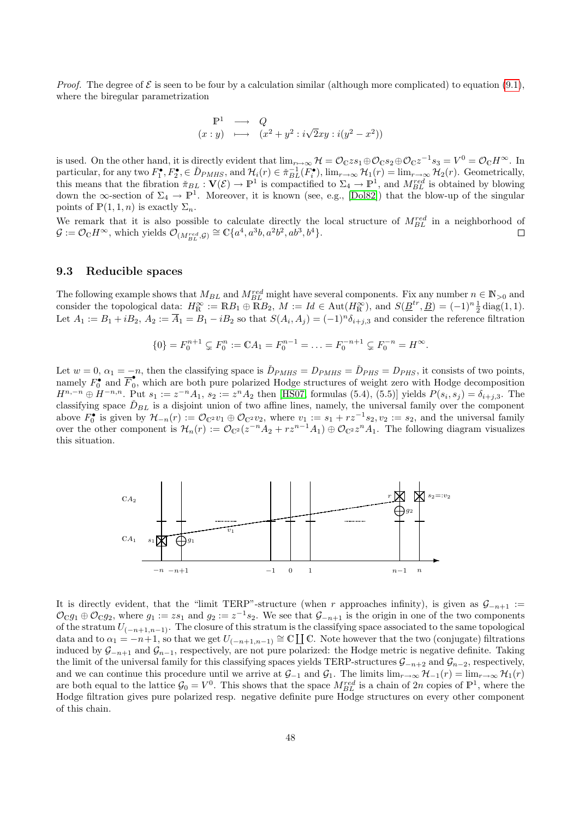*Proof.* The degree of  $\mathcal E$  is seen to be four by a calculation similar (although more complicated) to equation [\(9.1\)](#page-42-0), where the biregular parametrization

$$
\begin{array}{rcl}\n\mathbb{P}^1 & \longrightarrow & Q \\
(x:y) & \longmapsto & (x^2 + y^2 : i\sqrt{2}xy : i(y^2 - x^2))\n\end{array}
$$

is used. On the other hand, it is directly evident that  $\lim_{r\mapsto\infty} \mathcal{H} = \mathcal{O}_C z s_1 \oplus \mathcal{O}_C s_2 \oplus \mathcal{O}_C z^{-1} s_3 = V^0 = \mathcal{O}_C H^\infty$ . In particular, for any two  $F_1^{\bullet}, F_2^{\bullet}, \in \check{D}_{PMHS}$ , and  $\mathcal{H}_i(r) \in \pi_{BL}^{-1}(F_i^{\bullet})$ ,  $\lim_{r \to \infty} \mathcal{H}_1(r) = \lim_{r \to \infty} \mathcal{H}_2(r)$ . Geometrically, this means that the fibration  $\pi_{BL} : V(\mathcal{E}) \to \mathbb{P}^1$  is compactified to  $\Sigma_4 \to \mathbb{P}^1$ , and  $M_{BL}^{red}$  is obtained by blowing down the  $\infty$ -section of  $\Sigma_4 \to \mathbb{P}^1$ . Moreover, it is known (see, e.g., [\[Dol82\]](#page-52-16)) that the blow-up of the singular points of  $\mathbb{P}(1,1,n)$  is exactly  $\Sigma_n$ .

We remark that it is also possible to calculate directly the local structure of  $M_{BL}^{red}$  in a neighborhood of  $\mathcal{G} := \mathcal{O}_{\mathbb{C}} H^{\infty}$ , which yields  $\mathcal{O}_{(M_{BL}^{red}, \mathcal{G})} \cong \mathbb{C} \{a^4, a^3b, a^2b^2, ab^3, b^4\}.$ 

#### <span id="page-47-0"></span>9.3 Reducible spaces

The following example shows that  $M_{BL}$  and  $M_{BL}^{red}$  might have several components. Fix any number  $n \in \mathbb{N}_{>0}$  and consider the topological data:  $H_{\mathbb{R}}^{\infty} := \mathbb{R}B_1 \oplus \mathbb{R}B_2$ ,  $M := Id \in \text{Aut}(H_{\mathbb{R}}^{\infty})$ , and  $S(\underline{B}^{tr}, \underline{B}) = (-1)^n \frac{1}{2} \text{diag}(1, 1)$ . Let  $A_1 := B_1 + iB_2$ ,  $A_2 := \overline{A}_1 = B_1 - iB_2$  so that  $S(A_i, A_j) = (-1)^n \delta_{i+j,3}$  and consider the reference filtration

$$
\{0\} = F_0^{n+1} \subsetneq F_0^n := \mathbb{C}A_1 = F_0^{n-1} = \ldots = F_0^{-n+1} \subsetneq F_0^{-n} = H^{\infty}.
$$

Let  $w = 0$ ,  $\alpha_1 = -n$ , then the classifying space is  $\check{D}_{PMHS} = D_{PMHS} = \check{D}_{PHS} = D_{PHS}$ , it consists of two points, namely  $F_0^{\bullet}$  and  $\overline{F}_0^{\bullet}$  $\alpha$ , which are both pure polarized Hodge structures of weight zero with Hodge decomposition  $H^{n,-n} \oplus H^{-n,n}$ . Put  $s_1 := z^{-n}A_1$ ,  $s_2 := z^nA_2$  then [\[HS07,](#page-52-8) formulas (5.4), (5.5)] yields  $P(s_i, s_j) = \delta_{i+j,3}$ . The classifying space  $\check{D}_{BL}$  is a disjoint union of two affine lines, namely, the universal family over the component above  $F_0^{\bullet}$  is given by  $\mathcal{H}_{-n}(r) := \mathcal{O}_{\mathbb{C}^2}v_1 \oplus \mathcal{O}_{\mathbb{C}^2}v_2$ , where  $v_1 := s_1 + rz^{-1}s_2, v_2 := s_2$ , and the universal family over the other component is  $\mathcal{H}_n(r) := \mathcal{O}_{\mathbb{C}^2}(z^{-n}A_2 + rz^{n-1}A_1) \oplus \mathcal{O}_{\mathbb{C}^2}z^nA_1$ . The following diagram visualizes this situation.



It is directly evident, that the "limit TERP"-structure (when r approaches infinity), is given as  $\mathcal{G}_{-n+1}$  :=  $\mathcal{O}_C g_1 \oplus \mathcal{O}_C g_2$ , where  $g_1 := zs_1$  and  $g_2 := z^{-1}s_2$ . We see that  $\mathcal{G}_{-n+1}$  is the origin in one of the two components of the stratum  $U_{(-n+1,n-1)}$ . The closure of this stratum is the classifying space associated to the same topological data and to  $\alpha_1 = -n+1$ , so that we get  $U_{(-n+1,n-1)} \cong \mathbb{C} \coprod \mathbb{C}$ . Note however that the two (conjugate) filtrations induced by  $\mathcal{G}_{-n+1}$  and  $\mathcal{G}_{n-1}$ , respectively, are not pure polarized: the Hodge metric is negative definite. Taking the limit of the universal family for this classifying spaces yields TERP-structures  $\mathcal{G}_{-n+2}$  and  $\mathcal{G}_{n-2}$ , respectively, and we can continue this procedure until we arrive at  $\mathcal{G}_{-1}$  and  $\mathcal{G}_1$ . The limits  $\lim_{r\to\infty} \mathcal{H}_{-1}(r) = \lim_{r\to\infty} \mathcal{H}_1(r)$ are both equal to the lattice  $\mathcal{G}_0 = V^0$ . This shows that the space  $M_{BL}^{red}$  is a chain of 2n copies of  $\mathbb{P}^1$ , where the Hodge filtration gives pure polarized resp. negative definite pure Hodge structures on every other component of this chain.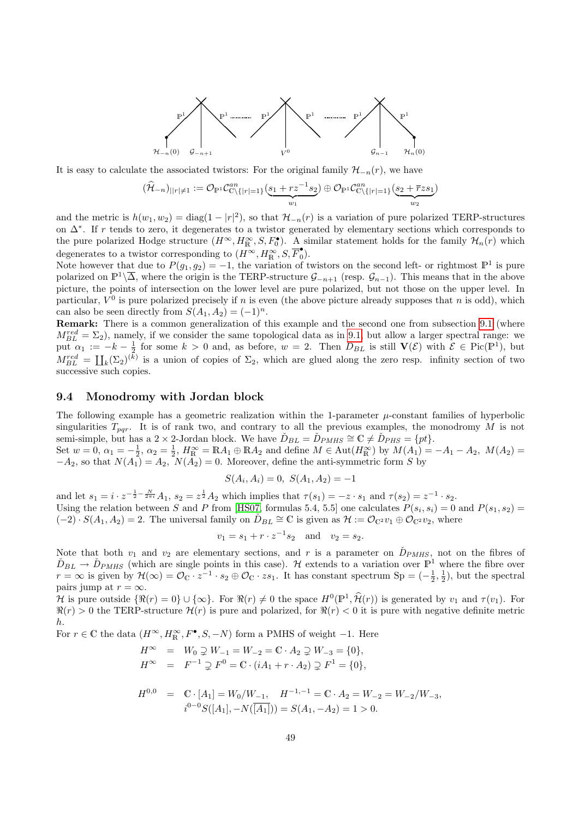

It is easy to calculate the associated twistors: For the original family  $\mathcal{H}_{-n}(r)$ , we have

$$
(\widehat{\mathcal{H}}_{-n})_{\vert\vert r\vert\neq 1}:=\mathcal{O}_{\mathbb{P}^1}\mathcal{C}_{\mathbb{C}\setminus\{\vert r\vert=1\}}^{an}(\underbrace{s_1+rz^{-1}s_2}_{w_1})\oplus \mathcal{O}_{\mathbb{P}^1}\mathcal{C}_{\mathbb{C}\setminus\{\vert r\vert=1\}}^{an}(\underbrace{s_2+\overline{r}zs_1}_{w_2})
$$

and the metric is  $h(w_1, w_2) = \text{diag}(1 - |r|^2)$ , so that  $\mathcal{H}_{-n}(r)$  is a variation of pure polarized TERP-structures on ∆<sup>∗</sup> . If r tends to zero, it degenerates to a twistor generated by elementary sections which corresponds to the pure polarized Hodge structure  $(H^{\infty}, H^{\infty}_{\mathbb{R}}, S, F^{\bullet}_{0})$ . A similar statement holds for the family  $\mathcal{H}_n(r)$  which degenerates to a twistor corresponding to  $(H^{\infty}, H^{\infty}_{\mathbb{R}}, S, \overline{F}^{\bullet}_{0})$  $\binom{1}{0}$ .

Note however that due to  $P(g_1, g_2) = -1$ , the variation of twistors on the second left- or rightmost  $\mathbb{P}^1$  is pure polarized on  $\mathbb{P}^1\backslash\overline{\Delta}$ , where the origin is the TERP-structure  $\mathcal{G}_{-n+1}$  (resp.  $\mathcal{G}_{n-1}$ ). This means that in the above picture, the points of intersection on the lower level are pure polarized, but not those on the upper level. In particular,  $V^0$  is pure polarized precisely if n is even (the above picture already supposes that n is odd), which can also be seen directly from  $S(A_1, A_2) = (-1)^n$ .

Remark: There is a common generalization of this example and the second one from subsection [9.1](#page-37-1) (where  $M_{BL}^{red} = \Sigma_2$ ), namely, if we consider the same topological data as in [9.1,](#page-37-1) but allow a larger spectral range: we put  $\alpha_1 := -k - \frac{1}{2}$  for some  $k > 0$  and, as before,  $w = 2$ . Then  $\tilde{D}_{BL}$  is still  $\mathbf{V}(\mathcal{E})$  with  $\mathcal{E} \in \text{Pic}(\mathbb{P}^1)$ , but  $M_{BL}^{red} = \prod_k (\Sigma_2)^{(k)}$  is a union of copies of  $\Sigma_2$ , which are glued along the zero resp. infinity section of two successive such copies.

#### <span id="page-48-0"></span>9.4 Monodromy with Jordan block

The following example has a geometric realization within the 1-parameter  $\mu$ -constant families of hyperbolic singularities  $T_{pqr}$ . It is of rank two, and contrary to all the previous examples, the monodromy M is not semi-simple, but has a 2 × 2-Jordan block. We have  $D_{BL} = D_{PMHS} \cong \mathbb{C} \neq D_{PHS} = \{pt\}.$ 

Set  $w = 0$ ,  $\alpha_1 = -\frac{1}{2}$ ,  $\alpha_2 = \frac{1}{2}$ ,  $H_{\mathbb{R}}^{\infty} = \mathbb{R}A_1 \oplus \mathbb{R}A_2$  and define  $M \in \text{Aut}(H_{\mathbb{R}}^{\infty})$  by  $M(A_1) = -A_1 - A_2$ ,  $M(A_2) =$  $-A_2$ , so that  $N(A_1) = A_2$ ,  $N(A_2) = 0$ . Moreover, define the anti-symmetric form S by

$$
S(A_i, A_i) = 0, S(A_1, A_2) = -1
$$

and let  $s_1 = i \cdot z^{-\frac{1}{2} - \frac{N}{2\pi i}} A_1$ ,  $s_2 = z^{\frac{1}{2}} A_2$  which implies that  $\tau(s_1) = -z \cdot s_1$  and  $\tau(s_2) = z^{-1} \cdot s_2$ . Using the relation between S and P from [\[HS07,](#page-52-8) formulas 5.4, 5.5] one calculates  $P(s_i, s_i) = 0$  and  $P(s_1, s_2) =$  $(-2) \cdot S(A_1, A_2) = 2$ . The universal family on  $\tilde{D}_{BL} \cong \mathbb{C}$  is given as  $\mathcal{H} := \mathcal{O}_{\mathbb{C}^2} v_1 \oplus \mathcal{O}_{\mathbb{C}^2} v_2$ , where

$$
v_1 = s_1 + r \cdot z^{-1} s_2
$$
 and  $v_2 = s_2$ .

Note that both  $v_1$  and  $v_2$  are elementary sections, and r is a parameter on  $\tilde{D}_{PMHS}$ , not on the fibres of  $\tilde{D}_{BL} \to \tilde{D}_{PMHS}$  (which are single points in this case). H extends to a variation over  $\mathbb{P}^1$  where the fibre over  $r = \infty$  is given by  $\mathcal{H}(\infty) = \mathcal{O}_{\mathbb{C}} \cdot z^{-1} \cdot s_2 \oplus \mathcal{O}_{\mathbb{C}} \cdot zs_1$ . It has constant spectrum  $\text{Sp} = \left(-\frac{1}{2}, \frac{1}{2}\right)$ , but the spectral pairs jump at  $r = \infty$ .

H is pure outside  ${\Re(r) = 0} \cup {\infty}$ . For  $\Re(r) \neq 0$  the space  $H^0(\mathbb{P}^1, \hat{\mathcal{H}}(r))$  is generated by  $v_1$  and  $\tau(v_1)$ . For  $\Re(r) > 0$  the TERP-structure  $\mathcal{H}(r)$  is pure and polarized, for  $\Re(r) < 0$  it is pure with negative definite metric h.

For  $r \in \mathbb{C}$  the data  $(H^{\infty}, H^{\infty}_{\mathbb{R}}, F^{\bullet}, S, -N)$  form a PMHS of weight -1. Here

$$
H^{\infty} = W_0 \supsetneq W_{-1} = W_{-2} = \mathbb{C} \cdot A_2 \supsetneq W_{-3} = \{0\},
$$
  

$$
H^{\infty} = F^{-1} \supsetneq F^0 = \mathbb{C} \cdot (iA_1 + r \cdot A_2) \supsetneq F^1 = \{0\},
$$

$$
H^{0,0} = \mathbb{C} \cdot [A_1] = W_0/W_{-1}, \quad H^{-1,-1} = \mathbb{C} \cdot A_2 = W_{-2} = W_{-2}/W_{-3},
$$
  

$$
i^{0-0}S([A_1], -N([A_1])) = S(A_1, -A_2) = 1 > 0.
$$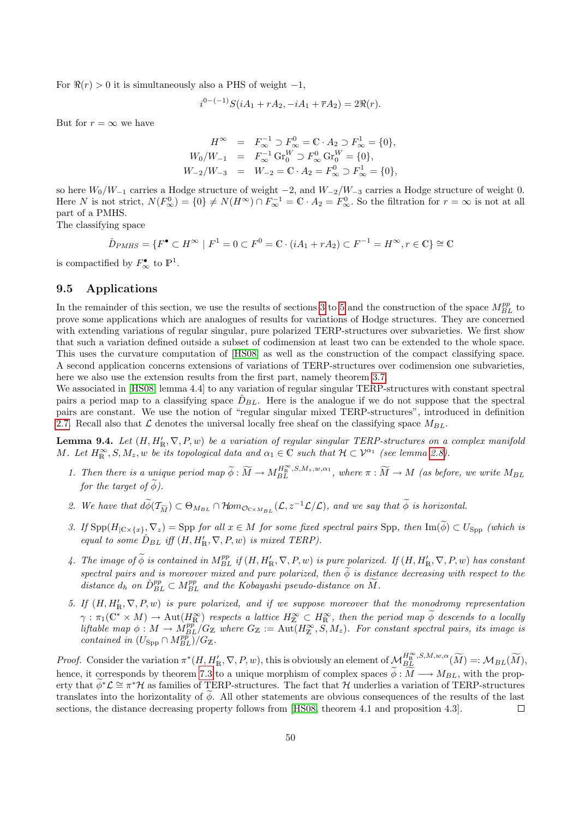For  $\Re(r) > 0$  it is simultaneously also a PHS of weight  $-1$ ,

$$
i^{0-(-1)}S(iA_1 + rA_2, -iA_1 + \overline{r}A_2) = 2\Re(r).
$$

But for  $r = \infty$  we have

$$
H^{\infty} = F_{\infty}^{-1} \supset F_{\infty}^{0} = \mathbb{C} \cdot A_{2} \supset F_{\infty}^{1} = \{0\},
$$
  
\n
$$
W_{0}/W_{-1} = F_{\infty}^{-1} \operatorname{Gr}_{0}^{W} \supset F_{\infty}^{0} \operatorname{Gr}_{0}^{W} = \{0\},
$$
  
\n
$$
W_{-2}/W_{-3} = W_{-2} = \mathbb{C} \cdot A_{2} = F_{\infty}^{0} \supset F_{\infty}^{1} = \{0\},
$$

so here  $W_0/W_{-1}$  carries a Hodge structure of weight  $-2$ , and  $W_{-2}/W_{-3}$  carries a Hodge structure of weight 0. Here N is not strict,  $N(F_{\infty}^0) = \{0\} \neq N(H^{\infty}) \cap F_{\infty}^{-1} = \mathbb{C} \cdot A_2 = F_{\infty}^0$ . So the filtration for  $r = \infty$  is not at all part of a PMHS.

The classifying space

 $\tilde{D}_{PMHS} = \{ F^{\bullet} \subset H^{\infty} \mid F^1 = 0 \subset F^0 = \mathbb{C} \cdot (iA_1 + rA_2) \subset F^{-1} = H^{\infty}, r \in \mathbb{C} \} \cong \mathbb{C}$ 

is compactified by  $F_{\infty}^{\bullet}$  to  $\mathbb{P}^{1}$ .

#### <span id="page-49-0"></span>9.5 Applications

In the remainder of this section, we use the results of sections [3](#page-10-0) to [5](#page-19-0) and the construction of the space  $M_{BL}^{pp}$  to prove some applications which are analogues of results for variations of Hodge structures. They are concerned with extending variations of regular singular, pure polarized TERP-structures over subvarieties. We first show that such a variation defined outside a subset of codimension at least two can be extended to the whole space. This uses the curvature computation of [\[HS08\]](#page-52-9) as well as the construction of the compact classifying space. A second application concerns extensions of variations of TERP-structures over codimension one subvarieties, here we also use the extension results from the first part, namely theorem [3.7.](#page-14-0)

We associated in [\[HS08,](#page-52-9) lemma 4.4] to any variation of regular singular TERP-structures with constant spectral pairs a period map to a classifying space  $\tilde{D}_{BL}$ . Here is the analogue if we do not suppose that the spectral pairs are constant. We use the notion of "regular singular mixed TERP-structures", introduced in definition [2.7.](#page-6-1) Recall also that  $\mathcal L$  denotes the universal locally free sheaf on the classifying space  $M_{BL}$ .

<span id="page-49-1"></span>**Lemma 9.4.** Let  $(H, H'_{\mathbb{R}}, \nabla, P, w)$  be a variation of regular singular TERP-structures on a complex manifold M. Let  $H_{\mathbb{R}}^{\infty}$ ,  $S, M_z, w$  be its topological data and  $\alpha_1 \in \mathbb{C}$  such that  $\mathcal{H} \subset \mathcal{V}^{\alpha_1}$  (see lemma [2.8\)](#page-7-0).

- 1. Then there is a unique period map  $\widetilde{\phi}: \widetilde{M} \to M_{BL}^{H^{\infty}_{\text{R}}, S, M_z, w, \alpha_1}$ , where  $\pi: \widetilde{M} \to M$  (as before, we write  $M_{BL}$ for the target of  $\widetilde{\phi}$ )
- 2. We have that  $d\tilde{\phi}(\mathcal{T}_{\widetilde{M}}) \subset \Theta_{M_{BL}} \cap \mathcal{H}om_{\mathcal{O}_{C \times M_{BL}}}(\mathcal{L}, z^{-1}\mathcal{L}/\mathcal{L})$ , and we say that  $\tilde{\phi}$  is horizontal.
- 3. If  $\text{Spp}(H_{\vert \mathbb{C}\times\{x\}}, \nabla_z) = \text{Spp}$  for all  $x \in M$  for some fixed spectral pairs  $\text{Spp}$ , then  $\text{Im}(\widetilde{\phi}) \subset U_{\text{Spp}}$  (which is equal to some  $\check{D}_{BL}$  iff  $(H, H'_{\mathbb{R}}, \nabla, P, w)$  is mixed TERP).
- 4. The image of  $\widetilde{\phi}$  is contained in  $M_{BL}^{pp}$  if  $(H,H_{\rm R}',\nabla,P,w)$  is pure polarized. If  $(H,H_{\rm R}',\nabla,P,w)$  has constant spectral pairs and is moreover mixed and pure polarized, then  $\phi$  is distance decreasing with respect to the distance  $d_h$  on  $\tilde{D}_{BL}^{pp} \subset M_{BL}^{pp}$  and the Kobayashi pseudo-distance on  $\widetilde{M}$ .
- 5. If  $(H, H_{\mathbb{R}}, \nabla, P, w)$  is pure polarized, and if we suppose moreover that the monodromy representation  $\gamma : \pi_1(\mathbb{C}^* \times M) \to \text{Aut}(H_\mathbb{R}^\infty)$  respects a lattice  $H_\mathbb{Z}^\infty \subset H_\mathbb{R}^\infty$ , then the period map  $\widetilde{\phi}$  descends to a locally liftable map  $\phi : M \to M_{BL}^{pp}/G_{\mathbb{Z}}$  where  $G_{\mathbb{Z}} := \text{Aut}(H_\mathbb{Z}^\infty, S, M_z)$ . For con contained in  $(U_{\text{Spp}} \cap M_{BL}^{pp})/G_{\mathbb{Z}}$ .

*Proof.* Consider the variation  $\pi^*(H, H'_{\mathbb{R}}, \nabla, P, w)$ , this is obviously an element of  $\mathcal{M}_{BL}^{H_{\mathbb{R}}^{\infty}, S, M, w, \alpha}(\widetilde{M}) =: \mathcal{M}_{BL}(\widetilde{M}),$ hence, it corresponds by theorem [7.3](#page-28-0) to a unique morphism of complex spaces  $\phi : \widetilde{M} \longrightarrow M_{BL}$ , with the property that  $\widetilde{\phi}^*\mathcal{L} \cong \pi^*\mathcal{H}$  as families of TERP-structures. The fact that H underlies a variation of TERP-structures translates into the horizontality of  $\phi$ . All other statements are obvious consequences of the results of the last sections, the distance decreasing property follows from [HS08, theorem 4.1 and proposition 4.3]. sections, the distance decreasing property follows from [\[HS08,](#page-52-9) theorem 4.1 and proposition 4.3].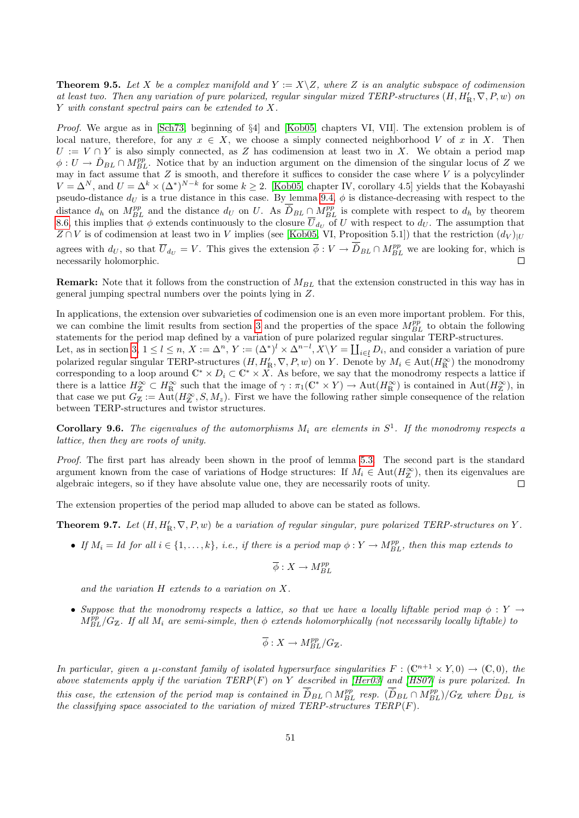**Theorem 9.5.** Let X be a complex manifold and  $Y := X \setminus Z$ , where Z is an analytic subspace of codimension at least two. Then any variation of pure polarized, regular singular mixed TERP-structures  $(H, H'_{\mathbb{R}}, \nabla, P, w)$  on Y with constant spectral pairs can be extended to X.

Proof. We argue as in [\[Sch73,](#page-53-11) beginning of §4] and [\[Kob05,](#page-53-19) chapters VI, VII]. The extension problem is of local nature, therefore, for any  $x \in X$ , we choose a simply connected neighborhood V of x in X. Then  $U := V \cap Y$  is also simply connected, as Z has codimension at least two in X. We obtain a period map  $\phi: U \to \check{D}_{BL} \cap M_{BL}^{pp}$ . Notice that by an induction argument on the dimension of the singular locus of Z we may in fact assume that  $Z$  is smooth, and therefore it suffices to consider the case where  $V$  is a polycylinder  $V = \Delta^N$ , and  $U = \Delta^k \times (\Delta^*)^{N-k}$  for some  $k \geq 2$ . [\[Kob05,](#page-53-19) chapter IV, corollary 4.5] yields that the Kobayashi pseudo-distance  $d_U$  is a true distance in this case. By lemma [9.4,](#page-49-1)  $\phi$  is distance-decreasing with respect to the distance  $d_h$  on  $M_{BL}^{pp}$  and the distance  $d_U$  on U. As  $\overline{D}_{BL} \cap M_{BL}^{pp}$  is complete with respect to  $d_h$  by theorem [8.6,](#page-35-2) this implies that  $\phi$  extends continuously to the closure  $U_{d_U}$  of U with respect to  $d_U$ . The assumption that  $Z \cap V$  is of codimension at least two in V implies (see [\[Kob05,](#page-53-19) VI, Proposition 5.1]) that the restriction  $(d_V)_{|U}$ agrees with  $d_U$ , so that  $\overline{U}_{d_U} = V$ . This gives the extension  $\overline{\phi}: V \to \overline{D}_{BL} \cap M_{BL}^{pp}$  we are looking for, which is necessarily holomorphic.

**Remark:** Note that it follows from the construction of  $M_{BL}$  that the extension constructed in this way has in general jumping spectral numbers over the points lying in Z.

In applications, the extension over subvarieties of codimension one is an even more important problem. For this, we can combine the limit results from section [3](#page-10-0) and the properties of the space  $M_{BL}^{pp}$  to obtain the following statements for the period map defined by a variation of pure polarized regular singular TERP-structures.

Let, as in section [3,](#page-10-0)  $1 \leq l \leq n$ ,  $X := \Delta^n$ ,  $Y := (\Delta^*)^l \times \Delta^{n-l}$ ,  $X \setminus Y = \coprod_{i \in \underline{l}} D_i$ , and consider a variation of pure polarized regular singular TERP-structures  $(H, H_{\mathbb{R}}^{\prime}, \nabla, P, w)$  on Y. Denote by  $M_i \in \text{Aut}(H_{\mathbb{R}}^{\infty})$  the monodromy corresponding to a loop around  $\mathbb{C}^* \times D_i \subset \mathbb{C}^* \times \overline{X}$ . As before, we say that the monodromy respects a lattice if there is a lattice  $H_{\mathbb{Z}}^{\infty} \subset H_{\mathbb{R}}^{\infty}$  such that the image of  $\gamma : \pi_1(\mathbb{C}^* \times Y) \to \text{Aut}(H_{\mathbb{R}}^{\infty})$  is contained in  $\text{Aut}(H_{\mathbb{Z}}^{\infty})$ , in that case we put  $G_{\mathbb{Z}} := \text{Aut}(H_{\mathbb{Z}}^{\infty}, S, M_z)$ . First we have the following rather simple consequence of the relation between TERP-structures and twistor structures.

**Corollary 9.6.** The eigenvalues of the automorphisms  $M_i$  are elements in  $S^1$ . If the monodromy respects a lattice, then they are roots of unity.

Proof. The first part has already been shown in the proof of lemma [5.3.](#page-21-1) The second part is the standard argument known from the case of variations of Hodge structures: If  $M_i \in \text{Aut}(H_{\mathbb{Z}}^{\infty})$ , then its eigenvalues are algebraic integers, so if they have absolute value one, they are necessarily roots of unity.  $\Box$ 

<span id="page-50-0"></span>The extension properties of the period map alluded to above can be stated as follows.

**Theorem 9.7.** Let  $(H, H'_{\mathbb{R}}, \nabla, P, w)$  be a variation of regular singular, pure polarized TERP-structures on Y.

• If  $M_i = Id$  for all  $i \in \{1, ..., k\}$ , i.e., if there is a period map  $\phi: Y \to M_{BL}^{pp}$ , then this map extends to

$$
\overline{\phi}:X\rightarrow M^{pp}_{BL}
$$

and the variation H extends to a variation on X.

• Suppose that the monodromy respects a lattice, so that we have a locally liftable period map  $\phi: Y \to$  $M_{BL}^{pp}/G_{\mathbb{Z}}$ . If all  $M_i$  are semi-simple, then  $\phi$  extends holomorphically (not necessarily locally liftable) to

$$
\overline{\phi}: X \to M_{BL}^{pp}/G_{\mathbb{Z}}.
$$

In particular, given a  $\mu$ -constant family of isolated hypersurface singularities  $F : (\mathbb{C}^{n+1} \times Y, 0) \to (\mathbb{C}, 0)$ , the above statements apply if the variation  $TERP(F)$  on Y described in [\[Her03\]](#page-52-2) and [\[HS07\]](#page-52-8) is pure polarized. In this case, the extension of the period map is contained in  $\overline{D}_{BL} \cap M_{BL}^{pp}$  resp.  $(\overline{D}_{BL} \cap M_{BL}^{pp})/G_{\mathbb{Z}}$  where  $\check{D}_{BL}$  is the classifying space associated to the variation of mixed TERP-structures TERP(F).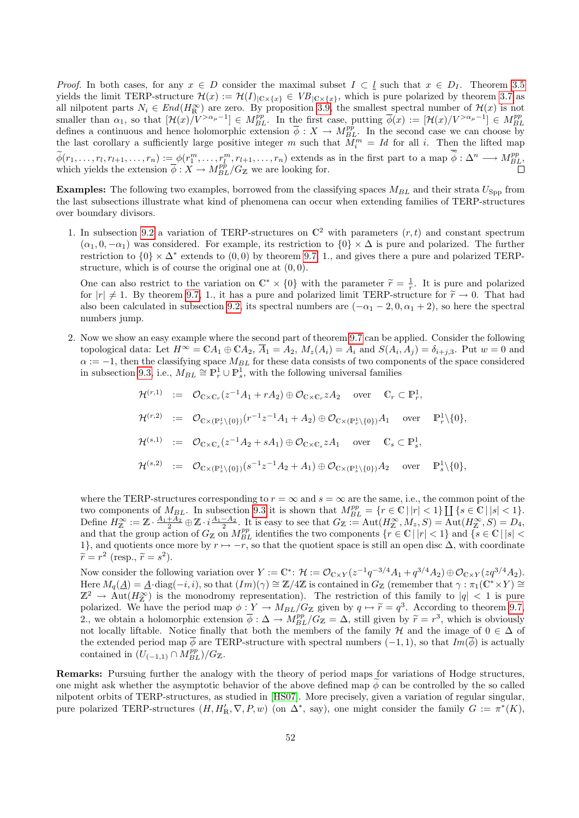*Proof.* In both cases, for any  $x \in D$  consider the maximal subset  $I \subset \underline{l}$  such that  $x \in D_I$ . Theorem [3.5](#page-13-1) yields the limit TERP-structure  $\mathcal{H}(x) := \mathcal{H}(I)|_{\mathbb{C}\times\{x\}} \in VB|_{\mathbb{C}\times\{x\}},$  which is pure polarized by theorem [3.7](#page-14-0) as all nilpotent parts  $N_i \in End(H_{\mathbb{R}}^{\infty})$  are zero. By proposition [3.9,](#page-15-0) the smallest spectral number of  $\mathcal{H}(x)$  is not smaller than  $\alpha_1$ , so that  $[\mathcal{H}(x)/\tilde{V}^{>\alpha_{\mu}-1}] \in M_{BL}^{pp}$ . In the first case, putting  $\overline{\phi}(x) := [\mathcal{H}(x)/V^{>\alpha_{\mu}-1}] \in M_{BL}^{pp}$ <br>defines a continuous and hence holomorphic extension  $\overline{\phi}: X \to M_{BL}^{pp}$ . In the second cas the last corollary a sufficiently large positive integer m such that  $\overline{M}_i^m = Id$  for all i. Then the lifted map  $\widetilde{\phi}(r_1,\ldots,r_l,r_{l+1},\ldots,r_n) := \phi(r_1^m,\ldots,r_l^m,r_{l+1},\ldots,r_n)$  extends as in the first part to a map  $\widetilde{\phi}: \Delta^n \longrightarrow M_{BL}^{pp}$ which yields the extension  $\overline{\phi}: X \to M_{BL}^{pp}/G_{\mathbb{Z}}$  we are looking for.

**Examples:** The following two examples, borrowed from the classifying spaces  $M_{BL}$  and their strata  $U_{Spp}$  from the last subsections illustrate what kind of phenomena can occur when extending families of TERP-structures over boundary divisors.

1. In subsection [9.2](#page-43-0) a variation of TERP-structures on  $\mathbb{C}^2$  with parameters  $(r, t)$  and constant spectrum  $(\alpha_1, 0, -\alpha_1)$  was considered. For example, its restriction to  $\{0\} \times \Delta$  is pure and polarized. The further restriction to  $\{0\} \times \Delta^*$  extends to  $(0,0)$  by theorem [9.7,](#page-50-0) 1., and gives there a pure and polarized TERPstructure, which is of course the original one at  $(0, 0)$ .

One can also restrict to the variation on  $\mathbb{C}^* \times \{0\}$  with the parameter  $\widetilde{r} = \frac{1}{r}$ . It is pure and polarized for  $\ket{r}$   $\neq 1$ . By theorem  $9.7 \pm 1$  it has a pure and polarized limit TERP structure for  $\wid$ for  $|r| \neq 1$ . By theorem [9.7,](#page-50-0) 1., it has a pure and polarized limit TERP-structure for  $\tilde{r} \to 0$ . That had also been calculated in subsection [9.2,](#page-43-0) its spectral numbers are  $(-\alpha_1 - 2, 0, \alpha_1 + 2)$ , so here the spectral numbers jump.

2. Now we show an easy example where the second part of theorem [9.7](#page-50-0) can be applied. Consider the following topological data: Let  $H^{\infty} = \mathbb{C}A_1 \oplus \mathbb{C}A_2$ ,  $\overline{A}_1 = A_2$ ,  $M_z(A_i) = A_i$  and  $S(A_i, A_j) = \delta_{i+j,3}$ . Put  $w = 0$  and  $\alpha := -1$ , then the classifying space  $M_{BL}$  for these data consists of two components of the space considered in subsection [9.3,](#page-47-0) i.e.,  $M_{BL} \cong \mathbb{P}^1_r \cup \mathbb{P}^1_s$ , with the following universal families

$$
\mathcal{H}^{(r,1)} := \mathcal{O}_{C\times C_r}(z^{-1}A_1 + rA_2) \oplus \mathcal{O}_{C\times C_r} zA_2 \quad \text{over} \quad C_r \subset \mathbb{P}_r^1,
$$
\n
$$
\mathcal{H}^{(r,2)} := \mathcal{O}_{C\times(\mathbb{P}_r^1 \setminus \{0\})}(r^{-1}z^{-1}A_1 + A_2) \oplus \mathcal{O}_{C\times(\mathbb{P}_r^1 \setminus \{0\})} A_1 \quad \text{over} \quad \mathbb{P}_r^1 \setminus \{0\},
$$
\n
$$
\mathcal{H}^{(s,1)} := \mathcal{O}_{C\times C_s}(z^{-1}A_2 + sA_1) \oplus \mathcal{O}_{C\times C_s} zA_1 \quad \text{over} \quad C_s \subset \mathbb{P}_s^1,
$$
\n
$$
\mathcal{H}^{(s,2)} := \mathcal{O}_{C\times(\mathbb{P}_s^1 \setminus \{0\})}(s^{-1}z^{-1}A_2 + A_1) \oplus \mathcal{O}_{C\times(\mathbb{P}_s^1 \setminus \{0\})} A_2 \quad \text{over} \quad \mathbb{P}_s^1 \setminus \{0\},
$$

where the TERP-structures corresponding to  $r = \infty$  and  $s = \infty$  are the same, i.e., the common point of the two components of  $M_{BL}$ . In subsection [9.3](#page-47-0) it is shown that  $M_{BL}^{pp} = \{r \in \mathbb{C} \mid |r| < 1\} \coprod \{s \in \mathbb{C} \mid |s| < 1\}.$ Define  $H_{\mathbb{Z}}^{\infty} := \mathbb{Z} \cdot \frac{A_1 + A_2}{2} \oplus \mathbb{Z} \cdot i \frac{A_1 - A_2}{2}$ . It is easy to see that  $G_{\mathbb{Z}} := \text{Aut}(H_{\mathbb{Z}}^{\infty}, M_z, S) = \text{Aut}(H_{\mathbb{Z}}^{\infty}, S) = D_4$ , and that the group action of  $G_{\mathbb{Z}}$  on  $M_{BL}^{pp}$  identifies the two components  $\{r \in \mathbb{C} \mid |r| < 1\}$  and  $\{s \in \mathbb{C} \mid |s| <$ 1}, and quotients once more by  $r \mapsto -r$ , so that the quotient space is still an open disc  $\Delta$ , with coordinate  $\widetilde{r} = r^2 \text{ (resp., } \widetilde{r} = s^2 \text{).}$ 

Now consider the following variation over  $Y := \mathbb{C}^*$ :  $\mathcal{H} := \mathcal{O}_{\mathbb{C} \times Y} (z^{-1} q^{-3/4} A_1 + q^{3/4} A_2) \oplus \mathcal{O}_{\mathbb{C} \times Y} (z q^{3/4} A_2)$ . Here  $M_q(\underline{A}) = \underline{A} \cdot diag(-i, i)$ , so that  $(Im)(\gamma) \cong \mathbb{Z}/4\mathbb{Z}$  is contained in  $G_{\mathbb{Z}}$  (remember that  $\gamma : \pi_1(\mathbb{C}^* \times Y) \cong$  $\mathbb{Z}^2 \to \text{Aut}(H_{\mathbb{Z}}^{\infty})$  is the monodromy representation). The restriction of this family to  $|q| < 1$  is pure polarized. We have the period map  $\phi: Y \to M_{BL}/G_{\mathbb{Z}}$  given by  $q \mapsto \widetilde{r} = q^3$ . According to theorem [9.7,](#page-50-0) 2., we obtain a holomorphic extension  $\overline{\phi}: \Delta \to M_{BL}^{pp}/G_{\mathbb{Z}} = \Delta$ , still given by  $\widetilde{r} = r^3$ , which is obviously not locally liftable. Notice finally that both the members of the family H and the image of  $0 \in \Delta$  of the extended period map  $\overline{\phi}$  are TERP-structure with spectral numbers (-1, 1), so that  $Im(\overline{\phi})$  is actually contained in  $(U_{(-1,1)} \cap M_{BL}^{pp})/G_{\mathbb{Z}}$ .

Remarks: Pursuing further the analogy with the theory of period maps for variations of Hodge structures, one might ask whether the asymptotic behavior of the above defined map  $\phi$  can be controlled by the so called nilpotent orbits of TERP-structures, as studied in [\[HS07\]](#page-52-8). More precisely, given a variation of regular singular, pure polarized TERP-structures  $(H, H'_{\mathbb{R}}, \nabla, P, w)$  (on  $\Delta^*$ , say), one might consider the family  $G := \pi^*(K)$ ,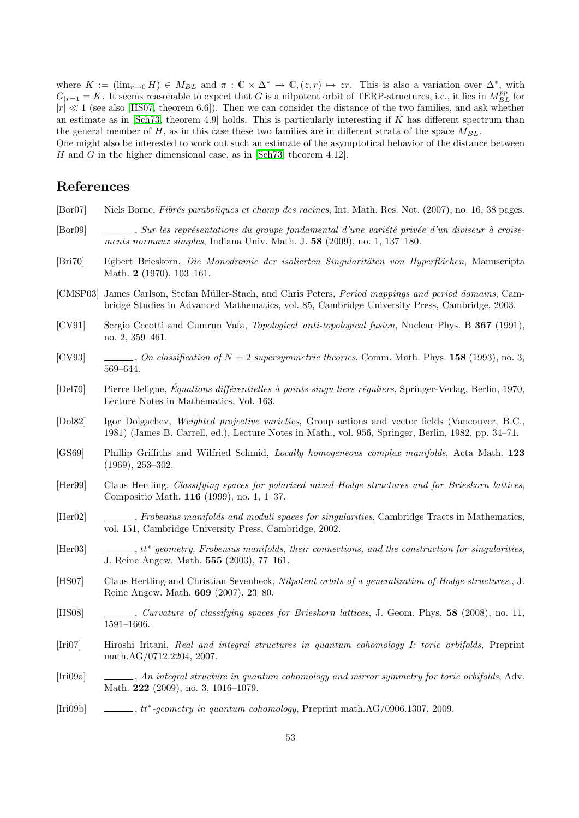where  $K := (\lim_{r\to 0} H) \in M_{BL}$  and  $\pi : \mathbb{C} \times \Delta^* \to \mathbb{C}, (z,r) \mapsto zr$ . This is also a variation over  $\Delta^*$ , with  $G_{|r=1} = K$ . It seems reasonable to expect that G is a nilpotent orbit of TERP-structures, i.e., it lies in  $M_{BL}^{pp}$  for  $|r| \ll 1$  (see also [\[HS07,](#page-52-8) theorem 6.6]). Then we can consider the distance of the two families, and ask whether an estimate as in [\[Sch73,](#page-53-11) theorem 4.9] holds. This is particularly interesting if K has different spectrum than the general member of H, as in this case these two families are in different strata of the space  $M_{BL}$ .

One might also be interested to work out such an estimate of the asymptotical behavior of the distance between H and G in the higher dimensional case, as in [\[Sch73,](#page-53-11) theorem 4.12].

# References

- <span id="page-52-12"></span>[Bor07] Niels Borne, *Fibrés paraboliques et champ des racines*, Int. Math. Res. Not. (2007), no. 16, 38 pages.
- <span id="page-52-13"></span>[Bor09] , Sur les représentations du groupe fondamental d'une variété privée d'un diviseur à croisements normaux simples, Indiana Univ. Math. J. 58 (2009), no. 1, 137–180.
- <span id="page-52-0"></span>[Bri70] Egbert Brieskorn, Die Monodromie der isolierten Singularitäten von Hyperflächen, Manuscripta Math. 2 (1970), 103–161.
- <span id="page-52-14"></span>[CMSP03] James Carlson, Stefan Müller-Stach, and Chris Peters, *Period mappings and period domains*, Cambridge Studies in Advanced Mathematics, vol. 85, Cambridge University Press, Cambridge, 2003.
- <span id="page-52-3"></span>[CV91] Sergio Cecotti and Cumrun Vafa, Topological–anti-topological fusion, Nuclear Phys. B 367 (1991), no. 2, 359–461.
- <span id="page-52-4"></span>[CV93] , On classification of  $N = 2$  supersymmetric theories, Comm. Math. Phys. 158 (1993), no. 3, 569–644.
- <span id="page-52-10"></span>[Del70] Pierre Deligne, Equations différentielles à points singu liers réquliers, Springer-Verlag, Berlin, 1970, Lecture Notes in Mathematics, Vol. 163.
- <span id="page-52-16"></span>[Dol82] Igor Dolgachev, Weighted projective varieties, Group actions and vector fields (Vancouver, B.C., 1981) (James B. Carrell, ed.), Lecture Notes in Math., vol. 956, Springer, Berlin, 1982, pp. 34–71.
- <span id="page-52-11"></span>[GS69] Phillip Griffiths and Wilfried Schmid, Locally homogeneous complex manifolds, Acta Math. 123 (1969), 253–302.
- <span id="page-52-1"></span>[Her99] Claus Hertling, Classifying spaces for polarized mixed Hodge structures and for Brieskorn lattices, Compositio Math. 116 (1999), no. 1, 1–37.
- <span id="page-52-15"></span>[Her02] , Frobenius manifolds and moduli spaces for singularities, Cambridge Tracts in Mathematics, vol. 151, Cambridge University Press, Cambridge, 2002.
- <span id="page-52-2"></span> $[Her03]$  $f{t}$ ,  $t{t}$  are extendently, Frobenius manifolds, their connections, and the construction for singularities, J. Reine Angew. Math. 555 (2003), 77–161.
- <span id="page-52-8"></span>[HS07] Claus Hertling and Christian Sevenheck, Nilpotent orbits of a generalization of Hodge structures., J. Reine Angew. Math. 609 (2007), 23–80.
- <span id="page-52-9"></span>[HS08] , Curvature of classifying spaces for Brieskorn lattices, J. Geom. Phys. 58 (2008), no. 11, 1591–1606.
- <span id="page-52-5"></span>[Iri07] Hiroshi Iritani, Real and integral structures in quantum cohomology I: toric orbifolds, Preprint math.AG/0712.2204, 2007.
- <span id="page-52-6"></span>[Iri09a] , An integral structure in quantum cohomology and mirror symmetry for toric orbifolds, Adv. Math. 222 (2009), no. 3, 1016–1079.
- <span id="page-52-7"></span>[Iri09b] , tt\*-geometry in quantum cohomology, Preprint math.AG/0906.1307, 2009.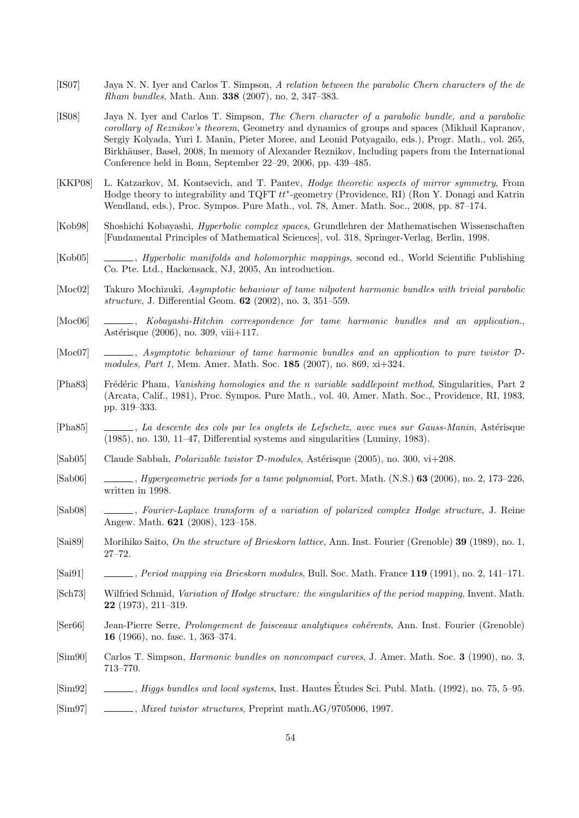- <span id="page-53-15"></span>[IS07] Jaya N. N. Iyer and Carlos T. Simpson, A relation between the parabolic Chern characters of the de Rham bundles, Math. Ann. 338 (2007), no. 2, 347–383.
- <span id="page-53-16"></span>[IS08] Jaya N. Iyer and Carlos T. Simpson, The Chern character of a parabolic bundle, and a parabolic corollary of Reznikov's theorem, Geometry and dynamics of groups and spaces (Mikhail Kapranov, Sergiy Kolyada, Yuri I. Manin, Pieter Moree, and Leonid Potyagailo, eds.), Progr. Math., vol. 265, Birkhäuser, Basel, 2008, In memory of Alexander Reznikov, Including papers from the International Conference held in Bonn, September 22–29, 2006, pp. 439–485.
- <span id="page-53-9"></span>[KKP08] L. Katzarkov, M. Kontsevich, and T. Pantev, Hodge theoretic aspects of mirror symmetry, From Hodge theory to integrability and TQFT  $tt^*$ -geometry (Providence, RI) (Ron Y. Donagi and Katrin Wendland, eds.), Proc. Sympos. Pure Math., vol. 78, Amer. Math. Soc., 2008, pp. 87–174.
- <span id="page-53-18"></span>[Kob98] Shoshichi Kobayashi, Hyperbolic complex spaces, Grundlehren der Mathematischen Wissenschaften [Fundamental Principles of Mathematical Sciences], vol. 318, Springer-Verlag, Berlin, 1998.
- <span id="page-53-19"></span>[Kob05] , Hyperbolic manifolds and holomorphic mappings, second ed., World Scientific Publishing Co. Pte. Ltd., Hackensack, NJ, 2005, An introduction.
- <span id="page-53-13"></span>[Moc02] Takuro Mochizuki, Asymptotic behaviour of tame nilpotent harmonic bundles with trivial parabolic structure, J. Differential Geom. 62 (2002), no. 3, 351–559.
- <span id="page-53-17"></span>[Moc06] , Kobayashi-Hitchin correspondence for tame harmonic bundles and an application. Astérisque (2006), no. 309, viii+117.
- <span id="page-53-12"></span>[Moc07] , Asymptotic behaviour of tame harmonic bundles and an application to pure twistor  $\mathcal{D}$ modules, Part 1, Mem. Amer. Math. Soc. 185 (2007), no. 869, xi+324.
- <span id="page-53-3"></span>[Pha83] Frédéric Pham, *Vanishing homologies and the n variable saddlepoint method*, Singularities, Part 2 (Arcata, Calif., 1981), Proc. Sympos. Pure Math., vol. 40, Amer. Math. Soc., Providence, RI, 1983, pp. 319–333.
- <span id="page-53-4"></span>[Pha85] , La descente des cols par les onglets de Lefschetz, avec vues sur Gauss-Manin, Astérisque (1985), no. 130, 11–47, Differential systems and singularities (Luminy, 1983).
- <span id="page-53-5"></span>[Sab05] Claude Sabbah, *Polarizable twistor D-modules*, Astérisque (2005), no. 300, vi $+208$ .
- <span id="page-53-2"></span>[Sab06] , Hypergeometric periods for a tame polynomial, Port. Math. (N.S.) 63 (2006), no. 2, 173–226, written in 1998.
- <span id="page-53-10"></span>[Sab08] , Fourier-Laplace transform of a variation of polarized complex Hodge structure, J. Reine Angew. Math. 621 (2008), 123–158.
- <span id="page-53-1"></span>[Sai89] Morihiko Saito, On the structure of Brieskorn lattice, Ann. Inst. Fourier (Grenoble) 39 (1989), no. 1, 27–72.
- <span id="page-53-0"></span>[Sai91] , Period mapping via Brieskorn modules, Bull. Soc. Math. France 119 (1991), no. 2, 141–171.
- <span id="page-53-11"></span>[Sch73] Wilfried Schmid, Variation of Hodge structure: the singularities of the period mapping, Invent. Math. 22 (1973), 211–319.
- <span id="page-53-14"></span>[Ser66] Jean-Pierre Serre, *Prolongement de faisceaux analytiques cohérents*, Ann. Inst. Fourier (Grenoble) 16 (1966), no. fasc. 1, 363–374.
- <span id="page-53-6"></span>[Sim90] Carlos T. Simpson, Harmonic bundles on noncompact curves, J. Amer. Math. Soc. 3 (1990), no. 3, 713–770.
- <span id="page-53-7"></span>[Sim92] , Higgs bundles and local systems, Inst. Hautes Études Sci. Publ. Math. (1992), no. 75, 5–95.
- <span id="page-53-8"></span>[Sim97] , Mixed twistor structures, Preprint math.AG/9705006, 1997.